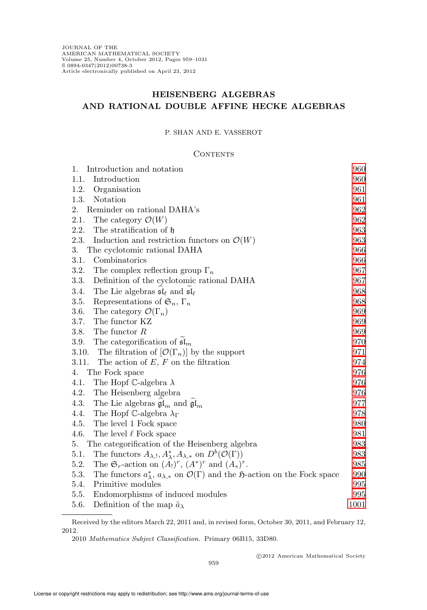# HEISENBERG ALGEBRAS AND RATIONAL DOUBLE AFFINE HECKE ALGEBRAS

## P. SHAN AND E. VASSEROT

#### **CONTENTS**

| Introduction and notation<br>1.                                                                                                        | 960  |
|----------------------------------------------------------------------------------------------------------------------------------------|------|
| Introduction<br>1.1.                                                                                                                   | 960  |
| 1.2.<br>Organisation                                                                                                                   | 961  |
| 1.3.<br>Notation                                                                                                                       | 961  |
| 2.<br>Reminder on rational DAHA's                                                                                                      | 962  |
| 2.1.<br>The category $\mathcal{O}(W)$                                                                                                  | 962  |
| 2.2.<br>The stratification of $\mathfrak h$                                                                                            | 963  |
| 2.3.<br>Induction and restriction functors on $\mathcal{O}(W)$                                                                         | 963  |
| 3.<br>The cyclotomic rational DAHA                                                                                                     | 966  |
| 3.1.<br>Combinatorics                                                                                                                  | 966  |
| 3.2.<br>The complex reflection group $\Gamma_n$                                                                                        | 967  |
| Definition of the cyclotomic rational DAHA<br>3.3.                                                                                     | 967  |
| The Lie algebras $\mathfrak{sl}_{\ell}$ and $\mathfrak{sl}_{\ell}$<br>3.4.                                                             | 968  |
| Representations of $\mathfrak{S}_n$ , $\Gamma_n$<br>3.5.                                                                               | 968  |
| 3.6.<br>The category $\mathcal{O}(\Gamma_n)$                                                                                           | 969  |
| The functor KZ<br>3.7.                                                                                                                 | 969  |
| The functor $R$<br>3.8.                                                                                                                | 969  |
| The categorification of $\mathfrak{sl}_m$<br>3.9.                                                                                      | 970  |
| The filtration of $[\mathcal{O}(\Gamma_n)]$ by the support<br>3.10.                                                                    | 971  |
| 3.11.<br>The action of $E, F$ on the filtration                                                                                        | 974  |
| 4.<br>The Fock space                                                                                                                   | 976  |
| 4.1.<br>The Hopf C-algebra $\lambda$                                                                                                   | 976  |
| 4.2.<br>The Heisenberg algebra                                                                                                         | 976  |
| The Lie algebras $\mathfrak{gl}_m$ and $\mathfrak{gl}_m$<br>4.3.                                                                       | 977  |
| 4.4.<br>The Hopf C-algebra $\lambda_{\Gamma}$                                                                                          | 978  |
| 4.5.<br>The level 1 Fock space                                                                                                         | 980  |
| 4.6.<br>The level $\ell$ Fock space                                                                                                    | 981  |
| The categorification of the Heisenberg algebra<br>5.                                                                                   | 983  |
| The functors $A_{\lambda, !}, A_{\lambda}^*, A_{\lambda,*}$ on $D^b(\mathcal{O}(\Gamma))$<br>5.1.                                      | 983  |
| The $\mathfrak{S}_r$ -action on $(A_!)^r$ , $(A^*)^r$ and $(A_*)^r$ .<br>5.2.                                                          | 985  |
| 5.3.<br>The functors $a_{\lambda}^*$ , $a_{\lambda,*}$ on $\mathcal{O}(\Gamma)$ and the $\mathfrak{H}\text{-action}$ on the Fock space | 990  |
| 5.4.<br>Primitive modules                                                                                                              | 995  |
| 5.5.<br>Endomorphisms of induced modules                                                                                               | 995  |
| 5.6.<br>Definition of the map $\tilde{a}_{\lambda}$                                                                                    | 1001 |

Received by the editors March 22, 2011 and, in revised form, October 30, 2011, and February 12, 2012.

<sup>2010</sup> Mathematics Subject Classification. Primary 06B15, 33D80.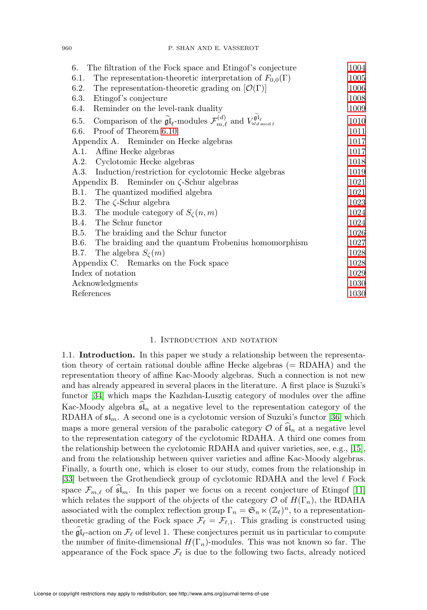| 6. The filtration of the Fock space and Etingof's conjecture                                                                                              | 1004 |
|-----------------------------------------------------------------------------------------------------------------------------------------------------------|------|
| The representation-theoretic interpretation of $F_{0,0}(\Gamma)$<br>6.1.                                                                                  | 1005 |
| 6.2.<br>The representation-theoretic grading on $[\mathcal{O}(\Gamma)]$                                                                                   | 1006 |
| Etingof's conjecture<br>6.3.                                                                                                                              | 1008 |
| Reminder on the level-rank duality<br>6.4.                                                                                                                | 1009 |
| Comparison of the $\widetilde{\mathfrak{gl}}_{\ell}$ -modules $\mathcal{F}_{m,\ell}^{(d)}$ and $V_{\omega_{d \bmod \ell}}^{\mathfrak{gl}_{\ell}}$<br>6.5. | 1010 |
| Proof of Theorem 6.10<br>6.6.                                                                                                                             | 1011 |
| Appendix A. Reminder on Hecke algebras                                                                                                                    | 1017 |
| Affine Hecke algebras<br>A.1.                                                                                                                             | 1017 |
| A.2. Cyclotomic Hecke algebras                                                                                                                            | 1018 |
| A.3. Induction/restriction for cyclotomic Hecke algebras                                                                                                  | 1019 |
| Appendix B. Reminder on $\zeta$ -Schur algebras                                                                                                           | 1021 |
| B.1. The quantized modified algebra                                                                                                                       | 1021 |
| B.2. The $\zeta$ -Schur algebra                                                                                                                           | 1023 |
| B.3. The module category of $S_{\zeta}(n,m)$                                                                                                              | 1024 |
| B.4. The Schur functor                                                                                                                                    | 1024 |
| B.5. The braiding and the Schur functor                                                                                                                   | 1026 |
| The braiding and the quantum Frobenius homomorphism<br>B.6.                                                                                               | 1027 |
| The algebra $S_{\zeta}(m)$<br>B.7.                                                                                                                        | 1028 |
| Appendix C. Remarks on the Fock space                                                                                                                     | 1028 |
| Index of notation                                                                                                                                         | 1029 |
| Acknowledgments                                                                                                                                           | 1030 |
| References                                                                                                                                                | 1030 |

#### 1. Introduction and notation

<span id="page-1-1"></span><span id="page-1-0"></span>1.1. Introduction. In this paper we study a relationship between the representation theory of certain rational double affine Hecke algebras  $(= RDAHA)$  and the representation theory of affine Kac-Moody algebras. Such a connection is not new and has already appeared in several places in the literature. A first place is Suzuki's functor [\[34\]](#page-72-0) which maps the Kazhdan-Lusztig category of modules over the affine Kac-Moody algebra  $\mathfrak{sl}_n$  at a negative level to the representation category of the RDAHA of  $\mathfrak{sl}_m$ . A second one is a cyclotomic version of Suzuki's functor [\[36\]](#page-72-1) which maps a more general version of the parabolic category  $\mathcal O$  of  $\mathfrak{sl}_n$  at a negative level to the representation category of the cyclotomic RDAHA. A third one comes from the relationship between the cyclotomic RDAHA and quiver varieties, see, e.g., [\[15\]](#page-71-2), and from the relationship between quiver varieties and affine Kac-Moody algebras. Finally, a fourth one, which is closer to our study, comes from the relationship in [\[33\]](#page-72-2) between the Grothendieck group of cyclotomic RDAHA and the level  $\ell$  Fock space  $\mathcal{F}_{m,\ell}$  of  $\mathfrak{sl}_m$ . In this paper we focus on a recent conjecture of Etingof [\[11\]](#page-71-3) which relates the support of the objects of the category  $\mathcal O$  of  $H(\Gamma_n)$ , the RDAHA associated with the complex reflection group  $\Gamma_n = \mathfrak{S}_n \ltimes (\mathbb{Z}_\ell)^n$ , to a representationtheoretic grading of the Fock space  $\mathcal{F}_{\ell} = \mathcal{F}_{\ell,1}$ . This grading is constructed using the  $\mathfrak{gl}_{\ell}$ -action on  $\mathcal{F}_{\ell}$  of level 1. These conjectures permit us in particular to compute the number of finite-dimensional  $H(\Gamma_n)$ -modules. This was not known so far. The appearance of the Fock space  $\mathcal{F}_{\ell}$  is due to the following two facts, already noticed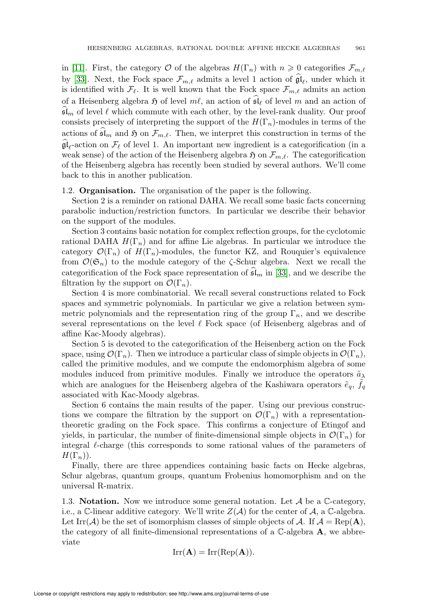in [\[11\]](#page-71-3). First, the category  $\mathcal O$  of the algebras  $H(\Gamma_n)$  with  $n \geq 0$  categorifies  $\mathcal F_{m,\ell}$ by [\[33\]](#page-72-2). Next, the Fock space  $\mathcal{F}_{m,\ell}$  admits a level 1 action of  $\mathfrak{gl}_{\ell}$ , under which it is identified with  $\mathcal{F}_{\ell}$ . It is well known that the Fock space  $\mathcal{F}_{m,\ell}$  admits an action of a Heisenberg algebra  $\mathfrak H$  of level  $m\ell$ , an action of  $\mathfrak{sl}_{\ell}$  of level m and an action of  $\mathfrak{sl}_m$  of level  $\ell$  which commute with each other, by the level-rank duality. Our proof consists precisely of interpreting the support of the  $H(\Gamma_n)$ -modules in terms of the actions of  $\mathfrak{sl}_m$  and  $\mathfrak{H}$  on  $\mathcal{F}_{m,\ell}$ . Then, we interpret this construction in terms of the  $\mathfrak{gl}_{\ell}$ -action on  $\mathcal{F}_{\ell}$  of level 1. An important new ingredient is a categorification (in a weak sense) of the action of the Heisenberg algebra  $\mathfrak{H}$  on  $\mathcal{F}_{m,\ell}$ . The categorification of the Heisenberg algebra has recently been studied by several authors. We'll come back to this in another publication.

#### <span id="page-2-0"></span>1.2. Organisation. The organisation of the paper is the following.

Section 2 is a reminder on rational DAHA. We recall some basic facts concerning parabolic induction/restriction functors. In particular we describe their behavior on the support of the modules.

Section 3 contains basic notation for complex reflection groups, for the cyclotomic rational DAHA  $H(\Gamma_n)$  and for affine Lie algebras. In particular we introduce the category  $\mathcal{O}(\Gamma_n)$  of  $H(\Gamma_n)$ -modules, the functor KZ, and Rouquier's equivalence from  $\mathcal{O}(\mathfrak{S}_n)$  to the module category of the  $\zeta$ -Schur algebra. Next we recall the categorification of the Fock space representation of  $\mathfrak{sl}_m$  in [\[33\]](#page-72-2), and we describe the filtration by the support on  $\mathcal{O}(\Gamma_n)$ .

Section 4 is more combinatorial. We recall several constructions related to Fock spaces and symmetric polynomials. In particular we give a relation between symmetric polynomials and the representation ring of the group  $\Gamma_n$ , and we describe several representations on the level  $\ell$  Fock space (of Heisenberg algebras and of affine Kac-Moody algebras).

Section 5 is devoted to the categorification of the Heisenberg action on the Fock space, using  $\mathcal{O}(\Gamma_n)$ . Then we introduce a particular class of simple objects in  $\mathcal{O}(\Gamma_n)$ , called the primitive modules, and we compute the endomorphism algebra of some modules induced from primitive modules. Finally we introduce the operators  $\tilde{a}_{\lambda}$ which are analogues for the Heisenberg algebra of the Kashiwara operators  $\tilde{e}_q$ ,  $\tilde{f}_q$ associated with Kac-Moody algebras.

Section 6 contains the main results of the paper. Using our previous constructions we compare the filtration by the support on  $\mathcal{O}(\Gamma_n)$  with a representationtheoretic grading on the Fock space. This confirms a conjecture of Etingof and yields, in particular, the number of finite-dimensional simple objects in  $\mathcal{O}(\Gamma_n)$  for integral ℓ-charge (this corresponds to some rational values of the parameters of  $H(\Gamma_n)).$ 

Finally, there are three appendices containing basic facts on Hecke algebras, Schur algebras, quantum groups, quantum Frobenius homomorphism and on the universal R-matrix.

<span id="page-2-1"></span>1.3. Notation. Now we introduce some general notation. Let  $A$  be a  $\mathbb{C}\text{-category}$ , i.e., a C-linear additive category. We'll write  $Z(\mathcal{A})$  for the center of  $\mathcal{A}$ , a C-algebra. Let Irr( $\mathcal{A}$ ) be the set of isomorphism classes of simple objects of  $\mathcal{A}$ . If  $\mathcal{A} = \text{Rep}(\mathbf{A})$ , the category of all finite-dimensional representations of a  $\mathbb{C}\text{-algebra }A$ , we abbreviate

$$
Irr(\mathbf{A}) = Irr(Rep(\mathbf{A})).
$$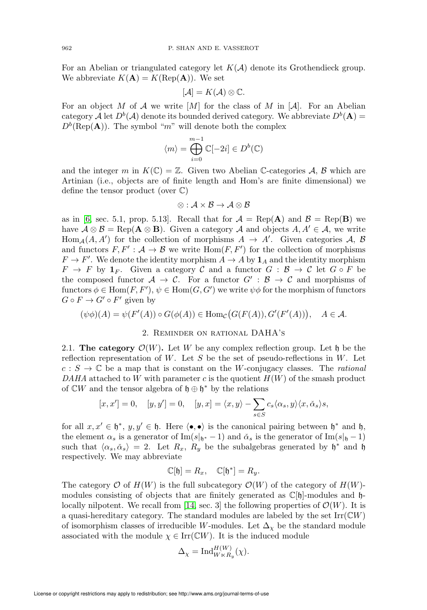For an Abelian or triangulated category let  $K(\mathcal{A})$  denote its Grothendieck group. We abbreviate  $K(A) = K(\text{Rep}(A))$ . We set

$$
[\mathcal{A}] = K(\mathcal{A}) \otimes \mathbb{C}.
$$

For an object M of A we write  $[M]$  for the class of M in  $[A]$ . For an Abelian category A let  $D^b(A)$  denote its bounded derived category. We abbreviate  $D^b(A)$  =  $D^b(\text{Rep}(\mathbf{A}))$ . The symbol "m" will denote both the complex

$$
\langle m \rangle = \bigoplus_{i=0}^{m-1} \mathbb{C}[-2i] \in D^b(\mathbb{C})
$$

and the integer m in  $K(\mathbb{C}) = \mathbb{Z}$ . Given two Abelian C-categories A, B which are Artinian (i.e., objects are of finite length and Hom's are finite dimensional) we define the tensor product (over C)

$$
\otimes: \mathcal{A} \times \mathcal{B} \rightarrow \mathcal{A} \otimes \mathcal{B}
$$

as in [\[6,](#page-71-4) sec. 5.1, prop. 5.13]. Recall that for  $A = \text{Rep}(\mathbf{A})$  and  $B = \text{Rep}(\mathbf{B})$  we have  $\mathcal{A} \otimes \mathcal{B} = \text{Rep}(\mathbf{A} \otimes \mathbf{B})$ . Given a category  $\mathcal{A}$  and objects  $A, A' \in \mathcal{A}$ , we write  $Hom_A(A, A')$  for the collection of morphisms  $A \rightarrow A'$ . Given categories A, B and functors  $F, F' : A \to B$  we write  $Hom(F, F')$  for the collection of morphisms  $F \to F'$ . We denote the identity morphism  $A \to A$  by  $\mathbf{1}_A$  and the identity morphism  $F \to F$  by  $\mathbf{1}_F$ . Given a category C and a functor  $G : \mathcal{B} \to \mathcal{C}$  let  $G \circ F$  be the composed functor  $A \to C$ . For a functor  $G' : B \to C$  and morphisms of functors  $\phi \in \text{Hom}(F, F'), \psi \in \text{Hom}(G, G')$  we write  $\psi \phi$  for the morphism of functors  $G \circ F \to G' \circ F'$  given by

<span id="page-3-0"></span>
$$
(\psi \phi)(A) = \psi(F'(A)) \circ G(\phi(A)) \in \text{Hom}_{\mathcal{C}}(G(F(A)), G'(F'(A))), \quad A \in \mathcal{A}.
$$

#### 2. Reminder on rational DAHA's

<span id="page-3-1"></span>2.1. The category  $\mathcal{O}(W)$ . Let W be any complex reflection group. Let h be the reflection representation of W. Let  $S$  be the set of pseudo-reflections in W. Let  $c : S \to \mathbb{C}$  be a map that is constant on the W-conjugacy classes. The *rational* DAHA attached to W with parameter c is the quotient  $H(W)$  of the smash product of  $\mathbb{C}W$  and the tensor algebra of  $\mathfrak{h} \oplus \mathfrak{h}^*$  by the relations

$$
[x, x']=0, \quad [y, y']=0, \quad [y, x]=\langle x, y\rangle - \sum_{s\in S} c_s \langle \alpha_s, y\rangle \langle x, \check{\alpha}_s\rangle s,
$$

for all  $x, x' \in \mathfrak{h}^*, y, y' \in \mathfrak{h}$ . Here  $\langle \bullet, \bullet \rangle$  is the canonical pairing between  $\mathfrak{h}^*$  and  $\mathfrak{h}$ , the element  $\alpha_s$  is a generator of Im(s|<sub>h<sup>∗</sup></sub> - 1) and  $\alpha_s$  is the generator of Im(s|<sub>h</sub> - 1) such that  $\langle \alpha_s, \check{\alpha}_s \rangle = 2$ . Let  $R_x$ ,  $R_y$  be the subalgebras generated by  $\mathfrak{h}^*$  and  $\mathfrak{h}$ respectively. We may abbreviate

$$
\mathbb{C}[\mathfrak{h}] = R_x, \quad \mathbb{C}[\mathfrak{h}^*] = R_y.
$$

The category  $\mathcal{O}$  of  $H(W)$  is the full subcategory  $\mathcal{O}(W)$  of the category of  $H(W)$ modules consisting of objects that are finitely generated as  $\mathbb{C}[\mathfrak{h}]$ -modules and  $\mathfrak{h}$ -locally nilpotent. We recall from [\[14,](#page-71-5) sec. 3] the following properties of  $\mathcal{O}(W)$ . It is a quasi-hereditary category. The standard modules are labeled by the set  $\text{Irr}(\mathbb{C}W)$ of isomorphism classes of irreducible W-modules. Let  $\Delta_{\chi}$  be the standard module associated with the module  $\chi \in \text{Irr}(\mathbb{C}W)$ . It is the induced module

$$
\Delta_{\chi} = \text{Ind}_{W \ltimes R_y}^{H(W)}(\chi).
$$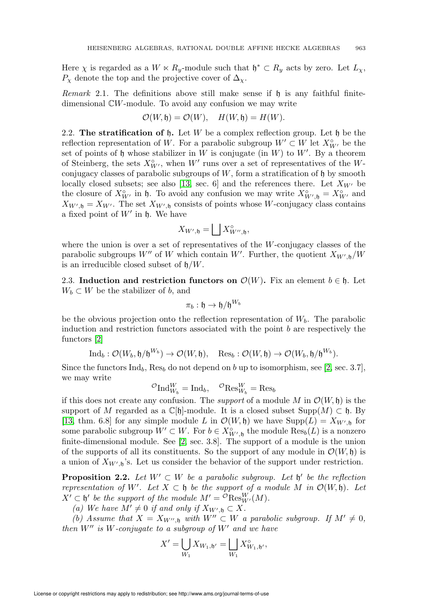Here  $\chi$  is regarded as a  $W \ltimes R_y$ -module such that  $\mathfrak{h}^* \subset R_y$  acts by zero. Let  $L_\chi$ ,  $P_{\chi}$  denote the top and the projective cover of  $\Delta_{\chi}$ .

<span id="page-4-3"></span>*Remark* 2.1. The definitions above still make sense if  $\mathfrak h$  is any faithful finitedimensional CW-module. To avoid any confusion we may write

$$
\mathcal{O}(W,\mathfrak{h})=\mathcal{O}(W),\quad H(W,\mathfrak{h})=H(W).
$$

<span id="page-4-0"></span>2.2. The stratification of  $\mathfrak h$ . Let W be a complex reflection group. Let  $\mathfrak h$  be the reflection representation of W. For a parabolic subgroup  $W' \subset W$  let  $X_{W'}^{\circ}$  be the set of points of h whose stabilizer in W is conjugate (in  $W$ ) to  $W'$ . By a theorem of Steinberg, the sets  $X^{\circ}_{W'}$ , when W' runs over a set of representatives of the Wconjugacy classes of parabolic subgroups of  $W$ , form a stratification of  $\mathfrak h$  by smooth locally closed subsets; see also [\[13,](#page-71-6) sec. 6] and the references there. Let  $X_{W'}$  be the closure of  $X_{W'}^{\circ}$  in h. To avoid any confusion we may write  $X_{W',\mathfrak{h}}^{\circ} = X_{W'}^{\circ}$  and  $X_{W',\mathfrak{h}} = X_{W'}$ . The set  $X_{W',\mathfrak{h}}$  consists of points whose W-conjugacy class contains a fixed point of  $W'$  in  $\mathfrak h$ . We have

$$
X_{W',\mathfrak{h}} = \bigsqcup X_{W'',\mathfrak{h}}^{\circ},
$$

where the union is over a set of representatives of the  $W$ -conjugacy classes of the parabolic subgroups  $W''$  of W which contain W'. Further, the quotient  $X_{W',\mathfrak{h}}/W$ is an irreducible closed subset of  $\mathfrak{h}/W$ .

<span id="page-4-1"></span>2.3. Induction and restriction functors on  $\mathcal{O}(W)$ . Fix an element  $b \in \mathfrak{h}$ . Let  $W_b \subset W$  be the stabilizer of b, and

$$
\pi_b:\mathfrak{h}\to \mathfrak{h}/\mathfrak{h}^{W_b}
$$

be the obvious projection onto the reflection representation of  $W_b$ . The parabolic induction and restriction functors associated with the point  $b$  are respectively the functors [\[2\]](#page-71-7)

$$
\text{Ind}_b: \mathcal{O}(W_b, \mathfrak{h}/\mathfrak{h}^{W_b}) \to \mathcal{O}(W, \mathfrak{h}), \quad \text{Res}_b: \mathcal{O}(W, \mathfrak{h}) \to \mathcal{O}(W_b, \mathfrak{h}/\mathfrak{h}^{W_b}).
$$

Since the functors  $\text{Ind}_b$ , Res<sub>b</sub> do not depend on b up to isomorphism, see [\[2,](#page-71-7) sec. 3.7], we may write

$$
{}^{\mathcal{O}}\mathrm{Ind}_{W_b}^W = \mathrm{Ind}_b, \quad {}^{\mathcal{O}}\mathrm{Res}_{W_b}^W = \mathrm{Res}_b
$$

if this does not create any confusion. The *support* of a module M in  $\mathcal{O}(W, \mathfrak{h})$  is the support of M regarded as a  $\mathbb{C}[\mathfrak{h}]$ -module. It is a closed subset Supp $(M) \subset \mathfrak{h}$ . By [\[13,](#page-71-6) thm. 6.8] for any simple module L in  $\mathcal{O}(W, \mathfrak{h})$  we have  $\text{Supp}(L) = X_{W', \mathfrak{h}}$  for some parabolic subgroup  $W' \subset W$ . For  $b \in X^{\circ}_{W',\mathfrak{h}}$  the module  $\text{Res}_{b}(L)$  is a nonzero finite-dimensional module. See [\[2,](#page-71-7) sec. 3.8]. The support of a module is the union of the supports of all its constituents. So the support of any module in  $\mathcal{O}(W, \mathfrak{h})$  is a union of  $X_{W',b}$ 's. Let us consider the behavior of the support under restriction.

<span id="page-4-2"></span>**Proposition 2.2.** Let  $W' \subset W$  be a parabolic subgroup. Let  $\mathfrak{h}'$  be the reflection representation of W'. Let  $X \subset \mathfrak{h}$  be the support of a module M in  $\mathcal{O}(W, \mathfrak{h})$ . Let  $X' \subset \mathfrak{h}'$  be the support of the module  $M' = \mathcal{O} \text{Res}_{W'}^W(M)$ .

(a) We have  $M' \neq 0$  if and only if  $X_{W',\mathfrak{h}} \subset X$ .

(b) Assume that  $X = X_{W'', \mathfrak{h}}$  with  $W'' \subset W$  a parabolic subgroup. If  $M' \neq 0$ , then  $W''$  is W-conjugate to a subgroup of  $W'$  and we have

$$
X' = \bigcup_{W_1} X_{W_1, \mathfrak{h}'} = \bigsqcup_{W_1} X_{W_1, \mathfrak{h}'}^{\circ},
$$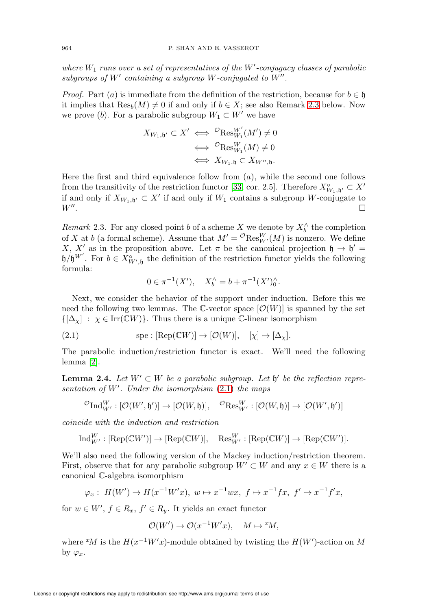where  $W_1$  runs over a set of representatives of the  $W'$ -conjugacy classes of parabolic subgroups of  $W'$  containing a subgroup  $W$ -conjugated to  $W''$ .

*Proof.* Part (a) is immediate from the definition of the restriction, because for  $b \in \mathfrak{h}$ it implies that  $\text{Res}_b(M) \neq 0$  if and only if  $b \in X$ ; see also Remark [2.3](#page-5-0) below. Now we prove (b). For a parabolic subgroup  $W_1 \subset W'$  we have

$$
X_{W_1, \mathfrak{h}'} \subset X' \iff^{\mathcal{O}} \text{Res}_{W_1}^{W'}(M') \neq 0
$$
  

$$
\iff^{\mathcal{O}} \text{Res}_{W_1}^{W}(M) \neq 0
$$
  

$$
\iff X_{W_1, \mathfrak{h}} \subset X_{W', \mathfrak{h}}.
$$

Here the first and third equivalence follow from  $(a)$ , while the second one follows from the transitivity of the restriction functor [\[33,](#page-72-2) cor. 2.5]. Therefore  $X^{\circ}_{W_1,\mathfrak{h}'} \subset X'$ if and only if  $X_{W_1, \mathfrak{h}'} \subset X'$  if and only if  $W_1$  contains a subgroup W-conjugate to  $W''$ . .

<span id="page-5-0"></span>Remark 2.3. For any closed point b of a scheme X we denote by  $X_b^{\wedge}$  the completion of X at b (a formal scheme). Assume that  $M' = {}^{\mathcal{O}}\text{Res}_{W'}^W(M)$  is nonzero. We define X, X' as in the proposition above. Let  $\pi$  be the canonical projection  $\mathfrak{h} \to \mathfrak{h}' =$  $h/h^{W'}$ . For  $b \in X_{W',\mathfrak{h}}^{\circ}$  the definition of the restriction functor yields the following formula:

$$
0 \in \pi^{-1}(X'), \quad X_b^{\wedge} = b + \pi^{-1}(X')_0^{\wedge}.
$$

Next, we consider the behavior of the support under induction. Before this we need the following two lemmas. The C-vector space  $[O(W)]$  is spanned by the set  ${[\Delta_\gamma] : \chi \in \text{Irr}(\mathbb{C}W) }$ . Thus there is a unique C-linear isomorphism

<span id="page-5-1"></span>(2.1) 
$$
\text{spe}: [\text{Rep}(\mathbb{C}W)] \to [\mathcal{O}(W)], \quad [\chi] \mapsto [\Delta_{\chi}].
$$

The parabolic induction/restriction functor is exact. We'll need the following lemma [\[2\]](#page-71-7).

<span id="page-5-2"></span>**Lemma 2.4.** Let  $W' \subset W$  be a parabolic subgroup. Let b' be the reflection representation of  $W'$ . Under the isomorphism  $(2.1)$  the maps

$$
{}^{\mathcal{O}}\mathrm{Ind}_{W'}^W:[\mathcal{O}(W',\mathfrak{h}')]\rightarrow [\mathcal{O}(W,\mathfrak{h})],\quad {}^{\mathcal{O}}\mathrm{Res}^W_{W'}:[\mathcal{O}(W,\mathfrak{h})]\rightarrow [\mathcal{O}(W',\mathfrak{h}')]
$$

coincide with the induction and restriction

$$
\text{Ind}_{W'}^W : [\text{Rep}(\mathbb{C}W')] \to [\text{Rep}(\mathbb{C}W)], \quad \text{Res}_{W'}^W : [\text{Rep}(\mathbb{C}W)] \to [\text{Rep}(\mathbb{C}W')].
$$

We'll also need the following version of the Mackey induction/restriction theorem. First, observe that for any parabolic subgroup  $W' \subset W$  and any  $x \in W$  there is a canonical C-algebra isomorphism

$$
\varphi_x: H(W') \to H(x^{-1}W'x), w \mapsto x^{-1}wx, f \mapsto x^{-1}fx, f' \mapsto x^{-1}f'x,
$$

for  $w \in W'$ ,  $f \in R_x$ ,  $f' \in R_y$ . It yields an exact functor

$$
\mathcal{O}(W') \to \mathcal{O}(x^{-1}W'x), \quad M \mapsto {}^x\!M,
$$

where <sup>x</sup>M is the  $H(x^{-1}W'x)$ -module obtained by twisting the  $H(W')$ -action on M by  $\varphi_x$ .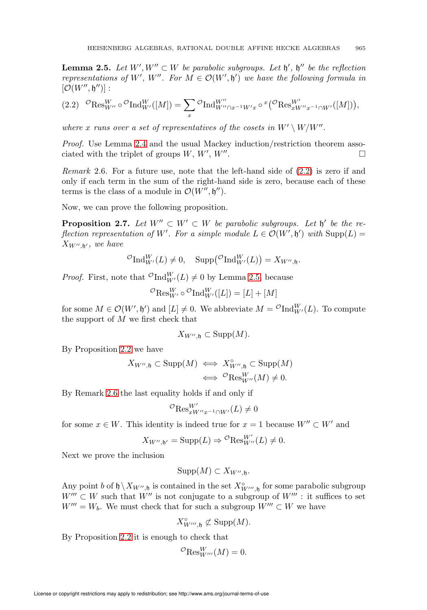<span id="page-6-1"></span>**Lemma 2.5.** Let  $W', W'' \subset W$  be parabolic subgroups. Let  $\mathfrak{h}'$ ,  $\mathfrak{h}''$  be the reflection representations of W', W". For  $M \in \mathcal{O}(W', \mathfrak{h}')$  we have the following formula in  $[\mathcal{O}(W'', \mathfrak{h}'')]$ :

<span id="page-6-0"></span>
$$
(2.2) \quad {}^{O}\text{Res}_{W''}^{W} \circ {}^{O}\text{Ind}_{W'}^{W}([M]) = \sum_{x} {}^{O}\text{Ind}_{W'' \cap x^{-1}W'x}^{W''} \circ {}^{x}({}^{O}\text{Res}_{xW''x^{-1} \cap W'}^{W'}([M])),
$$

where x runs over a set of representatives of the cosets in  $W' \setminus W/W''$ .

Proof. Use Lemma [2.4](#page-5-2) and the usual Mackey induction/restriction theorem associated with the triplet of groups  $W, W', W''$ .

<span id="page-6-2"></span>Remark 2.6. For a future use, note that the left-hand side of [\(2.2\)](#page-6-0) is zero if and only if each term in the sum of the right-hand side is zero, because each of these terms is the class of a module in  $\mathcal{O}(W'', \mathfrak{h}'')$ .

Now, we can prove the following proposition.

<span id="page-6-3"></span>**Proposition 2.7.** Let  $W'' \subset W' \subset W$  be parabolic subgroups. Let  $\mathfrak{h}'$  be the reflection representation of W'. For a simple module  $L \in \mathcal{O}(W', \mathfrak{h}')$  with  $\text{Supp}(L) =$  $X_{W'',\mathfrak{h}'},$  we have

$$
{}^{\mathcal{O}}\mathrm{Ind}_{W'}^W(L) \neq 0, \quad \mathrm{Supp}({}^{\mathcal{O}}\mathrm{Ind}_{W'}^W(L)) = X_{W'',\mathfrak{h}}.
$$

*Proof.* First, note that  ${}^{\mathcal{O}}\mathrm{Ind}_{W'}^W(L) \neq 0$  by Lemma [2.5,](#page-6-1) because

$$
{}^{\mathcal{O}}\text{Res}_{W'}^{W} \circ {}^{\mathcal{O}}\text{Ind}_{W'}^{W}([L]) = [L] + [M]
$$

for some  $M \in \mathcal{O}(W', \mathfrak{h}')$  and  $[L] \neq 0$ . We abbreviate  $M = {}^{\mathcal{O}} \text{Ind}_{W'}^W(L)$ . To compute the support of  $M$  we first check that

$$
X_{W'',\mathfrak{h}} \subset \operatorname{Supp}(M).
$$

By Proposition [2.2](#page-4-2) we have

$$
X_{W'',\mathfrak{h}} \subset \text{Supp}(M) \iff X_{W'',\mathfrak{h}}^{\circ} \subset \text{Supp}(M)
$$

$$
\iff^{\mathcal{O}}\text{Res}_{W''}^{W}(M) \neq 0.
$$

By Remark [2.6](#page-6-2) the last equality holds if and only if

$$
{}^{\mathcal{O}}\text{Res}^{W'}_{xW''x^{-1}\cap W'}(L) \neq 0
$$

for some  $x \in W$ . This identity is indeed true for  $x = 1$  because  $W'' \subset W'$  and

$$
X_{W'',\mathfrak{h}'} = \operatorname{Supp}(L) \Rightarrow^{\mathcal{O}} \operatorname{Res}_{W''}^{W'}(L) \neq 0.
$$

Next we prove the inclusion

$$
Supp(M) \subset X_{W'',\mathfrak{h}}.
$$

Any point b of  $\mathfrak{h}\setminus X_{W'',\mathfrak{h}}$  is contained in the set  $X^{\circ}_{W''',\mathfrak{h}}$  for some parabolic subgroup  $W''' \subset W$  such that  $W''$  is not conjugate to a subgroup of  $W'''$ : it suffices to set  $W''' = W_b$ . We must check that for such a subgroup  $W''' \subset W$  we have

$$
X^{\circ}_{W''',\mathfrak{h}} \not\subset \mathrm{Supp}(M).
$$

By Proposition [2.2](#page-4-2) it is enough to check that

$$
{}^{\mathcal{O}}\text{Res}_{W'''}^W(M) = 0.
$$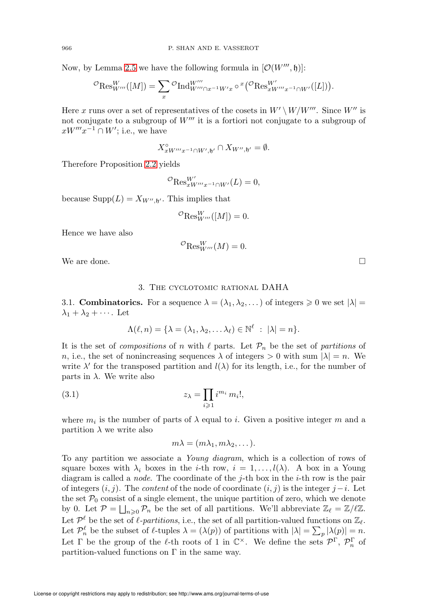Now, by Lemma [2.5](#page-6-1) we have the following formula in  $[O(W''', \mathfrak{h})]$ :

$$
{}^{\mathcal{O}}\mathrm{Res}^W_{W'''}([M]) = \sum_x {}^{\mathcal{O}}\mathrm{Ind}_{W''' \cap x^{-1}W'x}^{W'''} \circ {}^x({}^{\mathcal{O}}\mathrm{Res}_{xW''' x^{-1} \cap W'}^{W'}([L])).
$$

Here x runs over a set of representatives of the cosets in  $W' \setminus W/W'''$ . Since  $W''$  is not conjugate to a subgroup of  $W''$  it is a fortiori not conjugate to a subgroup of  $xW'''x^{-1} \cap W'$ ; i.e., we have

$$
X^{\circ}_{xW'''x^{-1}\cap W',\mathfrak{h}'} \cap X_{W'',\mathfrak{h}'} = \emptyset.
$$

Therefore Proposition [2.2](#page-4-2) yields

$$
{}^{\mathcal{O}}\text{Res}^{W'}_{xW'''x^{-1}\cap W'}(L)=0,
$$

because  $\text{Supp}(L) = X_{W'', \mathfrak{h}'}$ . This implies that

$$
{}^{\mathcal{O}}\text{Res}_{W'''}^W([M])=0.
$$

Hence we have also

$$
{}^{\mathcal{O}}\text{Res}_{W'''}^W(M) = 0.
$$

<span id="page-7-0"></span>We are done.

### 3. The cyclotomic rational DAHA

<span id="page-7-1"></span>3.1. **Combinatorics.** For a sequence  $\lambda = (\lambda_1, \lambda_2, \dots)$  of integers  $\geq 0$  we set  $|\lambda|$  $\lambda_1 + \lambda_2 + \cdots$ . Let

$$
\Lambda(\ell,n)=\{\lambda=(\lambda_1,\lambda_2,\ldots\lambda_\ell)\in\mathbb{N}^\ell\;:\;|\lambda|=n\}.
$$

It is the set of *compositions* of n with  $\ell$  parts. Let  $\mathcal{P}_n$  be the set of partitions of n, i.e., the set of nonincreasing sequences  $\lambda$  of integers  $> 0$  with sum  $|\lambda| = n$ . We write  $\lambda'$  for the transposed partition and  $l(\lambda)$  for its length, i.e., for the number of parts in  $\lambda$ . We write also

<span id="page-7-2"></span>(3.1) 
$$
z_{\lambda} = \prod_{i \geqslant 1} i^{m_i} m_i!,
$$

where  $m_i$  is the number of parts of  $\lambda$  equal to i. Given a positive integer m and a partition  $\lambda$  we write also

$$
m\lambda=(m\lambda_1,m\lambda_2,\dots).
$$

To any partition we associate a Young diagram, which is a collection of rows of square boxes with  $\lambda_i$  boxes in the *i*-th row,  $i = 1, \ldots, l(\lambda)$ . A box in a Young diagram is called a *node*. The coordinate of the  $j$ -th box in the  $i$ -th row is the pair of integers  $(i, j)$ . The *content* of the node of coordinate  $(i, j)$  is the integer  $j-i$ . Let the set  $P_0$  consist of a single element, the unique partition of zero, which we denote by 0. Let  $\mathcal{P} = \bigsqcup_{n\geqslant 0} \mathcal{P}_n$  be the set of all partitions. We'll abbreviate  $\mathbb{Z}_{\ell} = \mathbb{Z}/\ell\mathbb{Z}$ . Let  $\mathcal{P}^{\ell}$  be the set of  $\ell$ -partitions, i.e., the set of all partition-valued functions on  $\mathbb{Z}_{\ell}$ . Let  $\mathcal{P}_n^{\ell}$  be the subset of  $\ell$ -tuples  $\lambda = (\lambda(p))$  of partitions with  $|\lambda| = \sum_{p} |\lambda(p)| = n$ . Let  $\Gamma$  be the group of the  $\ell$ -th roots of 1 in  $\mathbb{C}^{\times}$ . We define the sets  $\mathcal{P}^{\Gamma}$ ,  $\mathcal{P}_n^{\Gamma}$  of partition-valued functions on  $\Gamma$  in the same way.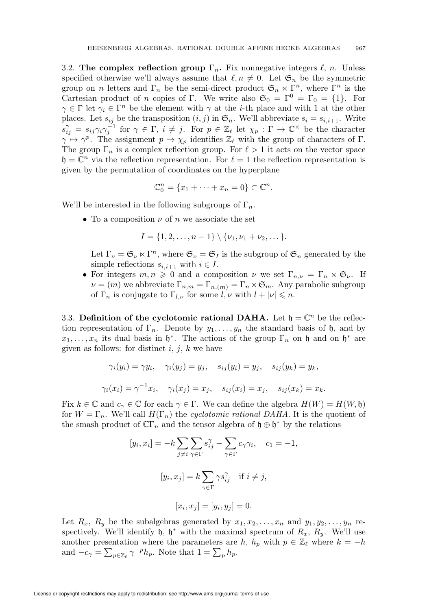<span id="page-8-0"></span>3.2. The complex reflection group  $\Gamma_n$ . Fix nonnegative integers  $\ell$ , n. Unless specified otherwise we'll always assume that  $\ell, n \neq 0$ . Let  $\mathfrak{S}_n$  be the symmetric group on n letters and  $\Gamma_n$  be the semi-direct product  $\mathfrak{S}_n \ltimes \Gamma^n$ , where  $\Gamma^n$  is the Cartesian product of n copies of Γ. We write also  $\mathfrak{S}_0 = \Gamma^0 = \Gamma_0 = \{1\}$ . For  $\gamma \in \Gamma$  let  $\gamma_i \in \Gamma^n$  be the element with  $\gamma$  at the *i*-th place and with 1 at the other places. Let  $s_{ij}$  be the transposition  $(i, j)$  in  $\mathfrak{S}_n$ . We'll abbreviate  $s_i = s_{i,i+1}$ . Write  $s_{ij}^{\gamma} = s_{ij} \gamma_i \gamma_j^{-1}$  for  $\gamma \in \Gamma$ ,  $i \neq j$ . For  $p \in \mathbb{Z}_{\ell}$  let  $\chi_p : \Gamma \to \mathbb{C}^{\times}$  be the character  $\gamma \mapsto \gamma^p$ . The assignment  $p \mapsto \chi_p$  identifies  $\mathbb{Z}_{\ell}$  with the group of characters of  $\Gamma$ . The group  $\Gamma_n$  is a complex reflection group. For  $\ell > 1$  it acts on the vector space  $\mathfrak{h} = \mathbb{C}^n$  via the reflection representation. For  $\ell = 1$  the reflection representation is given by the permutation of coordinates on the hyperplane

$$
\mathbb{C}_0^n = \{x_1 + \dots + x_n = 0\} \subset \mathbb{C}^n.
$$

We'll be interested in the following subgroups of  $\Gamma_n$ .

• To a composition  $\nu$  of n we associate the set

$$
I = \{1, 2, \ldots, n-1\} \setminus \{\nu_1, \nu_1 + \nu_2, \ldots\}.
$$

Let  $\Gamma_{\nu} = \mathfrak{S}_{\nu} \ltimes \Gamma^n$ , where  $\mathfrak{S}_{\nu} = \mathfrak{S}_I$  is the subgroup of  $\mathfrak{S}_n$  generated by the simple reflections  $s_{i,i+1}$  with  $i \in I$ .

• For integers  $m, n \geq 0$  and a composition  $\nu$  we set  $\Gamma_{n,\nu} = \Gamma_n \times \mathfrak{S}_{\nu}$ . If  $\nu = (m)$  we abbreviate  $\Gamma_{n,m} = \Gamma_{n,(m)} = \Gamma_n \times \mathfrak{S}_m$ . Any parabolic subgroup of  $\Gamma_n$  is conjugate to  $\Gamma_{l,\nu}$  for some  $l,\nu$  with  $l+|\nu| \leq n$ .

<span id="page-8-1"></span>3.3. Definition of the cyclotomic rational DAHA. Let  $\mathfrak{h} = \mathbb{C}^n$  be the reflection representation of  $\Gamma_n$ . Denote by  $y_1, \ldots, y_n$  the standard basis of h, and by  $x_1, \ldots, x_n$  its dual basis in  $\mathfrak{h}^*$ . The actions of the group  $\Gamma_n$  on  $\mathfrak{h}$  and on  $\mathfrak{h}^*$  are given as follows: for distinct  $i, j, k$  we have

$$
\gamma_i(y_i) = \gamma y_i, \quad \gamma_i(y_j) = y_j, \quad s_{ij}(y_i) = y_j, \quad s_{ij}(y_k) = y_k,
$$
  

$$
\gamma_i(x_i) = \gamma^{-1} x_i, \quad \gamma_i(x_j) = x_j, \quad s_{ij}(x_i) = x_j, \quad s_{ij}(x_k) = x_k.
$$

Fix  $k \in \mathbb{C}$  and  $c_{\gamma} \in \mathbb{C}$  for each  $\gamma \in \Gamma$ . We can define the algebra  $H(W) = H(W, \mathfrak{h})$ for  $W = \Gamma_n$ . We'll call  $H(\Gamma_n)$  the cyclotomic rational DAHA. It is the quotient of the smash product of  $\mathbb{C}\Gamma_n$  and the tensor algebra of  $\mathfrak{h} \oplus \mathfrak{h}^*$  by the relations

$$
[y_i, x_i] = -k \sum_{j \neq i} \sum_{\gamma \in \Gamma} s_{ij}^{\gamma} - \sum_{\gamma \in \Gamma} c_{\gamma} \gamma_i, \quad c_1 = -1,
$$
  

$$
[y_i, x_j] = k \sum_{\gamma \in \Gamma} \gamma s_{ij}^{\gamma} \quad \text{if } i \neq j,
$$
  

$$
[x_i, x_j] = [y_i, y_j] = 0.
$$

Let  $R_x$ ,  $R_y$  be the subalgebras generated by  $x_1, x_2, \ldots, x_n$  and  $y_1, y_2, \ldots, y_n$  respectively. We'll identify  $\mathfrak{h}, \mathfrak{h}^*$  with the maximal spectrum of  $R_x, R_y$ . We'll use another presentation where the parameters are h,  $h_p$  with  $p \in \mathbb{Z}_{\ell}$  where  $k = -h$ and  $-c_{\gamma} = \sum_{p \in \mathbb{Z}_{\ell}} \gamma^{-p} h_p$ . Note that  $1 = \sum_p h_p$ .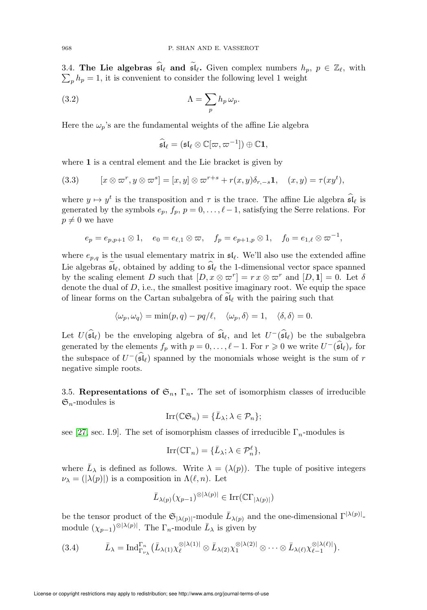3.4. The Lie algebras  $\mathfrak{sl}_{\ell}$  and  $\mathfrak{sl}_{\ell}$ . Given complex numbers  $h_p, p \in \mathbb{Z}_{\ell}$ , with  $\sum_{n} h_n = 1$ , it is convenient to consider the following level 1 weight  $_{p}$   $h_{p} = 1$ , it is convenient to consider the following level 1 weight

<span id="page-9-2"></span>(3.2) 
$$
\Lambda = \sum_{p} h_{p} \,\omega_{p}.
$$

Here the  $\omega_p$ 's are the fundamental weights of the affine Lie algebra

$$
\widehat{\mathfrak{sl}}_\ell = (\mathfrak{sl}_\ell \otimes \mathbb{C}[\varpi, \varpi^{-1}]) \oplus \mathbb{C} \mathbf{1},
$$

where 1 is a central element and the Lie bracket is given by

(3.3) 
$$
[x \otimes \varpi^r, y \otimes \varpi^s] = [x, y] \otimes \varpi^{r+s} + r(x, y)\delta_{r,-s}\mathbf{1}, \quad (x, y) = \tau(xy^t),
$$

where  $y \mapsto y^t$  is the transposition and  $\tau$  is the trace. The affine Lie algebra  $\widehat{\mathfrak{sl}}_\ell$  is generated by the symbols  $e_p$ ,  $f_p$ ,  $p = 0, \ldots, \ell - 1$ , satisfying the Serre relations. For  $p \neq 0$  we have

$$
e_p = e_{p,p+1} \otimes 1, \quad e_0 = e_{\ell,1} \otimes \varpi, \quad f_p = e_{p+1,p} \otimes 1, \quad f_0 = e_{1,\ell} \otimes \varpi^{-1},
$$

where  $e_{p,q}$  is the usual elementary matrix in  $\mathfrak{sl}_{\ell}$ . We'll also use the extended affine Lie algebras  $\mathfrak{sl}_{\ell}$ , obtained by adding to  $\mathfrak{sl}_{\ell}$  the 1-dimensional vector space spanned by the scaling element D such that  $[D, x \otimes \overline{\omega}^r] = rx \otimes \overline{\omega}^r$  and  $[D, 1] = 0$ . Let  $\delta$ denote the dual of  $D$ , i.e., the smallest positive imaginary root. We equip the space of linear forms on the Cartan subalgebra of sl<sup>ℓ</sup> with the pairing such that

$$
\langle \omega_p, \omega_q \rangle = \min(p, q) - pq/\ell, \quad \langle \omega_p, \delta \rangle = 1, \quad \langle \delta, \delta \rangle = 0.
$$

Let  $U(\widehat{\mathfrak{sl}}_{\ell})$  be the enveloping algebra of  $\widehat{\mathfrak{sl}}_{\ell}$ , and let  $U^{-}(\widehat{\mathfrak{sl}}_{\ell})$  be the subalgebra generated by the elements  $f_p$  with  $p = 0, \ldots, \ell - 1$ . For  $r \geq 0$  we write  $U^-(\hat{\mathfrak{sl}}_\ell)_r$  for the subspace of  $U^{-}(\mathfrak{sl}_{\ell})$  spanned by the monomials whose weight is the sum of r negative simple roots.

<span id="page-9-1"></span>3.5. Representations of  $\mathfrak{S}_n$ ,  $\Gamma_n$ . The set of isomorphism classes of irreducible  $\mathfrak{S}_n$ -modules is

$$
\mathrm{Irr}(\mathbb{C}\mathfrak{S}_n)=\{\bar{L}_{\lambda};\lambda\in\mathcal{P}_n\};
$$

see [\[27,](#page-72-3) sec. I.9]. The set of isomorphism classes of irreducible  $\Gamma_n$ -modules is

$$
\operatorname{Irr}(\mathbb{C}\Gamma_n) = \{\bar{L}_{\lambda}; \lambda \in \mathcal{P}_n^{\ell}\},\
$$

where  $\bar{L}_{\lambda}$  is defined as follows. Write  $\lambda = (\lambda(p))$ . The tuple of positive integers  $\nu_{\lambda} = (|\lambda(p)|)$  is a composition in  $\Lambda(\ell, n)$ . Let

$$
\bar{L}_{\lambda(p)}(\chi_{p-1})^{\otimes |\lambda(p)|} \in \mathrm{Irr}(\mathbb{C}\Gamma_{|\lambda(p)|})
$$

be the tensor product of the  $\mathfrak{S}_{(\lambda(p))}$ -module  $\bar{L}_{\lambda(p)}$  and the one-dimensional  $\Gamma^{(\lambda(p))}$ . module  $(\chi_{p-1})^{\otimes |\lambda(p)|}$ . The  $\Gamma_n$ -module  $\bar{L}_{\lambda}$  is given by

<span id="page-9-3"></span>
$$
(3.4) \qquad \bar{L}_{\lambda} = \mathrm{Ind}_{\Gamma_{\nu_{\lambda}}}^{\Gamma_n} (\bar{L}_{\lambda(1)} \chi_{\ell}^{\otimes |\lambda(1)|} \otimes \bar{L}_{\lambda(2)} \chi_1^{\otimes |\lambda(2)|} \otimes \cdots \otimes \bar{L}_{\lambda(\ell)} \chi_{\ell-1}^{\otimes |\lambda(\ell)|}).
$$

<span id="page-9-0"></span>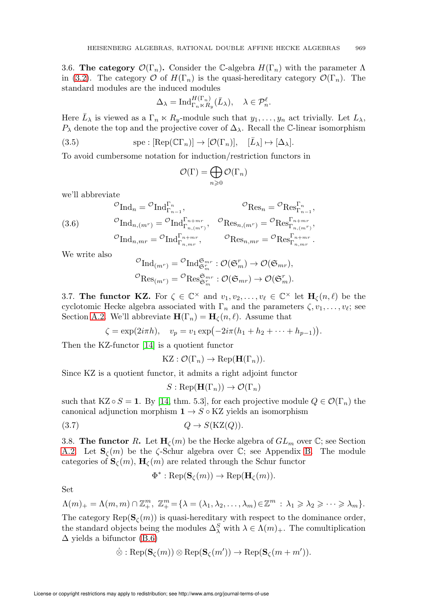<span id="page-10-0"></span>3.6. The category  $\mathcal{O}(\Gamma_n)$ . Consider the C-algebra  $H(\Gamma_n)$  with the parameter  $\Lambda$ in [\(3.2\)](#page-9-2). The category  $\mathcal O$  of  $H(\Gamma_n)$  is the quasi-hereditary category  $\mathcal O(\Gamma_n)$ . The standard modules are the induced modules

$$
\Delta_{\lambda} = \mathrm{Ind}_{\Gamma_n \ltimes R_y}^{H(\Gamma_n)} (\bar{L}_{\lambda}), \quad \lambda \in \mathcal{P}_n^{\ell}.
$$

Here  $\bar{L}_{\lambda}$  is viewed as a  $\Gamma_n \ltimes R_y$ -module such that  $y_1, \ldots, y_n$  act trivially. Let  $L_{\lambda}$ ,  $P_{\lambda}$  denote the top and the projective cover of  $\Delta_{\lambda}$ . Recall the C-linear isomorphism

<span id="page-10-3"></span>(3.5) 
$$
\text{spe}: [\text{Rep}(\mathbb{C}\Gamma_n)] \to [\mathcal{O}(\Gamma_n)], \quad [\bar{L}_{\lambda}] \mapsto [\Delta_{\lambda}].
$$

To avoid cumbersome notation for induction/restriction functors in

$$
\mathcal{O}(\Gamma)=\bigoplus_{n\geqslant 0}\mathcal{O}(\Gamma_n)
$$

we'll abbreviate

(3.6) 
$$
\begin{aligned}\n\mathcal{O}_{\text{Ind}_{n}} &= \mathcal{O}_{\text{Ind}_{\Gamma_{n-1}}^{\Gamma_n}}, & \mathcal{O}_{\text{Res}_n} &= \mathcal{O}_{\text{Res}_{\Gamma_{n-1}}^{\Gamma_n}}, \\
\mathcal{O}_{\text{Ind}_{n,(m^r)}} &= \mathcal{O}_{\text{Ind}_{\Gamma_{n,(m^r)}}^{\Gamma_{n+m^r}}}, & \mathcal{O}_{\text{Res}_{n,(m^r)}} &= \mathcal{O}_{\text{Res}_{\Gamma_{n,(m^r)}}^{\Gamma_{n+m^r}}}, \\
\mathcal{O}_{\text{Ind}_{n,m^r}} &= \mathcal{O}_{\text{Ind}_{\Gamma_{n,m^r}}^{\Gamma_{n+m^r}}}, & \mathcal{O}_{\text{Res}_{n,m^r}} &= \mathcal{O}_{\text{Res}_{\Gamma_{n,m^r}}^{\Gamma_{n+m^r}}}.\n\end{aligned}
$$

We write also

$$
\mathcal{O}_{\mathrm{Ind}_{(m^r)}} = \mathcal{O}_{\mathrm{Ind}_{\mathfrak{S}_m^r}}^{\mathfrak{S}_{mr}} : \mathcal{O}(\mathfrak{S}_m^r) \to \mathcal{O}(\mathfrak{S}_{mr}),
$$
  

$$
\mathcal{O}_{\mathrm{Res}_{(m^r)}} = \mathcal{O}_{\mathrm{Res}_{\mathfrak{S}_m^r}}^{\mathfrak{S}_{mr}} : \mathcal{O}(\mathfrak{S}_{mr}) \to \mathcal{O}(\mathfrak{S}_m^r).
$$

<span id="page-10-1"></span>3.7. The functor KZ. For  $\zeta \in \mathbb{C}^\times$  and  $v_1, v_2, \ldots, v_\ell \in \mathbb{C}^\times$  let  $H_\zeta(n,\ell)$  be the cyclotomic Hecke algebra associated with  $\Gamma_n$  and the parameters  $\zeta, v_1, \ldots, v_\ell$ ; see Section [A.2.](#page-59-0) We'll abbreviate  $\mathbf{H}(\Gamma_n) = \mathbf{H}_{\zeta}(n,\ell)$ . Assume that

$$
\zeta = \exp(2i\pi h), \quad v_p = v_1 \exp(-2i\pi (h_1 + h_2 + \dots + h_{p-1})).
$$

Then the KZ-functor [\[14\]](#page-71-5) is a quotient functor

$$
KZ: \mathcal{O}(\Gamma_n) \to \mathrm{Rep}(\mathbf{H}(\Gamma_n)).
$$

Since KZ is a quotient functor, it admits a right adjoint functor

$$
S: \operatorname{Rep}(\mathbf{H}(\Gamma_n)) \to \mathcal{O}(\Gamma_n)
$$

such that  $KZ \circ S = 1$ . By [\[14,](#page-71-5) thm. 5.3], for each projective module  $Q \in \mathcal{O}(\Gamma_n)$  the canonical adjunction morphism  $1 \rightarrow S \circ KZ$  yields an isomorphism

<span id="page-10-4"></span><span id="page-10-2"></span>
$$
(3.7) \tQ \to S(KZ(Q)).
$$

3.8. The functor R. Let  $H_{\zeta}(m)$  be the Hecke algebra of  $GL_m$  over  $\mathbb{C}$ ; see Section [A.2.](#page-59-0) Let  $\mathbf{S}_{\zeta}(m)$  be the  $\zeta$ -Schur algebra over  $\mathbb{C}$ ; see Appendix [B.](#page-62-0) The module categories of  $\mathbf{S}_{\zeta}(m)$ ,  $\mathbf{H}_{\zeta}(m)$  are related through the Schur functor

$$
\Phi^* : \mathrm{Rep}(\mathbf{S}_{\zeta}(m)) \to \mathrm{Rep}(\mathbf{H}_{\zeta}(m)).
$$

Set

$$
\Lambda(m)_+ = \Lambda(m,m) \cap \mathbb{Z}_+^m, \ \mathbb{Z}_+^m = \{\lambda = (\lambda_1, \lambda_2, \dots, \lambda_m) \in \mathbb{Z}^m : \lambda_1 \geq \lambda_2 \geq \dots \geq \lambda_m\}.
$$

The category  $\text{Rep}(\mathbf{S}_{\zeta}(m))$  is quasi-hereditary with respect to the dominance order, the standard objects being the modules  $\Delta_\lambda^S$  with  $\lambda \in \Lambda(m)_+$ . The comultiplication  $\Delta$  yields a bifunctor [\(B.6\)](#page-66-0)

$$
\dot{\otimes} : \mathrm{Rep}(\mathbf{S}_{\zeta}(m)) \otimes \mathrm{Rep}(\mathbf{S}_{\zeta}(m')) \to \mathrm{Rep}(\mathbf{S}_{\zeta}(m+m')).
$$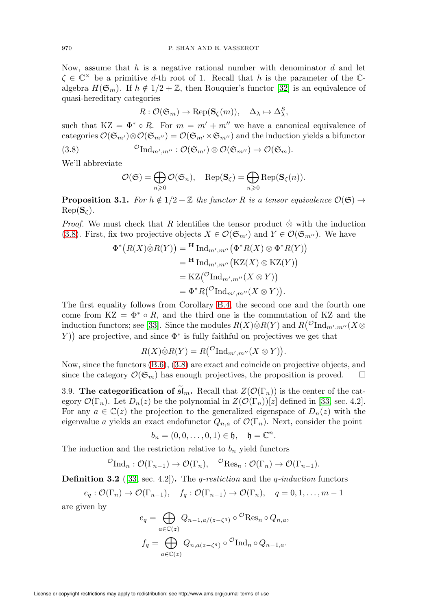Now, assume that  $h$  is a negative rational number with denominator  $d$  and let  $\zeta \in \mathbb{C}^\times$  be a primitive d-th root of 1. Recall that h is the parameter of the  $\mathbb{C}$ algebra  $H(\mathfrak{S}_m)$ . If  $h \notin 1/2 + \mathbb{Z}$ , then Rouquier's functor [\[32\]](#page-72-4) is an equivalence of quasi-hereditary categories

$$
R:\mathcal{O}(\mathfrak{S}_m)\rightarrow \operatorname{Rep}(\mathbf{S}_\zeta(m)),\quad \Delta_\lambda\mapsto \Delta_\lambda^S,
$$

such that  $KZ = \Phi^* \circ R$ . For  $m = m' + m''$  we have a canonical equivalence of categories  $\mathcal{O}(\mathfrak{S}_{m'})\otimes\mathcal{O}(\mathfrak{S}_{m''})=\mathcal{O}(\mathfrak{S}_{m'}\times\mathfrak{S}_{m''})$  and the induction yields a bifunctor

<span id="page-11-1"></span>(3.8) 
$$
{}^{\mathcal{O}}\mathrm{Ind}_{m',m''}: \mathcal{O}(\mathfrak{S}_{m'})\otimes\mathcal{O}(\mathfrak{S}_{m''})\to\mathcal{O}(\mathfrak{S}_{m}).
$$

We'll abbreviate

$$
\mathcal{O}(\mathfrak{S}) = \bigoplus_{n \geq 0} \mathcal{O}(\mathfrak{S}_n), \quad \text{Rep}(\mathbf{S}_\zeta) = \bigoplus_{n \geq 0} \text{Rep}(\mathbf{S}_\zeta(n)).
$$

<span id="page-11-2"></span>**Proposition 3.1.** For  $h \notin 1/2 + \mathbb{Z}$  the functor R is a tensor equivalence  $\mathcal{O}(\mathfrak{S}) \rightarrow$  $Rep(S_{\mathcal{C}}).$ 

*Proof.* We must check that R identifies the tensor product  $\hat{\otimes}$  with the induction [\(3.8\)](#page-11-1). First, fix two projective objects  $X \in \mathcal{O}(\mathfrak{S}_{m'})$  and  $Y \in \mathcal{O}(\mathfrak{S}_{m''})$ . We have

$$
\Phi^*\big(R(X)\dot{\otimes}R(Y)\big) = \mathbf{H} \operatorname{Ind}_{m',m''}\big(\Phi^*R(X)\otimes\Phi^*R(Y)\big)
$$
  
\n
$$
= \mathbf{H} \operatorname{Ind}_{m',m''}\big(\text{KZ}(X)\otimes\text{KZ}(Y)\big)
$$
  
\n
$$
= \mathbf{KZ}\big(\big(\text{Ind}_{m',m''}(X\otimes Y)\big)
$$
  
\n
$$
= \Phi^*R\big(\big(\text{Ind}_{m',m''}(X\otimes Y)\big).
$$

The first equality follows from Corollary [B.4,](#page-66-1) the second one and the fourth one come from  $KZ = \Phi^* \circ R$ , and the third one is the commutation of KZ and the induction functors; see [\[33\]](#page-72-2). Since the modules  $R(X)\dot{\otimes}R(Y)$  and  $R({\mathcal{O}}{\mathrm{Ind}_{m',m''}}(X\otimes$ Y) are projective, and since  $\Phi^*$  is fully faithful on projectives we get that

$$
R(X)\dot{\otimes}R(Y) = R({^{\mathcal{O}}\mathrm{Ind}_{m',m''}}(X\otimes Y)).
$$

Now, since the functors [\(B.6\)](#page-66-0), [\(3.8\)](#page-11-1) are exact and coincide on projective objects, and since the category  $\mathcal{O}(\mathfrak{S}_m)$  has enough projectives, the proposition is proved.  $\square$ 

<span id="page-11-0"></span>3.9. The categorification of  $\tilde{\mathfrak{sl}}_m$ . Recall that  $Z(\mathcal{O}(\Gamma_n))$  is the center of the category  $\mathcal{O}(\Gamma_n)$ . Let  $D_n(z)$  be the polynomial in  $Z(\mathcal{O}(\Gamma_n))[z]$  defined in [\[33,](#page-72-2) sec. 4.2]. For any  $a \in \mathbb{C}(z)$  the projection to the generalized eigenspace of  $D_n(z)$  with the eigenvalue a yields an exact endofunctor  $Q_{n,a}$  of  $\mathcal{O}(\Gamma_n)$ . Next, consider the point

$$
b_n=(0,0,\ldots,0,1)\in\mathfrak{h},\quad\mathfrak{h}=\mathbb{C}^n.
$$

The induction and the restriction relative to  $b_n$  yield functors

$$
{}^{\mathcal{O}}\mathrm{Ind}_{n}: \mathcal{O}(\Gamma_{n-1}) \to \mathcal{O}(\Gamma_{n}), \quad {}^{\mathcal{O}}\mathrm{Res}_{n}: \mathcal{O}(\Gamma_{n}) \to \mathcal{O}(\Gamma_{n-1}).
$$

**Definition 3.2** ([\[33,](#page-72-2) sec. 4.2]). The *q-restiction* and the *q-induction* functors

$$
e_q: \mathcal{O}(\Gamma_n) \to \mathcal{O}(\Gamma_{n-1}), \quad f_q: \mathcal{O}(\Gamma_{n-1}) \to \mathcal{O}(\Gamma_n), \quad q = 0, 1, \ldots, m-1
$$

are given by

$$
e_q = \bigoplus_{a \in \mathbb{C}(z)} Q_{n-1,a/(z-\zeta^q)} \circ \mathcal{O}_{\text{Res}_n \circ Q_{n,a}},
$$

$$
f_q = \bigoplus_{a \in \mathbb{C}(z)} Q_{n,a(z-\zeta^q)} \circ \mathcal{O}_{\text{Ind}_n \circ Q_{n-1,a}}.
$$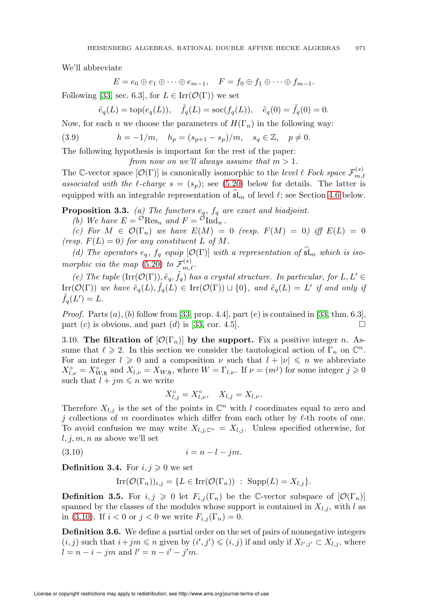We'll abbreviate

$$
E = e_0 \oplus e_1 \oplus \cdots \oplus e_{m-1}, \quad F = f_0 \oplus f_1 \oplus \cdots \oplus f_{m-1}.
$$

Following [\[33,](#page-72-2) sec. 6.3], for  $L \in \text{Irr}(\mathcal{O}(\Gamma))$  we set

$$
\tilde{e}_q(L) = \text{top}(e_q(L)), \quad \tilde{f}_q(L) = \text{soc}(f_q(L)), \quad \tilde{e}_q(0) = \tilde{f}_q(0) = 0.
$$

Now, for each *n* we choose the parameters of  $H(\Gamma_n)$  in the following way:

<span id="page-12-2"></span>(3.9)  $h = -1/m, \quad h_p = (s_{p+1} - s_p)/m, \quad s_q \in \mathbb{Z}, \quad p \neq 0.$ 

The following hypothesis is important for the rest of the paper:

from now on we'll always assume that  $m > 1$ .

The C-vector space  $[\mathcal{O}(\Gamma)]$  is canonically isomorphic to the level  $\ell$  Fock space  $\mathcal{F}_{m_l}^{(s)}$  $_{m,\ell}$ associated with the  $\ell$ -charge  $s = (s_p)$ ; see [\(5.20\)](#page-31-1) below for details. The latter is equipped with an integrable representation of  $\mathfrak{sl}_m$  of level  $\ell$ ; see Section [4.6](#page-22-0) below.

<span id="page-12-3"></span>**Proposition 3.3.** (a) The functors  $e_q$ ,  $f_q$  are exact and biadjoint.

(b) We have  $E = \mathcal{O}$ Res<sub>n</sub> and  $F = \mathcal{O}_{\text{Ind}_{n}}$ .

(c) For  $M \in \mathcal{O}(\Gamma_n)$  we have  $E(M)=0$  (resp.  $F(M)=0$ ) iff  $E(L)=0$ (resp.  $F(L)=0$ ) for any constituent L of M.

(d) The operators  $e_q$ ,  $f_q$  equip  $[\mathcal{O}(\Gamma)]$  with a representation of  $\mathfrak{sl}_m$  which is iso-morphic via the map [\(5.20\)](#page-31-1) to  $\mathcal{F}_{m,\ell}^{(s)}$ .

(e) The tuple  $(\text{Irr}(\mathcal{O}(\Gamma)), \tilde{e}_q, \tilde{f}_q)$  has a crystal structure. In particular, for  $L, L' \in$  $\text{Irr}(\mathcal{O}(\Gamma))$  we have  $\tilde{e}_q(L), \tilde{f}_q(L) \in \text{Irr}(\mathcal{O}(\Gamma)) \sqcup \{0\}$ , and  $\tilde{e}_q(L) = L'$  if and only if  $\tilde{f}_q(L')=L.$ 

*Proof.* Parts  $(a)$ ,  $(b)$  follow from [\[33,](#page-72-2) prop. 4.4], part  $(e)$  is contained in [33, thm. 6.3], part  $(c)$  is obvious, and part  $(d)$  is [\[33,](#page-72-2) cor. 4.5].

<span id="page-12-0"></span>3.10. The filtration of  $[\mathcal{O}(\Gamma_n)]$  by the support. Fix a positive integer n. Assume that  $\ell \geq 2$ . In this section we consider the tautological action of  $\Gamma_n$  on  $\mathbb{C}^n$ . For an integer  $l \geq 0$  and a composition  $\nu$  such that  $l + |\nu| \leq n$  we abbreviate  $X_{l,\nu}^{\circ} = X_{W,\mathfrak{h}}^{\circ}$  and  $X_{l,\nu} = X_{W,\mathfrak{h}}$ , where  $W = \Gamma_{l,\nu}$ . If  $\nu = (m^{j})$  for some integer  $j \geqslant 0$ such that  $l + jm \leq n$  we write

$$
X_{l,j}^{\circ} = X_{l,\nu}^{\circ}, \quad X_{l,j} = X_{l,\nu}.
$$

Therefore  $X_{l,j}$  is the set of the points in  $\mathbb{C}^n$  with l coordinates equal to zero and j collections of m coordinates which differ from each other by  $\ell$ -th roots of one. To avoid confusion we may write  $X_{l,j,\mathbb{C}^n} = X_{l,j}$ . Unless specified otherwise, for  $l, j, m, n$  as above we'll set

<span id="page-12-1"></span>
$$
(3.10) \t\t\t i = n - l - jm.
$$

**Definition 3.4.** For  $i, j \geq 0$  we set

$$
Irr(\mathcal{O}(\Gamma_n))_{i,j} = \{ L \in Irr(\mathcal{O}(\Gamma_n)) : \operatorname{Supp}(L) = X_{l,j} \}.
$$

**Definition 3.5.** For  $i, j \ge 0$  let  $F_{i,j}(\Gamma_n)$  be the C-vector subspace of  $[\mathcal{O}(\Gamma_n)]$ spanned by the classes of the modules whose support is contained in  $X_{l,i}$ , with l as in [\(3.10\)](#page-12-1). If  $i < 0$  or  $j < 0$  we write  $F_{i,j}(\Gamma_n) = 0$ .

Definition 3.6. We define a partial order on the set of pairs of nonnegative integers  $(i, j)$  such that  $i + jm \leq n$  given by  $(i', j') \leq (i, j)$  if and only if  $X_{l', j'} \subset X_{l, j}$ , where  $l = n - i - jm$  and  $l' = n - i' - j'm$ .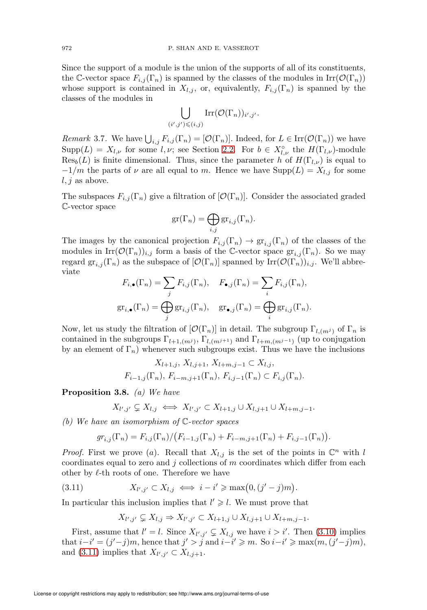Since the support of a module is the union of the supports of all of its constituents, the C-vector space  $F_{i,j}(\Gamma_n)$  is spanned by the classes of the modules in  $\text{Irr}(\mathcal{O}(\Gamma_n))$ whose support is contained in  $X_{l,j}$ , or, equivalently,  $F_{i,j}(\Gamma_n)$  is spanned by the classes of the modules in

$$
\bigcup_{(i',j')\leqslant (i,j)}\mathrm{Irr}(\mathcal{O}(\Gamma_n))_{i',j'}.
$$

<span id="page-13-2"></span>*Remark* 3.7. We have  $\bigcup_{i,j} F_{i,j}(\Gamma_n) = [\mathcal{O}(\Gamma_n)]$ . Indeed, for  $L \in \text{Irr}(\mathcal{O}(\Gamma_n))$  we have  $\text{Supp}(L) = X_{l,\nu}$  for some  $l,\nu$ ; see Section [2.2.](#page-4-0) For  $b \in X_{l,\nu}^{\circ}$  the  $H(\Gamma_{l,\nu})$ -module  $Res_b(L)$  is finite dimensional. Thus, since the parameter h of  $H(\Gamma_{l,\nu})$  is equal to  $-1/m$  the parts of  $\nu$  are all equal to m. Hence we have  $\text{Supp}(L) = X_{l,j}$  for some  $l, j$  as above.

The subspaces  $F_{i,j}(\Gamma_n)$  give a filtration of  $[\mathcal{O}(\Gamma_n)]$ . Consider the associated graded C-vector space

$$
\mathrm{gr}(\Gamma_n)=\bigoplus_{i,j}\mathrm{gr}_{i,j}(\Gamma_n).
$$

The images by the canonical projection  $F_{i,j}(\Gamma_n) \to \text{gr}_{i,j}(\Gamma_n)$  of the classes of the modules in  $\text{Irr}(\mathcal{O}(\Gamma_n))_{i,j}$  form a basis of the C-vector space  $\text{gr}_{i,j}(\Gamma_n)$ . So we may regard  $gr_{i,j}(\Gamma_n)$  as the subspace of  $[\mathcal{O}(\Gamma_n)]$  spanned by  $\mathrm{Irr}(\mathcal{O}(\Gamma_n))_{i,j}$ . We'll abbreviate

$$
F_{i,\bullet}(\Gamma_n) = \sum_j F_{i,j}(\Gamma_n), \quad F_{\bullet,j}(\Gamma_n) = \sum_i F_{i,j}(\Gamma_n),
$$
  

$$
gr_{i,\bullet}(\Gamma_n) = \bigoplus_j gr_{i,j}(\Gamma_n), \quad gr_{\bullet,j}(\Gamma_n) = \bigoplus_i gr_{i,j}(\Gamma_n).
$$

Now, let us study the filtration of  $[\mathcal{O}(\Gamma_n)]$  in detail. The subgroup  $\Gamma_{l,(m^j)}$  of  $\Gamma_n$  is contained in the subgroups  $\Gamma_{l+1,(m^j)}$ ,  $\Gamma_{l,(m^{j+1})}$  and  $\Gamma_{l+m,(m^{j-1})}$  (up to conjugation by an element of  $\Gamma_n$ ) whenever such subgroups exist. Thus we have the inclusions

$$
X_{l+1,j}, X_{l,j+1}, X_{l+m,j-1} \subset X_{l,j},
$$
  

$$
F_{i-1,j}(\Gamma_n), F_{i-m,j+1}(\Gamma_n), F_{i,j-1}(\Gamma_n) \subset F_{i,j}(\Gamma_n).
$$

<span id="page-13-1"></span>Proposition 3.8. (a) We have

$$
X_{l',j'} \subsetneq X_{l,j} \iff X_{l',j'} \subset X_{l+1,j} \cup X_{l,j+1} \cup X_{l+m,j-1}.
$$

(b) We have an isomorphism of C-vector spaces

$$
gr_{i,j}(\Gamma_n) = F_{i,j}(\Gamma_n) / (F_{i-1,j}(\Gamma_n) + F_{i-m,j+1}(\Gamma_n) + F_{i,j-1}(\Gamma_n)).
$$

*Proof.* First we prove (a). Recall that  $X_{l,j}$  is the set of the points in  $\mathbb{C}^n$  with l coordinates equal to zero and j collections of  $m$  coordinates which differ from each other by  $\ell$ -th roots of one. Therefore we have

<span id="page-13-0"></span>(3.11) 
$$
X_{l',j'} \subset X_{l,j} \iff i - i' \geq \max\bigl(0, (j'-j)m\bigr).
$$

In particular this inclusion implies that  $l' \geq l$ . We must prove that

$$
X_{l',j'} \subsetneq X_{l,j} \Rightarrow X_{l',j'} \subset X_{l+1,j} \cup X_{l,j+1} \cup X_{l+m,j-1}.
$$

First, assume that  $l' = l$ . Since  $X_{l',j'} \subsetneq X_{l,j}$  we have  $i > i'$ . Then [\(3.10\)](#page-12-1) implies that  $i-i' = (j'-j)m$ , hence that  $j' > j$  and  $i-i' \geq m$ . So  $i-i' \geq \max(m, (j'-j)m)$ , and [\(3.11\)](#page-13-0) implies that  $X_{l',j'} \subset X_{l,j+1}$ .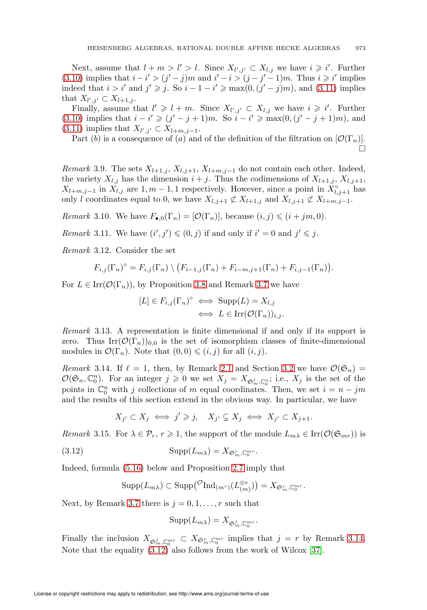Next, assume that  $l + m > l' > l$ . Since  $X_{l',j'} \subset X_{l,j}$  we have  $i \geq i'$ . Further [\(3.10\)](#page-12-1) implies that  $i - i' > (j' - j)m$  and  $i' - i > (j - j' - 1)m$ . Thus  $i \geq i'$  implies indeed that  $i > i'$  and  $j' \geq j$ . So  $i - 1 - i' \geq \max(0, (j' - j)m)$ , and [\(3.11\)](#page-13-0) implies that  $X_{l',j'} \subset X_{l+1,j}$ .

Finally, assume that  $l' \geq l + m$ . Since  $X_{l',j'} \subset X_{l,j}$  we have  $i \geq i'$ . Further [\(3.10\)](#page-12-1) implies that  $i - i' \geq (j' - j + 1)m$ . So  $i - i' \geq \max(0, (j' - j + 1)m)$ , and  $(3.11)$  implies that  $X_{l',j'} \subset X_{l+m,j-1}$ .

Part (b) is a consequence of (a) and of the definition of the filtration on  $[\mathcal{O}(\Gamma_n)]$ .

 $\Box$ 

Remark 3.9. The sets  $X_{l+1,j}$ ,  $X_{l,j+1}$ ,  $X_{l+m,j-1}$  do not contain each other. Indeed, the variety  $X_{l,j}$  has the dimension  $i + j$ . Thus the codimensions of  $X_{l+1,j}$ ,  $X_{l,j+1}$ ,  $X_{l+m,j-1}$  in  $\overline{X}_{l,j}$  are  $1, m-1, 1$  respectively. However, since a point in  $\overline{X}_{l,j+1}^{\circ}$  has only l coordinates equal to 0, we have  $X_{l,j+1} \not\subset X_{l+1,j}$  and  $X_{l,j+1} \not\subset X_{l+m,j-1}$ .

*Remark* 3.10. We have  $F_{\bullet,0}(\Gamma_n)=[\mathcal{O}(\Gamma_n)]$ , because  $(i, j) \leq (i + jm, 0)$ .

<span id="page-14-2"></span>*Remark* 3.11. We have  $(i', j') \leq (0, j)$  if and only if  $i' = 0$  and  $j' \leq j$ .

<span id="page-14-3"></span>Remark 3.12. Consider the set

$$
F_{i,j}(\Gamma_n)^\circ = F_{i,j}(\Gamma_n) \setminus (F_{i-1,j}(\Gamma_n) + F_{i-m,j+1}(\Gamma_n) + F_{i,j-1}(\Gamma_n)).
$$

For  $L \in \text{Irr}(\mathcal{O}(\Gamma_n))$ , by Proposition [3.8](#page-13-1) and Remark [3.7](#page-13-2) we have

$$
[L] \in F_{i,j}(\Gamma_n)^\circ \iff \text{Supp}(L) = X_{l,j}
$$

$$
\iff L \in \text{Irr}(\mathcal{O}(\Gamma_n))_{i,j}.
$$

Remark 3.13. A representation is finite dimensional if and only if its support is zero. Thus  $\text{Irr}(\mathcal{O}(\Gamma_n))_{0,0}$  is the set of isomorphism classes of finite-dimensional modules in  $\mathcal{O}(\Gamma_n)$ . Note that  $(0,0) \leqslant (i, j)$  for all  $(i, j)$ .

<span id="page-14-0"></span>Remark 3.14. If  $\ell = 1$ , then, by Remark [2.1](#page-4-3) and Section [3.2](#page-8-0) we have  $\mathcal{O}(\mathfrak{S}_n)$  =  $\mathcal{O}(\mathfrak{S}_n, \mathbb{C}_0^n)$ . For an integer  $j \geqslant 0$  we set  $X_j = X_{\mathfrak{S}_m^j, \mathbb{C}_0^n}$ ; i.e.,  $X_j$  is the set of the points in  $\mathbb{C}_0^n$  with j collections of m equal coordinates. Then, we set  $i = n - jm$ and the results of this section extend in the obvious way. In particular, we have

$$
X_{j'} \subset X_j \iff j' \ge j, \quad X_{j'} \subsetneq X_j \iff X_{j'} \subset X_{j+1}.
$$

Remark 3.15. For  $\lambda \in \mathcal{P}_r$ ,  $r \geq 1$ , the support of the module  $L_{m\lambda} \in \text{Irr}(\mathcal{O}(\mathfrak{S}_{mr}))$  is

<span id="page-14-1"></span>(3.12) 
$$
\operatorname{Supp}(L_{m\lambda}) = X_{\mathfrak{S}_m^r, \mathbb{C}_0^{mr}}.
$$

Indeed, formula [\(5.16\)](#page-29-0) below and Proposition [2.7](#page-6-3) imply that

$$
\mathrm{Supp}(L_{m\lambda}) \subset \mathrm{Supp}(\mathcal{O}(\mathrm{Ind}_{(m^r)}(L_{(m)}^{\otimes r})) = X_{\mathfrak{S}_m^r, \mathbb{C}_0^{mr}}.
$$

Next, by Remark [3.7](#page-13-2) there is  $j = 0, 1, \ldots, r$  such that

$$
\operatorname{Supp}(L_{m\lambda})=X_{\mathfrak{S}_m^j, \mathbb{C}_0^{mr}}.
$$

Finally the inclusion  $X_{\mathfrak{S}_m^j, \mathbb{C}_0^{mr}} \subset X_{\mathfrak{S}_m^r, \mathbb{C}_0^{mr}}$  implies that  $j = r$  by Remark [3.14.](#page-14-0) Note that the equality [\(3.12\)](#page-14-1) also follows from the work of Wilcox [\[37\]](#page-72-5).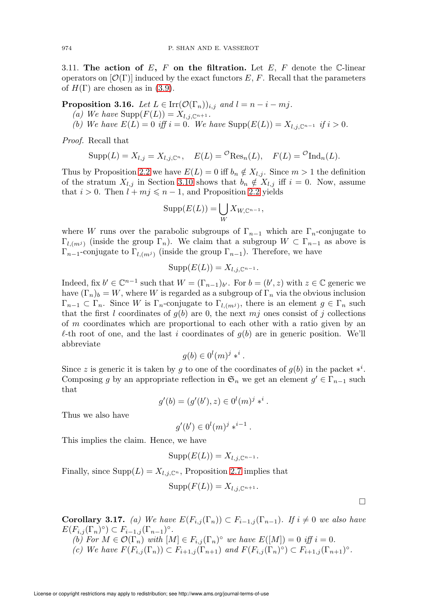<span id="page-15-0"></span>3.11. The action of  $E$ ,  $F$  on the filtration. Let  $E$ ,  $F$  denote the C-linear operators on  $[\mathcal{O}(\Gamma)]$  induced by the exact functors E, F. Recall that the parameters of  $H(\Gamma)$  are chosen as in [\(3.9\)](#page-12-2).

<span id="page-15-1"></span>**Proposition 3.16.** Let  $L \in \text{Irr}(\mathcal{O}(\Gamma_n))_{i,j}$  and  $l = n - i - mj$ .

- (a) We have  $\text{Supp}(F(L)) = X_{l,j,\mathbb{C}^{n+1}}$ .
- (b) We have  $E(L) = 0$  iff  $i = 0$ . We have  $\text{Supp}(E(L)) = X_{l,j,\mathbb{C}^{n-1}}$  if  $i > 0$ .

Proof. Recall that

$$
Supp(L) = X_{l,j} = X_{l,j,\mathbb{C}^n}, \quad E(L) = \mathcal{O}(\text{Res}_n(L), \quad F(L) = \mathcal{O}(\text{Ind}_n(L)).
$$

Thus by Proposition [2.2](#page-4-2) we have  $E(L) = 0$  iff  $b_n \notin X_{l,j}$ . Since  $m > 1$  the definition of the stratum  $X_{l,j}$  in Section [3.10](#page-12-0) shows that  $b_n \notin X_{l,j}$  iff  $i = 0$ . Now, assume that  $i > 0$ . Then  $l + mj \le n - 1$ , and Proposition [2.2](#page-4-2) yields

$$
\mathrm{Supp}(E(L)) = \bigcup_{W} X_{W,\mathbb{C}^{n-1}},
$$

where W runs over the parabolic subgroups of  $\Gamma_{n-1}$  which are  $\Gamma_n$ -conjugate to  $\Gamma_{l,(m^j)}$  (inside the group  $\Gamma_n$ ). We claim that a subgroup  $W \subset \Gamma_{n-1}$  as above is  $\Gamma_{n-1}$ -conjugate to  $\Gamma_{l,(m^j)}$  (inside the group  $\Gamma_{n-1}$ ). Therefore, we have

$$
Supp(E(L)) = X_{l,j,\mathbb{C}^{n-1}}.
$$

Indeed, fix  $b' \in \mathbb{C}^{n-1}$  such that  $W = (\Gamma_{n-1})_{b'}$ . For  $b = (b', z)$  with  $z \in \mathbb{C}$  generic we have  $(\Gamma_n)_b = W$ , where W is regarded as a subgroup of  $\Gamma_n$  via the obvious inclusion  $\Gamma_{n-1} \subset \Gamma_n$ . Since W is  $\Gamma_n$ -conjugate to  $\Gamma_{l,(m^j)}$ , there is an element  $g \in \Gamma_n$  such that the first l coordinates of  $g(b)$  are 0, the next mj ones consist of j collections of m coordinates which are proportional to each other with a ratio given by an  $\ell$ -th root of one, and the last i coordinates of  $g(b)$  are in generic position. We'll abbreviate

$$
g(b) \in 0^l(m)^j *^i.
$$

Since z is generic it is taken by g to one of the coordinates of  $g(b)$  in the packet  $*^i$ . Composing g by an appropriate reflection in  $\mathfrak{S}_n$  we get an element  $g' \in \Gamma_{n-1}$  such that

$$
g'(b) = (g'(b'), z) \in 0^{l}(m)^{j} *^{i}.
$$

Thus we also have

$$
g'(b') \in 0^l(m)^{j} *^{i-1}.
$$

This implies the claim. Hence, we have

$$
Supp(E(L)) = X_{l,j,\mathbb{C}^{n-1}}.
$$

Finally, since  $\text{Supp}(L) = X_{l,j,\mathbb{C}^n}$ , Proposition [2.7](#page-6-3) implies that

$$
Supp(F(L)) = X_{l,j,\mathbb{C}^{n+1}}.
$$

 $\Box$ 

<span id="page-15-2"></span>**Corollary 3.17.** (a) We have  $E(F_{i,j}(\Gamma_n)) \subset F_{i-1,j}(\Gamma_{n-1})$ . If  $i \neq 0$  we also have  $E(F_{i,j}(\Gamma_n)^\circ) \subset F_{i-1,j}(\Gamma_{n-1})^\circ.$ (b) For  $M \in \mathcal{O}(\Gamma_n)$  with  $[M] \in F_{i,j}(\Gamma_n)^\circ$  we have  $E([M]) = 0$  iff  $i = 0$ .

(c) We have  $F(F_{i,j}(\Gamma_n)) \subset F_{i+1,j}(\Gamma_{n+1})$  and  $F(F_{i,j}(\Gamma_n)^\circ) \subset F_{i+1,j}(\Gamma_{n+1})^\circ$ .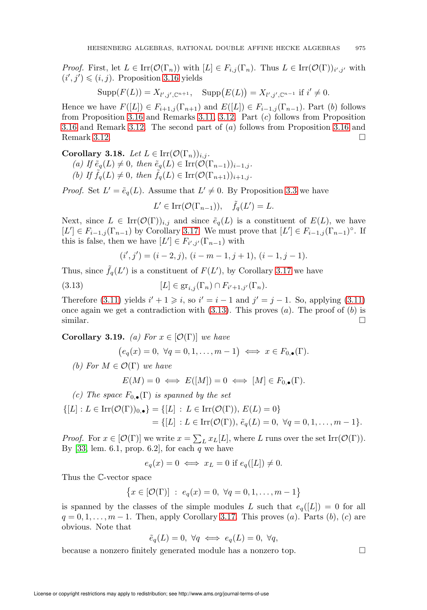*Proof.* First, let  $L \in \text{Irr}(\mathcal{O}(\Gamma_n))$  with  $[L] \in F_{i,j}(\Gamma_n)$ . Thus  $L \in \text{Irr}(\mathcal{O}(\Gamma))_{i',j'}$  with  $(i', j') \leq (i, j)$ . Proposition [3.16](#page-15-1) yields

$$
Supp(F(L)) = X_{l',j',\mathbb{C}^{n+1}}, \quad \text{Supp}(E(L)) = X_{l',j',\mathbb{C}^{n-1}} \text{ if } i' \neq 0.
$$

Hence we have  $F([L]) \in F_{i+1,j}(\Gamma_{n+1})$  and  $E([L]) \in F_{i-1,j}(\Gamma_{n-1})$ . Part (b) follows from Proposition [3.16](#page-15-1) and Remarks [3.11,](#page-14-2) [3.12.](#page-14-3) Part (c) follows from Proposition [3.16](#page-15-1) and Remark [3.12.](#page-14-3) The second part of (a) follows from Proposition [3.16](#page-15-1) and Remark [3.12.](#page-14-3)

Corollary 3.18. Let  $L \in \text{Irr}(\mathcal{O}(\Gamma_n))_{i,j}$ .

- (a) If  $\tilde{e}_q(L) \neq 0$ , then  $\tilde{e}_q(L) \in \text{Irr}(\mathcal{O}(\Gamma_{n-1}))_{i-1,j}$ .
- (b) If  $\tilde{f}_q(L) \neq 0$ , then  $\tilde{f}_q(L) \in \text{Irr}(\mathcal{O}(\Gamma_{n+1}))_{i+1,j}$ .

*Proof.* Set  $L' = \tilde{e}_q(L)$ . Assume that  $L' \neq 0$ . By Proposition [3.3](#page-12-3) we have

 $L' \in \text{Irr}(\mathcal{O}(\Gamma_{n-1})), \quad \tilde{f}_q(L') = L.$ 

Next, since  $L \in \text{Irr}(\mathcal{O}(\Gamma))_{i,j}$  and since  $\tilde{e}_q(L)$  is a constituent of  $E(L)$ , we have  $[L'] \in F_{i-1,j}(\Gamma_{n-1})$  by Corollary [3.17.](#page-15-2) We must prove that  $[L'] \in F_{i-1,j}(\Gamma_{n-1})^{\circ}$ . If this is false, then we have  $[L'] \in F_{i',j'}(\Gamma_{n-1})$  with

$$
(i',j') = (i-2,j), (i-m-1,j+1), (i-1,j-1).
$$

Thus, since  $\tilde{f}_q(L')$  is a constituent of  $F(L')$ , by Corollary [3.17](#page-15-2) we have

<span id="page-16-0"></span>(3.13) 
$$
[L] \in \text{gr}_{i,j}(\Gamma_n) \cap F_{i'+1,j'}(\Gamma_n).
$$

Therefore [\(3.11\)](#page-13-0) yields  $i' + 1 \geq i$ , so  $i' = i - 1$  and  $j' = j - 1$ . So, applying (3.11) once again we get a contradiction with  $(3.13)$ . This proves  $(a)$ . The proof of  $(b)$  is similar.  $\Box$ 

Corollary 3.19. (a) For  $x \in [\mathcal{O}(\Gamma)]$  we have

$$
(e_q(x) = 0, \ \forall q = 0, 1, \ldots, m-1) \iff x \in F_{0,\bullet}(\Gamma).
$$

(b) For  $M \in \mathcal{O}(\Gamma)$  we have

$$
E(M) = 0 \iff E([M]) = 0 \iff [M] \in F_{0,\bullet}(\Gamma).
$$

(c) The space  $F_{0,\bullet}(\Gamma)$  is spanned by the set

$$
\{ [L] : L \in \text{Irr}(\mathcal{O}(\Gamma))_{0,\bullet} \} = \{ [L] : L \in \text{Irr}(\mathcal{O}(\Gamma)), E(L) = 0 \} \\
= \{ [L] : L \in \text{Irr}(\mathcal{O}(\Gamma)), \tilde{e}_q(L) = 0, \ \forall q = 0, 1, \dots, m - 1 \}.
$$

*Proof.* For  $x \in [\mathcal{O}(\Gamma)]$  we write  $x = \sum_{L} x_L[L]$ , where L runs over the set Irr $(\mathcal{O}(\Gamma))$ . By [\[33,](#page-72-2) lem. 6.1, prop. 6.2], for each  $q$  we have

$$
e_q(x) = 0 \iff x_L = 0 \text{ if } e_q([L]) \neq 0.
$$

Thus the C-vector space

$$
\big\{x\in [{\mathcal O}(\Gamma)]\ :\ e_q(x)=0,\ \forall q=0,1,\ldots,m-1\big\}
$$

is spanned by the classes of the simple modules L such that  $e_q([L]) = 0$  for all  $q = 0, 1, \ldots, m - 1$ . Then, apply Corollary [3.17.](#page-15-2) This proves  $(a)$ . Parts  $(b)$ ,  $(c)$  are obvious. Note that

$$
\tilde{e}_q(L) = 0, \ \forall q \iff e_q(L) = 0, \ \forall q,
$$

because a nonzero finitely generated module has a nonzero top.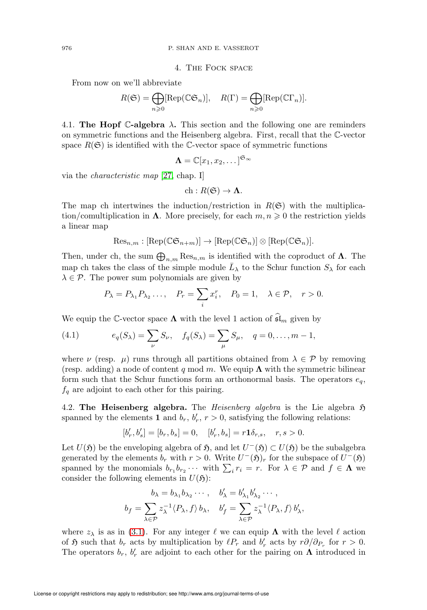4. The Fock space

From now on we'll abbreviate

$$
R(\mathfrak{S}) = \bigoplus_{n \geq 0} [\text{Rep}(\mathbb{C}\mathfrak{S}_n)], \quad R(\Gamma) = \bigoplus_{n \geq 0} [\text{Rep}(\mathbb{C}\Gamma_n)].
$$

<span id="page-17-1"></span>4.1. The Hopf C-algebra  $\lambda$ . This section and the following one are reminders on symmetric functions and the Heisenberg algebra. First, recall that the C-vector space  $R(\mathfrak{S})$  is identified with the C-vector space of symmetric functions

$$
\Lambda = \mathbb{C}[x_1, x_2, \dots]^{\mathfrak{S}_{\infty}}
$$

via the characteristic map [\[27,](#page-72-3) chap. I]

$$
ch: R(\mathfrak{S}) \to \Lambda.
$$

The map ch intertwines the induction/restriction in  $R(\mathfrak{S})$  with the multiplication/comultiplication in  $\Lambda$ . More precisely, for each  $m, n \geq 0$  the restriction yields a linear map

$$
\mathrm{Res}_{n,m}: [\mathrm{Rep}(\mathbb{C}\mathfrak{S}_{n+m})] \to [\mathrm{Rep}(\mathbb{C}\mathfrak{S}_n)] \otimes [\mathrm{Rep}(\mathbb{C}\mathfrak{S}_n)].
$$

Then, under ch, the sum  $\bigoplus_{n,m} \text{Res}_{n,m}$  is identified with the coproduct of  $\Lambda$ . The map ch takes the class of the simple module  $\bar{L}_{\lambda}$  to the Schur function  $S_{\lambda}$  for each  $\lambda \in \mathcal{P}$ . The power sum polynomials are given by

$$
P_{\lambda} = P_{\lambda_1} P_{\lambda_2} \dots, \quad P_r = \sum_i x_i^r, \quad P_0 = 1, \quad \lambda \in \mathcal{P}, \quad r > 0.
$$

We equip the C-vector space  $\Lambda$  with the level 1 action of  $\mathfrak{sl}_m$  given by

<span id="page-17-3"></span>(4.1) 
$$
e_q(S_\lambda) = \sum_{\nu} S_{\nu}, \quad f_q(S_\lambda) = \sum_{\mu} S_{\mu}, \quad q = 0, \dots, m-1,
$$

where  $\nu$  (resp.  $\mu$ ) runs through all partitions obtained from  $\lambda \in \mathcal{P}$  by removing (resp. adding) a node of content q mod m. We equip  $\Lambda$  with the symmetric bilinear form such that the Schur functions form an orthonormal basis. The operators  $e_q$ ,  $f_q$  are adjoint to each other for this pairing.

<span id="page-17-2"></span>4.2. The Heisenberg algebra. The *Heisenberg algebra* is the Lie algebra  $\mathfrak{H}$ spanned by the elements **1** and  $b_r$ ,  $b'_r$ ,  $r > 0$ , satisfying the following relations:

$$
[b'_r, b'_s] = [b_r, b_s] = 0, \quad [b'_r, b_s] = r \mathbf{1} \delta_{r,s}, \quad r, s > 0.
$$

Let  $U(\mathfrak{H})$  be the enveloping algebra of  $\mathfrak{H}$ , and let  $U^-(\mathfrak{H}) \subset U(\mathfrak{H})$  be the subalgebra generated by the elements  $b_r$  with  $r > 0$ . Write  $U^-(\mathfrak{H})_r$  for the subspace of  $U^-(\mathfrak{H})$ spanned by the monomials  $b_{r_1}b_{r_2}\cdots$  with  $\sum_i r_i = r$ . For  $\lambda \in \mathcal{P}$  and  $f \in \Lambda$  we consider the following elements in  $U(\mathfrak{H})$ :

$$
b_{\lambda} = b_{\lambda_1} b_{\lambda_2} \cdots, \quad b'_{\lambda} = b'_{\lambda_1} b'_{\lambda_2} \cdots,
$$
  

$$
b_f = \sum_{\lambda \in \mathcal{P}} z_{\lambda}^{-1} \langle P_{\lambda}, f \rangle b_{\lambda}, \quad b'_f = \sum_{\lambda \in \mathcal{P}} z_{\lambda}^{-1} \langle P_{\lambda}, f \rangle b'_{\lambda},
$$

where  $z_{\lambda}$  is as in [\(3.1\)](#page-7-2). For any integer  $\ell$  we can equip  $\Lambda$  with the level  $\ell$  action of  $\mathfrak H$  such that  $b_r$  acts by multiplication by  $\ell P_r$  and  $b'_r$  acts by  $r\partial/\partial_{P_r}$  for  $r > 0$ . The operators  $b_r$ ,  $b'_r$  are adjoint to each other for the pairing on  $\Lambda$  introduced in

<span id="page-17-0"></span>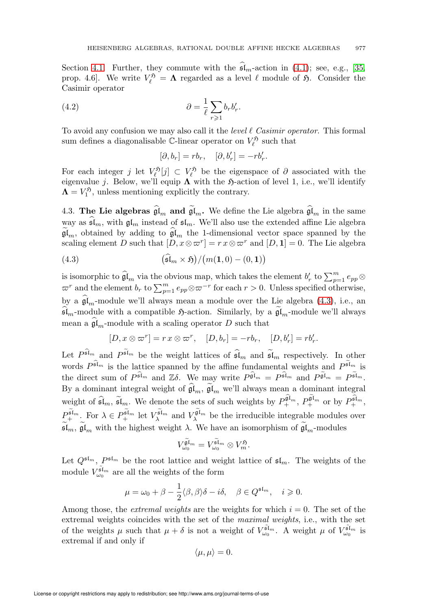Section [4.1.](#page-17-1) Further, they commute with the  $\mathfrak{sl}_m$ -action in [\(4.1\)](#page-17-3); see, e.g., [\[35,](#page-72-6) prop. 4.6. We write  $V_{\ell}^{5} = \Lambda$  regarded as a level  $\ell$  module of 5. Consider the Casimir operator

(4.2) 
$$
\partial = \frac{1}{\ell} \sum_{r \geqslant 1} b_r b'_r.
$$

To avoid any confusion we may also call it the level  $\ell$  Casimir operator. This formal sum defines a diagonalisable  $\mathbb C$ -linear operator on  $V_\ell^{\mathfrak{H}}$  such that

$$
[\partial, b_r] = rb_r, \quad [\partial, b'_r] = -rb'_r.
$$

For each integer j let  $V_{\ell}^{\mathfrak{H}}[j] \subset V_{\ell}^{\mathfrak{H}}$  be the eigenspace of  $\partial$  associated with the eigenvalue j. Below, we'll equip  $\Lambda$  with the  $\mathfrak{H}\text{-action}$  of level 1, i.e., we'll identify  $\Lambda = V_1^5$ , unless mentioning explicitly the contrary.

<span id="page-18-0"></span>4.3. The Lie algebras  $\mathfrak{gl}_m$  and  $\mathfrak{gl}_m$ . We define the Lie algebra  $\mathfrak{gl}_m$  in the same way as  $\mathfrak{sl}_m$ , with  $\mathfrak{gl}_m$  instead of  $\mathfrak{sl}_m$ . We'll also use the extended affine Lie algebra  $\mathfrak{gl}_m$ , obtained by adding to  $\mathfrak{gl}_m$  the 1-dimensional vector space spanned by the scaling element D such that  $[D, x \otimes \varpi^r] = r x \otimes \varpi^r$  and  $[D, 1] = 0$ . The Lie algebra

<span id="page-18-1"></span>(4.3) 
$$
(\widehat{\mathfrak{sl}}_m \times \mathfrak{H})/(m(1,0)-(0,1))
$$

is isomorphic to  $\widehat{\mathfrak{gl}}_m$  via the obvious map, which takes the element  $b'_r$  to  $\sum_{p=1}^m e_{pp} \otimes$  $\varpi^r$  and the element  $b_r$  to  $\sum_{p=1}^m e_{pp} \otimes \varpi^{-r}$  for each  $r > 0$ . Unless specified otherwise, by a  $\mathfrak{gl}_m$ -module we'll always mean a module over the Lie algebra [\(4.3\)](#page-18-1), i.e., an  $\mathfrak{sl}_m$ -module with a compatible  $\mathfrak{H}$ -action. Similarly, by a  $\mathfrak{gl}_m$ -module we'll always mean a  $\mathfrak{gl}_m$ -module with a scaling operator D such that

$$
[D, x \otimes \varpi^r] = r x \otimes \varpi^r, \quad [D, b_r] = -r b_r, \quad [D, b'_r] = r b'_r.
$$

Let  $P^{\tilde{\mathfrak{sl}}_m}$  and  $P^{\tilde{\mathfrak{sl}}_m}$  be the weight lattices of  $\widehat{\mathfrak{sl}}_m$  and  $\widetilde{\mathfrak{sl}}_m$  respectively. In other words  $P^{\widehat{\mathfrak{sl}}_m}$  is the lattice spanned by the affine fundamental weights and  $P^{\widetilde{\mathfrak{sl}}_m}$  is the direct sum of  $P^{\widehat{\mathfrak{sl}}_m}$  and  $\mathbb{Z}\delta$ . We may write  $P^{\widehat{\mathfrak{gl}}_m} = P^{\widehat{\mathfrak{sl}}_m}$  and  $P^{\widetilde{\mathfrak{gl}}_m} = P^{\widetilde{\mathfrak{sl}}_m}$ . By a dominant integral weight of  $\mathfrak{gl}_m$ ,  $\mathfrak{gl}_m$  we'll always mean a dominant integral weight of  $\widehat{\mathfrak{sl}}_m$ ,  $\widetilde{\mathfrak{sl}}_m$ . We denote the sets of such weights by  $P_+^{\widehat{\mathfrak{gl}}_m}$ ,  $P_+^{\widehat{\mathfrak{gl}}_m}$  or by  $P_+^{\widehat{\mathfrak{sl}}_m}$ ,  $P_+^{\tilde{\mathfrak{sl}}_m}$ . For  $\lambda \in P_+^{\tilde{\mathfrak{sl}}_m}$  let  $V_\lambda^{\tilde{\mathfrak{sl}}_m}$  and  $V_\lambda^{\tilde{\mathfrak{gl}}_m}$  be the irreducible integrable modules over  $\widetilde{\mathfrak{sl}}_m$ ,  $\widetilde{\mathfrak{gl}}_m$  with the highest weight  $\lambda$ . We have an isomorphism of  $\widetilde{\mathfrak{gl}}_m$ -modules

$$
V_{\omega_0}^{\widetilde{\mathfrak{gl}}_m} = V_{\omega_0}^{\widetilde{\mathfrak{sl}}_m} \otimes V_m^{\mathfrak{H}}.
$$

Let  $Q^{\mathfrak{sl}_m}$ ,  $P^{\mathfrak{sl}_m}$  be the root lattice and weight lattice of  $\mathfrak{sl}_m$ . The weights of the module  $V_{\omega_0}^{\tilde{\mathfrak{sl}}_m}$  are all the weights of the form

$$
\mu = \omega_0 + \beta - \frac{1}{2} \langle \beta, \beta \rangle \delta - i \delta, \quad \beta \in Q^{\mathfrak{sl}_m}, \quad i \geqslant 0.
$$

Among those, the *extremal weights* are the weights for which  $i = 0$ . The set of the extremal weights coincides with the set of the maximal weights, i.e., with the set of the weights  $\mu$  such that  $\mu + \delta$  is not a weight of  $V_{\omega_0}^{\tilde{\mathfrak{sl}}_m}$ . A weight  $\mu$  of  $V_{\omega_0}^{\tilde{\mathfrak{sl}}_m}$  is extremal if and only if

$$
\langle \mu, \mu \rangle = 0.
$$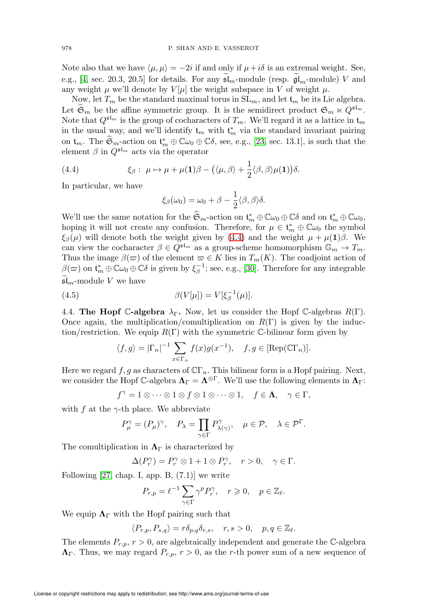Note also that we have  $\langle \mu, \mu \rangle = -2i$  if and only if  $\mu + i\delta$  is an extremal weight. See, e.g., [\[4,](#page-71-8) sec. 20.3, 20.5] for details. For any  $\mathfrak{sl}_m$ -module (resp.  $\mathfrak{gl}_m$ -module) V and any weight  $\mu$  we'll denote by  $V[\mu]$  the weight subspace in V of weight  $\mu$ .

Now, let  $T_m$  be the standard maximal torus in  $SL_m$ , and let  $t_m$  be its Lie algebra. Let  $\mathfrak{S}_m$  be the affine symmetric group. It is the semidirect product  $\mathfrak{S}_m \ltimes Q^{\mathfrak{sl}_m}$ . Note that  $Q^{\mathfrak{sl}_m}$  is the group of cocharacters of  $T_m$ . We'll regard it as a lattice in  $\mathfrak{t}_m$ in the usual way, and we'll identify  $t_m$  with  $t_m^*$  via the standard invariant pairing on  $\mathfrak{t}_m$ . The  $\mathfrak{S}_m$ -action on  $\mathfrak{t}_m^* \oplus \mathbb{C}\omega_0 \oplus \mathbb{C}\delta$ , see, e.g., [\[23,](#page-72-7) sec. 13.1], is such that the element  $\beta$  in  $Q^{\mathfrak{sl}_m}$  acts via the operator

<span id="page-19-1"></span>(4.4) 
$$
\xi_{\beta}: \ \mu \mapsto \mu + \mu(1)\beta - \big(\langle \mu, \beta \rangle + \frac{1}{2}\langle \beta, \beta \rangle \mu(1)\big)\delta.
$$

In particular, we have

$$
\xi_{\beta}(\omega_0) = \omega_0 + \beta - \frac{1}{2} \langle \beta, \beta \rangle \delta.
$$

We'll use the same notation for the  $\mathfrak{S}_m$ -action on  $\mathfrak{t}_m^* \oplus \mathbb{C}\omega_0 \oplus \mathbb{C}\delta$  and on  $\mathfrak{t}_m^* \oplus \mathbb{C}\omega_0$ , hoping it will not create any confusion. Therefore, for  $\mu \in \mathfrak{t}_m^* \oplus \mathbb{C} \omega_0$  the symbol  $\xi_{\beta}(\mu)$  will denote both the weight given by [\(4.4\)](#page-19-1) and the weight  $\mu + \mu(1)\beta$ . We can view the cocharacter  $\beta \in Q^{\mathfrak{sl}_m}$  as a group-scheme homomorphism  $\mathbb{G}_m \to T_m$ . Thus the image  $\beta(\varpi)$  of the element  $\varpi \in K$  lies in  $T_m(K)$ . The coadjoint action of  $\beta(\varpi)$  on  $\mathfrak{t}_m^* \oplus \mathbb{C} \omega_0 \oplus \mathbb{C} \delta$  is given by  $\xi_\beta^{-1}$ ; see, e.g., [\[30\]](#page-72-8). Therefore for any integrable  $\mathfrak{sl}_m$ -module V we have

(4.5) 
$$
\beta(V[\mu]) = V[\xi_{\beta}^{-1}(\mu)].
$$

<span id="page-19-0"></span>4.4. The Hopf C-algebra  $\lambda_{\Gamma}$ . Now, let us consider the Hopf C-algebras  $R(\Gamma)$ . Once again, the multiplication/comultiplication on  $R(\Gamma)$  is given by the induction/restriction. We equip  $R(\Gamma)$  with the symmetric C-bilinear form given by

$$
\langle f, g \rangle = |\Gamma_n|^{-1} \sum_{x \in \Gamma_n} f(x)g(x^{-1}), \quad f, g \in [\text{Rep}(\mathbb{C}\Gamma_n)].
$$

Here we regard  $f, g$  as characters of  $\mathbb{C} \Gamma_n$ . This bilinear form is a Hopf pairing. Next, we consider the Hopf C-algebra  $\Lambda_{\Gamma} = \Lambda^{\otimes \Gamma}$ . We'll use the following elements in  $\Lambda_{\Gamma}$ :

$$
f^{\gamma}=1\otimes\cdots\otimes 1\otimes f\otimes 1\otimes\cdots\otimes 1,\quad f\in\mathbf{\Lambda},\quad\gamma\in\Gamma,
$$

with f at the  $\gamma$ -th place. We abbreviate

$$
P_{\mu}^{\gamma} = (P_{\mu})^{\gamma}, \quad P_{\lambda} = \prod_{\gamma \in \Gamma} P_{\lambda(\gamma)}^{\gamma}, \quad \mu \in \mathcal{P}, \quad \lambda \in \mathcal{P}^{\Gamma}.
$$

The comultiplication in  $\Lambda_{\Gamma}$  is characterized by

$$
\Delta(P_r^{\gamma}) = P_r^{\gamma} \otimes 1 + 1 \otimes P_r^{\gamma}, \quad r > 0, \quad \gamma \in \Gamma.
$$

Following  $[27, \text{chap. I}, \text{app. B}, (7.1)]$  we write

$$
P_{r,p} = \ell^{-1} \sum_{\gamma \in \Gamma} \gamma^p P_r^{\gamma}, \quad r \geqslant 0, \quad p \in \mathbb{Z}_{\ell}.
$$

We equip  $\Lambda_{\Gamma}$  with the Hopf pairing such that

$$
\langle P_{r,p}, P_{s,q} \rangle = r \delta_{p,q} \delta_{r,s}, \quad r, s > 0, \quad p, q \in \mathbb{Z}_{\ell}.
$$

The elements  $P_{r,p}$ ,  $r > 0$ , are algebraically independent and generate the C-algebra  $\Lambda_{\Gamma}$ . Thus, we may regard  $P_{r,p}$ ,  $r > 0$ , as the r-th power sum of a new sequence of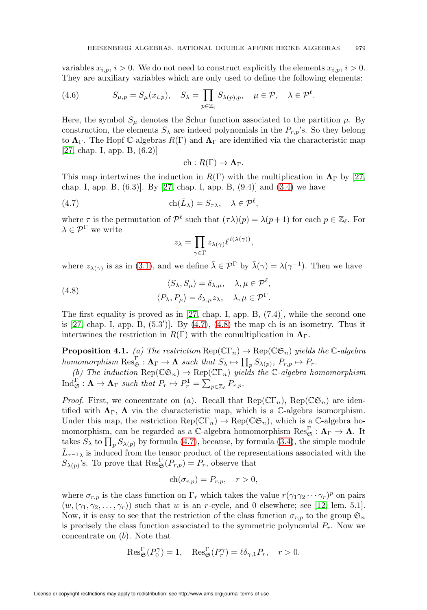variables  $x_{i,p}$ ,  $i > 0$ . We do not need to construct explicitly the elements  $x_{i,p}$ ,  $i > 0$ . They are auxiliary variables which are only used to define the following elements:

(4.6) 
$$
S_{\mu,p} = S_{\mu}(x_{i,p}), \quad S_{\lambda} = \prod_{p \in \mathbb{Z}_{\ell}} S_{\lambda(p),p}, \quad \mu \in \mathcal{P}, \quad \lambda \in \mathcal{P}^{\ell}.
$$

Here, the symbol  $S_{\mu}$  denotes the Schur function associated to the partition  $\mu$ . By construction, the elements  $S_{\lambda}$  are indeed polynomials in the  $P_{r,p}$ 's. So they belong to  $\Lambda_{\Gamma}$ . The Hopf C-algebras  $R(\Gamma)$  and  $\Lambda_{\Gamma}$  are identified via the characteristic map [\[27,](#page-72-3) chap. I, app. B, (6.2)]

$$
ch: R(\Gamma) \to \Lambda_{\Gamma}.
$$

This map intertwines the induction in  $R(\Gamma)$  with the multiplication in  $\Lambda_{\Gamma}$  by [\[27,](#page-72-3) chap. I, app. B,  $(6.3)$ . By [\[27,](#page-72-3) chap. I, app. B,  $(9.4)$ ] and  $(3.4)$  we have

<span id="page-20-0"></span>(4.7) 
$$
\operatorname{ch}(\bar{L}_{\lambda}) = S_{\tau \lambda}, \quad \lambda \in \mathcal{P}^{\ell},
$$

where  $\tau$  is the permutation of  $\mathcal{P}^{\ell}$  such that  $(\tau \lambda)(p) = \lambda(p+1)$  for each  $p \in \mathbb{Z}_{\ell}$ . For  $\lambda \in \mathcal{P}^{\Gamma}$  we write

$$
z_{\lambda} = \prod_{\gamma \in \Gamma} z_{\lambda(\gamma)} \ell^{l(\lambda(\gamma))},
$$

where  $z_{\lambda(\gamma)}$  is as in [\(3.1\)](#page-7-2), and we define  $\bar{\lambda} \in \mathcal{P}^{\Gamma}$  by  $\bar{\lambda}(\gamma) = \lambda(\gamma^{-1})$ . Then we have

<span id="page-20-1"></span>(4.8) 
$$
\langle S_{\lambda}, S_{\mu} \rangle = \delta_{\lambda, \mu}, \quad \lambda, \mu \in \mathcal{P}^{\ell}, \langle P_{\lambda}, P_{\bar{\mu}} \rangle = \delta_{\lambda, \mu} z_{\lambda}, \quad \lambda, \mu \in \mathcal{P}^{\Gamma}.
$$

The first equality is proved as in [\[27,](#page-72-3) chap. I, app. B, (7.4)], while the second one is [\[27,](#page-72-3) chap. I, app. B, (5.3′ )]. By [\(4.7\)](#page-20-0), [\(4.8\)](#page-20-1) the map ch is an isometry. Thus it intertwines the restriction in  $R(\Gamma)$  with the comultiplication in  $\Lambda_{\Gamma}$ .

<span id="page-20-2"></span>**Proposition 4.1.** (a) The restriction  $\text{Rep}(\mathbb{C}\Gamma_n) \to \text{Rep}(\mathbb{C}\mathfrak{S}_n)$  yields the  $\mathbb{C}\text{-algebra}$ homomorphism  $\operatorname{Res}_{\mathfrak{S}}^{\Gamma} : \Lambda_{\Gamma} \to \Lambda$  such that  $S_{\lambda} \mapsto \prod_{p} S_{\lambda(p)}, P_{r,p} \mapsto P_{r}$ .

(b) The induction  $\text{Rep}(\mathbb{CG}_n) \to \text{Rep}(\mathbb{CT}_n)$  yields the C-algebra homomorphism  $\text{Ind}_{\mathfrak{S}}^{\Gamma} : \mathbf{\Lambda} \to \mathbf{\Lambda}_{\Gamma} \text{ such that } P_r \mapsto P_r^1 = \sum_{p \in \mathbb{Z}_{\ell}} P_{r,p}.$ 

*Proof.* First, we concentrate on (a). Recall that  $\text{Rep}(\mathbb{C}\Gamma_n)$ ,  $\text{Rep}(\mathbb{C}\mathfrak{S}_n)$  are identified with  $\Lambda_{\Gamma}$ ,  $\Lambda$  via the characteristic map, which is a C-algebra isomorphism. Under this map, the restriction  $\text{Rep}(\mathbb{C}\Gamma_n) \to \text{Rep}(\mathbb{C}\mathfrak{S}_n)$ , which is a  $\mathbb{C}\text{-algebra hol$ momorphism, can be regarded as a C-algebra homomorphism  $\text{Res}^\Gamma_\mathfrak{S}:\mathbf{\Lambda}_\Gamma\to \mathbf{\Lambda}.$  It takes  $S_{\lambda}$  to  $\prod_{p} S_{\lambda(p)}$  by formula [\(4.7\)](#page-20-0), because, by formula [\(3.4\)](#page-9-3), the simple module  $\overline{L}_{\tau^{-1}\lambda}$  is induced from the tensor product of the representations associated with the  $S_{\lambda(p)}$ 's. To prove that  $\operatorname{Res}_{\mathfrak{S}}^{\Gamma}(P_{r,p})=P_r$ , observe that

$$
ch(\sigma_{r,p}) = P_{r,p}, \quad r > 0,
$$

where  $\sigma_{r,p}$  is the class function on  $\Gamma_r$  which takes the value  $r(\gamma_1\gamma_2\cdots\gamma_r)^p$  on pairs  $(w,(\gamma_1, \gamma_2,\ldots,\gamma_r))$  such that w is an r-cycle, and 0 elsewhere; see [\[12,](#page-71-9) lem. 5.1]. Now, it is easy to see that the restriction of the class function  $\sigma_{r,p}$  to the group  $\mathfrak{S}_n$ is precisely the class function associated to the symmetric polynomial  $P_r$ . Now we concentrate on (b). Note that

$$
\operatorname{Res}_{\mathfrak{S}}^{\Gamma}(P_0^{\gamma}) = 1, \quad \operatorname{Res}_{\mathfrak{S}}^{\Gamma}(P_r^{\gamma}) = \ell \delta_{\gamma,1} P_r, \quad r > 0.
$$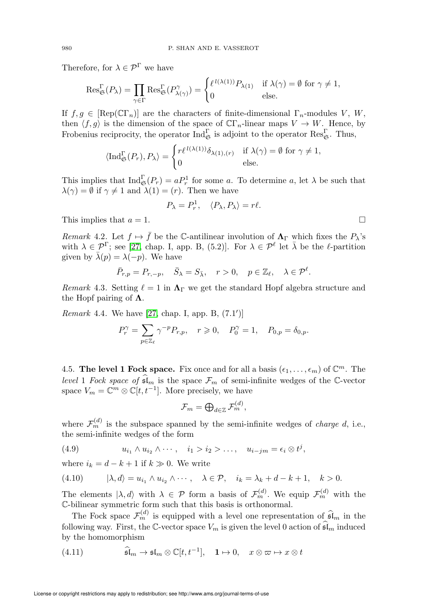Therefore, for  $\lambda \in \mathcal{P}^{\Gamma}$  we have

$$
\operatorname{Res}_{\mathfrak{S}}^{\Gamma}(P_{\lambda}) = \prod_{\gamma \in \Gamma} \operatorname{Res}_{\mathfrak{S}}^{\Gamma}(P_{\lambda(\gamma)}^{\gamma}) = \begin{cases} \ell^{l(\lambda(1))} P_{\lambda(1)} & \text{if } \lambda(\gamma) = \emptyset \text{ for } \gamma \neq 1, \\ 0 & \text{else.} \end{cases}
$$

If  $f,g \in \text{[Rep}(\mathbb{C}\Gamma_n)]$  are the characters of finite-dimensional  $\Gamma_n$ -modules V, W, then  $\langle f,g \rangle$  is the dimension of the space of  $\mathbb{C} \Gamma_n$ -linear maps  $V \to W$ . Hence, by Frobenius reciprocity, the operator  $\text{Ind}_{\mathfrak{S}}^{\Gamma}$  is adjoint to the operator  $\text{Res}_{\mathfrak{S}}^{\Gamma}$ . Thus,

$$
\langle \operatorname{Ind}_{\mathfrak{S}}^{\Gamma}(P_r), P_{\lambda} \rangle = \begin{cases} r \ell^{l(\lambda(1))} \delta_{\lambda(1), (r)} & \text{if } \lambda(\gamma) = \emptyset \text{ for } \gamma \neq 1, \\ 0 & \text{else.} \end{cases}
$$

This implies that  $\text{Ind}_{\mathfrak{S}}^{\Gamma}(P_r) = aP_r^1$  for some a. To determine a, let  $\lambda$  be such that  $\lambda(\gamma) = \emptyset$  if  $\gamma \neq 1$  and  $\lambda(1) = (r)$ . Then we have

$$
P_{\lambda} = P_r^1, \quad \langle P_{\lambda}, P_{\lambda} \rangle = r\ell.
$$

This implies that  $a = 1$ .

Remark 4.2. Let  $f \mapsto \bar{f}$  be the C-antilinear involution of  $\Lambda_{\Gamma}$  which fixes the  $P_{\lambda}$ 's with  $\lambda \in \mathcal{P}^{\Gamma}$ ; see [\[27,](#page-72-3) chap. I, app. B, (5.2)]. For  $\lambda \in \mathcal{P}^{\ell}$  let  $\overline{\lambda}$  be the  $\ell$ -partition given by  $\bar{\lambda}(p) = \lambda(-p)$ . We have

$$
\bar{P}_{r,p} = P_{r,-p}, \quad \bar{S}_{\lambda} = S_{\bar{\lambda}}, \quad r > 0, \quad p \in \mathbb{Z}_{\ell}, \quad \lambda \in \mathcal{P}^{\ell}.
$$

Remark 4.3. Setting  $\ell = 1$  in  $\Lambda_{\Gamma}$  we get the standard Hopf algebra structure and the Hopf pairing of  $\Lambda$ .

*Remark* 4.4. We have [\[27,](#page-72-3) chap. I, app. B,  $(7.1')$ ]

$$
P_r^{\gamma} = \sum_{p \in \mathbb{Z}_{\ell}} \gamma^{-p} P_{r,p}, \quad r \geqslant 0, \quad P_0^{\gamma} = 1, \quad P_{0,p} = \delta_{0,p}.
$$

<span id="page-21-0"></span>4.5. The level 1 Fock space. Fix once and for all a basis  $(\epsilon_1, \ldots, \epsilon_m)$  of  $\mathbb{C}^m$ . The level 1 Fock space of  $\mathfrak{sl}_m$  is the space  $\mathcal{F}_m$  of semi-infinite wedges of the C-vector space  $V_m = \mathbb{C}^m \otimes \mathbb{C}[t, t^{-1}]$ . More precisely, we have

$$
\mathcal{F}_m = \bigoplus\nolimits_{d \in \mathbb{Z}} \mathcal{F}_m^{(d)},
$$

where  $\mathcal{F}_m^{(d)}$  is the subspace spanned by the semi-infinite wedges of *charge d*, i.e., the semi-infinite wedges of the form

<span id="page-21-1"></span>(4.9) 
$$
u_{i_1} \wedge u_{i_2} \wedge \cdots, \quad i_1 > i_2 > \ldots, \quad u_{i-jm} = \epsilon_i \otimes t^j,
$$

where  $i_k = d - k + 1$  if  $k \gg 0$ . We write

<span id="page-21-2"></span>
$$
(4.10) \qquad |\lambda, d\rangle = u_{i_1} \wedge u_{i_2} \wedge \cdots, \quad \lambda \in \mathcal{P}, \quad i_k = \lambda_k + d - k + 1, \quad k > 0.
$$

The elements  $|\lambda, d\rangle$  with  $\lambda \in \mathcal{P}$  form a basis of  $\mathcal{F}_m^{(d)}$ . We equip  $\mathcal{F}_m^{(d)}$  with the C-bilinear symmetric form such that this basis is orthonormal.

The Fock space  $\mathcal{F}_m^{(d)}$  is equipped with a level one representation of  $\widehat{\mathfrak{sl}}_m$  in the following way. First, the C-vector space  $V_m$  is given the level 0 action of  $\mathfrak{sl}_m$  induced by the homomorphism

<span id="page-21-3"></span>(4.11) 
$$
\widehat{\mathfrak{sl}}_m \to \mathfrak{sl}_m \otimes \mathbb{C}[t, t^{-1}], \quad 1 \mapsto 0, \quad x \otimes \varpi \mapsto x \otimes t
$$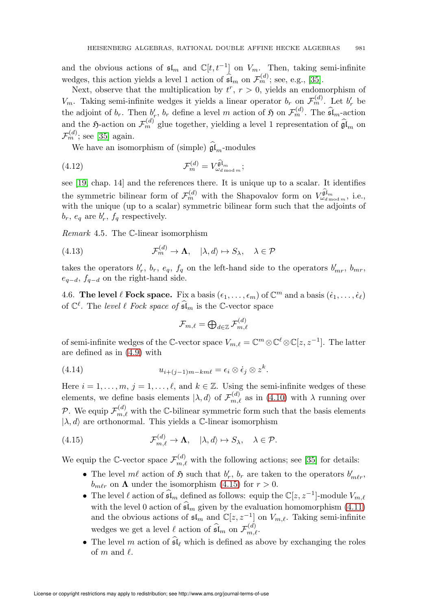and the obvious actions of  $\mathfrak{sl}_m$  and  $\mathbb{C}[t, t^{-1}]$  on  $V_m$ . Then, taking semi-infinite wedges, this action yields a level 1 action of  $\widehat{\mathfrak{sl}}_m$  on  $\mathcal{F}_m^{(d)}$ ; see, e.g., [\[35\]](#page-72-6).

Next, observe that the multiplication by  $t^r$ ,  $r > 0$ , yields an endomorphism of  $V_m$ . Taking semi-infinite wedges it yields a linear operator  $b_r$  on  $\mathcal{F}_m^{(d)}$ . Let  $b'_r$  be the adjoint of  $b_r$ . Then  $b'_r$ ,  $b_r$  define a level m action of  $\mathfrak H$  on  $\mathcal F_m^{(d)}$ . The  $\widehat{\mathfrak {sl}}_m$ -action and the  $\mathfrak{H}\text{-action}$  on  $\mathcal{F}_m^{(d)}$  glue together, yielding a level 1 representation of  $\widehat{\mathfrak{gl}}_m$  on  $\mathcal{F}_m^{(d)}$ ; see [\[35\]](#page-72-6) again.

We have an isomorphism of (simple)  $\mathfrak{gl}_m$ -modules

(4.12) 
$$
\mathcal{F}_m^{(d)} = V_{\omega_{d \mod m}}^{\widehat{\mathfrak{gl}}_m};
$$

see [\[19,](#page-72-9) chap. 14] and the references there. It is unique up to a scalar. It identifies the symmetric bilinear form of  $\mathcal{F}_m^{(d)}$  with the Shapovalov form on  $V_{\omega_{d \mod m}}^{\hat{\mathfrak{gl}}_m}$ , i.e., with the unique (up to a scalar) symmetric bilinear form such that the adjoints of  $b_r$ ,  $e_q$  are  $b'_r$ ,  $f_q$  respectively.

<span id="page-22-3"></span>Remark 4.5. The C-linear isomorphism

<span id="page-22-2"></span>(4.13) 
$$
\mathcal{F}_m^{(d)} \to \mathbf{\Lambda}, \quad |\lambda, d\rangle \mapsto S_\lambda, \quad \lambda \in \mathcal{P}
$$

takes the operators  $b'_r$ ,  $b_r$ ,  $e_q$ ,  $f_q$  on the left-hand side to the operators  $b'_{mr}$ ,  $b_{mr}$ ,  $e_{q-d}$ ,  $f_{q-d}$  on the right-hand side.

<span id="page-22-0"></span>4.6. The level  $\ell$  Fock space. Fix a basis  $(\epsilon_1,\ldots,\epsilon_m)$  of  $\mathbb{C}^m$  and a basis  $(\dot{\epsilon}_1,\ldots,\dot{\epsilon}_{\ell})$ of  $\mathbb{C}^{\ell}$ . The level  $\ell$  Fock space of  $\tilde{\mathfrak{sl}}_m$  is the C-vector space

$$
\mathcal{F}_{m,\ell}=\bigoplus\nolimits_{d\in\mathbb{Z}}\mathcal{F}_{m,\ell}^{(d)}
$$

of semi-infinite wedges of the C-vector space  $V_{m,\ell} = \mathbb{C}^m \otimes \mathbb{C}^{\ell} \otimes \mathbb{C}[z, z^{-1}]$ . The latter are defined as in [\(4.9\)](#page-21-1) with

(4.14) 
$$
u_{i+(j-1)m-km\ell} = \epsilon_i \otimes \dot{\epsilon}_j \otimes z^k.
$$

Here  $i = 1, \ldots, m, j = 1, \ldots, \ell$ , and  $k \in \mathbb{Z}$ . Using the semi-infinite wedges of these elements, we define basis elements  $|\lambda, d\rangle$  of  $\mathcal{F}_{m,\ell}^{(d)}$  as in [\(4.10\)](#page-21-2) with  $\lambda$  running over P. We equip  $\mathcal{F}_{m,\ell}^{(d)}$  with the C-bilinear symmetric form such that the basis elements  $|\lambda, d\rangle$  are orthonormal. This yields a C-linear isomorphism

<span id="page-22-1"></span>(4.15) 
$$
\mathcal{F}_{m,\ell}^{(d)} \to \mathbf{\Lambda}, \quad |\lambda, d\rangle \mapsto S_{\lambda}, \quad \lambda \in \mathcal{P}.
$$

We equip the C-vector space  $\mathcal{F}_{m,\ell}^{(d)}$  with the following actions; see [\[35\]](#page-72-6) for details:

- The level  $m\ell$  action of  $\mathfrak H$  such that  $b'_r$ ,  $b_r$  are taken to the operators  $b'_{m\ell r}$ ,  $b_{m\ell r}$  on  $\Lambda$  under the isomorphism [\(4.15\)](#page-22-1) for  $r > 0$ .
- The level  $\ell$  action of  $\widehat{\mathfrak{sl}}_m$  defined as follows: equip the  $\mathbb{C}[z, z^{-1}]$ -module  $V_{m,\ell}$ with the level 0 action of  $\mathfrak{sl}_m$  given by the evaluation homomorphism [\(4.11\)](#page-21-3) and the obvious actions of  $\mathfrak{sl}_m$  and  $\mathbb{C}[z, z^{-1}]$  on  $V_{m,\ell}$ . Taking semi-infinite wedges we get a level  $\ell$  action of  $\widehat{\mathfrak{sl}}_m$  on  $\mathcal{F}^{(d)}_{m,\ell}$ .
- The level m action of  $\mathfrak{sl}_{\ell}$  which is defined as above by exchanging the roles of  $m$  and  $\ell$ .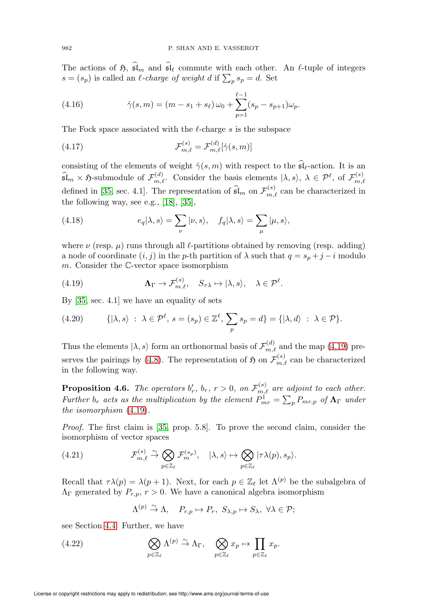The actions of  $\mathfrak{H}, \mathfrak{sl}_m$  and  $\mathfrak{sl}_\ell$  commute with each other. An  $\ell$ -tuple of integers  $s = (s_p)$  is called an l-charge of weight d if  $\sum_p s_p = d$ . Set

(4.16) 
$$
\hat{\gamma}(s,m) = (m - s_1 + s_\ell) \omega_0 + \sum_{p=1}^{\ell-1} (s_p - s_{p+1}) \omega_p.
$$

The Fock space associated with the  $\ell$ -charge s is the subspace

(4.17) 
$$
\mathcal{F}_{m,\ell}^{(s)} = \mathcal{F}_{m,\ell}^{(d)}[\hat{\gamma}(s,m)]
$$

consisting of the elements of weight  $\hat{\gamma}(s,m)$  with respect to the  $\mathfrak{sl}_{\ell}$ -action. It is an  $\widehat{\mathfrak{sl}}_m \times \mathfrak{H}$ -submodule of  $\mathcal{F}_{m,\ell}^{(d)}$ . Consider the basis elements  $|\lambda, s\rangle$ ,  $\lambda \in \mathcal{P}^{\ell}$ , of  $\mathcal{F}_{m,\ell}^{(s)}$  $_{m,\ell}$ defined in [\[35,](#page-72-6) sec. 4.1]. The representation of  $\widehat{\mathfrak{sl}}_m$  on  $\mathcal{F}_{m,\ell}^{(s)}$  can be characterized in the following way, see e.g., [\[18\]](#page-72-10), [\[35\]](#page-72-6),

(4.18) 
$$
e_q|\lambda, s\rangle = \sum_{\nu} |\nu, s\rangle, \quad f_q|\lambda, s\rangle = \sum_{\mu} |\mu, s\rangle,
$$

where  $\nu$  (resp.  $\mu$ ) runs through all  $\ell$ -partitions obtained by removing (resp. adding) a node of coordinate  $(i, j)$  in the p-th partition of  $\lambda$  such that  $q = s_n + j - i$  modulo  $m$ . Consider the  $\mathbb{C}\text{-vector space isomorphism}$ 

<span id="page-23-0"></span>(4.19) 
$$
\mathbf{\Lambda}_{\Gamma} \to \mathcal{F}_{m,\ell}^{(s)}, \quad S_{\tau\lambda} \mapsto |\lambda, s\rangle, \quad \lambda \in \mathcal{P}^{\ell}.
$$

By [\[35,](#page-72-6) sec. 4.1] we have an equality of sets

<span id="page-23-4"></span>(4.20) 
$$
\{|\lambda, s\rangle : \lambda \in \mathcal{P}^\ell, s = (s_p) \in \mathbb{Z}^\ell, \sum_p s_p = d\} = \{|\lambda, d\rangle : \lambda \in \mathcal{P}\}.
$$

Thus the elements  $|\lambda, s\rangle$  form an orthonormal basis of  $\mathcal{F}_{m,\ell}^{(d)}$  and the map [\(4.19\)](#page-23-0) pre-serves the pairings by [\(4.8\)](#page-20-1). The representation of  $\mathfrak{H}$  on  $\mathcal{F}_{m,\ell}^{(s)}$  can be characterized in the following way.

<span id="page-23-3"></span>**Proposition 4.6.** The operators  $b'_r$ ,  $b_r$ ,  $r > 0$ , on  $\mathcal{F}_{m,\ell}^{(s)}$  are adjoint to each other. Further  $b_r$  acts as the multiplication by the element  $P^1_{mr} = \sum_p P_{mr,p}$  of  $\mathbf{\Lambda}_{\Gamma}$  under the isomorphism [\(4.19\)](#page-23-0).

Proof. The first claim is [\[35,](#page-72-6) prop. 5.8]. To prove the second claim, consider the isomorphism of vector spaces

<span id="page-23-1"></span>(4.21) 
$$
\mathcal{F}_{m,\ell}^{(s)} \stackrel{\sim}{\to} \bigotimes_{p \in \mathbb{Z}_{\ell}} \mathcal{F}_{m}^{(s_p)}, \quad |\lambda, s\rangle \mapsto \bigotimes_{p \in \mathbb{Z}_{\ell}} |\tau \lambda(p), s_p\rangle.
$$

Recall that  $\tau \lambda(p) = \lambda(p+1)$ . Next, for each  $p \in \mathbb{Z}_{\ell}$  let  $\Lambda^{(p)}$  be the subalgebra of  $\Lambda_{\Gamma}$  generated by  $P_{r,p}$ ,  $r > 0$ . We have a canonical algebra isomorphism

$$
\Lambda^{(p)} \stackrel{\sim}{\to} \Lambda, \quad P_{r,p} \mapsto P_r, \ S_{\lambda,p} \mapsto S_{\lambda}, \ \forall \lambda \in \mathcal{P};
$$

see Section [4.4.](#page-19-0) Further, we have

<span id="page-23-2"></span>(4.22) 
$$
\bigotimes_{p\in\mathbb{Z}_{\ell}}\Lambda^{(p)} \stackrel{\sim}{\to} \Lambda_{\Gamma}, \quad \bigotimes_{p\in\mathbb{Z}_{\ell}}x_{p} \mapsto \prod_{p\in\mathbb{Z}_{\ell}}x_{p}.
$$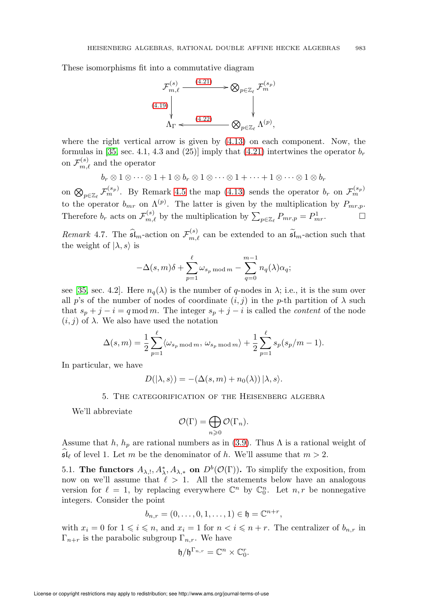These isomorphisms fit into a commutative diagram



where the right vertical arrow is given by  $(4.13)$  on each component. Now, the formulas in [\[35,](#page-72-6) sec. 4.1, 4.3 and (25)] imply that [\(4.21\)](#page-23-1) intertwines the operator  $b_r$ on  $\mathcal{F}_{m,\ell}^{(s)}$  and the operator

 $b_r \otimes 1 \otimes \cdots \otimes 1 + 1 \otimes b_r \otimes 1 \otimes \cdots \otimes 1 + \cdots + 1 \otimes \cdots \otimes 1 \otimes b_r$ 

on  $\bigotimes_{p\in\mathbb{Z}_{\ell}}\mathcal{F}_m^{(s_p)}$ . By Remark [4.5](#page-22-3) the map [\(4.13\)](#page-22-2) sends the operator  $b_r$  on  $\mathcal{F}_m^{(s_p)}$ . to the operator  $b_{mr}$  on  $\Lambda^{(p)}$ . The latter is given by the multiplication by  $P_{mr,p}$ . Therefore  $b_r$  acts on  $\mathcal{F}_{m,\ell}^{(s)}$  by the multiplication by  $\sum_{p\in\mathbb{Z}_{\ell}}P_{mr,p}=P_{mr}^1$ .

Remark 4.7. The  $\widehat{\mathfrak{sl}}_m$ -action on  $\mathcal{F}_{m,\ell}^{(s)}$  can be extended to an  $\widetilde{\mathfrak{sl}}_m$ -action such that the weight of  $|\lambda, s\rangle$  is

$$
-\Delta(s,m)\delta + \sum_{p=1}^{\ell} \omega_{s_p \bmod m} - \sum_{q=0}^{m-1} n_q(\lambda) \alpha_q;
$$

see [\[35,](#page-72-6) sec. 4.2]. Here  $n_q(\lambda)$  is the number of q-nodes in  $\lambda$ ; i.e., it is the sum over all p's of the number of nodes of coordinate  $(i, j)$  in the p-th partition of  $\lambda$  such that  $s_p + j - i = q \mod m$ . The integer  $s_p + j - i$  is called the *content* of the node  $(i, j)$  of  $\lambda$ . We also have used the notation

$$
\Delta(s,m) = \frac{1}{2} \sum_{p=1}^{\ell} \langle \omega_{s_p \bmod m}, \omega_{s_p \bmod m} \rangle + \frac{1}{2} \sum_{p=1}^{\ell} s_p(s_p/m-1).
$$

<span id="page-24-0"></span>In particular, we have

$$
D(|\lambda, s\rangle) = -(\Delta(s, m) + n_0(\lambda)) |\lambda, s\rangle.
$$

5. The categorification of the Heisenberg algebra

We'll abbreviate

$$
\mathcal{O}(\Gamma)=\bigoplus_{n\geqslant 0}\mathcal{O}(\Gamma_n).
$$

Assume that h,  $h_p$  are rational numbers as in [\(3.9\)](#page-12-2). Thus  $\Lambda$  is a rational weight of  $\mathfrak{sl}_{\ell}$  of level 1. Let m be the denominator of h. We'll assume that  $m > 2$ .

<span id="page-24-1"></span>5.1. The functors  $A_{\lambda,}$ ,  $A_{\lambda}^*$ ,  $A_{\lambda,*}$  on  $D^b(\mathcal{O}(\Gamma))$ . To simplify the exposition, from now on we'll assume that  $\ell > 1$ . All the statements below have an analogous version for  $\ell = 1$ , by replacing everywhere  $\mathbb{C}^n$  by  $\mathbb{C}_0^n$ . Let  $n, r$  be nonnegative integers. Consider the point

$$
b_{n,r} = (0, \ldots, 0, 1, \ldots, 1) \in \mathfrak{h} = \mathbb{C}^{n+r},
$$

with  $x_i = 0$  for  $1 \leq i \leq n$ , and  $x_i = 1$  for  $n < i \leq n + r$ . The centralizer of  $b_{n,r}$  in  $\Gamma_{n+r}$  is the parabolic subgroup  $\Gamma_{n,r}$ . We have

$$
\mathfrak{h}/\mathfrak{h}^{\Gamma_{n,r}}=\mathbb{C}^n\times\mathbb{C}^r_0.
$$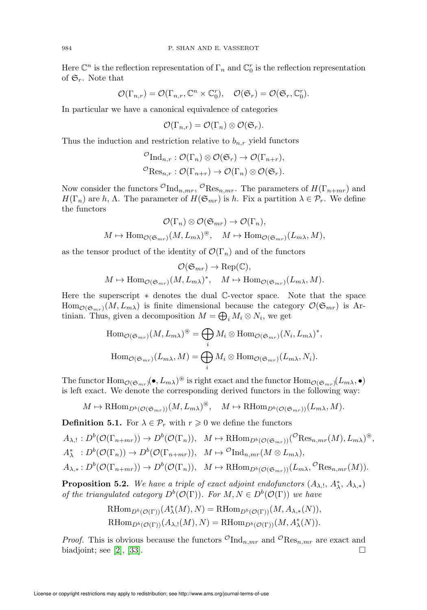Here  $\mathbb{C}^n$  is the reflection representation of  $\Gamma_n$  and  $\mathbb{C}_0^r$  is the reflection representation of  $\mathfrak{S}_r$ . Note that

$$
\mathcal{O}(\Gamma_{n,r})=\mathcal{O}(\Gamma_{n,r},\mathbb{C}^n\times\mathbb{C}^r_0),\quad \mathcal{O}(\mathfrak{S}_r)=\mathcal{O}(\mathfrak{S}_r,\mathbb{C}^r_0).
$$

In particular we have a canonical equivalence of categories

$$
{\mathcal O}(\Gamma_{n,r}) = {\mathcal O}(\Gamma_n) \otimes {\mathcal O}({\mathfrak S}_r).
$$

Thus the induction and restriction relative to  $b_{n,r}$  yield functors

$$
\mathcal{O}_{\mathrm{Ind}_{n,r}} : \mathcal{O}(\Gamma_n) \otimes \mathcal{O}(\mathfrak{S}_r) \to \mathcal{O}(\Gamma_{n+r}),
$$
  

$$
\mathcal{O}_{\mathrm{Res}_{n,r}} : \mathcal{O}(\Gamma_{n+r}) \to \mathcal{O}(\Gamma_n) \otimes \mathcal{O}(\mathfrak{S}_r).
$$

Now consider the functors  ${}^{\mathcal{O}}\text{Ind}_{n,mr}$ ,  ${}^{\mathcal{O}}\text{Res}_{n,mr}$ . The parameters of  $H(\Gamma_{n+mr})$  and  $H(\Gamma_n)$  are h,  $\Lambda$ . The parameter of  $H(\mathfrak{S}_{mr})$  is h. Fix a partition  $\lambda \in \mathcal{P}_r$ . We define the functors

$$
\mathcal{O}(\Gamma_n) \otimes \mathcal{O}(\mathfrak{S}_{mr}) \to \mathcal{O}(\Gamma_n),
$$
  

$$
M \mapsto \text{Hom}_{\mathcal{O}(\mathfrak{S}_{mr})}(M, L_{m\lambda})^{\circledast}, \quad M \mapsto \text{Hom}_{\mathcal{O}(\mathfrak{S}_{mr})}(L_{m\lambda}, M),
$$

as the tensor product of the identity of  $\mathcal{O}(\Gamma_n)$  and of the functors

$$
\mathcal{O}(\mathfrak{S}_{mr}) \to \text{Rep}(\mathbb{C}),
$$
  

$$
M \mapsto \text{Hom}_{\mathcal{O}(\mathfrak{S}_{mr})}(M, L_{m\lambda})^*, \quad M \mapsto \text{Hom}_{\mathcal{O}(\mathfrak{S}_{mr})}(L_{m\lambda}, M).
$$

Here the superscript ∗ denotes the dual C-vector space. Note that the space  $\text{Hom}_{\mathcal{O}(\mathfrak{S}_{mr})}(M,L_{m\lambda})$  is finite dimensional because the category  $\mathcal{O}(\mathfrak{S}_{mr})$  is Artinian. Thus, given a decomposition  $M = \bigoplus_i M_i \otimes N_i$ , we get

$$
\text{Hom}_{\mathcal{O}(\mathfrak{S}_{mr})}(M, L_{m\lambda})^{\circledast} = \bigoplus_{i} M_{i} \otimes \text{Hom}_{\mathcal{O}(\mathfrak{S}_{mr})}(N_{i}, L_{m\lambda})^{*},
$$

$$
\text{Hom}_{\mathcal{O}(\mathfrak{S}_{mr})}(L_{m\lambda}, M) = \bigoplus_{i} M_{i} \otimes \text{Hom}_{\mathcal{O}(\mathfrak{S}_{mr})}(L_{m\lambda}, N_{i}).
$$

The functor  $\text{Hom}_{\mathcal{O}(\mathfrak{S}_{mr})}(\bullet, L_{m\lambda})^{\circledast}$  is right exact and the functor  $\text{Hom}_{\mathcal{O}(\mathfrak{S}_{mr})}(L_{m\lambda}, \bullet)$ is left exact. We denote the corresponding derived functors in the following way:

$$
M \mapsto \mathrm{RHom}_{D^b(\mathcal{O}(\mathfrak{S}_{mr}))}(M, L_{m\lambda})^{\circledast}, \quad M \mapsto \mathrm{RHom}_{D^b(\mathcal{O}(\mathfrak{S}_{mr}))}(L_{m\lambda}, M).
$$

**Definition 5.1.** For  $\lambda \in \mathcal{P}_r$  with  $r \geq 0$  we define the functors

$$
A_{\lambda, !}: D^b(\mathcal{O}(\Gamma_{n+mr})) \to D^b(\mathcal{O}(\Gamma_n)), \quad M \mapsto \mathrm{RHom}_{D^b(\mathcal{O}(\mathfrak{S}_{mr}))}({^{\mathcal{O}}}\mathrm{Res}_{n, mr}(M), L_{m\lambda})^{\circledast},
$$
  

$$
A_{\lambda}^*: D^b(\mathcal{O}(\Gamma_n)) \to D^b(\mathcal{O}(\Gamma_{n+mr})), \quad M \mapsto {}^{\mathcal{O}}\mathrm{Ind}_{n, mr}(M \otimes L_{m\lambda}),
$$
  

$$
A_{\lambda,*}: D^b(\mathcal{O}(\Gamma_{n+mr})) \to D^b(\mathcal{O}(\Gamma_n)), \quad M \mapsto \mathrm{RHom}_{D^b(\mathcal{O}(\mathfrak{S}_{mr}))}(L_{m\lambda}, {}^{\mathcal{O}}\mathrm{Res}_{n, mr}(M)).
$$

<span id="page-25-0"></span>**Proposition 5.2.** We have a triple of exact adjoint endofunctors  $(A_{\lambda, !}, A_{\lambda, *}^*, A_{\lambda, *}^*)$ of the triangulated category  $D^b(\mathcal{O}(\Gamma))$ . For  $M, N \in D^b(\mathcal{O}(\Gamma))$  we have

$$
\text{RHom}_{D^b(\mathcal{O}(\Gamma))}(A^*_{\lambda}(M),N) = \text{RHom}_{D^b(\mathcal{O}(\Gamma))}(M, A_{\lambda,*}(N)),
$$
  

$$
\text{RHom}_{D^b(\mathcal{O}(\Gamma))}(A_{\lambda,!}(M),N) = \text{RHom}_{D^b(\mathcal{O}(\Gamma))}(M, A^*_{\lambda}(N)).
$$

*Proof.* This is obvious because the functors  $\mathcal{O}_{\text{Ind}_{n,mr}}$  and  $\mathcal{O}_{\text{Res}_{n,mr}}$  are exact and biadjoint; see [\[2\]](#page-71-7), [\[33\]](#page-72-2).  $\Box$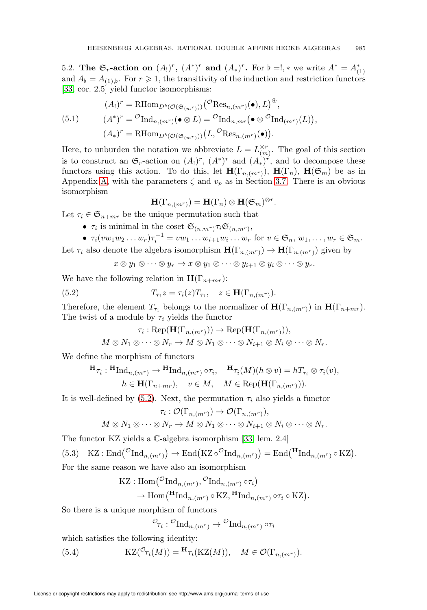<span id="page-26-0"></span>5.2. The  $\mathfrak{S}_r$ -action on  $(A_!)^r$ ,  $(A^*)^r$  and  $(A_*)^r$ . For  $\flat = !$ ,  $*$  we write  $A^* = A^*_{(1)}$ and  $A_{\flat} = A_{(1),\flat}$ . For  $r \geq 1$ , the transitivity of the induction and restriction functors [\[33,](#page-72-2) cor. 2.5] yield functor isomorphisms:

<span id="page-26-3"></span>(5.1) 
$$
(A_!)^r = \text{RHom}_{D^b(\mathcal{O}(\mathfrak{S}_{(m^r)}))}({^{\mathcal{O}}}\text{Res}_{n,(m^r)}(\bullet), L)^{\circledast},
$$

$$
(A^*)^r = {^{\mathcal{O}}}\text{Ind}_{n,(m^r)}(\bullet \otimes L) = {^{\mathcal{O}}}\text{Ind}_{n,mr}(\bullet \otimes {^{\mathcal{O}}}\text{Ind}_{(m^r)}(L)),
$$

$$
(A_*)^r = \text{RHom}_{D^b(\mathcal{O}(\mathfrak{S}_{(m^r)}))}(L, {^{\mathcal{O}}}\text{Res}_{n,(m^r)}(\bullet)).
$$

Here, to unburden the notation we abbreviate  $L = L^{\otimes r}_{(m)}$ . The goal of this section is to construct an  $\mathfrak{S}_r$ -action on  $(A_!)^r$ ,  $(A^*)^r$  and  $(A_*)^r$ , and to decompose these functors using this action. To do this, let  $H(\Gamma_{n,(m^r)})$ ,  $H(\Gamma_n)$ ,  $H(\mathfrak{S}_m)$  be as in Appendix [A,](#page-58-0) with the parameters  $\zeta$  and  $v_p$  as in Section [3.7.](#page-10-1) There is an obvious isomorphism

$$
\mathbf{H}(\Gamma_{n,(m^r)}) = \mathbf{H}(\Gamma_n) \otimes \mathbf{H}(\mathfrak{S}_m)^{\otimes r}
$$

.

Let  $\tau_i \in \mathfrak{S}_{n+mr}$  be the unique permutation such that

- $\tau_i$  is minimal in the coset  $\mathfrak{S}_{(n,m^r)}\tau_i\mathfrak{S}_{(n,m^r)},$
- $\tau_i(vw_1w_2...w_r)\tau_i^{-1} = vw_1...w_{i+1}w_i...w_r$  for  $v \in \mathfrak{S}_n, w_1,...,w_r \in \mathfrak{S}_m$ .

Let  $\tau_i$  also denote the algebra isomorphism  $\mathbf{H}(\Gamma_{n,(m^r)}) \to \mathbf{H}(\Gamma_{n,(m^r)})$  given by

$$
x\otimes y_1\otimes\cdots\otimes y_r\to x\otimes y_1\otimes\cdots\otimes y_{i+1}\otimes y_i\otimes\cdots\otimes y_r.
$$

We have the following relation in  $\mathbf{H}(\Gamma_{n+mr})$ :

<span id="page-26-1"></span>(5.2) 
$$
T_{\tau_i} z = \tau_i(z) T_{\tau_i}, \quad z \in \mathbf{H}(\Gamma_{n,(m^r)}).
$$

Therefore, the element  $T_{\tau_i}$  belongs to the normalizer of  $\mathbf{H}(\Gamma_{n,(m^r)})$  in  $\mathbf{H}(\Gamma_{n+mr})$ . The twist of a module by  $\tau_i$  yields the functor

$$
\tau_i: \operatorname{Rep}(\mathbf{H}(\Gamma_{n,(m^r)})) \to \operatorname{Rep}(\mathbf{H}(\Gamma_{n,(m^r)})),
$$
  

$$
M \otimes N_1 \otimes \cdots \otimes N_r \to M \otimes N_1 \otimes \cdots \otimes N_{i+1} \otimes N_i \otimes \cdots \otimes N_r.
$$

We define the morphism of functors

$$
\mathbf{H}_{\tau_i}: \mathbf{H}_{\mathrm{Ind}_{n,(m^r)}} \to \mathbf{H}_{\mathrm{Ind}_{n,(m^r)}} \circ \tau_i, \quad \mathbf{H}_{\tau_i}(M)(h \otimes v) = hT_{\tau_i} \otimes \tau_i(v),
$$
  
\n
$$
h \in \mathbf{H}(\Gamma_{n+mr}), \quad v \in M, \quad M \in \mathrm{Rep}(\mathbf{H}(\Gamma_{n,(m^r)})).
$$

It is well-defined by  $(5.2)$ . Next, the permutation  $\tau_i$  also yields a functor

$$
\tau_i: \mathcal{O}(\Gamma_{n,(m^r)}) \to \mathcal{O}(\Gamma_{n,(m^r)}),
$$

$$
M\otimes N_1\otimes\cdots\otimes N_r\to M\otimes N_1\otimes\cdots\otimes N_{i+1}\otimes N_i\otimes\cdots\otimes N_r.
$$

The functor KZ yields a C-algebra isomorphism [\[33,](#page-72-2) lem. 2.4]

<span id="page-26-2"></span>(5.3) 
$$
KZ : \text{End}(\mathcal{O}_{\text{Ind}_{n,(m^r)}}) \to \text{End}(KZ \circ \mathcal{O}_{\text{Ind}_{n,(m^r)}}) = \text{End}(\mathbf{H}_{\text{Ind}_{n,(m^r)}} \circ KZ).
$$
 For the same reason we have also an isomorphism

$$
KZ: Hom({^{\mathcal{O}}\mathrm{Ind}_{n,(m^r)}}, {^{\mathcal{O}}\mathrm{Ind}_{n,(m^r)} \circ \tau_i})
$$
  
\n
$$
\rightarrow \mathrm{Hom}(\mathbf{H}^{\mathcal{O}}\mathrm{Ind}_{n,(m^r)} \circ KZ, \mathbf{H}^{\mathcal{O}}\mathrm{Ind}_{n,(m^r)} \circ \tau_i \circ KZ).
$$

So there is a unique morphism of functors

$$
\mathcal{O}_{\tau_i}: \mathcal{O}_{\mathrm{Ind}_{n,(m^r)}} \to \mathcal{O}_{\mathrm{Ind}_{n,(m^r)}} \circ \tau_i
$$

which satisfies the following identity:

(5.4)  $\mathrm{KZ}(\mathcal{O}_{\tau_i}(M)) = \mathbf{H}_{\tau_i}(\mathrm{KZ}(M)), \quad M \in \mathcal{O}(\Gamma_{n,(m^r)}).$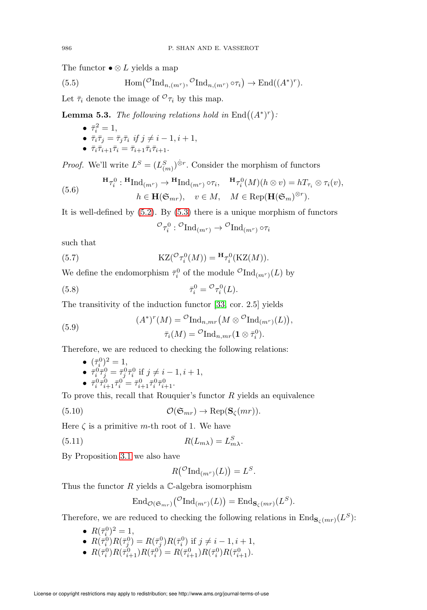The functor  $\bullet \otimes L$  yields a map

(5.5) 
$$
\text{Hom}(\mathcal{O}_{\text{Ind}_{n,(m^r)}}, \mathcal{O}_{\text{Ind}_{n,(m^r)}} \circ \tau_i) \to \text{End}((A^*)^r).
$$

Let  $\bar{\tau}_i$  denote the image of  ${}^{\mathcal{O}}\tau_i$  by this map.

<span id="page-27-4"></span>**Lemma 5.3.** The following relations hold in  $\text{End}\left((A^*)^r\right)$ :

- $\bar{\tau}_i^2 = 1$ ,  $\bullet \ \bar{\tau}_i \bar{\tau}_j = \bar{\tau}_j \bar{\tau}_i \ \emph{if} \ j \neq i-1, i+1,$
- $\bar{\tau}_i\bar{\tau}_{i+1}\bar{\tau}_i = \bar{\tau}_{i+1}\bar{\tau}_i\bar{\tau}_{i+1}.$

*Proof.* We'll write  $L^S = (L^S_{(m)})^{\hat{\otimes}r}$ . Consider the morphism of functors

<span id="page-27-1"></span>(5.6) 
$$
\mathbf{H}_{\mathcal{T}_i^0}: \mathbf{H}_{\mathrm{Ind}_{(m^r)}} \to \mathbf{H}_{\mathrm{Ind}_{(m^r)} \circ \tau_i}, \quad \mathbf{H}_{\mathcal{T}_i^0}(M)(h \otimes v) = hT_{\tau_i} \otimes \tau_i(v), h \in \mathbf{H}(\mathfrak{S}_{mr}), \quad v \in M, \quad M \in \mathrm{Rep}(\mathbf{H}(\mathfrak{S}_m)^{\otimes r}).
$$

It is well-defined by  $(5.2)$ . By  $(5.3)$  there is a unique morphism of functors

$$
\sigma_{\tau_i^0}: \mathcal{O}_{\mathrm{Ind}_{(m^r)}} \to \mathcal{O}_{\mathrm{Ind}_{(m^r)}} \circ \tau_i
$$

such that

<span id="page-27-0"></span>(5.7) 
$$
KZ(\mathcal{O}_{\tau_i^0}(M)) = \mathbf{H}_{\tau_i^0}(KZ(M)).
$$

We define the endomorphism  $\bar{\tau}_i^0$  of the module  $\mathcal{O}_{\text{Ind}_{(m^r)}(L)}$  by

<span id="page-27-2"></span>(5.8) 
$$
\bar{\tau}_i^0 = {}^{\mathcal{O}} \tau_i^0(L).
$$

The transitivity of the induction functor [\[33,](#page-72-2) cor. 2.5] yields

<span id="page-27-5"></span>(5.9) 
$$
(A^*)^r(M) = {}^{\mathcal{O}}\mathrm{Ind}_{n,mr}\big(M\otimes {}^{\mathcal{O}}\mathrm{Ind}_{(m^r)}(L)\big),
$$

$$
\bar{\tau}_i(M) = {}^{\mathcal{O}}\mathrm{Ind}_{n,mr}\big(\mathbf{1}\otimes\bar{\tau}_i^0\big).
$$

Therefore, we are reduced to checking the following relations:

• 
$$
(\bar{\tau}_i^0)^2 = 1
$$
,  
\n•  $\bar{\tau}_i^0 \bar{\tau}_j^0 = \bar{\tau}_j^0 \bar{\tau}_i^0$  if  $j \neq i - 1, i + 1$ ,  
\n•  $\bar{\tau}_i^0 \bar{\tau}_{i+1}^0 \bar{\tau}_i^0 = \bar{\tau}_{i+1}^0 \bar{\tau}_i^0 \bar{\tau}_{i+1}^1$ .

To prove this, recall that Rouquier's functor  $R$  yields an equivalence

<span id="page-27-6"></span>(5.10) 
$$
\mathcal{O}(\mathfrak{S}_{mr}) \to \text{Rep}(\mathbf{S}_{\zeta}(mr)).
$$

Here  $\zeta$  is a primitive m-th root of 1. We have

<span id="page-27-3"></span>(5.11) 
$$
R(L_{m\lambda}) = L_{m\lambda}^{S}.
$$

By Proposition [3.1](#page-11-2) we also have

 $R({^{\mathcal{O}}\mathrm{Ind}_{(m^r)}}(L)) = L^S.$ 

Thus the functor  $R$  yields a  $\mathbb{C}$ -algebra isomorphism

$$
\operatorname{End}_{\mathcal{O}(\mathfrak{S}_{mr})}(\mathcal{O}_{\operatorname{Ind}_{(m^r)}}(L)) = \operatorname{End}_{\mathbf{S}_{\zeta}(mr)}(L^S).
$$

Therefore, we are reduced to checking the following relations in  $\text{End}_{\mathbf{S}_{\zeta}(mr)}(L^S)$ :

- $R(\bar{\tau}_i^0)^2 = 1$ ,
- $R(\bar{\tau}_i^0)R(\bar{\tau}_j^0) = R(\bar{\tau}_j^0)R(\bar{\tau}_i^0)$  if  $j \neq i 1, i + 1$ ,
- $R(\bar{\tau}_i^0)R(\bar{\tau}_{i+1}^0)R(\bar{\tau}_i^0) = R(\bar{\tau}_{i+1}^0)R(\bar{\tau}_i^0)R(\bar{\tau}_{i+1}^0).$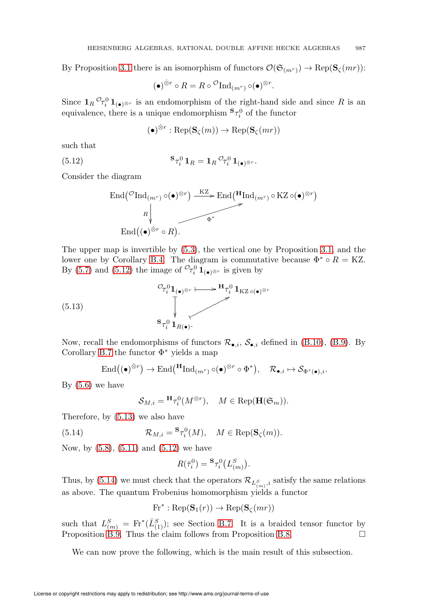By Proposition [3.1](#page-11-2) there is an isomorphism of functors  $\mathcal{O}(\mathfrak{S}_{(m^r)}) \to \text{Rep}(\mathbf{S}_{\zeta}(mr))$ :

$$
(\bullet)^{\hat{\otimes}r} \circ R = R \circ \,^{\mathcal{O}}\mathrm{Ind}_{(m^r)} \circ (\bullet)^{\otimes r}.
$$

Since  $1_R \mathcal{O}_{\tau_i^0} 1_{(\bullet) \otimes r}$  is an endomorphism of the right-hand side and since R is an equivalence, there is a unique endomorphism  ${}^{S}\tau_i^0$  of the functor

$$
(\bullet)^{\hat{\otimes}r} : \mathrm{Rep}(\mathbf{S}_{\zeta}(m)) \to \mathrm{Rep}(\mathbf{S}_{\zeta}(mr))
$$

such that

<span id="page-28-0"></span>(5.12) 
$$
\mathbf{S}_{\mathcal{T}_i^0} \mathbf{1}_R = \mathbf{1}_R \, \mathcal{O}_{\mathcal{T}_i^0} \mathbf{1}_{(\bullet) \otimes r}.
$$

Consider the diagram

$$
\text{End}(\mathcal{O}\text{Ind}_{(m^r)}\circ(\bullet)^{\otimes r}) \xrightarrow{\text{KZ}} \text{End}(\mathbf{H}\text{Ind}_{(m^r)}\circ\text{KZ}\circ(\bullet)^{\otimes r})
$$
  

$$
R \downarrow \qquad \qquad \bullet^*
$$
  

$$
\text{End}((\bullet)^{\otimes r} \circ R).
$$

The upper map is invertible by [\(5.3\)](#page-26-2), the vertical one by Proposition [3.1,](#page-11-2) and the lower one by Corollary [B.4.](#page-66-1) The diagram is commutative because  $\Phi^* \circ R = KZ$ . By [\(5.7\)](#page-27-0) and [\(5.12\)](#page-28-0) the image of  $\mathcal{O}_{\tau_i^0} \mathbf{1}_{(\bullet) \otimes r}$  is given by

<span id="page-28-1"></span>(5.13) 
$$
\begin{array}{c}\n\mathcal{O}_{\mathcal{T}_{i}^{0}}\mathbf{1}_{(\bullet)^{\otimes r}} \longmapsto \mathbf{H}_{\mathcal{T}_{i}^{0}}\mathbf{1}_{\mathrm{KZ}\circ(\bullet)^{\otimes r}} \\
\downarrow^{\bullet} \\
\mathbf{s}_{\mathcal{T}_{i}^{0}}\mathbf{1}_{R(\bullet)}.\n\end{array}
$$

Now, recall the endomorphisms of functors  $\mathcal{R}_{\bullet,i}$ ,  $\mathcal{S}_{\bullet,i}$  defined in [\(B.10\)](#page-68-1), [\(B.9\)](#page-68-2). By Corollary [B.7](#page-68-3) the functor  $\Phi^*$  yields a map

$$
\text{End}\big((\bullet)^{\hat{\otimes}r}\big) \to \text{End}\big(\text{H}_{\text{Ind}_{(m^r)}\circ(\bullet)^{\otimes r}\circ\Phi^*\big), \quad \mathcal{R}_{\bullet,i} \mapsto \mathcal{S}_{\Phi^*(\bullet),i}.
$$

By  $(5.6)$  we have

$$
\mathcal{S}_{M,i} = {}^{\mathbf{H}}\tau_i^0(M^{\otimes r}), \quad M \in \text{Rep}(\mathbf{H}(\mathfrak{S}_m)).
$$

Therefore, by [\(5.13\)](#page-28-1) we also have

<span id="page-28-2"></span>(5.14) 
$$
\mathcal{R}_{M,i} = {}^{\mathbf{S}}\tau_i^0(M), \quad M \in \text{Rep}(\mathbf{S}_{\zeta}(m)).
$$

Now, by [\(5.8\)](#page-27-2), [\(5.11\)](#page-27-3) and [\(5.12\)](#page-28-0) we have

$$
R(\bar{\tau}_i^0) = {}^{\mathbf{S}} \tau_i^0 \bigl(L_{(m)}^S\bigr).
$$

Thus, by [\(5.14\)](#page-28-2) we must check that the operators  $\mathcal{R}_{L^S_{(m)},i}$  satisfy the same relations as above. The quantum Frobenius homomorphism yields a functor

$$
Fr^* : \mathrm{Rep}(\mathbf{S}_1(r)) \to \mathrm{Rep}(\mathbf{S}_\zeta(mr))
$$

such that  $L_{(m)}^S = \text{Fr}^*(\bar{L}_{(1)}^S)$ ; see Section [B.7.](#page-69-0) It is a braided tensor functor by Proposition [B.9.](#page-69-2) Thus the claim follows from Proposition [B.8.](#page-68-4)  $\Box$ 

We can now prove the following, which is the main result of this subsection.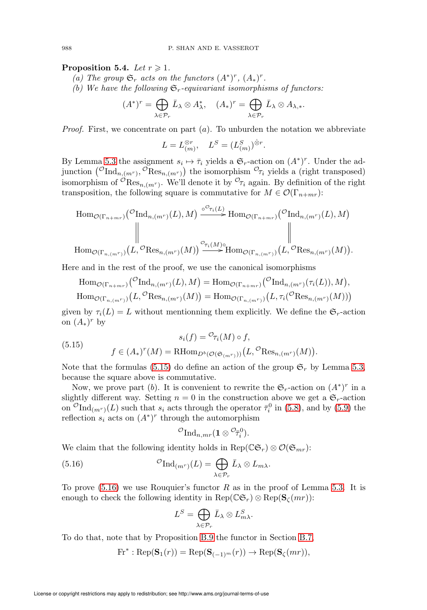## <span id="page-29-2"></span>Proposition 5.4. Let  $r \geqslant 1$ .

- (a) The group  $\mathfrak{S}_r$  acts on the functors  $(A^*)^r$ ,  $(A_*)^r$ .
- (b) We have the following  $\mathfrak{S}_r$ -equivariant isomorphisms of functors:

$$
(A^*)^r = \bigoplus_{\lambda \in \mathcal{P}_r} \bar{L}_{\lambda} \otimes A_{\lambda}^*, \quad (A_*)^r = \bigoplus_{\lambda \in \mathcal{P}_r} \bar{L}_{\lambda} \otimes A_{\lambda,*}.
$$

*Proof.* First, we concentrate on part  $(a)$ . To unburden the notation we abbreviate

$$
L = L_{(m)}^{\otimes r}, \quad L^S = (L_{(m)}^S)^{\dot{\otimes} r}.
$$

By Lemma [5.3](#page-27-4) the assignment  $s_i \mapsto \overline{\tau}_i$  yields a  $\mathfrak{S}_r$ -action on  $(A^*)^r$ . Under the adjunction  $({}^{\mathcal{O}}\text{Ind}_{n,(m^r)}, \overline{\mathcal{O}}\text{Res}_{n,(m^r)})$  the isomorphism  ${}^{\mathcal{O}}\tau_i$  yields a (right transposed) isomorphism of  ${}^{\mathcal{O}}\text{Res}_{n,(m^r)}$ . We'll denote it by  ${}^{\mathcal{O}}\tau_i$  again. By definition of the right transposition, the following square is commutative for  $M \in \mathcal{O}(\Gamma_{n+mr})$ :

$$
\text{Hom}_{\mathcal{O}(\Gamma_{n+mr})}(\text{CInd}_{n,(m^r)}(L),M) \xrightarrow{\circ^{\mathcal{O}_{\tau_i}(L)}} \text{Hom}_{\mathcal{O}(\Gamma_{n+mr})}(\text{CInd}_{n,(m^r)}(L),M)
$$
\n
$$
\parallel \text{Hom}_{\mathcal{O}(\Gamma_{n,(m^r)})}(L,\text{CRes}_{n,(m^r)}(M)) \xrightarrow{\sigma_{\tau_i(M)}^{\circ}} \text{Hom}_{\mathcal{O}(\Gamma_{n,(m^r)})}(L,\text{CRes}_{n,(m^r)}(M)).
$$

Here and in the rest of the proof, we use the canonical isomorphisms

$$
\text{Hom}_{\mathcal{O}(\Gamma_{n+mr})}(\mathcal{O}\text{Ind}_{n,(m^r)}(L),M) = \text{Hom}_{\mathcal{O}(\Gamma_{n+mr})}(\mathcal{O}\text{Ind}_{n,(m^r)}(\tau_i(L)),M),
$$
  
\n
$$
\text{Hom}_{\mathcal{O}(\Gamma_{n,(m^r)})}(L,\mathcal{O}\text{Res}_{n,(m^r)}(M)) = \text{Hom}_{\mathcal{O}(\Gamma_{n,(m^r)})}(L,\tau_i(\mathcal{O}\text{Res}_{n,(m^r)}(M)))
$$

given by  $\tau_i(L) = L$  without mentionning them explicitly. We define the  $\mathfrak{S}_r$ -action on  $(A_*)^r$  by

<span id="page-29-1"></span>(5.15) 
$$
s_i(f) = \mathcal{O}_{\tau_i}(M) \circ f,
$$

$$
f \in (A_*)^r(M) = \mathrm{RHom}_{D^b(\mathcal{O}(\mathfrak{S}_{(m^r)}))}(L, \mathcal{O} \mathrm{Res}_{n,(m^r)}(M))
$$

Note that the formulas [\(5.15\)](#page-29-1) do define an action of the group  $\mathfrak{S}_r$  by Lemma [5.3,](#page-27-4) because the square above is commutative.

.

Now, we prove part (b). It is convenient to rewrite the  $\mathfrak{S}_r$ -action on  $(A^*)^r$  in a slightly different way. Setting  $n = 0$  in the construction above we get a  $\mathfrak{S}_r$ -action on  ${}^{\mathcal{O}}\text{Ind}_{(m^r)}(L)$  such that  $s_i$  acts through the operator  $\bar{\tau}_i^0$  in [\(5.8\)](#page-27-2), and by [\(5.9\)](#page-27-5) the reflection  $s_i$  acts on  $(A^*)^r$  through the automorphism

$$
^{{\mathcal O}} {\rm Ind}_{n,mr} ( \mathbf{1} \otimes {^{{\mathcal O}}\! \bar \tau^0_i}).
$$

We claim that the following identity holds in Rep( $\mathbb{C}\mathfrak{S}_r$ ) ⊗  $\mathcal{O}(\mathfrak{S}_{mr})$ :

<span id="page-29-0"></span>(5.16) 
$$
{}^{\mathcal{O}}\mathrm{Ind}_{(m^r)}(L) = \bigoplus_{\lambda \in \mathcal{P}_r} \bar{L}_{\lambda} \otimes L_{m\lambda}.
$$

To prove  $(5.16)$  we use Rouquier's functor R as in the proof of Lemma [5.3.](#page-27-4) It is enough to check the following identity in  $\text{Rep}(\mathbb{CG}_r) \otimes \text{Rep}(\mathbf{S}_{\zeta}(mr))$ :

$$
L^S=\bigoplus_{\lambda\in\mathcal{P}_r}\bar{L}_{\lambda}\otimes L_{m\lambda}^S.
$$

To do that, note that by Proposition [B.9](#page-69-2) the functor in Section [B.7,](#page-69-0)

$$
\text{Fr}^* : \text{Rep}(\mathbf{S}_1(r)) = \text{Rep}(\mathbf{S}_{(-1)^m}(r)) \to \text{Rep}(\mathbf{S}_{\zeta}(mr)),
$$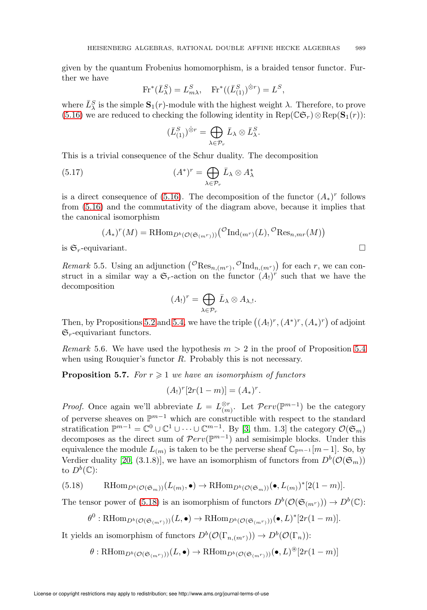given by the quantum Frobenius homomorphism, is a braided tensor functor. Further we have

$$
\text{Fr}^*(\bar{L}_{\lambda}^S) = L_{m\lambda}^S, \quad \text{Fr}^*((\bar{L}_{(1)}^S)^{\hat{\otimes}r}) = L^S,
$$

where  $\bar{L}_{\lambda}^{S}$  is the simple  $\mathbf{S}_{1}(r)$ -module with the highest weight  $\lambda$ . Therefore, to prove [\(5.16\)](#page-29-0) we are reduced to checking the following identity in  $\text{Rep}(\mathbb{CG}_r) \otimes \text{Rep}(\mathbf{S}_1(r))$ :

$$
(\bar{L}_{(1)}^{S})^{\hat{\otimes}r}=\bigoplus_{\lambda\in\mathcal{P}_{r}}\bar{L}_{\lambda}\otimes\bar{L}_{\lambda}^{S}.
$$

This is a trivial consequence of the Schur duality. The decomposition

(5.17) 
$$
(A^*)^r = \bigoplus_{\lambda \in \mathcal{P}_r} \bar{L}_{\lambda} \otimes A_{\lambda}^*
$$

is a direct consequence of [\(5.16\)](#page-29-0). The decomposition of the functor  $(A_*)^r$  follows from [\(5.16\)](#page-29-0) and the commutativity of the diagram above, because it implies that the canonical isomorphism

$$
(A_*)^r(M) = \mathrm{RHom}_{D^b(\mathcal{O}(\mathfrak{S}_{(m^r)}))}({^{\mathcal{O}}\mathrm{Ind}_{(m^r)}(L)}, {^{\mathcal{O}}\mathrm{Res}_{n,m^r}(M)})
$$
is  $\mathfrak{S}_r$ -equivariant.

*Remark* 5.5. Using an adjunction  $({}^{\mathcal{O}}\text{Res}_{n,(m^r)}, {}^{\mathcal{O}}\text{Ind}_{n,(m^r)})$  for each r, we can construct in a similar way a  $\mathfrak{S}_r$ -action on the functor  $(A_!)^r$  such that we have the decomposition

$$
(A_!)^r = \bigoplus_{\lambda \in \mathcal{P}_r} \bar{L}_{\lambda} \otimes A_{\lambda, !}.
$$

Then, by Propositions [5.2](#page-25-0) and [5.4,](#page-29-2) we have the triple  $((A_!)^r, (A^*)^r, (A_*)^r)$  of adjoint  $\mathfrak{S}_r$ -equivariant functors.

*Remark* 5.6. We have used the hypothesis  $m > 2$  in the proof of Proposition [5.4](#page-29-2) when using Rouquier's functor R. Probably this is not necessary.

**Proposition 5.7.** For  $r \geq 1$  we have an isomorphism of functors

$$
(A_!)^r[2r(1-m)] = (A_*)^r.
$$

*Proof.* Once again we'll abbreviate  $L = L_{(m)}^{\otimes r}$ . Let  $\mathcal{P}erv(\mathbb{P}^{m-1})$  be the category of perverse sheaves on  $\mathbb{P}^{m-1}$  which are constructible with respect to the standard stratification  $\mathbb{P}^{m-1} = \mathbb{C}^0 \cup \mathbb{C}^1 \cup \cdots \cup \mathbb{C}^{m-1}$ . By [\[3,](#page-71-10) thm. 1.3] the category  $\mathcal{O}(\mathfrak{S}_m)$ decomposes as the direct sum of  $\mathcal{P}erv(\mathbb{P}^{m-1})$  and semisimple blocks. Under this equivalence the module  $L_{(m)}$  is taken to be the perverse sheaf  $\mathbb{C}_{\mathbb{P}^{m-1}}[m-1]$ . So, by Verdier duality [\[20,](#page-72-11) (3.1.8)], we have an isomorphism of functors from  $D^b(\mathcal{O}(\mathfrak{S}_m))$ to  $D^b(\mathbb{C})$ :

<span id="page-30-0"></span>(5.18) 
$$
\qquad \text{RHom}_{D^b(\mathcal{O}(\mathfrak{S}_m))}(L_{(m)},\bullet) \to \text{RHom}_{D^b(\mathcal{O}(\mathfrak{S}_m))}(\bullet, L_{(m)})^*[2(1-m)].
$$

The tensor power of [\(5.18\)](#page-30-0) is an isomorphism of functors  $D^b(\mathcal{O}(\mathfrak{S}_{(m^r)})) \to D^b(\mathbb{C})$ :

$$
\theta^0: \text{RHom}_{D^b(\mathcal{O}(\mathfrak{S}_{(m^r)}))}(L, \bullet) \to \text{RHom}_{D^b(\mathcal{O}(\mathfrak{S}_{(m^r)}))}(\bullet, L)^*[2r(1-m)].
$$

It yields an isomorphism of functors  $D^b(\mathcal{O}(\Gamma_{n,(m^r)})) \to D^b(\mathcal{O}(\Gamma_n))$ :

 $\theta : \mathrm{RHom}_{D^b(\mathcal{O}(\mathfrak{S}_{(m^r)}))}(L, \bullet) \to \mathrm{RHom}_{D^b(\mathcal{O}(\mathfrak{S}_{(m^r)}))}(\bullet, L)^\circledast[2r(1-m)]$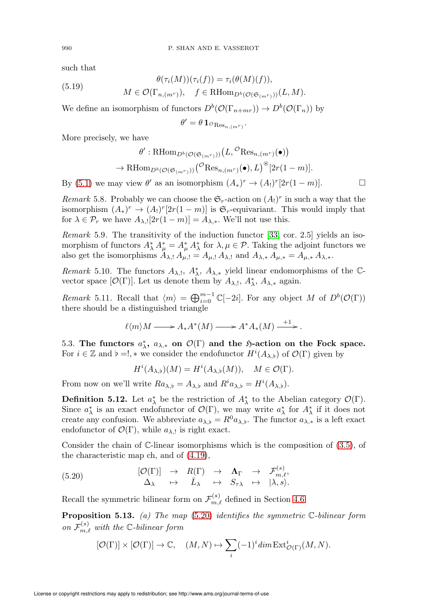such that

(5.19) 
$$
\theta(\tau_i(M))(\tau_i(f)) = \tau_i(\theta(M)(f)),
$$

$$
M \in \mathcal{O}(\Gamma_{n,(m^r)}), \quad f \in \text{RHom}_{D^b(\mathcal{O}(\mathfrak{S}_{(m^r)}))}(L,M).
$$

We define an isomorphism of functors  $D^b(\mathcal{O}(\Gamma_{n+mr})) \to D^b(\mathcal{O}(\Gamma_n))$  by

 $\theta' = \theta\,\mathbf{1}_{\mathcal{O}_{\mathop{\rm Res}_{n,(m^r)}}}.$ 

More precisely, we have

$$
\theta': \mathrm{RHom}_{D^b(\mathcal{O}(\mathfrak{S}_{(m^r)}))}(L, \mathcal{O}(\mathrm{Res}_{n,(m^r)}(\bullet))
$$
  

$$
\to \mathrm{RHom}_{D^b(\mathcal{O}(\mathfrak{S}_{(m^r)}))}(\mathcal{O}(\mathrm{Res}_{n,(m^r)}(\bullet), L)^{\circledast}[2r(1-m)].
$$

By [\(5.1\)](#page-26-3) we may view  $\theta'$  as an isomorphism  $(A_*)^r \to (A_!)^r[2r(1-m)]$ .

Remark 5.8. Probably we can choose the  $\mathfrak{S}_r$ -action on  $(A_!)^r$  in such a way that the isomorphism  $(A_*)^r \to (A_!)^r[2r(1-m)]$  is  $\mathfrak{S}_r$ -equivariant. This would imply that for  $\lambda \in \mathcal{P}_r$  we have  $A_{\lambda,!}[2r(1-m)] = A_{\lambda,*}$ . We'll not use this.

Remark 5.9. The transitivity of the induction functor [\[33,](#page-72-2) cor. 2.5] yields an isomorphism of functors  $A^*_{\lambda} A^*_{\mu} = A^*_{\mu} A^*_{\lambda}$  for  $\lambda, \mu \in \mathcal{P}$ . Taking the adjoint functors we also get the isomorphisms  $A_{\lambda, \cdot} A_{\mu, \cdot} = A_{\mu, \cdot} A_{\lambda, \cdot}$  and  $A_{\lambda, * A_{\mu, *} = A_{\mu, *} A_{\lambda, *}$ .

Remark 5.10. The functors  $A_{\lambda,!}$ ,  $A_{\lambda}^*$ ,  $A_{\lambda,*}$  yield linear endomorphisms of the Cvector space  $[\mathcal{O}(\Gamma)]$ . Let us denote them by  $A_{\lambda, !}$ ,  $A_{\lambda, *}^*$ ,  $A_{\lambda, *}$  again.

Remark 5.11. Recall that  $\langle m \rangle = \bigoplus_{i=0}^{m-1} \mathbb{C}[-2i]$ . For any object M of  $D^b(\mathcal{O}(\Gamma))$ there should be a distinguished triangle

$$
\ell \langle m \rangle M \longrightarrow A_* A^*(M) \longrightarrow A^* A_*(M) \xrightarrow{+1}.
$$

<span id="page-31-0"></span>5.3. The functors  $a_{\lambda}^*$ ,  $a_{\lambda,*}$  on  $\mathcal{O}(\Gamma)$  and the  $\mathfrak{H}\text{-action}$  on the Fock space. For  $i \in \mathbb{Z}$  and  $\flat = !$ , \* we consider the endofunctor  $H^{i}(A_{\lambda},\flat)$  of  $\mathcal{O}(\Gamma)$  given by

$$
H^{i}(A_{\lambda,\flat})(M) = H^{i}(A_{\lambda,\flat}(M)), \quad M \in \mathcal{O}(\Gamma).
$$

From now on we'll write  $Ra_{\lambda,\flat} = A_{\lambda,\flat}$  and  $R^i a_{\lambda,\flat} = H^i(A_{\lambda,\flat}).$ 

**Definition 5.12.** Let  $a^*_{\lambda}$  be the restriction of  $A^*_{\lambda}$  to the Abelian category  $\mathcal{O}(\Gamma)$ . Since  $a^*_{\lambda}$  is an exact endofunctor of  $\mathcal{O}(\Gamma)$ , we may write  $a^*_{\lambda}$  for  $A^*_{\lambda}$  if it does not create any confusion. We abbreviate  $a_{\lambda,\flat} = R^0 a_{\lambda,\flat}$ . The functor  $a_{\lambda,*}$  is a left exact endofunctor of  $\mathcal{O}(\Gamma)$ , while  $a_{\lambda, \perp}$  is right exact.

Consider the chain of C-linear isomorphisms which is the composition of [\(3.5\)](#page-10-3), of the characteristic map ch, and of [\(4.19\)](#page-23-0),

<span id="page-31-1"></span>(5.20) 
$$
\begin{array}{ccccccc} [\mathcal{O}(\Gamma)] & \rightarrow & R(\Gamma) & \rightarrow & \mathbf{\Lambda}_{\Gamma} & \rightarrow & \mathcal{F}_{m,\ell}^{(s)}, \\ \Delta_{\lambda} & \mapsto & \bar{L}_{\lambda} & \mapsto & S_{\tau\lambda} & \mapsto & |\lambda, s\rangle. \end{array}
$$

Recall the symmetric bilinear form on  $\mathcal{F}_{m,\ell}^{(s)}$  defined in Section [4.6.](#page-22-0)

<span id="page-31-2"></span>**Proposition 5.13.** (a) The map  $(5.20)$  identifies the symmetric  $\mathbb{C}\text{-bilinear form}$ on  $\mathcal{F}_{m,\ell}^{(s)}$  with the C-bilinear form

$$
[\mathcal{O}(\Gamma)]\times [\mathcal{O}(\Gamma)]\to \mathbb{C},\quad (M,N)\mapsto \sum_i (-1)^i\dim \mathrm{Ext}^i_{\mathcal{O}(\Gamma)}(M,N).
$$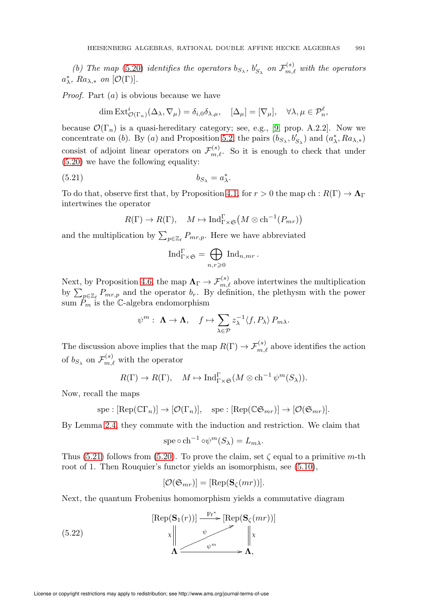(b) The map [\(5.20\)](#page-31-1) identifies the operators  $b_{S_{\lambda}}, b'_{S_{\lambda}}$  on  $\mathcal{F}_{m,\ell}^{(s)}$  with the operators  $a^*_{\lambda}, Ra_{\lambda,*}$  on  $[\mathcal{O}(\Gamma)].$ 

*Proof.* Part  $(a)$  is obvious because we have

$$
\dim \operatorname{Ext}^i_{\mathcal{O}(\Gamma_n)}(\Delta_\lambda, \nabla_\mu) = \delta_{i,0}\delta_{\lambda,\mu}, \quad [\Delta_\mu] = [\nabla_\mu], \quad \forall \lambda, \mu \in \mathcal{P}_n^\ell,
$$

because  $\mathcal{O}(\Gamma_n)$  is a quasi-hereditary category; see, e.g., [\[9,](#page-71-11) prop. A.2.2]. Now we concentrate on (b). By (a) and Proposition [5.2,](#page-25-0) the pairs  $(b_{S_\lambda}, b'_{S_\lambda})$  and  $(a^*_\lambda, Ra_{\lambda,*})$ consist of adjoint linear operators on  $\mathcal{F}_{m,\ell}^{(s)}$ . So it is enough to check that under [\(5.20\)](#page-31-1) we have the following equality:

<span id="page-32-0"></span>
$$
(5.21) \t\t b_{S_{\lambda}} = a_{\lambda}^*.
$$

To do that, observe first that, by Proposition [4.1,](#page-20-2) for  $r > 0$  the map ch :  $R(\Gamma) \to \Lambda_{\Gamma}$ intertwines the operator

$$
R(\Gamma) \to R(\Gamma), \quad M \mapsto \mathrm{Ind}_{\Gamma \times \mathfrak{S}}^{\Gamma} (M \otimes \mathrm{ch}^{-1}(P_{mr}))
$$

and the multiplication by  $\sum_{p\in\mathbb{Z}_{\ell}} P_{mr,p}$ . Here we have abbreviated

$$
\mathrm{Ind}_{\Gamma\times \mathfrak{S}}^\Gamma=\bigoplus_{n,r\geqslant 0} \mathrm{Ind}_{n,mr}\, .
$$

Next, by Proposition [4.6,](#page-23-3) the map  $\Lambda_{\Gamma} \to \mathcal{F}_{m,\ell}^{(s)}$  above intertwines the multiplication by  $\sum_{p\in\mathbb{Z}_{\ell}}P_{mr,p}$  and the operator  $b_r$ . By definition, the plethysm with the power sum  $\tilde{P}_m$  is the C-algebra endomorphism

$$
\psi^m: \ \Lambda \to \Lambda, \quad f \mapsto \sum_{\lambda \in \mathcal{P}} z_{\lambda}^{-1} \langle f, P_{\lambda} \rangle P_{m\lambda}.
$$

The discussion above implies that the map  $R(\Gamma) \to \mathcal{F}_{m,\ell}^{(s)}$  above identifies the action of  $b_{S_\lambda}$  on  $\mathcal{F}_{m,\ell}^{(s)}$  with the operator

$$
R(\Gamma) \to R(\Gamma), \quad M \mapsto \mathrm{Ind}_{\Gamma \times \mathfrak{S}}^{\Gamma}(M \otimes \mathrm{ch}^{-1} \psi^m(S_{\lambda})).
$$

Now, recall the maps

$$
spe : [Rep(C\Gamma_n)] \to [O(\Gamma_n)], \quad spe : [Rep(C\mathfrak{S}_{mr})] \to [O(\mathfrak{S}_{mr})].
$$

By Lemma [2.4,](#page-5-2) they commute with the induction and restriction. We claim that

$$
spe \circ ch^{-1} \circ \psi^m(S_\lambda) = L_{m\lambda}.
$$

Thus [\(5.21\)](#page-32-0) follows from [\(5.20\)](#page-31-1). To prove the claim, set  $\zeta$  equal to a primitive m-th root of 1. Then Rouquier's functor yields an isomorphism, see  $(5.10)$ ,

$$
[\mathcal{O}(\mathfrak{S}_{mr})] = [\text{Rep}(\mathbf{S}_{\zeta}(mr))].
$$

Next, the quantum Frobenius homomorphism yields a commutative diagram

(5.22) 
$$
\begin{array}{ccc}\n\text{[Rep}(\mathbf{S}_1(r))] & \xrightarrow{\text{Fr}^*} & \text{[Rep}(\mathbf{S}_{\zeta}(mr))] \\
\downarrow^{\psi} & \downarrow^{\psi} & \downarrow^{\psi} \\
\Lambda & \xrightarrow{\psi^m} & \Lambda,\n\end{array}
$$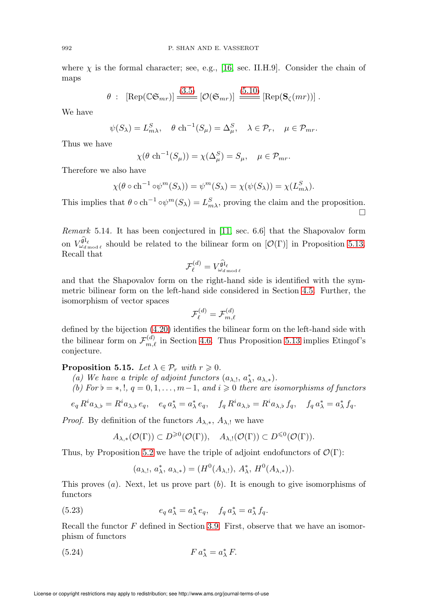where  $\chi$  is the formal character; see, e.g., [\[16,](#page-72-12) sec. II.H.9]. Consider the chain of maps

$$
\theta : [\text{Rep}(\mathbb{CG}_{mr})] \xrightarrow{(3.5)} [\mathcal{O}(\mathfrak{S}_{mr})] \xrightarrow{(5.10)} [\text{Rep}(\mathbf{S}_{\zeta}(mr))].
$$

We have

$$
\psi(S_{\lambda}) = L_{m\lambda}^S, \quad \theta \text{ ch}^{-1}(S_{\mu}) = \Delta_{\mu}^S, \quad \lambda \in \mathcal{P}_r, \quad \mu \in \mathcal{P}_{mr}.
$$

Thus we have

$$
\chi(\theta \ch^{-1}(S_{\mu})) = \chi(\Delta_{\mu}^{S}) = S_{\mu}, \quad \mu \in \mathcal{P}_{mr}.
$$

Therefore we also have

$$
\chi(\theta \circ \mathrm{ch}^{-1} \circ \psi^m(S_\lambda)) = \psi^m(S_\lambda) = \chi(\psi(S_\lambda)) = \chi(L_{m\lambda}^S).
$$

This implies that  $\theta \circ \text{ch}^{-1} \circ \psi^m(S_\lambda) = L_{m\lambda}^S$ , proving the claim and the proposition.  $\Box$ 

Remark 5.14. It has been conjectured in [\[11,](#page-71-3) sec. 6.6] that the Shapovalov form on  $V_{\omega_{d \text{ mod }\ell}}^{\widehat{\mathfrak{gl}}_{\ell}}$  should be related to the bilinear form on  $[\mathcal{O}(\Gamma)]$  in Proposition [5.13.](#page-31-2) Recall that

$$
\mathcal{F}^{(d)}_\ell = V_{\omega_{d \, \mathrm{mod} \, \ell}}^{\widehat{\mathfrak{gl}}_\ell}
$$

and that the Shapovalov form on the right-hand side is identified with the symmetric bilinear form on the left-hand side considered in Section [4.5.](#page-21-0) Further, the isomorphism of vector spaces

$$
\mathcal{F}_\ell^{(d)} = \mathcal{F}_{m,\ell}^{(d)}
$$

defined by the bijection [\(4.20\)](#page-23-4) identifies the bilinear form on the left-hand side with the bilinear form on  $\mathcal{F}_{m,\ell}^{(d)}$  in Section [4.6.](#page-22-0) Thus Proposition [5.13](#page-31-2) implies Etingof's conjecture.

**Proposition 5.15.** Let  $\lambda \in \mathcal{P}_r$  with  $r \geqslant 0$ .

- (a) We have a triple of adjoint functors  $(a_{\lambda, !}, a_{\lambda, *}^*, a_{\lambda, *}).$
- (b) For  $\flat = *, !, q = 0, 1, \ldots, m-1,$  and  $i \geq 0$  there are isomorphisms of functors

$$
e_q R^i a_{\lambda,\flat} = R^i a_{\lambda,\flat} e_q, \quad e_q a^*_{\lambda} = a^*_{\lambda} e_q, \quad f_q R^i a_{\lambda,\flat} = R^i a_{\lambda,\flat} f_q, \quad f_q a^*_{\lambda} = a^*_{\lambda} f_q.
$$

*Proof.* By definition of the functors  $A_{\lambda,*}, A_{\lambda}$ , we have

$$
A_{\lambda,*}(\mathcal{O}(\Gamma)) \subset D^{\geq 0}(\mathcal{O}(\Gamma)), \quad A_{\lambda,!}(\mathcal{O}(\Gamma)) \subset D^{\leq 0}(\mathcal{O}(\Gamma)).
$$

Thus, by Proposition [5.2](#page-25-0) we have the triple of adjoint endofunctors of  $\mathcal{O}(\Gamma)$ :

$$
(a_{\lambda, !}, a_{\lambda}^*, a_{\lambda,*}) = (H^0(A_{\lambda, !}), A_{\lambda}^*, H^0(A_{\lambda,*})).
$$

This proves  $(a)$ . Next, let us prove part  $(b)$ . It is enough to give isomorphisms of functors

<span id="page-33-1"></span>(5.23) 
$$
e_q a^*_{\lambda} = a^*_{\lambda} e_q, \quad f_q a^*_{\lambda} = a^*_{\lambda} f_q.
$$

Recall the functor  $F$  defined in Section [3.9.](#page-11-0) First, observe that we have an isomorphism of functors

<span id="page-33-0"></span>(5.24) 
$$
F a_{\lambda}^* = a_{\lambda}^* F.
$$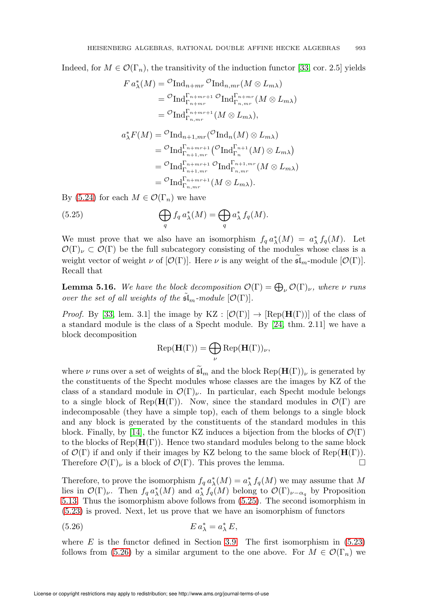Indeed, for  $M \in \mathcal{O}(\Gamma_n)$ , the transitivity of the induction functor [\[33,](#page-72-2) cor. 2.5] yields

$$
F a_{\lambda}^{*}(M) = {}^{O}\text{Ind}_{n+mr} {}^{O}\text{Ind}_{n,mr}(M \otimes L_{m\lambda})
$$
  
\n
$$
= {}^{O}\text{Ind}_{\Gamma_{n+mr}}^{\Gamma_{n+mr+1}} {}^{O}\text{Ind}_{\Gamma_{n,mr}}^{\Gamma_{n+mr}}(M \otimes L_{m\lambda})
$$
  
\n
$$
= {}^{O}\text{Ind}_{\Gamma_{n,mr}}^{\Gamma_{n+mr+1}}(M \otimes L_{m\lambda}),
$$
  
\n
$$
a_{\lambda}^{*} F(M) = {}^{O}\text{Ind}_{n+1,mr} ({}^{O}\text{Ind}_{n}(M) \otimes L_{m\lambda})
$$
  
\n
$$
= {}^{O}\text{Ind}_{\Gamma_{n+1,mr}}^{\Gamma_{n+mr+1}} ({}^{O}\text{Ind}_{\Gamma_{n}}^{\Gamma_{n+1}}(M) \otimes L_{m\lambda})
$$
  
\n
$$
= {}^{O}\text{Ind}_{\Gamma_{n+mr+1}}^{\Gamma_{n+mr+1}}(M \otimes L_{m\lambda}).
$$
  
\n
$$
= {}^{O}\text{Ind}_{\Gamma_{n,mr}}^{\Gamma_{n+mr+1}}(M \otimes L_{m\lambda}).
$$

By [\(5.24\)](#page-33-0) for each  $M \in \mathcal{O}(\Gamma_n)$  we have

<span id="page-34-0"></span>(5.25) 
$$
\bigoplus_{q} f_q a_{\lambda}^*(M) = \bigoplus_{q} a_{\lambda}^* f_q(M).
$$

We must prove that we also have an isomorphism  $f_q a^*_{\lambda}(M) = a^*_{\lambda} f_q(M)$ . Let  $\mathcal{O}(\Gamma)_{\nu} \subset \mathcal{O}(\Gamma)$  be the full subcategory consisting of the modules whose class is a weight vector of weight  $\nu$  of  $[O(\Gamma)]$ . Here  $\nu$  is any weight of the  $\mathfrak{sl}_m$ -module  $[O(\Gamma)]$ . Recall that

**Lemma 5.16.** We have the block decomposition  $\mathcal{O}(\Gamma) = \bigoplus_{\nu} \mathcal{O}(\Gamma)_{\nu}$ , where  $\nu$  runs over the set of all weights of the  $\mathfrak{sl}_m$ -module  $[\mathcal{O}(\Gamma)].$ 

*Proof.* By [\[33,](#page-72-2) lem. 3.1] the image by  $KZ : [\mathcal{O}(\Gamma)] \to [\text{Rep}(\mathbf{H}(\Gamma))]$  of the class of a standard module is the class of a Specht module. By [\[24,](#page-72-13) thm. 2.11] we have a block decomposition

$$
\operatorname{Rep}(\mathbf{H}(\Gamma)) = \bigoplus_{\nu} \operatorname{Rep}(\mathbf{H}(\Gamma))_{\nu},
$$

where  $\nu$  runs over a set of weights of  $\mathfrak{sl}_m$  and the block  $\text{Rep}(\mathbf{H}(\Gamma))_{\nu}$  is generated by the constituents of the Specht modules whose classes are the images by KZ of the class of a standard module in  $\mathcal{O}(\Gamma)_{\nu}$ . In particular, each Specht module belongs to a single block of Rep( $H(\Gamma)$ ). Now, since the standard modules in  $\mathcal{O}(\Gamma)$  are indecomposable (they have a simple top), each of them belongs to a single block and any block is generated by the constituents of the standard modules in this block. Finally, by [\[14\]](#page-71-5), the functor KZ induces a bijection from the blocks of  $\mathcal{O}(\Gamma)$ to the blocks of  $\text{Rep}(\mathbf{H}(\Gamma))$ . Hence two standard modules belong to the same block of  $\mathcal{O}(\Gamma)$  if and only if their images by KZ belong to the same block of Rep( $\mathbf{H}(\Gamma)$ ). Therefore  $\mathcal{O}(\Gamma)_{\nu}$  is a block of  $\mathcal{O}(\Gamma)$ . This proves the lemma.

Therefore, to prove the isomorphism  $f_q a^*_{\lambda}(M) = a^*_{\lambda} f_q(M)$  we may assume that M lies in  $\mathcal{O}(\Gamma)_{\nu}$ . Then  $f_q a_{\lambda}^*(M)$  and  $a_{\lambda}^* f_q(M)$  belong to  $\mathcal{O}(\Gamma)_{\nu-\alpha_q}$  by Proposition [5.13.](#page-31-2) Thus the isomorphism above follows from [\(5.25\)](#page-34-0). The second isomorphism in [\(5.23\)](#page-33-1) is proved. Next, let us prove that we have an isomorphism of functors

<span id="page-34-1"></span>(5.26) 
$$
E a_{\lambda}^* = a_{\lambda}^* E,
$$

where  $E$  is the functor defined in Section [3.9.](#page-11-0) The first isomorphism in  $(5.23)$ follows from [\(5.26\)](#page-34-1) by a similar argument to the one above. For  $M \in \mathcal{O}(\Gamma_n)$  we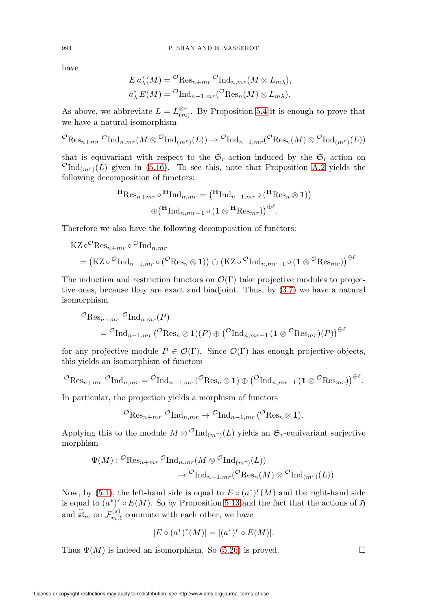have

$$
E a_{\lambda}^*(M) = {}^{\mathcal{O}} \text{Res}_{n+mr} {}^{\mathcal{O}} \text{Ind}_{n,mr}(M \otimes L_{m\lambda}),
$$
  

$$
a_{\lambda}^* E(M) = {}^{\mathcal{O}} \text{Ind}_{n-1,mr} ({}^{\mathcal{O}} \text{Res}_n(M) \otimes L_{m\lambda}).
$$

As above, we abbreviate  $L = L^{\otimes r}_{(m)}$ . By Proposition [5.4](#page-29-2) it is enough to prove that we have a natural isomorphism

$$
{}^{\mathcal{O}}\text{Res}_{n+mr}\, {}^{\mathcal{O}}\text{Ind}_{n,mr}(M\otimes{}^{\mathcal{O}}\text{Ind}_{(m^r)}(L))\to {}^{\mathcal{O}}\text{Ind}_{n-1,mr}({}^{\mathcal{O}}\text{Res}_n(M)\otimes{}^{\mathcal{O}}\text{Ind}_{(m^r)}(L))
$$

that is equivariant with respect to the  $\mathfrak{S}_r$ -action induced by the  $\mathfrak{S}_r$ -action on  $^{\mathcal{O}}\text{Ind}_{(m^r)}(L)$  given in [\(5.16\)](#page-29-0). To see this, note that Proposition [A.2](#page-60-1) yields the following decomposition of functors:

$$
\mathbf{H}_{\text{Res}_{n+mr} \circ \mathbf{H}_{\text{Ind}_{n,mr}} = (\mathbf{H}_{\text{Ind}_{n-1,mr} \circ (\mathbf{H}_{\text{Res}_n \otimes 1}))
$$

$$
\oplus (\mathbf{H}_{\text{Ind}_{n,mr-1} \circ (1 \otimes \mathbf{H}_{\text{Res}_{mr}}))^{\oplus \ell}.
$$

Therefore we also have the following decomposition of functors:

$$
\begin{split} \mathrm{KZ} \circ^{\mathcal{O}} \mathrm{Res}_{n+mr} \circ^{\mathcal{O}} \mathrm{Ind}_{n, mr} \\ &= \left( \mathrm{KZ} \circ^{\mathcal{O}} \mathrm{Ind}_{n-1, mr} \circ^{\mathcal{O}} (\mathcal{O} \mathrm{Res}_{n} \otimes \mathbf{1}) \right) \oplus \left( \mathrm{KZ} \circ^{\mathcal{O}} \mathrm{Ind}_{n, mr-1} \circ^{\mathcal{O}} (\mathbf{1} \otimes^{\mathcal{O}} \mathrm{Res}_{mr}) \right)^{\oplus \ell}. \end{split}
$$

The induction and restriction functors on  $\mathcal{O}(\Gamma)$  take projective modules to projective ones, because they are exact and biadjoint. Thus, by [\(3.7\)](#page-10-4) we have a natural isomorphism

$$
\mathcal{O}_{\mathrm{Res}_{n+mr}} \mathcal{O}_{\mathrm{Ind}_{n,mr}(P)} \n= \mathcal{O}_{\mathrm{Ind}_{n-1,mr}} (\mathcal{O}_{\mathrm{Res}_n \otimes \mathbf{1})(P) \oplus (\mathcal{O}_{\mathrm{Ind}_{n,mr-1}} (\mathbf{1} \otimes \mathcal{O}_{\mathrm{Res}_{mr})(P))^{\oplus \ell}}
$$

for any projective module  $P \in \mathcal{O}(\Gamma)$ . Since  $\mathcal{O}(\Gamma)$  has enough projective objects, this yields an isomorphism of functors

$$
{}^{\mathcal{O}}\mathrm{Res}_{n+mr}\circ \mathrm{Ind}_{n,mr}={}^{\mathcal{O}}\mathrm{Ind}_{n-1,mr}\left({}^{\mathcal{O}}\mathrm{Res}_{n}\otimes \mathbf{1}\right)\oplus\left({}^{\mathcal{O}}\mathrm{Ind}_{n,mr-1}\left(\mathbf{1}\otimes {}^{\mathcal{O}}\mathrm{Res}_{mr}\right)\right)\oplus^{\ell}.
$$

In particular, the projection yields a morphism of functors

$$
{}^{\mathcal{O}}\mathrm{Res}_{n+mr}\; {}^{\mathcal{O}}\mathrm{Ind}_{n,mr} \to {}^{\mathcal{O}}\mathrm{Ind}_{n-1,mr}\; ({}^{\mathcal{O}}\mathrm{Res}_n \otimes \mathbf{1}).
$$

Applying this to the module  $M \otimes^{\mathcal{O}} \text{Ind}_{(m^r)}(L)$  yields an  $\mathfrak{S}_r$ -equivariant surjective morphism

$$
\Psi(M) : {}^{\mathcal{O}}\text{Res}_{n+mr} \, {}^{\mathcal{O}}\text{Ind}_{n,mr}(M \otimes {}^{\mathcal{O}}\text{Ind}_{(m^r)}(L)) \longrightarrow {}^{\mathcal{O}}\text{Ind}_{n-1,mr} ({}^{\mathcal{O}}\text{Res}_n(M) \otimes {}^{\mathcal{O}}\text{Ind}_{(m^r)}(L)).
$$

Now, by [\(5.1\)](#page-26-3), the left-hand side is equal to  $E \circ (a^*)^r(M)$  and the right-hand side is equal to  $(a^*)^r \circ E(M)$ . So by Proposition [5.13](#page-31-2) and the fact that the actions of  $\mathfrak H$ and  $\widehat{\mathfrak{sl}}_m$  on  $\mathcal{F}_{m,\ell}^{(s)}$  commute with each other, we have

$$
[E \circ (a^*)^r(M)] = [(a^*)^r \circ E(M)].
$$

Thus  $\Psi(M)$  is indeed an isomorphism. So [\(5.26\)](#page-34-1) is proved.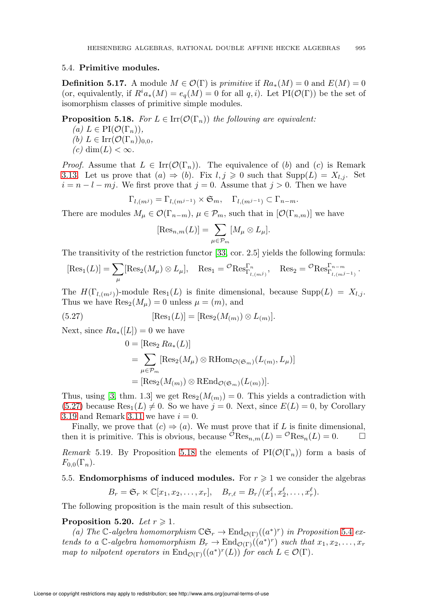## 5.4. Primitive modules.

**Definition 5.17.** A module  $M \in \mathcal{O}(\Gamma)$  is primitive if  $Ra_*(M) = 0$  and  $E(M) = 0$ (or, equivalently, if  $R^i a_*(M) = e_q(M) = 0$  for all  $q, i$ ). Let PI( $\mathcal{O}(\Gamma)$ ) be the set of isomorphism classes of primitive simple modules.

<span id="page-36-1"></span>**Proposition 5.18.** For  $L \in \text{Irr}(\mathcal{O}(\Gamma_n))$  the following are equivalent:

- (a)  $L \in PI(\mathcal{O}(\Gamma_n)),$ (b)  $L \in \text{Irr}(\mathcal{O}(\Gamma_n))_{0,0}$ ,
- $(c)$  dim $(L) < \infty$ .

*Proof.* Assume that  $L \in \text{Irr}(\mathcal{O}(\Gamma_n))$ . The equivalence of (b) and (c) is Remark [3.13.](#page-14-0) Let us prove that  $(a) \Rightarrow (b)$ . Fix  $l, j \geqslant 0$  such that  $\text{Supp}(L) = X_{l,j}$ . Set  $i = n - l - mj$ . We first prove that  $j = 0$ . Assume that  $j > 0$ . Then we have

$$
\Gamma_{l,(m^j)} = \Gamma_{l,(m^{j-1})} \times \mathfrak{S}_m, \quad \Gamma_{l,(m^{j-1})} \subset \Gamma_{n-m}.
$$

There are modules  $M_{\mu} \in \mathcal{O}(\Gamma_{n-m}), \mu \in \mathcal{P}_m$ , such that in  $[\mathcal{O}(\Gamma_{n,m})]$  we have

$$
[\text{Res}_{n,m}(L)] = \sum_{\mu \in \mathcal{P}_m} [M_{\mu} \otimes L_{\mu}].
$$

The transitivity of the restriction functor [\[33,](#page-72-0) cor. 2.5] yields the following formula:

$$
[\text{Res}_{1}(L)] = \sum_{\mu} [\text{Res}_{2}(M_{\mu}) \otimes L_{\mu}], \quad \text{Res}_{1} = {}^{\mathcal{O}}\text{Res}_{\Gamma_{l,(m^{j})}}^{\Gamma_{n}}, \quad \text{Res}_{2} = {}^{\mathcal{O}}\text{Res}_{\Gamma_{l,(m^{j-1})}}^{\Gamma_{n-m}}.
$$

The  $H(\Gamma_{l,(m)})$ -module  $\text{Res}_1(L)$  is finite dimensional, because  $\text{Supp}(L) = X_{l,j}$ . Thus we have  $\text{Res}_2(M_\mu) = 0$  unless  $\mu = (m)$ , and

<span id="page-36-0"></span>(5.27) 
$$
[\text{Res}_1(L)] = [\text{Res}_2(M_{(m)}) \otimes L_{(m)}].
$$

Next, since  $Ra_*(L]) = 0$  we have

$$
0 = [\text{Res}_2 Ra_*(L)]
$$
  
= 
$$
\sum_{\mu \in \mathcal{P}_m} [\text{Res}_2(M_{\mu}) \otimes \text{RHom}_{\mathcal{O}(\mathfrak{S}_m)}(L_{(m)}, L_{\mu})]
$$
  
= 
$$
[\text{Res}_2(M_{(m)}) \otimes \text{REnd}_{\mathcal{O}(\mathfrak{S}_m)}(L_{(m)})].
$$

Thus, using [\[3,](#page-71-0) thm. 1.3] we get  $\text{Res}_2(M_{(m)}) = 0$ . This yields a contradiction with  $(5.27)$  because  $\text{Res}_1(L) \neq 0$ . So we have  $j = 0$ . Next, since  $E(L) = 0$ , by Corollary [3.19](#page-16-0) and Remark [3.11](#page-14-1) we have  $i = 0$ .

Finally, we prove that  $(c) \Rightarrow (a)$ . We must prove that if L is finite dimensional, then it is primitive. This is obvious, because  ${}^{\mathcal{O}}\text{Res}_{n,m}(L) = {}^{\mathcal{O}}\text{Res}_n(L) = 0.$   $\Box$ 

Remark 5.19. By Proposition [5.18](#page-36-1) the elements of PI( $\mathcal{O}(\Gamma_n)$ ) form a basis of  $F_{0,0}(\Gamma_n)$ .

# 5.5. Endomorphisms of induced modules. For  $r \geq 1$  we consider the algebras

$$
B_r = \mathfrak{S}_r \ltimes \mathbb{C}[x_1, x_2, \dots, x_r], \quad B_{r,\ell} = B_r/(x_1^{\ell}, x_2^{\ell}, \dots, x_r^{\ell}).
$$

The following proposition is the main result of this subsection.

# <span id="page-36-2"></span>Proposition 5.20. Let  $r \geqslant 1$ .

(a) The C-algebra homomorphism  $\mathbb{C}\mathfrak{S}_r \to \text{End}_{\mathcal{O}(\Gamma)}((a^*)^r)$  in Proposition [5.4](#page-29-0) extends to a  $\mathbb{C}$ -algebra homomorphism  $B_r \to \text{End}_{\mathcal{O}(\Gamma)}((a^*)^r)$  such that  $x_1, x_2, \ldots, x_r$ map to nilpotent operators in  $\text{End}_{\mathcal{O}(\Gamma)}((a^*)^r(L))$  for each  $L \in \mathcal{O}(\Gamma)$ .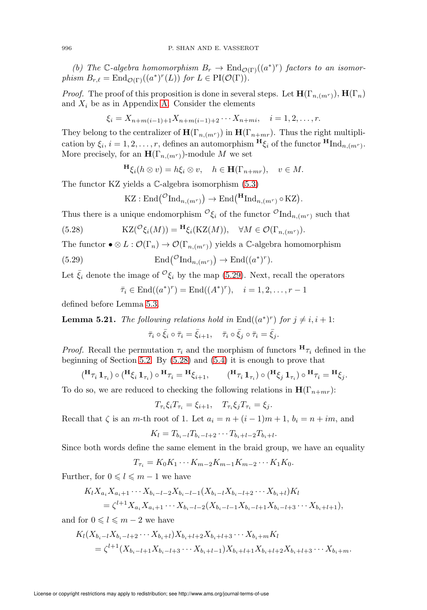(b) The C-algebra homomorphism  $B_r \to \text{End}_{\mathcal{O}(\Gamma)}((a^*)^r)$  factors to an isomorphism  $B_{r,\ell} = \text{End}_{\mathcal{O}(\Gamma)}((a^*)^r(L))$  for  $L \in \text{PI}(\mathcal{O}(\Gamma)).$ 

*Proof.* The proof of this proposition is done in several steps. Let  $\mathbf{H}(\Gamma_{n,(m^{r})})$ ,  $\mathbf{H}(\Gamma_{n})$ and  $X_i$  be as in Appendix [A.](#page-58-0) Consider the elements

$$
\xi_i = X_{n+m(i-1)+1}X_{n+m(i-1)+2}\cdots X_{n+mi}, \quad i=1,2,\ldots,r.
$$

They belong to the centralizer of  $\mathbf{H}(\Gamma_{n,(m^r)})$  in  $\mathbf{H}(\Gamma_{n+mr})$ . Thus the right multiplication by  $\xi_i$ ,  $i = 1, 2, \ldots, r$ , defines an automorphism  $\mathbf{H}_{\xi_i}$  of the functor  $\mathbf{H}_{\text{Ind}_{n,(m^r)}}$ . More precisely, for an  $\mathbf{H}(\Gamma_{n,(m^r)})$ -module M we set

$$
\mathbf{H}_{\xi_i}(h \otimes v) = h\xi_i \otimes v, \quad h \in \mathbf{H}(\Gamma_{n+mr}), \quad v \in M.
$$

The functor KZ yields a C-algebra isomorphism [\(5.3\)](#page-26-0)

$$
KZ: \mathrm{End}(\mathcal{O}_{\mathrm{Ind}_{n,(m^r)}}) \to \mathrm{End}(\mathrm{H}_{\mathrm{Ind}_{n,(m^r)}} \circ KZ).
$$

Thus there is a unique endomorphism  ${}^{\mathcal{O}}\xi_i$  of the functor  ${}^{\mathcal{O}}\text{Ind}_{n,(m^r)}$  such that

<span id="page-37-1"></span>(5.28) 
$$
KZ(\mathcal{O}_{\xi_i}(M)) = \mathbf{H}_{\xi_i}(KZ(M)), \quad \forall M \in \mathcal{O}(\Gamma_{n,(m^r)}).
$$

The functor  $\bullet \otimes L : \mathcal{O}(\Gamma_n) \to \mathcal{O}(\Gamma_{n,(mr)})$  yields a C-algebra homomorphism

<span id="page-37-0"></span>(5.29) 
$$
\operatorname{End}(\mathcal{O}_{\mathrm{Ind}_{n,(m^r)}}) \to \operatorname{End}((a^*)^r).
$$

Let  $\bar{\xi}_i$  denote the image of  ${}^{\mathcal{O}}\xi_i$  by the map [\(5.29\)](#page-37-0). Next, recall the operators

$$
\bar{\tau}_i \in \text{End}((a^*)^r) = \text{End}((A^*)^r), \quad i = 1, 2, \dots, r-1
$$

defined before Lemma [5.3.](#page-27-0)

<span id="page-37-2"></span>**Lemma 5.21.** The following relations hold in  $\text{End}((a^*)^r)$  for  $j \neq i, i+1$ :

$$
\bar{\tau}_i \circ \bar{\xi}_i \circ \bar{\tau}_i = \bar{\xi}_{i+1}, \quad \bar{\tau}_i \circ \bar{\xi}_j \circ \bar{\tau}_i = \bar{\xi}_j.
$$

*Proof.* Recall the permutation  $\tau_i$  and the morphism of functors  $H_{\tau_i}$  defined in the beginning of Section [5.2.](#page-26-1) By [\(5.28\)](#page-37-1) and [\(5.4\)](#page-26-2) it is enough to prove that

$$
(\mathbf{H}_{\tau_i} \mathbf{1}_{\tau_i}) \circ (\mathbf{H}_{\xi_i} \mathbf{1}_{\tau_i}) \circ \mathbf{H}_{\tau_i} = \mathbf{H}_{\xi_{i+1}}, \qquad (\mathbf{H}_{\tau_i} \mathbf{1}_{\tau_i}) \circ (\mathbf{H}_{\xi_j} \mathbf{1}_{\tau_i}) \circ \mathbf{H}_{\tau_i} = \mathbf{H}_{\xi_j}.
$$

To do so, we are reduced to checking the following relations in  $H(\Gamma_{n+mr})$ :

$$
T_{\tau_i}\xi_i T_{\tau_i} = \xi_{i+1}, \quad T_{\tau_i}\xi_j T_{\tau_i} = \xi_j.
$$

Recall that  $\zeta$  is an m-th root of 1. Let  $a_i = n + (i - 1)m + 1$ ,  $b_i = n + im$ , and

$$
K_l = T_{b_i - l} T_{b_i - l + 2} \cdots T_{b_i + l - 2} T_{b_i + l}.
$$

Since both words define the same element in the braid group, we have an equality

$$
T_{\tau_i} = K_0 K_1 \cdots K_{m-2} K_{m-1} K_{m-2} \cdots K_1 K_0.
$$

Further, for  $0 \leq l \leq m - 1$  we have

$$
K_l X_{a_i} X_{a_{i+1}} \cdots X_{b_i-l-2} X_{b_i-l-1} (X_{b_i-l} X_{b_i-l+2} \cdots X_{b_i+l}) K_l
$$
  
=  $\zeta^{l+1} X_{a_i} X_{a_{i+1}} \cdots X_{b_i-l-2} (X_{b_i-l-1} X_{b_i-l+1} X_{b_i-l+3} \cdots X_{b_i+l+1}),$ 

and for  $0 \leq l \leq m - 2$  we have

$$
K_l(X_{b_i-l}X_{b_i-l+2}\cdots X_{b_i+l})X_{b_i+l+2}X_{b_i+l+3}\cdots X_{b_i+m}K_l
$$
  
=  $\zeta^{l+1}(X_{b_i-l+1}X_{b_i-l+3}\cdots X_{b_i+l-1})X_{b_i+l+1}X_{b_i+l+2}X_{b_i+l+3}\cdots X_{b_i+m}.$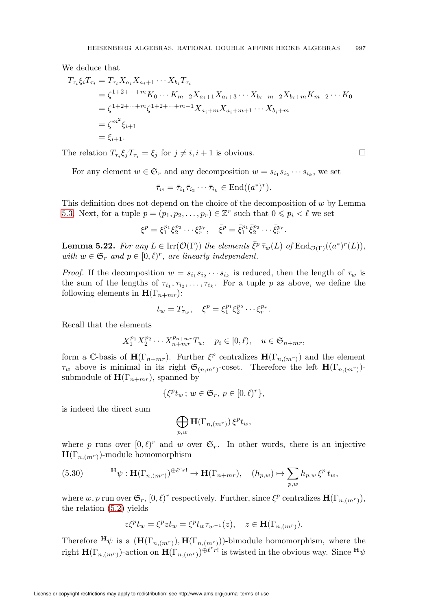We deduce that

$$
T_{\tau_i} \xi_i T_{\tau_i} = T_{\tau_i} X_{a_i} X_{a_{i+1}} \cdots X_{b_i} T_{\tau_i}
$$
  
=  $\zeta^{1+2+\cdots+m} K_0 \cdots K_{m-2} X_{a_{i+1}} X_{a_{i+3}} \cdots X_{b_i+m-2} X_{b_i+m} K_{m-2} \cdots K_0$   
=  $\zeta^{1+2+\cdots+m} \zeta^{1+2+\cdots+m-1} X_{a_i+m} X_{a_i+m+1} \cdots X_{b_i+m}$   
=  $\zeta^{m^2} \xi_{i+1}$   
=  $\xi_{i+1}$ .

The relation  $T_{\tau_i} \xi_j T_{\tau_i} = \xi_j$  for  $j \neq i, i + 1$  is obvious.

For any element  $w \in \mathfrak{S}_r$  and any decomposition  $w = s_{i_1} s_{i_2} \cdots s_{i_k}$ , we set

$$
\bar{\tau}_w = \bar{\tau}_{i_1} \bar{\tau}_{i_2} \cdots \bar{\tau}_{i_k} \in \text{End}((a^*)^r).
$$

This definition does not depend on the choice of the decomposition of  $w$  by Lemma [5.3.](#page-27-0) Next, for a tuple  $p = (p_1, p_2, \dots, p_r) \in \mathbb{Z}^r$  such that  $0 \leq p_i < \ell$  we set

$$
\xi^{p} = \xi_{1}^{p_{1}} \xi_{2}^{p_{2}} \cdots \xi_{r}^{p_{r}}, \quad \bar{\xi}^{p} = \bar{\xi}_{1}^{p_{1}} \bar{\xi}_{2}^{p_{2}} \cdots \bar{\xi}_{r}^{p_{r}}.
$$

<span id="page-38-0"></span>**Lemma 5.22.** For any  $L \in \text{Irr}(\mathcal{O}(\Gamma))$  the elements  $\bar{\xi}^p \bar{\tau}_w(L)$  of  $\text{End}_{\mathcal{O}(\Gamma)}((a^*)^r(L)),$ with  $w \in \mathfrak{S}_r$  and  $p \in [0,\ell)^r$ , are linearly independent.

*Proof.* If the decomposition  $w = s_{i_1} s_{i_2} \cdots s_{i_k}$  is reduced, then the length of  $\tau_w$  is the sum of the lengths of  $\tau_{i_1}, \tau_{i_2}, \ldots, \tau_{i_k}$ . For a tuple p as above, we define the following elements in  $\mathbf{H}(\Gamma_{n+mr})$ :

$$
t_w = T_{\tau_w}, \quad \xi^p = \xi_1^{p_1} \xi_2^{p_2} \cdots \xi_r^{p_r}.
$$

Recall that the elements

$$
X_1^{p_1} X_2^{p_2} \cdots X_{n+mr}^{p_{n+mr}} T_u, \quad p_i \in [0, \ell), \quad u \in \mathfrak{S}_{n+mr},
$$

form a C-basis of  $\mathbf{H}(\Gamma_{n+mr})$ . Further  $\xi^p$  centralizes  $\mathbf{H}(\Gamma_{n,(mr)})$  and the element  $\tau_w$  above is minimal in its right  $\mathfrak{S}_{(n,m^r)}$ -coset. Therefore the left  $\mathbf{H}(\Gamma_{n,(m^r)})$ submodule of  $\mathbf{H}(\Gamma_{n+mr})$ , spanned by

$$
\{\xi^p t_w \, ; \, w \in \mathfrak{S}_r, \, p \in [0,\ell)^r \},
$$

is indeed the direct sum

$$
\bigoplus_{p,w}\mathbf{H}(\Gamma_{n,(m^r)})\,\xi^pt_w,
$$

where p runs over  $[0, \ell)^r$  and w over  $\mathfrak{S}_r$ . In other words, there is an injective  $H(\Gamma_{n,(m^r)})$ -module homomorphism

(5.30) 
$$
\mathbf{H}_{\psi} : \mathbf{H}(\Gamma_{n,(m^r)})^{\oplus \ell^r r!} \to \mathbf{H}(\Gamma_{n+mr}), \quad (h_{p,w}) \mapsto \sum_{p,w} h_{p,w} \xi^p t_w,
$$

where w, p run over  $\mathfrak{S}_r$ ,  $[0,\ell)^r$  respectively. Further, since  $\xi^p$  centralizes  $\mathbf{H}(\Gamma_{n,(m^r)}),$ the relation [\(5.2\)](#page-26-3) yields

$$
z\xi^p t_w = \xi^p z t_w = \xi^p t_w \tau_{w^{-1}}(z), \quad z \in \mathbf{H}(\Gamma_{n,(m^r)}).
$$

Therefore  $\mathbf{H}\psi$  is a  $(\mathbf{H}(\Gamma_{n,(m^r)}), \mathbf{H}(\Gamma_{n,(m^r)}))$ -bimodule homomorphism, where the right  $\mathbf{H}(\Gamma_{n,(m^r)})$ -action on  $\mathbf{H}(\Gamma_{n,(m^r)})^{\oplus \ell^r r!}$  is twisted in the obvious way. Since  ${}^{\mathbf{H}}\psi$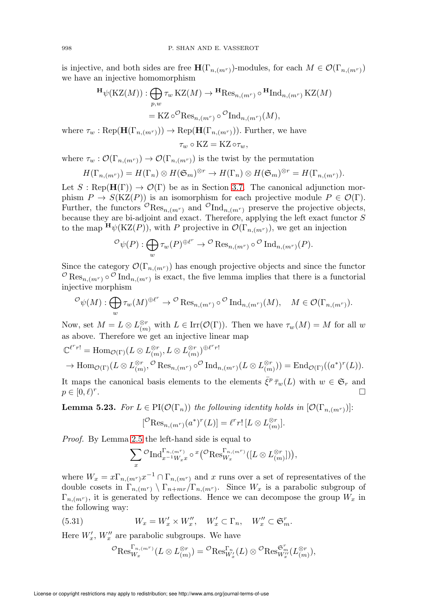is injective, and both sides are free  $\mathbf{H}(\Gamma_{n,(m^r)})$ -modules, for each  $M \in \mathcal{O}(\Gamma_{n,(m^r)})$ we have an injective homomorphism

$$
\begin{aligned} \mathbf{H}_{\psi}(\mathrm{KZ}(M)) : \bigoplus_{p,w} \tau_w \, \mathrm{KZ}(M) &\to \mathbf{H} \mathrm{Res}_{n,(m^r)} \circ \mathbf{H} \mathrm{Ind}_{n,(m^r)} \, \mathrm{KZ}(M) \\ &= \mathrm{KZ} \circ^{\mathcal{O}} \mathrm{Res}_{n,(m^r)} \circ^{\mathcal{O}} \mathrm{Ind}_{n,(m^r)}(M), \end{aligned}
$$

where  $\tau_w : \text{Rep}(\mathbf{H}(\Gamma_{n,(m^r)})) \to \text{Rep}(\mathbf{H}(\Gamma_{n,(m^r)}))$ . Further, we have  $τ_w \circ KZ = KZ \circ τ_w$ 

where  $\tau_w : \mathcal{O}(\Gamma_{n,(m^r)}) \to \mathcal{O}(\Gamma_{n,(m^r)})$  is the twist by the permutation

$$
H(\Gamma_{n,(m^r)})=H(\Gamma_n)\otimes H(\mathfrak{S}_m)^{\otimes r}\to H(\Gamma_n)\otimes H(\mathfrak{S}_m)^{\otimes r}=H(\Gamma_{n,(m^r)}).
$$

Let  $S : \text{Rep}(\mathbf{H}(\Gamma)) \to \mathcal{O}(\Gamma)$  be as in Section [3.7.](#page-10-0) The canonical adjunction morphism  $P \to S(KZ(P))$  is an isomorphism for each projective module  $P \in \mathcal{O}(\Gamma)$ . Further, the functors  $\mathcal{O}_{\text{Res}_{n,(m^r)}}$  and  $\mathcal{O}_{\text{Ind}_{n,(m^r)}}$  preserve the projective objects, because they are bi-adjoint and exact. Therefore, applying the left exact functor S to the map  $H_{\psi}(KZ(P))$ , with P projective in  $\mathcal{O}(\Gamma_{n,(m^r)})$ , we get an injection

$$
^{\mathcal{O}}\psi(P): \bigoplus_{w} \tau_w(P)^{\oplus \ell^r} \to {}^{\mathcal{O}}\operatorname{Res}_{n,(m^r)} \circ {}^{\mathcal{O}}\operatorname{Ind}_{n,(m^r)}(P).
$$

Since the category  $\mathcal{O}(\Gamma_{n,(m^r)})$  has enough projective objects and since the functor <sup>O</sup>Res<sub>n,(m<sup>r</sup>)</sub> <sup>o</sup> Ind<sub>n,(m<sup>r</sup>)</sub> is exact, the five lemma implies that there is a functorial injective morphism

$$
^{\mathcal{O}}\psi(M): \bigoplus_{w} \tau_{w}(M)^{\oplus \ell^{r}} \to {}^{\mathcal{O}}\operatorname{Res}_{n,(m^{r})} \circ {}^{\mathcal{O}}\operatorname{Ind}_{n,(m^{r})}(M), \quad M \in \mathcal{O}(\Gamma_{n,(m^{r})}).
$$

Now, set  $M = L \otimes L_{(m)}^{\otimes r}$  with  $L \in \text{Irr}(\mathcal{O}(\Gamma))$ . Then we have  $\tau_w(M) = M$  for all w as above. Therefore we get an injective linear map

$$
\mathbb{C}^{\ell^r r!} = \text{Hom}_{\mathcal{O}(\Gamma)}(L \otimes L^{\otimes r}_{(m)}, L \otimes L^{\otimes r}_{(m)})^{\oplus \ell^r r!} \to \text{Hom}_{\mathcal{O}(\Gamma)}((L \otimes L^{\otimes r}_{(m)}, \mathcal{O} \otimes \text{Res}_{n,(m^r)} \circ \mathcal{O} \text{Ind}_{n,(m^r)}(L \otimes L^{\otimes r}_{(m)})) = \text{End}_{\mathcal{O}(\Gamma)}((a^*)^r (L)).
$$

It maps the canonical basis elements to the elements  $\bar{\xi}^p \bar{\tau}_w(L)$  with  $w \in \mathfrak{S}_r$  and  $p \in [0,\ell)^r$ .

<span id="page-39-0"></span>**Lemma 5.23.** For  $L \in PI(\mathcal{O}(\Gamma_n))$  the following identity holds in  $[\mathcal{O}(\Gamma_{n,(m^r)})]$ :

$$
[{}^{\mathcal O}\mathrm{Res}_{n, (m^r)}(a^*)^r(L)]=\ell^r r!\,[L\otimes L_{(m)}^{\otimes r}].
$$

Proof. By Lemma [2.5](#page-6-0) the left-hand side is equal to

$$
\sum_{x} \mathcal{O}_{\mathrm{Ind}_{x^{-1}W_{x}x}^{\Gamma_{n,(m^r)}}} \circ \mathcal{F}(\mathcal{O}_{\mathrm{Res}_{W_x}^{\Gamma_{n,(m^r)}}}([L \otimes L_{(m)}^{\otimes r}]))
$$

where  $W_x = x \Gamma_{n,(m^r)} x^{-1} \cap \Gamma_{n,(m^r)}$  and x runs over a set of representatives of the double cosets in  $\Gamma_{n,(m^r)} \setminus \Gamma_{n+m^r}/\Gamma_{n,(m^r)}$ . Since  $W_x$  is a parabolic subgroup of  $\Gamma_{n,(m^r)}$ , it is generated by reflections. Hence we can decompose the group  $W_x$  in the following way:

(5.31) 
$$
W_x = W'_x \times W''_x, \quad W'_x \subset \Gamma_n, \quad W''_x \subset \mathfrak{S}_m^r.
$$

Here  $W'_x$ ,  $W''_x$  are parabolic subgroups. We have

$$
{}^{\mathcal{O}}\text{Res}_{W_x}^{\Gamma_{n,(m^r)}}(L\otimes L^{\otimes r}_{(m)}) = {}^{\mathcal{O}}\text{Res}_{W'_x}^{\Gamma_{n}}(L)\otimes {}^{\mathcal{O}}\text{Res}_{W''_x}^{\mathcal{S}'_{m}}(L^{\otimes r}_{(m)}),
$$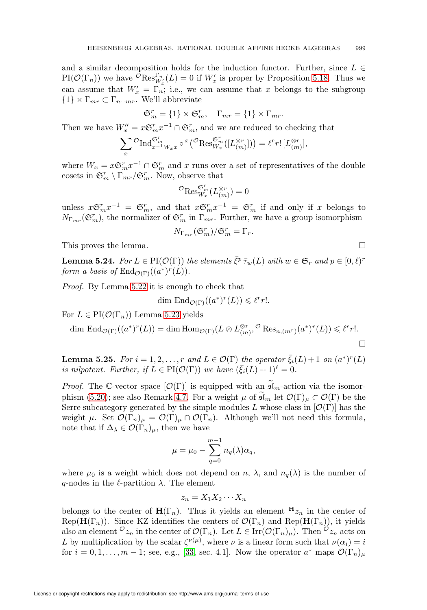and a similar decomposition holds for the induction functor. Further, since  $L \in$ PI( $\mathcal{O}(\Gamma_n)$ ) we have  ${}^{\mathcal{O}}\text{Res}_{W'_x}^{\Gamma_n}(L) = 0$  if  $W'_x$  is proper by Proposition [5.18.](#page-36-1) Thus we can assume that  $W'_x = \overline{\Gamma_n}$ ; i.e., we can assume that x belongs to the subgroup  ${1} \times \Gamma_{mr} \subset \Gamma_{n+mr}$ . We'll abbreviate

$$
\mathfrak{S}_m^r = \{1\} \times \mathfrak{S}_m^r, \quad \Gamma_{mr} = \{1\} \times \Gamma_{mr}.
$$

Then we have  $W''_x = x \mathfrak{S}_m^r x^{-1} \cap \mathfrak{S}_m^r$ , and we are reduced to checking that

$$
\sum_{x} \mathcal{O}_{\mathrm{Ind}_{x^{-1}W_x x}^{\mathfrak{S}_m}} \circ \mathcal{I}(\mathcal{O}_{\mathrm{Res}_{W_x}^{\mathfrak{S}_m}}([L_{(m)}^{\otimes r}])) = \ell^r r! [L_{(m)}^{\otimes r}],
$$

where  $W_x = x \mathfrak{S}_m^r x^{-1} \cap \mathfrak{S}_m^r$  and x runs over a set of representatives of the double cosets in  $\mathfrak{S}_m^r \setminus \Gamma_{mr}/\mathfrak{S}_m^r$ . Now, observe that

$$
{}^{\mathcal{O}}\text{Res}_{W_x}^{\mathfrak{S}_m^r}(L_{(m)}^{\otimes r})=0
$$

unless  $x \mathfrak{S}_m^r x^{-1} = \mathfrak{S}_m^r$ , and that  $x \mathfrak{S}_m^r x^{-1} = \mathfrak{S}_m^r$  if and only if x belongs to  $N_{\Gamma_{mr}}(\mathfrak{S}_m^r)$ , the normalizer of  $\mathfrak{S}_m^r$  in  $\Gamma_{mr}$ . Further, we have a group isomorphism

$$
N_{\Gamma_{mr}}(\mathfrak{S}_m^r)/\mathfrak{S}_m^r=\Gamma_r.
$$

This proves the lemma.

<span id="page-40-0"></span>**Lemma 5.24.** For  $L \in \text{PI}(\mathcal{O}(\Gamma))$  the elements  $\bar{\xi}^p \bar{\tau}_w(L)$  with  $w \in \mathfrak{S}_r$  and  $p \in [0,\ell)^r$ form a basis of  $\text{End}_{\mathcal{O}(\Gamma)}((a^*)^r(L)).$ 

Proof. By Lemma [5.22](#page-38-0) it is enough to check that

$$
\dim \operatorname{End}_{\mathcal{O}(\Gamma)}((a^*)^r(L)) \leq \ell^r r!.
$$

For  $L \in PI(\mathcal{O}(\Gamma_n))$  Lemma [5.23](#page-39-0) yields

$$
\dim \operatorname{End}_{\mathcal{O}(\Gamma)}((a^*)^r(L)) = \dim \operatorname{Hom}_{\mathcal{O}(\Gamma)}(L \otimes L_{(m)}^{\otimes r}, {}^{\mathcal{O}} \operatorname{Res}_{n,(m^r)}(a^*)^r(L)) \leq \ell^r r!.
$$

<span id="page-40-1"></span>**Lemma 5.25.** For  $i = 1, 2, ..., r$  and  $L \in \mathcal{O}(\Gamma)$  the operator  $\bar{\xi}_i(L) + 1$  on  $(a^*)^r(L)$ is nilpotent. Further, if  $L \in PI(\mathcal{O}(\Gamma))$  we have  $(\bar{\xi}_i(L) + 1)^{\ell} = 0$ .

*Proof.* The C-vector space  $[\mathcal{O}(\Gamma)]$  is equipped with an  $\widetilde{\mathfrak{sl}}_m$ -action via the isomor-phism [\(5.20\)](#page-31-0); see also Remark [4.7.](#page-24-0) For a weight  $\mu$  of  $\mathfrak{sl}_m$  let  $\mathcal{O}(\Gamma)_{\mu} \subset \mathcal{O}(\Gamma)$  be the Serre subcategory generated by the simple modules L whose class in  $[\mathcal{O}(\Gamma)]$  has the weight  $\mu$ . Set  $\mathcal{O}(\Gamma_n)_{\mu} = \mathcal{O}(\Gamma)_{\mu} \cap \mathcal{O}(\Gamma_n)$ . Although we'll not need this formula, note that if  $\Delta_{\lambda} \in \mathcal{O}(\Gamma_n)_{\mu}$ , then we have

$$
\mu = \mu_0 - \sum_{q=0}^{m-1} n_q(\lambda) \alpha_q,
$$

where  $\mu_0$  is a weight which does not depend on n,  $\lambda$ , and  $n_q(\lambda)$  is the number of q-nodes in the  $\ell$ -partition  $\lambda$ . The element

$$
z_n = X_1 X_2 \cdots X_n
$$

belongs to the center of  $\mathbf{H}(\Gamma_n)$ . Thus it yields an element  $H_{z_n}$  in the center of Rep( $\mathbf{H}(\Gamma_n)$ ). Since KZ identifies the centers of  $\mathcal{O}(\Gamma_n)$  and Rep( $\mathbf{H}(\Gamma_n)$ ), it yields also an element  $^{\mathcal{O}}z_n$  in the center of  $\mathcal{O}(\Gamma_n)$ . Let  $L \in \text{Irr}(\mathcal{O}(\Gamma_n)_\mu)$ . Then  $^{\mathcal{O}}z_n$  acts on L by multiplication by the scalar  $\zeta^{\nu(\mu)}$ , where  $\nu$  is a linear form such that  $\nu(\alpha_i) = i$ for  $i = 0, 1, \ldots, m - 1$ ; see, e.g., [\[33,](#page-72-0) sec. 4.1]. Now the operator  $a^*$  maps  $\mathcal{O}(\Gamma_n)_{\mu}$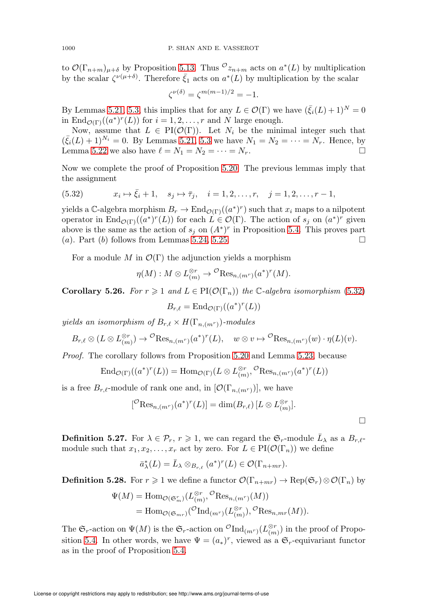to  $\mathcal{O}(\Gamma_{n+m})_{\mu+\delta}$  by Proposition [5.13.](#page-31-1) Thus  ${}^{\mathcal{O}}z_{n+m}$  acts on  $a^*(L)$  by multiplication by the scalar  $\zeta^{\nu(\mu+\delta)}$ . Therefore  $\bar{\zeta}_1$  acts on  $a^*(L)$  by multiplication by the scalar

$$
\zeta^{\nu(\delta)} = \zeta^{m(m-1)/2} = -1.
$$

By Lemmas [5.21,](#page-37-2) [5.3,](#page-27-0) this implies that for any  $L \in \mathcal{O}(\Gamma)$  we have  $(\bar{\xi}_i(L) + 1)^N = 0$ in  $\text{End}_{\mathcal{O}(\Gamma)}((a^*)^r(L))$  for  $i = 1, 2, ..., r$  and N large enough.

Now, assume that  $L \in PI(\mathcal{O}(\Gamma))$ . Let  $N_i$  be the minimal integer such that  $(\bar{\xi}_i(L) + 1)^{N_i} = 0$ . By Lemmas [5.21,](#page-37-2) [5.3](#page-27-0) we have  $N_1 = N_2 = \cdots = N_r$ . Hence, by Lemma [5.22](#page-38-0) we also have  $\ell = N_1 = N_2 = \cdots = N_r$ .

Now we complete the proof of Proposition [5.20.](#page-36-2) The previous lemmas imply that the assignment

<span id="page-41-0"></span>(5.32) 
$$
x_i \mapsto \bar{\xi}_i + 1
$$
,  $s_j \mapsto \bar{\tau}_j$ ,  $i = 1, 2, ..., r$ ,  $j = 1, 2, ..., r - 1$ ,

yields a C-algebra morphism  $B_r \to \text{End}_{\mathcal{O}(\Gamma)}((a^*)^r)$  such that  $x_i$  maps to a nilpotent operator in  $\text{End}_{\mathcal{O}(\Gamma)}((a^*)^r(L))$  for each  $L \in \mathcal{O}(\Gamma)$ . The action of  $s_j$  on  $(a^*)^r$  given above is the same as the action of  $s_j$  on  $(A^*)^r$  in Proposition [5.4.](#page-29-0) This proves part (a). Part (b) follows from Lemmas [5.24,](#page-40-0) [5.25.](#page-40-1)

For a module M in  $\mathcal{O}(\Gamma)$  the adjunction yields a morphism

$$
\eta(M): M \otimes L^{\otimes r}_{(m)} \to {}^{\mathcal{O}} \text{Res}_{n,(m^r)}(a^*)^r(M).
$$

<span id="page-41-1"></span>**Corollary 5.26.** For  $r \geq 1$  and  $L \in PI(\mathcal{O}(\Gamma_n))$  the C-algebra isomorphism [\(5.32\)](#page-41-0)

$$
B_{r,\ell} = \mathrm{End}_{\mathcal{O}(\Gamma)}((a^*)^r(L))
$$

yields an isomorphism of  $B_{r,\ell} \times H(\Gamma_{n,(m^r)})$ -modules

$$
B_{r,\ell} \otimes (L \otimes L_{(m)}^{\otimes r}) \to \mathcal{O}(\mathrm{Res}_{n,(m^r)}(a^*)^r(L), \quad w \otimes v \mapsto \mathcal{O}(\mathrm{Res}_{n,(m^r)}(w) \cdot \eta(L)(v).
$$

Proof. The corollary follows from Proposition [5.20](#page-36-2) and Lemma [5.23,](#page-39-0) because

$$
\operatorname{End}_{\mathcal{O}(\Gamma)}((a^*)^r(L)) = \operatorname{Hom}_{\mathcal{O}(\Gamma)}(L \otimes L_{(m)}^{\otimes r}, {}^{\mathcal{O}} \operatorname{Res}_{n,(m^r)}(a^*)^r(L))
$$

is a free  $B_{r,\ell}$ -module of rank one and, in  $[\mathcal{O}(\Gamma_{n,(m^r)})]$ , we have

$$
[^\circ Res_{n,(m^r)}(a^*)^r(L)] = \dim(B_{r,\ell}) [L \otimes L_{(m)}^{\otimes r}].
$$

 $\Box$ 

**Definition 5.27.** For  $\lambda \in \mathcal{P}_r$ ,  $r \geq 1$ , we can regard the  $\mathfrak{S}_r$ -module  $\bar{L}_{\lambda}$  as a  $B_{r,\ell}$ module such that  $x_1, x_2, \ldots, x_r$  act by zero. For  $L \in \text{PI}(\mathcal{O}(\Gamma_n))$  we define

$$
\bar{a}_{\lambda}^*(L) = \bar{L}_{\lambda} \otimes_{B_{r,\ell}} (a^*)^r(L) \in \mathcal{O}(\Gamma_{n+mr}).
$$

**Definition 5.28.** For  $r \geq 1$  we define a functor  $\mathcal{O}(\Gamma_{n+mr}) \to \text{Rep}(\mathfrak{S}_r) \otimes \mathcal{O}(\Gamma_n)$  by

$$
\Psi(M) = \text{Hom}_{\mathcal{O}(\mathfrak{S}_m^r)}(L^{\otimes r}_{(m)}, \mathcal{O} \text{Res}_{n,(m^r)}(M))
$$
  
= 
$$
\text{Hom}_{\mathcal{O}(\mathfrak{S}_{mr})}(\mathcal{O} \text{Ind}_{(m^r)}(L^{\otimes r}_{(m)}), \mathcal{O} \text{Res}_{n,m^r}(M)).
$$

The  $\mathfrak{S}_r$ -action on  $\Psi(M)$  is the  $\mathfrak{S}_r$ -action on  ${}^{\mathcal{O}}\text{Ind}_{(m^r)}(L^{\otimes r}_{(m)})$  in the proof of Propo-sition [5.4.](#page-29-0) In other words, we have  $\Psi = (a_*)^r$ , viewed as a  $\mathfrak{S}_r$ -equivariant functor as in the proof of Proposition [5.4.](#page-29-0)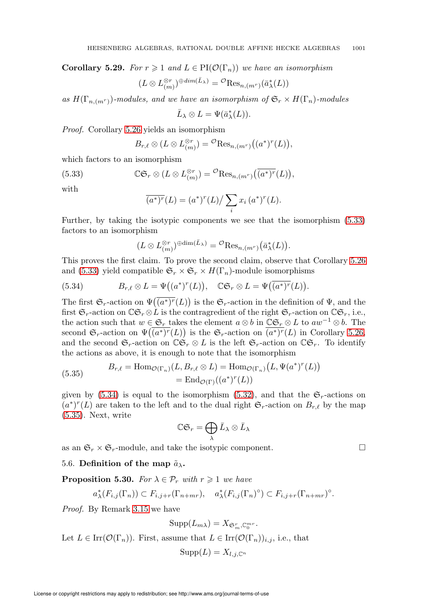<span id="page-42-4"></span>**Corollary 5.29.** For  $r \geq 1$  and  $L \in PI(\mathcal{O}(\Gamma_n))$  we have an isomorphism

$$
(L\otimes L_{(m)}^{\otimes r})^{\oplus dim(\bar L_\lambda)}=\mathcal{O}(\mathrm{Res}_{n,(m^r)}(\bar a_\lambda^*(L))
$$

as  $H(\Gamma_{n,(m^r)})$ -modules, and we have an isomorphism of  $\mathfrak{S}_r \times H(\Gamma_n)$ -modules

$$
\bar{L}_{\lambda}\otimes L=\Psi(\bar{a}_{\lambda}^*(L)).
$$

Proof. Corollary [5.26](#page-41-1) yields an isomorphism

$$
B_{r,\ell} \otimes (L \otimes L_{(m)}^{\otimes r}) = {}^{\mathcal{O}} \text{Res}_{n,(m^r)} \big( (a^*)^r(L) \big),
$$

which factors to an isomorphism

<span id="page-42-0"></span>(5.33) 
$$
\mathbb{CG}_r \otimes (L \otimes L_{(m)}^{\otimes r}) = {}^{\mathcal{O}} \text{Res}_{n,(m^r)}\big(\overline{(a^*)^r}(L)\big),
$$

with

$$
\overline{(a^*)^r}(L) = (a^*)^r(L) / \sum_i x_i (a^*)^r(L).
$$

Further, by taking the isotypic components we see that the isomorphism [\(5.33\)](#page-42-0) factors to an isomorphism

$$
(L\otimes L_{(m)}^{\otimes r})^{\oplus \dim(\bar{L}_{\lambda})}=\mathcal{O} \text{Res}_{n,(m^{r})}(\bar{a}_{\lambda}^{*}(L)).
$$

This proves the first claim. To prove the second claim, observe that Corollary [5.26](#page-41-1) and [\(5.33\)](#page-42-0) yield compatible  $\mathfrak{S}_r \times \mathfrak{S}_r \times H(\Gamma_n)$ -module isomorphisms

<span id="page-42-1"></span>(5.34) 
$$
B_{r,\ell} \otimes L = \Psi((a^*)^r(L)), \quad \mathbb{C} \mathfrak{S}_r \otimes L = \Psi((a^*)^r(L)).
$$

The first  $\mathfrak{S}_r$ -action on  $\Psi(\overline{(a^*)^r}(L))$  is the  $\mathfrak{S}_r$ -action in the definition of  $\Psi$ , and the first  $\mathfrak{S}_r$ -action on  $\mathbb{C}\mathfrak{S}_r \otimes L$  is the contragredient of the right  $\mathfrak{S}_r$ -action on  $\mathbb{C}\mathfrak{S}_r$ , i.e., the action such that  $w \in \mathfrak{S}_r$  takes the element  $a \otimes b$  in  $\mathbb{C} \mathfrak{S}_r \otimes L$  to  $aw^{-1} \otimes b$ . The second  $\mathfrak{S}_r$ -action on  $\Psi((a^*)^r(L))$  is the  $\mathfrak{S}_r$ -action on  $\overline{(a^*)^r}(L)$  in Corollary [5.26,](#page-41-1) and the second  $\mathfrak{S}_r$ -action on  $\mathbb{C}\mathfrak{S}_r \otimes L$  is the left  $\mathfrak{S}_r$ -action on  $\mathbb{C}\mathfrak{S}_r$ . To identify the actions as above, it is enough to note that the isomorphism

<span id="page-42-2"></span>(5.35) 
$$
B_{r,\ell} = \text{Hom}_{\mathcal{O}(\Gamma_n)}(L, B_{r,\ell} \otimes L) = \text{Hom}_{\mathcal{O}(\Gamma_n)}(L, \Psi(a^*)^r(L))
$$

$$
= \text{End}_{\mathcal{O}(\Gamma)}((a^*)^r(L))
$$

given by  $(5.34)$  is equal to the isomorphism  $(5.32)$ , and that the  $\mathfrak{S}_r$ -actions on  $(a^*)^r(L)$  are taken to the left and to the dual right  $\mathfrak{S}_r$ -action on  $B_{r,\ell}$  by the map [\(5.35\)](#page-42-2). Next, write

$$
\mathbb{C}\mathfrak{S}_r=\bigoplus_\lambda \bar L_\lambda\otimes \bar L_\lambda
$$

as an  $\mathfrak{S}_r \times \mathfrak{S}_r$ -module, and take the isotypic component.

# 5.6. Definition of the map  $\tilde{a}_{\lambda}$ .

<span id="page-42-3"></span>**Proposition 5.30.** For  $\lambda \in \mathcal{P}_r$  with  $r \geq 1$  we have

$$
a_{\lambda}^*(F_{i,j}(\Gamma_n)) \subset F_{i,j+r}(\Gamma_{n+mr}), \quad a_{\lambda}^*(F_{i,j}(\Gamma_n)^{\circ}) \subset F_{i,j+r}(\Gamma_{n+mr})^{\circ}.
$$

Proof. By Remark [3.15](#page-14-2) we have

$$
Supp(L_{m\lambda})=X_{\mathfrak{S}_m^r,\mathbb{C}_0^{mr}}.
$$

Let  $L \in \text{Irr}(\mathcal{O}(\Gamma_n))$ . First, assume that  $L \in \text{Irr}(\mathcal{O}(\Gamma_n))_{i,j}$ , i.e., that

$$
\operatorname{Supp}(L) = X_{l,j,\mathbb{C}^n}
$$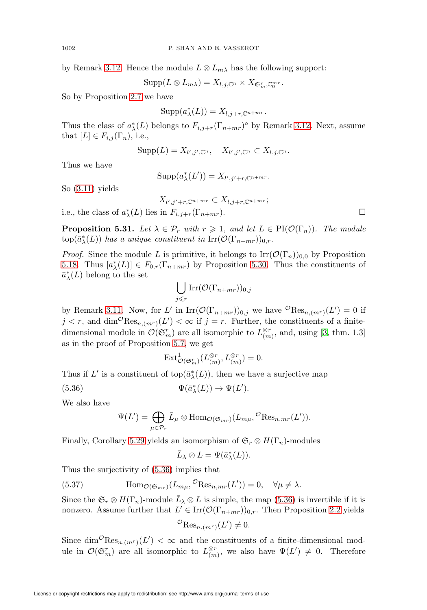by Remark [3.12.](#page-14-3) Hence the module  $L \otimes L_{m\lambda}$  has the following support:

 $\mathrm{Supp}(L\otimes L_{m\lambda})=X_{l,j,\mathbb{C}^n}\times X_{\mathfrak{S}_m^r,\mathbb{C}_0^{mr}}.$ 

So by Proposition [2.7](#page-6-1) we have

 $\text{Supp}(a_{\lambda}^{*}(L)) = X_{l,j+r,\mathbb{C}^{n+mr}}.$ 

Thus the class of  $a^*_{\lambda}(L)$  belongs to  $F_{i,j+r}(\Gamma_{n+mr})^{\circ}$  by Remark [3.12.](#page-14-3) Next, assume that  $[L] \in F_{i,j}(\Gamma_n)$ , i.e.,

$$
\operatorname{Supp}(L) = X_{l',j',\mathbb{C}^n}, \quad X_{l',j',\mathbb{C}^n} \subset X_{l,j,\mathbb{C}^n}.
$$

Thus we have

$$
\operatorname{Supp}(a_{\lambda}^{*}(L')) = X_{l',j'+r,\mathbb{C}^{n+mr}}.
$$

So  $(3.11)$  yields

 $X_{l',j'+r,\mathbb{C}^{n+mr}} \subset X_{l,j+r,\mathbb{C}^{n+mr}};$ 

i.e., the class of  $a_{\lambda}^{*}(L)$  lies in  $F_{i,j+r}(\Gamma_{n+mr})$ .

<span id="page-43-1"></span>**Proposition 5.31.** Let  $\lambda \in \mathcal{P}_r$  with  $r \geq 1$ , and let  $L \in \text{PI}(\mathcal{O}(\Gamma_n))$ . The module  $\text{top}(\bar{a}_{\lambda}^*(L))$  has a unique constituent in  $\text{Irr}(\mathcal{O}(\Gamma_{n+mr}))_{0,r}$ .

*Proof.* Since the module L is primitive, it belongs to  $\text{Irr}(\mathcal{O}(\Gamma_n))_{0,0}$  by Proposition [5.18.](#page-36-1) Thus  $[a^*_{\lambda}(L)] \in F_{0,r}(\Gamma_{n+mr})$  by Proposition [5.30.](#page-42-3) Thus the constituents of  $\bar{a}_{\lambda}^*(L)$  belong to the set

$$
\bigcup_{j\leqslant r}\mathrm{Irr}(\mathcal{O}(\Gamma_{n+mr}))_{0,j}
$$

by Remark [3.11.](#page-14-1) Now, for L' in  $\text{Irr}(\mathcal{O}(\Gamma_{n+m})_{0,j}$  we have  $\mathcal{O}(\text{Res}_{n,(m^r)}(L')=0$  if  $j < r$ , and  $\dim^{\mathcal{O}} \text{Res}_{n,(m^r)}(L') < \infty$  if  $j = r$ . Further, the constituents of a finitedimensional module in  $\mathcal{O}(\mathfrak{S}_m^r)$  are all isomorphic to  $L_{(m)}^{\otimes r}$ , and, using [\[3,](#page-71-0) thm. 1.3] as in the proof of Proposition [5.7,](#page-30-0) we get

$$
\operatorname{Ext}^1_{\mathcal{O}(\mathfrak{S}_m^r)}(L^{\otimes r}_{(m)},L^{\otimes r}_{(m)})=0.
$$

Thus if  $L'$  is a constituent of top( $\bar{a}_{\lambda}^{*}(L)$ ), then we have a surjective map

<span id="page-43-0"></span>(5.36) 
$$
\Psi(\bar{a}_{\lambda}^{*}(L)) \to \Psi(L').
$$

We also have

$$
\Psi(L') = \bigoplus_{\mu \in \mathcal{P}_r} \bar{L}_{\mu} \otimes \text{Hom}_{\mathcal{O}(\mathfrak{S}_{mr})}(L_{m\mu}, {}^{\mathcal{O}}\text{Res}_{n,mr}(L')).
$$

Finally, Corollary [5.29](#page-42-4) yields an isomorphism of  $\mathfrak{S}_r \otimes H(\Gamma_n)$ -modules

$$
\bar{L}_{\lambda} \otimes L = \Psi(\bar{a}_{\lambda}^*(L)).
$$

Thus the surjectivity of [\(5.36\)](#page-43-0) implies that

(5.37) 
$$
\text{Hom}_{\mathcal{O}(\mathfrak{S}_{mr})}(L_{m\mu}, \mathcal{O}_{\text{Res}_{n,mr}}(L')) = 0, \quad \forall \mu \neq \lambda.
$$

Since the  $\mathfrak{S}_r \otimes H(\Gamma_n)$ -module  $\bar{L}_{\lambda} \otimes L$  is simple, the map [\(5.36\)](#page-43-0) is invertible if it is nonzero. Assume further that  $L' \in \text{Irr}(\mathcal{O}(\Gamma_{n+mr}))_{0,r}$ . Then Proposition [2.2](#page-4-0) yields

$$
{}^{\mathcal{O}}\text{Res}_{n,(m^r)}(L') \neq 0.
$$

Since  $\dim^{\mathcal{O}} \text{Res}_{n,(m^r)}(L') < \infty$  and the constituents of a finite-dimensional module in  $\mathcal{O}(\mathfrak{S}_m^r)$  are all isomorphic to  $L_{(m)}^{\otimes r}$ , we also have  $\Psi(L') \neq 0$ . Therefore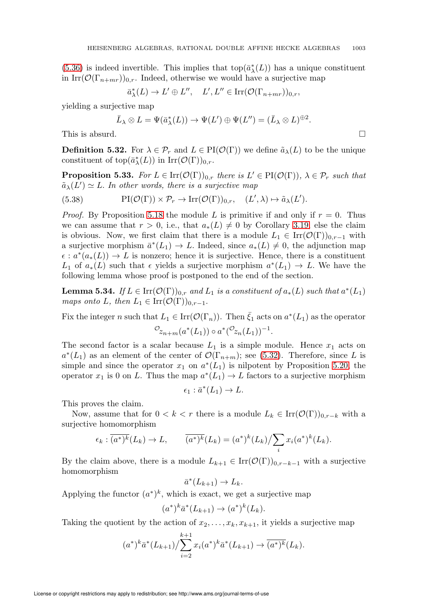[\(5.36\)](#page-43-0) is indeed invertible. This implies that  $\text{top}(\bar{a}_{\lambda}^*(L))$  has a unique constituent in Irr $(\mathcal{O}(\Gamma_{n+m})_{0,r}$ . Indeed, otherwise we would have a surjective map

$$
\bar{a}_{\lambda}^*(L) \to L' \oplus L'', \quad L', L'' \in \operatorname{Irr}(\mathcal{O}(\Gamma_{n+mr}))_{0,r},
$$

yielding a surjective map

$$
\bar{L}_{\lambda} \otimes L = \Psi(\bar{a}_{\lambda}^{*}(L)) \to \Psi(L') \oplus \Psi(L'') = (\bar{L}_{\lambda} \otimes L)^{\oplus 2}.
$$

This is absurd.  $\square$ 

**Definition 5.32.** For  $\lambda \in \mathcal{P}_r$  and  $L \in \text{PI}(\mathcal{O}(\Gamma))$  we define  $\tilde{a}_{\lambda}(L)$  to be the unique constituent of  $\text{top}(\bar{a}_{\lambda}^*(L))$  in  $\text{Irr}(\mathcal{O}(\Gamma))_{0,r}$ .

<span id="page-44-1"></span>**Proposition 5.33.** For  $L \in \text{Irr}(\mathcal{O}(\Gamma))_{0,r}$  there is  $L' \in \text{PI}(\mathcal{O}(\Gamma))$ ,  $\lambda \in \mathcal{P}_r$  such that  $\tilde{a}_{\lambda}(L') \simeq L$ . In other words, there is a surjective map

(5.38) 
$$
\text{PI}(\mathcal{O}(\Gamma)) \times \mathcal{P}_r \to \text{Irr}(\mathcal{O}(\Gamma))_{0,r}, \quad (L', \lambda) \mapsto \tilde{a}_{\lambda}(L').
$$

*Proof.* By Proposition [5.18](#page-36-1) the module L is primitive if and only if  $r = 0$ . Thus we can assume that  $r > 0$ , i.e., that  $a_*(L) \neq 0$  by Corollary [3.19,](#page-16-0) else the claim is obvious. Now, we first claim that there is a module  $L_1 \in \text{Irr}(\mathcal{O}(\Gamma))_{0,r-1}$  with a surjective morphism  $\bar{a}^*(L_1) \to L$ . Indeed, since  $a_*(L) \neq 0$ , the adjunction map  $\epsilon: a^*(a_*(L)) \to L$  is nonzero; hence it is surjective. Hence, there is a constituent L<sub>1</sub> of  $a_*(L)$  such that  $\epsilon$  yields a surjective morphism  $a^*(L_1) \to L$ . We have the following lemma whose proof is postponed to the end of the section.

<span id="page-44-0"></span>**Lemma 5.34.** If  $L \in \text{Irr}(\mathcal{O}(\Gamma))_{0,r}$  and  $L_1$  is a constituent of  $a_*(L)$  such that  $a^*(L_1)$ maps onto L, then  $L_1 \in \text{Irr}(\mathcal{O}(\Gamma))_{0,r-1}$ .

Fix the integer n such that  $L_1 \in \text{Irr}(\mathcal{O}(\Gamma_n))$ . Then  $\bar{\zeta}_1$  acts on  $a^*(L_1)$  as the operator  $\mathcal{O}_{z_{n+m}}(a^*(L_1)) \circ a^*(\mathcal{O}_{z_n}(L_1))^{-1}.$ 

The second factor is a scalar because  $L_1$  is a simple module. Hence  $x_1$  acts on  $a^*(L_1)$  as an element of the center of  $\mathcal{O}(\Gamma_{n+m})$ ; see [\(5.32\)](#page-41-0). Therefore, since L is simple and since the operator  $x_1$  on  $a^*(L_1)$  is nilpotent by Proposition [5.20,](#page-36-2) the operator  $x_1$  is 0 on L. Thus the map  $a^*(L_1) \to L$  factors to a surjective morphism

$$
\epsilon_1: \bar{a}^*(L_1) \to L.
$$

This proves the claim.

Now, assume that for  $0 < k < r$  there is a module  $L_k \in \text{Irr}(\mathcal{O}(\Gamma))_{0,r-k}$  with a surjective homomorphism

$$
\epsilon_k : \overline{(a^*)^k}(L_k) \to L, \qquad \overline{(a^*)^k}(L_k) = (a^*)^k(L_k) / \sum_i x_i(a^*)^k(L_k).
$$

By the claim above, there is a module  $L_{k+1} \in \text{Irr}(\mathcal{O}(\Gamma))_{0,r-k-1}$  with a surjective homomorphism

$$
\bar{a}^*(L_{k+1}) \to L_k.
$$

Applying the functor  $(a^*)^k$ , which is exact, we get a surjective map

$$
(a^*)^k \bar{a}^*(L_{k+1}) \to (a^*)^k(L_k).
$$

Taking the quotient by the action of  $x_2, \ldots, x_k, x_{k+1}$ , it yields a surjective map

$$
(a^*)^k \bar{a}^*(L_{k+1}) / \sum_{i=2}^{k+1} x_i (a^*)^k \bar{a}^*(L_{k+1}) \to \overline{(a^*)^k}(L_k).
$$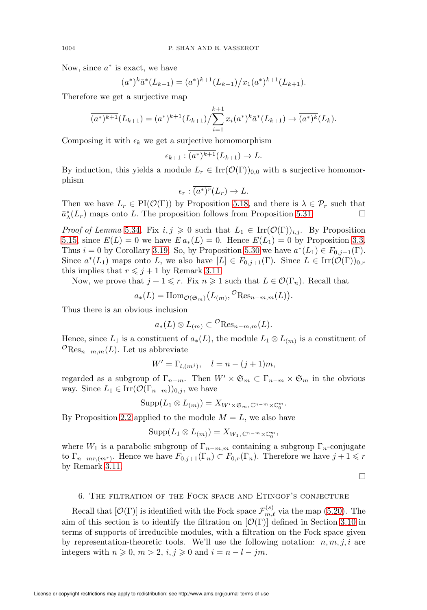Now, since  $a^*$  is exact, we have

$$
(a^*)^k \bar{a}^*(L_{k+1}) = (a^*)^{k+1} (L_{k+1})/x_1 (a^*)^{k+1} (L_{k+1}).
$$

 $\overline{a}$ Therefore we get a surjective map

$$
\overline{(a^*)^{k+1}}(L_{k+1}) = (a^*)^{k+1}(L_{k+1}) / \sum_{i=1}^{k+1} x_i (a^*)^k \overline{a}^*(L_{k+1}) \to \overline{(a^*)^k}(L_k).
$$

Composing it with  $\epsilon_k$  we get a surjective homomorphism

$$
\epsilon_{k+1} : \overline{(a^*)^{k+1}}(L_{k+1}) \to L.
$$

By induction, this yields a module  $L_r \in \text{Irr}(\mathcal{O}(\Gamma))_{0,0}$  with a surjective homomorphism

$$
\epsilon_r : \overline{(a^*)^r}(L_r) \to L.
$$

Then we have  $L_r \in PI(\mathcal{O}(\Gamma))$  by Proposition [5.18,](#page-36-1) and there is  $\lambda \in \mathcal{P}_r$  such that  $\bar{a}_{\lambda}^{*}(L_{r})$  maps onto L. The proposition follows from Proposition [5.31.](#page-43-1)

*Proof of Lemma* [5.34](#page-44-0). Fix  $i, j \geq 0$  such that  $L_1 \in \text{Irr}(\mathcal{O}(\Gamma))_{i,j}$ . By Proposition [5.15,](#page-33-0) since  $E(L) = 0$  we have  $E a_*(L) = 0$ . Hence  $E(L_1) = 0$  by Proposition [3.3.](#page-12-0) Thus  $i = 0$  by Corollary [3.19.](#page-16-0) So, by Proposition [5.30](#page-42-3) we have  $a^*(L_1) \in F_{0,j+1}(\Gamma)$ . Since  $a^*(L_1)$  maps onto L, we also have  $[L] \in F_{0,j+1}(\Gamma)$ . Since  $L \in \text{Irr}(\mathcal{O}(\Gamma))_{0,r}$ this implies that  $r \leq j + 1$  by Remark [3.11.](#page-14-1)

Now, we prove that  $j + 1 \leq r$ . Fix  $n \geq 1$  such that  $L \in \mathcal{O}(\Gamma_n)$ . Recall that

$$
a_*(L) = \mathrm{Hom}_{\mathcal{O}(\mathfrak{S}_m)}(L_{(m)},{}^{\mathcal{O}} \mathrm{Res}_{n-m,m}(L)).
$$

Thus there is an obvious inclusion

$$
a_*(L) \otimes L_{(m)} \subset \mathcal{O}(\text{Res}_{n-m,m}(L)).
$$

Hence, since  $L_1$  is a constituent of  $a_*(L)$ , the module  $L_1 \otimes L_{(m)}$  is a constituent of  $\mathcal{O}_{\text{Res}_{n-m,m}}(L)$ . Let us abbreviate

$$
W' = \Gamma_{l,(m^j)}, \quad l = n - (j+1)m,
$$

regarded as a subgroup of  $\Gamma_{n-m}$ . Then  $W' \times \mathfrak{S}_m \subset \Gamma_{n-m} \times \mathfrak{S}_m$  in the obvious way. Since  $L_1 \in \text{Irr}(\mathcal{O}(\Gamma_{n-m}))_{0,j}$ , we have

$$
\mathrm{Supp}(L_1 \otimes L_{(m)}) = X_{W' \times \mathfrak{S}_m, \mathbb{C}^{n-m} \times \mathbb{C}_0^m}.
$$

By Proposition [2.2](#page-4-0) applied to the module  $M = L$ , we also have

$$
Supp(L_1 \otimes L_{(m)}) = X_{W_1, \mathbb{C}^{n-m} \times \mathbb{C}_0^m},
$$

where  $W_1$  is a parabolic subgroup of  $\Gamma_{n-m,m}$  containing a subgroup  $\Gamma_n$ -conjugate to  $\Gamma_{n-mr,(m^r)}$ . Hence we have  $F_{0,j+1}(\Gamma_n) \subset F_{0,r}(\Gamma_n)$ . Therefore we have  $j+1 \leq r$ by Remark [3.11.](#page-14-1)

 $\Box$ 

#### 6. The filtration of the Fock space and Etingof's conjecture

Recall that  $[\mathcal{O}(\Gamma)]$  is identified with the Fock space  $\mathcal{F}_{m,\ell}^{(s)}$  via the map [\(5.20\)](#page-31-0). The aim of this section is to identify the filtration on  $[\mathcal{O}(\Gamma)]$  defined in Section [3.10](#page-12-1) in terms of supports of irreducible modules, with a filtration on the Fock space given by representation-theoretic tools. We'll use the following notation:  $n, m, j, i$  are integers with  $n \geqslant 0, m > 2, i, j \geqslant 0$  and  $i = n - l - jm$ .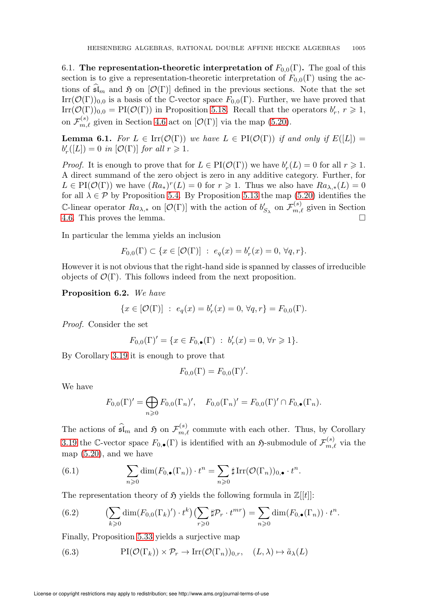6.1. The representation-theoretic interpretation of  $F_{0,0}(\Gamma)$ . The goal of this section is to give a representation-theoretic interpretation of  $F_{0,0}(\Gamma)$  using the actions of  $\mathfrak{sl}_m$  and  $\mathfrak{H}$  on  $[\mathcal{O}(\Gamma)]$  defined in the previous sections. Note that the set  $\text{Irr}(\mathcal{O}(\Gamma))_{0,0}$  is a basis of the C-vector space  $F_{0,0}(\Gamma)$ . Further, we have proved that Irr $(\mathcal{O}(\Gamma))_{0,0} = \text{PI}(\mathcal{O}(\Gamma))$  in Proposition [5.18.](#page-36-1) Recall that the operators  $b'_r, r \geq 1$ , on  $\mathcal{F}_{m,\ell}^{(s)}$  given in Section [4.6](#page-22-0) act on  $[\mathcal{O}(\Gamma)]$  via the map [\(5.20\)](#page-31-0).

<span id="page-46-2"></span>**Lemma 6.1.** For  $L \in \text{Irr}(\mathcal{O}(\Gamma))$  we have  $L \in \text{PI}(\mathcal{O}(\Gamma))$  if and only if  $E([L]) =$  $b'_r([L]) = 0$  in  $[\mathcal{O}(\Gamma)]$  for all  $r \geq 1$ .

*Proof.* It is enough to prove that for  $L \in PI(\mathcal{O}(\Gamma))$  we have  $b'_r(L) = 0$  for all  $r \geq 1$ . A direct summand of the zero object is zero in any additive category. Further, for  $L \in PI(\mathcal{O}(\Gamma))$  we have  $(Ra_*)^r(L) = 0$  for  $r \geq 1$ . Thus we also have  $Ra_{\lambda,*}(L) = 0$ for all  $\lambda \in \mathcal{P}$  by Proposition [5.4.](#page-29-0) By Proposition [5.13](#page-31-1) the map [\(5.20\)](#page-31-0) identifies the C-linear operator  $Ra_{\lambda,*}$  on  $[\mathcal{O}(\Gamma)]$  with the action of  $b'_{S_{\lambda}}$  on  $\mathcal{F}_{m,\ell}^{(s)}$  given in Section [4.6.](#page-22-0) This proves the lemma.

In particular the lemma yields an inclusion

$$
F_{0,0}(\Gamma)\subset\{x\in [{\mathcal O}(\Gamma)]\ :\ e_q(x)=b_r'(x)=0,\, \forall q,r\}.
$$

However it is not obvious that the right-hand side is spanned by classes of irreducible objects of  $\mathcal{O}(\Gamma)$ . This follows indeed from the next proposition.

<span id="page-46-4"></span>Proposition 6.2. We have

$$
\{x \in [\mathcal{O}(\Gamma)] \ : \ e_q(x) = b'_r(x) = 0, \ \forall q, r\} = F_{0,0}(\Gamma).
$$

Proof. Consider the set

$$
F_{0,0}(\Gamma)' = \{ x \in F_{0,\bullet}(\Gamma) : b'_r(x) = 0, \forall r \geq 1 \}.
$$

By Corollary [3.19](#page-16-0) it is enough to prove that

$$
F_{0,0}(\Gamma) = F_{0,0}(\Gamma)'
$$

We have

$$
F_{0,0}(\Gamma)' = \bigoplus_{n \geq 0} F_{0,0}(\Gamma_n)', \quad F_{0,0}(\Gamma_n)' = F_{0,0}(\Gamma)' \cap F_{0,\bullet}(\Gamma_n).
$$

The actions of  $\widehat{\mathfrak{sl}}_m$  and  $\mathfrak H$  on  $\mathcal{F}_{m,\ell}^{(s)}$  commute with each other. Thus, by Corollary [3.19](#page-16-0) the C-vector space  $F_{0,\bullet}(\Gamma)$  is identified with an  $\mathfrak{H}$ -submodule of  $\mathcal{F}_{m,\ell}^{(s)}$  via the map [\(5.20\)](#page-31-0), and we have

<span id="page-46-0"></span>(6.1) 
$$
\sum_{n\geqslant 0} \dim(F_{0,\bullet}(\Gamma_n)) \cdot t^n = \sum_{n\geqslant 0} \sharp \operatorname{Irr}(\mathcal{O}(\Gamma_n))_{0,\bullet} \cdot t^n.
$$

The representation theory of  $\mathfrak H$  yields the following formula in  $\mathbb Z[[t]]$ :

<span id="page-46-3"></span>(6.2) 
$$
\left(\sum_{k\geqslant 0} \dim(F_{0,0}(\Gamma_k)')\cdot t^k\right)\left(\sum_{r\geqslant 0} \sharp \mathcal{P}_r\cdot t^{mr}\right)=\sum_{n\geqslant 0} \dim(F_{0,\bullet}(\Gamma_n))\cdot t^n.
$$

Finally, Proposition [5.33](#page-44-1) yields a surjective map

<span id="page-46-1"></span>(6.3) 
$$
\text{PI}(\mathcal{O}(\Gamma_k)) \times \mathcal{P}_r \to \text{Irr}(\mathcal{O}(\Gamma_n))_{0,r}, \quad (L, \lambda) \mapsto \tilde{a}_{\lambda}(L)
$$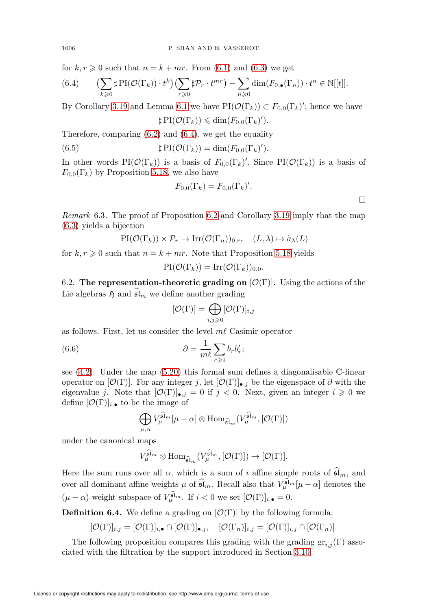for  $k, r \geq 0$  such that  $n = k + mr$ . From [\(6.1\)](#page-46-0) and [\(6.3\)](#page-46-1) we get

<span id="page-47-0"></span>(6.4) 
$$
\left(\sum_{k\geqslant 0} \sharp \operatorname{PI}(\mathcal{O}(\Gamma_k)) \cdot t^k\right) \left(\sum_{r\geqslant 0} \sharp \mathcal{P}_r \cdot t^{mr}\right) - \sum_{n\geqslant 0} \dim(F_{0,\bullet}(\Gamma_n)) \cdot t^n \in \mathbb{N}[[t]].
$$

By Corollary [3.19](#page-16-0) and Lemma [6.1](#page-46-2) we have  $\text{PI}(\mathcal{O}(\Gamma_k)) \subset F_{0,0}(\Gamma_k)'$ ; hence we have

$$
\sharp\operatorname{PI}(\mathcal{O}(\Gamma_k)) \leq \dim(F_{0,0}(\Gamma_k)').
$$

Therefore, comparing [\(6.2\)](#page-46-3) and [\(6.4\)](#page-47-0), we get the equality

(6.5) 
$$
\sharp \operatorname{PI}(\mathcal{O}(\Gamma_k)) = \dim(F_{0,0}(\Gamma_k)').
$$

In other words PI $(\mathcal{O}(\Gamma_k))$  is a basis of  $F_{0,0}(\Gamma_k)'$ . Since PI $(\mathcal{O}(\Gamma_k))$  is a basis of  $F_{0,0}(\Gamma_k)$  by Proposition [5.18,](#page-36-1) we also have

$$
F_{0,0}(\Gamma_k) = F_{0,0}(\Gamma_k)'
$$

 $\Box$ 

<span id="page-47-1"></span>Remark 6.3. The proof of Proposition [6.2](#page-46-4) and Corollary [3.19](#page-16-0) imply that the map [\(6.3\)](#page-46-1) yields a bijection

$$
\text{PI}(\mathcal{O}(\Gamma_k)) \times \mathcal{P}_r \to \text{Irr}(\mathcal{O}(\Gamma_n))_{0,r}, \quad (L, \lambda) \mapsto \tilde{a}_{\lambda}(L)
$$

for  $k, r \geq 0$  such that  $n = k + mr$ . Note that Proposition [5.18](#page-36-1) yields

$$
\text{PI}(\mathcal{O}(\Gamma_k)) = \text{Irr}(\mathcal{O}(\Gamma_k))_{0,0}.
$$

6.2. The representation-theoretic grading on  $[\mathcal{O}(\Gamma)]$ . Using the actions of the Lie algebras  $\mathfrak{H}$  and  $\mathfrak{sl}_m$  we define another grading

$$
[\mathcal{O}(\Gamma)] = \bigoplus_{i,j \geqslant 0} [\mathcal{O}(\Gamma)]_{i,j}
$$

as follows. First, let us consider the level  $m\ell$  Casimir operator

(6.6) 
$$
\partial = \frac{1}{m\ell} \sum_{r \geqslant 1} b_r b'_r;
$$

see  $(4.2)$ . Under the map  $(5.20)$  this formal sum defines a diagonalisable C-linear operator on  $[\mathcal{O}(\Gamma)]$ . For any integer j, let  $[\mathcal{O}(\Gamma)]_{\bullet,j}$  be the eigenspace of  $\partial$  with the eigenvalue j. Note that  $[\mathcal{O}(\Gamma)]_{\bullet,j} = 0$  if  $j < 0$ . Next, given an integer  $i \geq 0$  we define  $[O(\Gamma)]_{i,\bullet}$  to be the image of

$$
\bigoplus_{\mu,\alpha} V_\mu^{\widehat{\mathfrak{sl}}_m}[\mu-\alpha] \otimes \mathrm{Hom}_{\widehat{\mathfrak{sl}}_m}(V_\mu^{\widehat{\mathfrak{sl}}_m},[\mathcal{O}(\Gamma)])
$$

under the canonical maps

$$
V_{\mu}^{\widehat{\mathfrak{sl}}_m} \otimes \text{Hom}_{\widehat{\mathfrak{sl}}_m}(V_{\mu}^{\widehat{\mathfrak{sl}}_m},[\mathcal{O}(\Gamma)]) \rightarrow [\mathcal{O}(\Gamma)].
$$

Here the sum runs over all  $\alpha$ , which is a sum of i affine simple roots of  $\mathfrak{sl}_m$ , and over all dominant affine weights  $\mu$  of  $\widehat{\mathfrak{sl}}_m$ . Recall also that  $V^{\widehat{\mathfrak{sl}}_m}_{\mu}[\mu-\alpha]$  denotes the  $(\mu - \alpha)$ -weight subspace of  $V_{\mu}^{\widehat{\mathfrak{sl}}_m}$ . If  $i < 0$  we set  $[\mathcal{O}(\Gamma)]_{i,\bullet} = 0$ .

**Definition 6.4.** We define a grading on  $[\mathcal{O}(\Gamma)]$  by the following formula:

$$
[\mathcal{O}(\Gamma)]_{i,j} = [\mathcal{O}(\Gamma)]_{i,\bullet} \cap [\mathcal{O}(\Gamma)]_{\bullet,j}, \quad [\mathcal{O}(\Gamma_n)]_{i,j} = [\mathcal{O}(\Gamma)]_{i,j} \cap [\mathcal{O}(\Gamma_n)].
$$

The following proposition compares this grading with the grading  $gr_{i,j}(\Gamma)$  associated with the filtration by the support introduced in Section [3.10.](#page-12-1)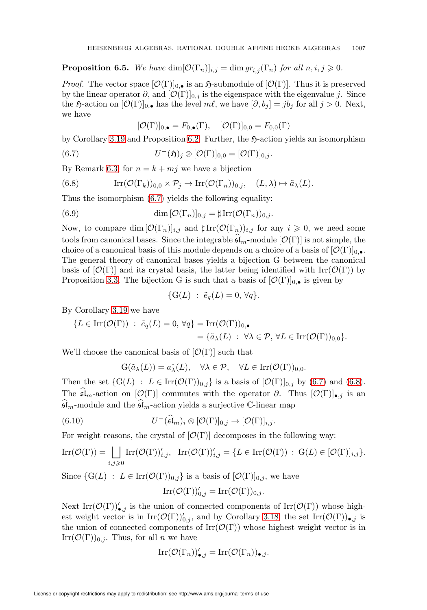<span id="page-48-3"></span>**Proposition 6.5.** We have  $\dim[\mathcal{O}(\Gamma_n)]_{i,j} = \dim gr_{i,j}(\Gamma_n)$  for all  $n, i, j \geq 0$ .

*Proof.* The vector space  $[O(\Gamma)]_{0,\bullet}$  is an  $\mathfrak{H}$ -submodule of  $[O(\Gamma)]$ . Thus it is preserved by the linear operator  $\partial$ , and  $[O(\Gamma)]_{0,i}$  is the eigenspace with the eigenvalue j. Since the  $\mathfrak{H}\text{-action on }[\mathcal{O}(\Gamma)]_{0,\bullet}$  has the level  $m\ell$ , we have  $[\partial, b_j] = jb_j$  for all  $j > 0$ . Next, we have

$$
[\mathcal{O}(\Gamma)]_{0,\bullet} = F_{0,\bullet}(\Gamma), \quad [\mathcal{O}(\Gamma)]_{0,0} = F_{0,0}(\Gamma)
$$

by Corollary [3.19](#page-16-0) and Proposition [6.2.](#page-46-4) Further, the  $\mathfrak{H}\text{-action yields an isomorphism}$ 

<span id="page-48-0"></span>(6.7) 
$$
U^-(\mathfrak{H})_j \otimes [\mathcal{O}(\Gamma)]_{0,0} = [\mathcal{O}(\Gamma)]_{0,j}.
$$

By Remark [6.3,](#page-47-1) for  $n = k + mj$  we have a bijection

<span id="page-48-1"></span>(6.8) 
$$
\mathrm{Irr}(\mathcal{O}(\Gamma_k))_{0,0} \times \mathcal{P}_j \to \mathrm{Irr}(\mathcal{O}(\Gamma_n))_{0,j}, \quad (L,\lambda) \mapsto \tilde{a}_{\lambda}(L).
$$

Thus the isomorphism [\(6.7\)](#page-48-0) yields the following equality:

(6.9) 
$$
\dim [\mathcal{O}(\Gamma_n)]_{0,j} = \sharp \operatorname{Irr}(\mathcal{O}(\Gamma_n))_{0,j}.
$$

Now, to compare dim  $[\mathcal{O}(\Gamma_n)]_{i,j}$  and  $\sharp \text{Irr}(\mathcal{O}(\Gamma_n))_{i,j}$  for any  $i \geqslant 0$ , we need some tools from canonical bases. Since the integrable  $\mathfrak{sl}_m$ -module  $[\mathcal{O}(\Gamma)]$  is not simple, the choice of a canonical basis of this module depends on a choice of a basis of  $[O(\Gamma)]_{0,\bullet}$ . The general theory of canonical bases yields a bijection G between the canonical basis of  $[\mathcal{O}(\Gamma)]$  and its crystal basis, the latter being identified with Irr( $\mathcal{O}(\Gamma)$ ) by Proposition [3.3.](#page-12-0) The bijection G is such that a basis of  $[O(\Gamma)]_{0,\bullet}$  is given by

$$
\{G(L) : \tilde{e}_q(L) = 0, \forall q\}.
$$

By Corollary [3.19](#page-16-0) we have

$$
\{L \in \operatorname{Irr}(\mathcal{O}(\Gamma)) \; : \; \tilde{e}_q(L) = 0, \, \forall q\} = \operatorname{Irr}(\mathcal{O}(\Gamma))_{0,\bullet}
$$
\n
$$
= \{\tilde{a}_\lambda(L) \; : \; \forall \lambda \in \mathcal{P}, \, \forall L \in \operatorname{Irr}(\mathcal{O}(\Gamma))_{0,0}\}.
$$

We'll choose the canonical basis of  $[O(\Gamma)]$  such that

$$
G(\tilde{a}_{\lambda}(L)) = a_{\lambda}^*(L), \quad \forall \lambda \in \mathcal{P}, \quad \forall L \in \text{Irr}(\mathcal{O}(\Gamma))_{0,0}.
$$

Then the set  $\{G(L) : L \in \text{Irr}(\mathcal{O}(\Gamma))_{0,j}\}$  is a basis of  $[\mathcal{O}(\Gamma)]_{0,j}$  by [\(6.7\)](#page-48-0) and [\(6.8\)](#page-48-1). The  $\mathfrak{sl}_m$ -action on  $[\mathcal{O}(\Gamma)]$  commutes with the operator  $\partial$ . Thus  $[\mathcal{O}(\Gamma)]_{\bullet,j}$  is an  $\mathfrak{sl}_m$ -module and the  $\mathfrak{sl}_m$ -action yields a surjective C-linear map

<span id="page-48-2"></span>(6.10) 
$$
U^{-}(\widehat{\mathfrak{sl}}_m)_i \otimes [\mathcal{O}(\Gamma)]_{0,j} \to [\mathcal{O}(\Gamma)]_{i,j}.
$$

For weight reasons, the crystal of  $[O(\Gamma)]$  decomposes in the following way:

$$
\mathrm{Irr}(\mathcal{O}(\Gamma)) = \bigsqcup_{i,j \geq 0} \mathrm{Irr}(\mathcal{O}(\Gamma))'_{i,j}, \quad \mathrm{Irr}(\mathcal{O}(\Gamma))'_{i,j} = \{ L \in \mathrm{Irr}(\mathcal{O}(\Gamma)) \; : \; \mathrm{G}(L) \in [\mathcal{O}(\Gamma)]_{i,j} \}.
$$

Since  $\{G(L) : L \in \text{Irr}(\mathcal{O}(\Gamma))_{0,j}\}$  is a basis of  $[\mathcal{O}(\Gamma)]_{0,j}$ , we have

$$
\mathrm{Irr}(\mathcal{O}(\Gamma))'_{0,j}=\mathrm{Irr}(\mathcal{O}(\Gamma))_{0,j}.
$$

Next  $\text{Irr}(\mathcal{O}(\Gamma))'_{\bullet,j}$  is the union of connected components of  $\text{Irr}(\mathcal{O}(\Gamma))$  whose highest weight vector is in  $\text{Irr}(\mathcal{O}(\Gamma))'_{0,j}$ , and by Corollary [3.18,](#page-16-1) the set  $\text{Irr}(\mathcal{O}(\Gamma))_{\bullet,j}$  is the union of connected components of  $\text{Irr}(\mathcal{O}(\Gamma))$  whose highest weight vector is in  $\text{Irr}(\mathcal{O}(\Gamma))_{0,i}$ . Thus, for all n we have

$$
\operatorname{Irr}(\mathcal{O}(\Gamma_n))'_{\bullet,j} = \operatorname{Irr}(\mathcal{O}(\Gamma_n))_{\bullet,j}.
$$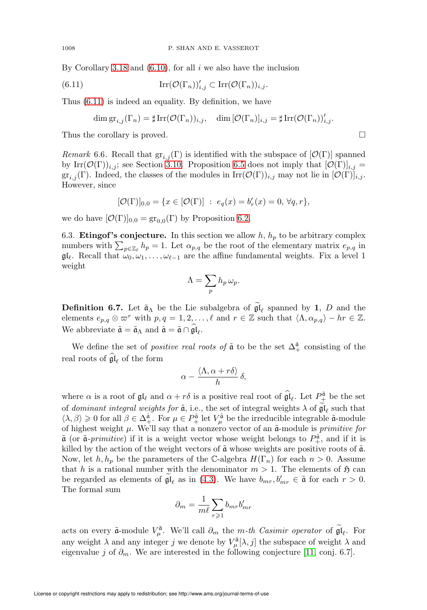By Corollary [3.18](#page-16-1) and  $(6.10)$ , for all i we also have the inclusion

<span id="page-49-0"></span>(6.11) 
$$
\mathrm{Irr}(\mathcal{O}(\Gamma_n))'_{i,j} \subset \mathrm{Irr}(\mathcal{O}(\Gamma_n))_{i,j}.
$$

Thus [\(6.11\)](#page-49-0) is indeed an equality. By definition, we have

$$
\dim \operatorname{gr}_{i,j}(\Gamma_n) = \sharp \operatorname{Irr}(\mathcal{O}(\Gamma_n))_{i,j}, \quad \dim [\mathcal{O}(\Gamma_n)]_{i,j} = \sharp \operatorname{Irr}(\mathcal{O}(\Gamma_n))'_{i,j}.
$$

Thus the corollary is proved.

Remark 6.6. Recall that  $\mathrm{gr}_{i,j}(\Gamma)$  is identified with the subspace of  $[\mathcal{O}(\Gamma)]$  spanned by Irr $(\mathcal{O}(\Gamma))_{i,j}$ ; see Section [3.10.](#page-12-1) Proposition [6.5](#page-48-3) does not imply that  $[\mathcal{O}(\Gamma)]_{i,j}$  =  $gr_{i,j}(\Gamma)$ . Indeed, the classes of the modules in  $\mathrm{Irr}(\mathcal{O}(\Gamma))_{i,j}$  may not lie in  $[\mathcal{O}(\Gamma)]_{i,j}$ . However, since

$$
[\mathcal{O}(\Gamma)]_{0,0} = \{ x \in [\mathcal{O}(\Gamma)] \ : \ e_q(x) = b'_r(x) = 0, \ \forall q, r \},
$$

<span id="page-49-1"></span>we do have  $[\mathcal{O}(\Gamma)]_{0,0} = \text{gr}_{0,0}(\Gamma)$  by Proposition [6.2.](#page-46-4)

6.3. **Etingof's conjecture.** In this section we allow  $h$ ,  $h_p$  to be arbitrary complex numbers with  $\sum_{p\in\mathbb{Z}_{\ell}}h_p=1$ . Let  $\alpha_{p,q}$  be the root of the elementary matrix  $e_{p,q}$  in  $\mathfrak{gl}_{\ell}$ . Recall that  $\omega_0, \omega_1, \ldots, \omega_{\ell-1}$  are the affine fundamental weights. Fix a level 1 weight

$$
\Lambda = \sum_p h_p \,\omega_p.
$$

**Definition 6.7.** Let  $\tilde{a}_{\Lambda}$  be the Lie subalgebra of  $\mathfrak{gl}_{\ell}$  spanned by 1, D and the elements  $e_{p,q} \otimes \overline{\omega}^r$  with  $p,q = 1,2,\ldots,\ell$  and  $r \in \mathbb{Z}$  such that  $\langle \Lambda, \alpha_{p,q} \rangle - hr \in \mathbb{Z}$ . We abbreviate  $\tilde{\mathfrak{a}} = \tilde{\mathfrak{a}}_{\Lambda}$  and  $\hat{\mathfrak{a}} = \tilde{\mathfrak{a}} \cap \mathfrak{gl}_{\ell}$ .

We define the set of *positive real roots of*  $\tilde{a}$  to be the set  $\Delta_+^{\hat{a}}$  consisting of the real roots of  $\mathfrak{gl}_{\ell}$  of the form

$$
\alpha - \frac{\langle \Lambda, \alpha + r\delta \rangle}{h} \, \delta,
$$

where  $\alpha$  is a root of  $\mathfrak{gl}_{\ell}$  and  $\alpha + r\delta$  is a positive real root of  $\widehat{\mathfrak{gl}}_{\ell}$ . Let  $P_{\pm}^{\tilde{\mathfrak{a}}}$  be the set of *dominant integral weights for*  $\tilde{a}$ , i.e., the set of integral weights  $\lambda$  of  $\mathfrak{gl}_{\ell}$  such that  $\langle \lambda, \beta \rangle \geq 0$  for all  $\beta \in \Delta^{\hat{\mathfrak{a}}}_{+}$ . For  $\mu \in P^{\tilde{\mathfrak{a}}}_{+}$  let  $V^{\tilde{\mathfrak{a}}}_{\mu}$  be the irreducible integrable  $\tilde{\mathfrak{a}}$ -module of highest weight  $\mu$ . We'll say that a nonzero vector of an  $\tilde{a}$ -module is *primitive for*  $\tilde{\mathfrak{a}}$  (or  $\tilde{\mathfrak{a}}$ -primitive) if it is a weight vector whose weight belongs to  $P_{+}^{\tilde{\mathfrak{a}}}$ , and if it is killed by the action of the weight vectors of  $\tilde{\mathfrak{a}}$  whose weights are positive roots of  $\tilde{\mathfrak{a}}$ . Now, let  $h, h_p$  be the parameters of the C-algebra  $H(\Gamma_n)$  for each  $n > 0$ . Assume that h is a rational number with the denominator  $m > 1$ . The elements of  $\mathfrak{H}$  can be regarded as elements of  $\mathfrak{gl}_{\ell}$  as in [\(4.3\)](#page-18-1). We have  $b_{mr}, b'_{mr} \in \tilde{\mathfrak{a}}$  for each  $r > 0$ . The formal sum

$$
\partial_m = \frac{1}{m\ell} \sum_{r \geqslant 1} b_{mr} b'_{mr}
$$

acts on every  $\tilde{\mathfrak{a}}$ -module  $V_{\mu}^{\tilde{\mathfrak{a}}}$ . We'll call  $\partial_m$  the m-th Casimir operator of  $\tilde{\mathfrak{gl}}_{\ell}$ . For any weight  $\lambda$  and any integer j we denote by  $V_\mu^{\tilde{\mathfrak{a}}}[\lambda, j]$  the subspace of weight  $\lambda$  and eigenvalue j of  $\partial_m$ . We are interested in the following conjecture [\[11,](#page-71-1) conj. 6.7].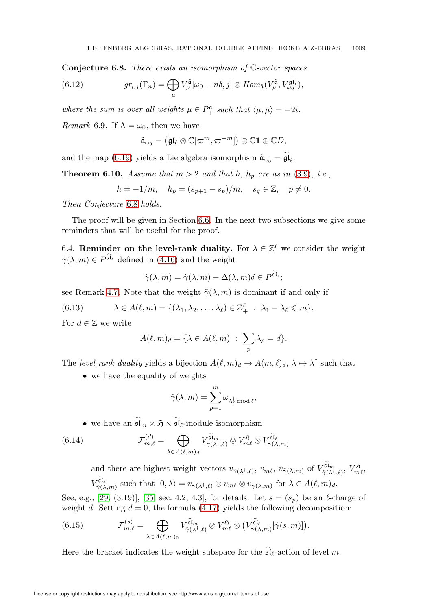<span id="page-50-0"></span>**Conjecture 6.8.** There exists an isomorphism of  $\mathbb{C}$ -vector spaces

(6.12) 
$$
gr_{i,j}(\Gamma_n) = \bigoplus_{\mu} V_{\mu}^{\tilde{\mathfrak{a}}}[\omega_0 - n\delta, j] \otimes Hom_{\tilde{\mathfrak{a}}}(V_{\mu}^{\tilde{\mathfrak{a}}}, V_{\omega_0}^{\tilde{\mathfrak{gl}}_\ell}),
$$

where the sum is over all weights  $\mu \in P^{\tilde{a}}_+$  such that  $\langle \mu, \mu \rangle = -2i$ .

<span id="page-50-3"></span>Remark 6.9. If  $\Lambda = \omega_0$ , then we have

$$
\tilde{\mathfrak{a}}_{\omega_0}=\big(\mathfrak{gl}_{\ell}\otimes\mathbb{C}[\varpi^m,\varpi^{-m}]\big)\oplus\mathbb{C}\mathbf{1}\oplus\mathbb{C} D,
$$

and the map [\(6.19\)](#page-51-0) yields a Lie algebra isomorphism  $\tilde{\mathfrak{a}}_{\omega_0} = \mathfrak{gl}_{\ell}$ .

<span id="page-50-1"></span>**Theorem 6.10.** Assume that  $m > 2$  and that  $h$ ,  $h_p$  are as in [\(3.9\)](#page-12-2), i.e.,

$$
h = -1/m
$$
,  $h_p = (s_{p+1} - s_p)/m$ ,  $s_q \in \mathbb{Z}$ ,  $p \neq 0$ .

Then Conjecture [6.8](#page-50-0) holds.

The proof will be given in Section [6.6.](#page-52-0) In the next two subsections we give some reminders that will be useful for the proof.

6.4. Reminder on the level-rank duality. For  $\lambda \in \mathbb{Z}^{\ell}$  we consider the weight  $\hat{\gamma}(\lambda, m) \in P^{\widehat{\mathfrak{sl}}_\ell}$  defined in [\(4.16\)](#page-23-0) and the weight

$$
\tilde{\gamma}(\lambda,m)=\hat{\gamma}(\lambda,m)-\Delta(\lambda,m)\delta\in P^{\tilde{\mathfrak{sl}}_{\ell}};
$$

see Remark [4.7.](#page-24-0) Note that the weight  $\tilde{\gamma}(\lambda, m)$  is dominant if and only if

<span id="page-50-4"></span>(6.13) 
$$
\lambda \in A(\ell,m) = \{(\lambda_1, \lambda_2, \ldots, \lambda_\ell) \in \mathbb{Z}_+^\ell \; : \; \lambda_1 - \lambda_\ell \leq m\}.
$$

For  $d \in \mathbb{Z}$  we write

$$
A(\ell,m)_d = \{\lambda \in A(\ell,m) \; : \; \sum_p \lambda_p = d\}.
$$

The level-rank duality yields a bijection  $A(\ell,m)_d \to A(m,\ell)_d$ ,  $\lambda \mapsto \lambda^{\dagger}$  such that

• we have the equality of weights

$$
\hat{\gamma}(\lambda,m)=\sum_{p=1}^m \omega_{\lambda_p^\dagger \bmod \ell},
$$

• we have an  $\widetilde{\mathfrak{sl}}_m \times \mathfrak{H} \times \widetilde{\mathfrak{sl}}_\ell$ -module isomorphism

(6.14) 
$$
\mathcal{F}_{m,\ell}^{(d)} = \bigoplus_{\lambda \in A(\ell,m)_d} V_{\tilde{\gamma}(\lambda^{\dagger},\ell)}^{\tilde{\mathfrak{sl}}_m} \otimes V_{m\ell}^{\mathfrak{H}} \otimes V_{\tilde{\gamma}(\lambda,m)}^{\tilde{\mathfrak{sl}}_\ell}
$$

and there are highest weight vectors  $v_{\tilde{\gamma}(\lambda^{\dagger},\ell)}, v_{m\ell}, v_{\tilde{\gamma}(\lambda,m)}$  of  $V_{\tilde{\gamma}(\lambda^{\dagger},\ell)}^{\tilde{\mathfrak{sl}}_m}, V_{m\ell}^{\mathfrak{H}}$ ,  $V^{\tilde{\mathfrak{sl}}_\ell}_{\tilde{\gamma}(\lambda,m)}$  such that  $|0,\lambda\rangle = v_{\tilde{\gamma}(\lambda^{\dagger},\ell)} \otimes v_{m\ell} \otimes v_{\tilde{\gamma}(\lambda,m)}$  for  $\lambda \in A(\ell,m)_d$ .

See, e.g., [\[29,](#page-72-1) (3.19)], [\[35,](#page-72-2) sec. 4.2, 4.3], for details. Let  $s = (s_n)$  be an  $\ell$ -charge of weight d. Setting  $d = 0$ , the formula [\(4.17\)](#page-23-1) yields the following decomposition:

<span id="page-50-2"></span>(6.15) 
$$
\mathcal{F}_{m,\ell}^{(s)} = \bigoplus_{\lambda \in A(\ell,m)_0} V_{\hat{\gamma}(\lambda^{\dagger},\ell)}^{\hat{\mathfrak{sl}}_m} \otimes V_{m\ell}^{\mathfrak{H}} \otimes \left( V_{\hat{\gamma}(\lambda,m)}^{\hat{\mathfrak{sl}}_\ell} [\hat{\gamma}(s,m)] \right).
$$

Here the bracket indicates the weight subspace for the  $\mathfrak{sl}_{\ell}$ -action of level m.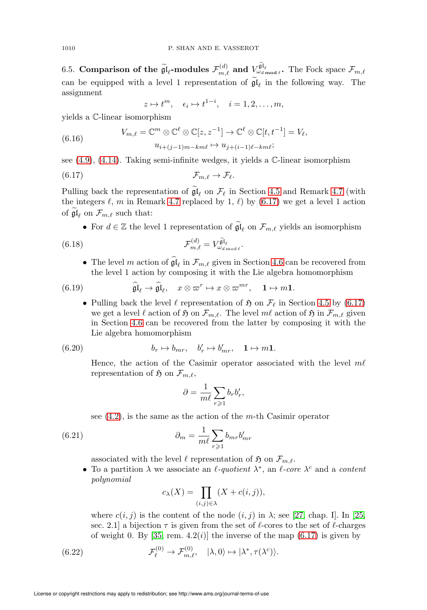<span id="page-51-4"></span>6.5. Comparison of the  $\widetilde{\mathfrak{gl}}_\ell$ -modules  $\mathcal{F}^{(d)}_{m,\ell}$  and  $V^{\widetilde{\mathfrak{gl}}_\ell}_{\omega_{d \text{ mod }\ell}}$ . The Fock space  $\mathcal{F}_{m,\ell}$ can be equipped with a level 1 representation of  $\mathfrak{gl}_{\ell}$  in the following way. The assignment

$$
z \mapsto t^m
$$
,  $\epsilon_i \mapsto t^{1-i}$ ,  $i = 1, 2, ..., m$ ,

yields a C-linear isomorphism

<span id="page-51-6"></span>(6.16) 
$$
V_{m,\ell} = \mathbb{C}^m \otimes \mathbb{C}^{\ell} \otimes \mathbb{C}[z, z^{-1}] \to \mathbb{C}^{\ell} \otimes \mathbb{C}[t, t^{-1}] = V_{\ell},
$$

$$
u_{i+(j-1)m-km\ell} \mapsto u_{j+(i-1)\ell-km\ell};
$$

see  $(4.9)$ ,  $(4.14)$ . Taking semi-infinite wedges, it yields a  $\mathbb{C}$ -linear isomorphism

<span id="page-51-1"></span>
$$
\mathcal{F}_{m,\ell} \to \mathcal{F}_{\ell}.
$$

Pulling back the representation of  $\mathfrak{gl}_{\ell}$  on  $\mathcal{F}_{\ell}$  in Section [4.5](#page-21-1) and Remark [4.7](#page-24-0) (with the integers  $\ell$ , m in Remark [4.7](#page-24-0) replaced by 1,  $\ell$ ) by [\(6.17\)](#page-51-1) we get a level 1 action of  $\mathfrak{gl}_{\ell}$  on  $\mathcal{F}_{m,\ell}$  such that:

• For  $d \in \mathbb{Z}$  the level 1 representation of  $\mathfrak{gl}_{\ell}$  on  $\mathcal{F}_{m,\ell}$  yields an isomorphism

<span id="page-51-3"></span>(6.18) 
$$
\mathcal{F}_{m,\ell}^{(d)} = V_{\omega_{d \mod \ell}}^{\tilde{\mathfrak{gl}}_{\ell}}.
$$

• The level m action of  $\mathfrak{gl}_\ell$  in  $\mathcal{F}_{m,\ell}$  given in Section [4.6](#page-22-0) can be recovered from the level 1 action by composing it with the Lie algebra homomorphism

<span id="page-51-0"></span>(6.19) 
$$
\widehat{\mathfrak{gl}}_{\ell} \to \widehat{\mathfrak{gl}}_{\ell}, \quad x \otimes \varpi^{r} \mapsto x \otimes \varpi^{mr}, \quad 1 \mapsto m1.
$$

• Pulling back the level  $\ell$  representation of  $\mathfrak{H}$  on  $\mathcal{F}_{\ell}$  in Section [4.5](#page-21-1) by [\(6.17\)](#page-51-1) we get a level  $\ell$  action of  $\mathfrak H$  on  $\mathcal F_{m,\ell}$ . The level  $m\ell$  action of  $\mathfrak H$  in  $\mathcal F_{m,\ell}$  given in Section [4.6](#page-22-0) can be recovered from the latter by composing it with the Lie algebra homomorphism

(6.20) 
$$
b_r \mapsto b_{mr}, \quad b'_r \mapsto b'_{mr}, \quad 1 \mapsto m1.
$$

Hence, the action of the Casimir operator associated with the level  $m\ell$ representation of  $\mathfrak{H}$  on  $\mathcal{F}_{m,\ell}$ ,

$$
\partial = \frac{1}{m\ell} \sum_{r \geqslant 1} b_r b'_r,
$$

see  $(4.2)$ , is the same as the action of the *m*-th Casimir operator

<span id="page-51-5"></span>(6.21) 
$$
\partial_m = \frac{1}{m\ell} \sum_{r \geqslant 1} b_{mr} b'_{mr}
$$

associated with the level  $\ell$  representation of  $\mathfrak{H}$  on  $\mathcal{F}_{m,\ell}$ .

• To a partition  $\lambda$  we associate an  $\ell$ -quotient  $\lambda^*$ , an  $\ell$ -core  $\lambda^c$  and a content polynomial

$$
c_{\lambda}(X) = \prod_{(i,j)\in\lambda} (X + c(i,j)),
$$

where  $c(i, j)$  is the content of the node  $(i, j)$  in  $\lambda$ ; see [\[27,](#page-72-3) chap. I]. In [\[25,](#page-72-4) sec. 2.1] a bijection  $\tau$  is given from the set of  $\ell$ -cores to the set of  $\ell$ -charges of weight 0. By [\[35,](#page-72-2) rem.  $4.2(i)$ ] the inverse of the map  $(6.17)$  is given by

<span id="page-51-2"></span>(6.22) 
$$
\mathcal{F}_{\ell}^{(0)} \to \mathcal{F}_{m,\ell}^{(0)}, \quad |\lambda,0\rangle \mapsto |\lambda^*, \tau(\lambda^c)\rangle.
$$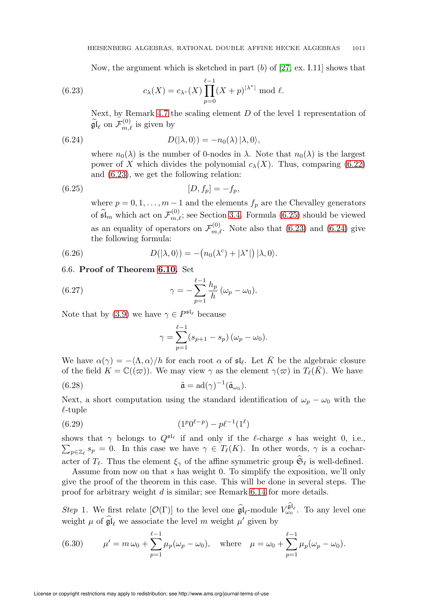Now, the argument which is sketched in part  $(b)$  of [\[27,](#page-72-3) ex. I.11] shows that

<span id="page-52-1"></span>(6.23) 
$$
c_{\lambda}(X) = c_{\lambda^{c}}(X) \prod_{p=0}^{\ell-1} (X+p)^{|\lambda^{*}|} \bmod \ell.
$$

Next, by Remark [4.7](#page-24-0) the scaling element  $D$  of the level 1 representation of  $\widetilde{\mathfrak{gl}}_\ell$  on  $\mathcal{F}_{m,\ell}^{(0)}$  is given by

<span id="page-52-3"></span>(6.24) 
$$
D(|\lambda,0\rangle) = -n_0(\lambda) |\lambda,0\rangle,
$$

where  $n_0(\lambda)$  is the number of 0-nodes in  $\lambda$ . Note that  $n_0(\lambda)$  is the largest power of X which divides the polynomial  $c_{\lambda}(X)$ . Thus, comparing [\(6.22\)](#page-51-2) and [\(6.23\)](#page-52-1), we get the following relation:

<span id="page-52-2"></span>(6.25) 
$$
[D, f_p] = -f_p,
$$

where  $p = 0, 1, \ldots, m - 1$  and the elements  $f_p$  are the Chevalley generators of  $\widehat{\mathfrak{sl}}_m$  which act on  $\mathcal{F}_{m,\ell}^{(0)}$ ; see Section [3.4.](#page-9-0) Formula [\(6.25\)](#page-52-2) should be viewed as an equality of operators on  $\mathcal{F}_{m,\ell}^{(0)}$ . Note also that [\(6.23\)](#page-52-1) and [\(6.24\)](#page-52-3) give the following formula:

<span id="page-52-0"></span>(6.26) 
$$
D(|\lambda,0\rangle) = -(n_0(\lambda^c) + |\lambda^*|) |\lambda,0\rangle.
$$

#### 6.6. Proof of Theorem [6.10.](#page-50-1) Set

(6.27) 
$$
\gamma = -\sum_{p=1}^{\ell-1} \frac{h_p}{h} (\omega_p - \omega_0).
$$

Note that by [\(3.9\)](#page-12-2) we have  $\gamma \in P^{\mathfrak{sl}_{\ell}}$  because

$$
\gamma = \sum_{p=1}^{\ell-1} (s_{p+1} - s_p) (\omega_p - \omega_0).
$$

We have  $\alpha(\gamma) = -\langle \Lambda, \alpha \rangle / h$  for each root  $\alpha$  of  $\mathfrak{sl}_{\ell}$ . Let  $\overline{K}$  be the algebraic closure of the field  $K = \mathbb{C}((\varpi))$ . We may view  $\gamma$  as the element  $\gamma(\varpi)$  in  $T_{\ell}(\bar{K})$ . We have

<span id="page-52-4"></span>(6.28) 
$$
\tilde{\mathfrak{a}} = \mathrm{ad}(\gamma)^{-1}(\tilde{\mathfrak{a}}_{\omega_0}).
$$

Next, a short computation using the standard identification of  $\omega_p - \omega_0$  with the  $\ell$ -tuple

<span id="page-52-5"></span>
$$
(6.29) \t\t\t (1p0ℓ-p) - pℓ-1(1ℓ)
$$

shows that  $\gamma$  belongs to  $Q^{5l_{\ell}}$  if and only if the  $\ell$ -charge s has weight 0, i.e.,  $\sum_{p\in\mathbb{Z}_{\ell}} s_p = 0$ . In this case we have  $\gamma \in T_{\ell}(K)$ . In other words,  $\gamma$  is a cocharacter of  $T_{\ell}$ . Thus the element  $\xi_{\gamma}$  of the affine symmetric group  $\mathfrak{S}_{\ell}$  is well-defined.

Assume from now on that s has weight 0. To simplify the exposition, we'll only give the proof of the theorem in this case. This will be done in several steps. The proof for arbitrary weight d is similar; see Remark [6.14](#page-57-0) for more details.

Step 1. We first relate  $[\mathcal{O}(\Gamma)]$  to the level one  $\widehat{\mathfrak{gl}}_{\ell}$ -module  $V_{\omega_0}^{\widehat{\mathfrak{gl}}_{\ell}}$ . To any level one weight  $\mu$  of  $\hat{\mathfrak{gl}}_{\ell}$  we associate the level m weight  $\mu'$  given by

(6.30) 
$$
\mu' = m \omega_0 + \sum_{p=1}^{\ell-1} \mu_p(\omega_p - \omega_0), \text{ where } \mu = \omega_0 + \sum_{p=1}^{\ell-1} \mu_p(\omega_p - \omega_0).
$$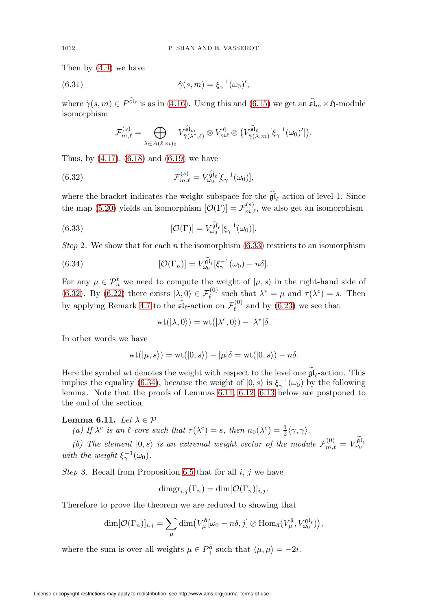Then by [\(4.4\)](#page-19-0) we have

(6.31) 
$$
\hat{\gamma}(s,m) = \xi_{\gamma}^{-1}(\omega_0)',
$$

where  $\hat{\gamma}(s,m) \in P^{\hat{\mathfrak{sl}}_\ell}$  is as in [\(4.16\)](#page-23-0). Using this and [\(6.15\)](#page-50-2) we get an  $\hat{\mathfrak{sl}}_m \times \mathfrak{H}$ -module isomorphism

$$
\mathcal{F}_{m,\ell}^{(s)} = \bigoplus_{\lambda \in A(\ell,m)_0} V_{\hat{\gamma}(\lambda^\dagger,\ell)}^{\hat{\mathfrak{sl}}_m} \otimes V_{m\ell}^{\mathfrak{H}} \otimes \big( V_{\hat{\gamma}(\lambda,m)}^{\hat{\mathfrak{sl}}_\ell}[\xi_\gamma^{-1}(\omega_0)'] \big).
$$

Thus, by [\(4.17\)](#page-23-1), [\(6.18\)](#page-51-3) and [\(6.19\)](#page-51-0) we have

<span id="page-53-1"></span>(6.32) 
$$
\mathcal{F}_{m,\ell}^{(s)} = V_{\omega_0}^{\widehat{\mathfrak{gl}}_{\ell}}[\xi_{\gamma}^{-1}(\omega_0)],
$$

where the bracket indicates the weight subspace for the  $\mathfrak{gl}_{\ell}$ -action of level 1. Since the map [\(5.20\)](#page-31-0) yields an isomorphism  $[\mathcal{O}(\Gamma)] = \mathcal{F}_{m,\ell}^{(s)}$ , we also get an isomorphism

<span id="page-53-0"></span>(6.33) 
$$
[\mathcal{O}(\Gamma)] = V_{\omega_0}^{\widehat{\mathfrak{gl}}_{\ell}}[\xi_{\gamma}^{-1}(\omega_0)].
$$

Step 2. We show that for each n the isomorphism  $(6.33)$  restricts to an isomorphism

<span id="page-53-2"></span>(6.34) 
$$
[\mathcal{O}(\Gamma_n)] = V_{\omega_0}^{\widetilde{\mathfrak{gl}}_\ell}[\xi_\gamma^{-1}(\omega_0) - n\delta].
$$

For any  $\mu \in \mathcal{P}_n^{\ell}$  we need to compute the weight of  $|\mu, s\rangle$  in the right-hand side of [\(6.32\)](#page-53-1). By [\(6.22\)](#page-51-2) there exists  $|\lambda, 0\rangle \in \mathcal{F}_{\ell}^{(0)}$  such that  $\lambda^* = \mu$  and  $\tau(\lambda^c) = s$ . Then by applying Remark [4.7](#page-24-0) to the  $\tilde{\mathfrak{sl}}_{\ell}$ -action on  $\mathcal{F}_{\ell}^{(0)}$  $\ell^{(0)}$  and by [\(6.23\)](#page-52-1) we see that

$$
wt(\vert \lambda, 0\rangle) = wt(\vert \lambda^c, 0\rangle) - \vert \lambda^* \vert \delta.
$$

In other words we have

$$
\text{wt}(|\mu,s\rangle)=\text{wt}(|0,s\rangle)-|\mu|\delta=\text{wt}(|0,s\rangle)-n\delta.
$$

Here the symbol wt denotes the weight with respect to the level one  $\mathfrak{gl}_{\ell}$ -action. This implies the equality [\(6.34\)](#page-53-2), because the weight of  $|0, s\rangle$  is  $\xi_{\gamma}^{-1}(\omega_0)$  by the following lemma. Note that the proofs of Lemmas [6.11,](#page-53-3) [6.12,](#page-54-0) [6.13](#page-55-0) below are postponed to the end of the section.

#### <span id="page-53-3"></span>Lemma 6.11. Let  $\lambda \in \mathcal{P}$ .

(a) If  $\lambda^c$  is an  $\ell$ -core such that  $\tau(\lambda^c) = s$ , then  $n_0(\lambda^c) = \frac{1}{2} \langle \gamma, \gamma \rangle$ .

(b) The element  $|0, s\rangle$  is an extremal weight vector of the module  $\mathcal{F}_{m,\ell}^{(0)} = V_{\omega_0}^{\tilde{\mathfrak{gl}}_{\ell}}$ with the weight  $\xi_{\gamma}^{-1}(\omega_0)$ .

*Step* 3. Recall from Proposition [6.5](#page-48-3) that for all  $i$ ,  $j$  we have

$$
\dim \operatorname{gr}_{i,j}(\Gamma_n) = \dim [\mathcal{O}(\Gamma_n)]_{i,j}.
$$

Therefore to prove the theorem we are reduced to showing that

$$
\dim[\mathcal{O}(\Gamma_n)]_{i,j} = \sum_{\mu} \dim\left(V_{\mu}^{\tilde{\mathfrak{a}}}[\omega_0 - n\delta, j] \otimes \text{Hom}_{\tilde{\mathfrak{a}}}(V_{\mu}^{\tilde{\mathfrak{a}}}, V_{\omega_0}^{\tilde{\mathfrak{gl}}_{\ell}})\right),
$$

where the sum is over all weights  $\mu \in P^{\tilde{a}}_+$  such that  $\langle \mu, \mu \rangle = -2i$ .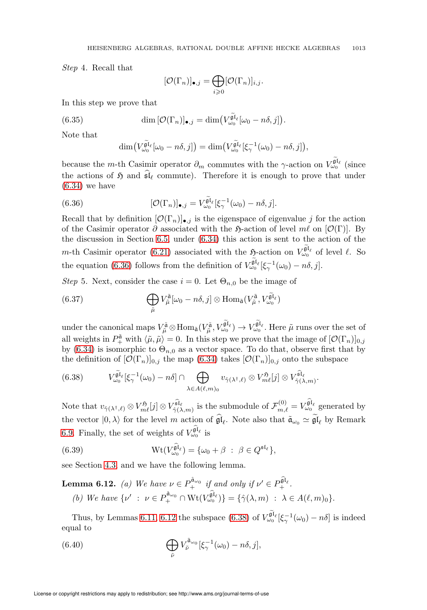Step 4. Recall that

$$
[\mathcal{O}(\Gamma_n)]_{\bullet,j} = \bigoplus_{i \geq 0} [\mathcal{O}(\Gamma_n)]_{i,j}.
$$

In this step we prove that

(6.35) 
$$
\dim \left[ \mathcal{O}(\Gamma_n) \right]_{\bullet,j} = \dim \left( V_{\omega_0}^{\widetilde{\mathfrak{gl}}_\ell} [\omega_0 - n\delta, j] \right).
$$

Note that

$$
\dim\bigl(V_{\omega_0}^{\widetilde{\mathfrak{gl}}_{\ell}}[\omega_0-n\delta,j]\bigr)=\dim\bigl(V_{\omega_0}^{\widetilde{\mathfrak{gl}}_{\ell}}[\xi_{\gamma}^{-1}(\omega_0)-n\delta,j]\bigr),
$$

because the *m*-th Casimir operator  $\partial_m$  commutes with the γ-action on  $V_{\omega_0}^{\tilde{\mathfrak{gl}}_\ell}$  (since the actions of  $\mathfrak{H}$  and  $\mathfrak{sl}_{\ell}$  commute). Therefore it is enough to prove that under  $(6.34)$  we have

<span id="page-54-1"></span>(6.36) 
$$
[\mathcal{O}(\Gamma_n)]_{\bullet,j} = V_{\omega_0}^{\tilde{\mathfrak{gl}}_\ell}[\xi_\gamma^{-1}(\omega_0) - n\delta, j].
$$

Recall that by definition  $[O(\Gamma_n)]_{\bullet,j}$  is the eigenspace of eigenvalue j for the action of the Casimir operator  $\partial$  associated with the  $\mathfrak{H}\text{-action}$  of level  $m\ell$  on  $[\mathcal{O}(\Gamma)]$ . By the discussion in Section [6.5,](#page-51-4) under [\(6.34\)](#page-53-2) this action is sent to the action of the m-th Casimir operator [\(6.21\)](#page-51-5) associated with the  $\mathfrak{H}$ -action on  $V_{\omega_0}^{\tilde{\mathfrak{gl}}_\ell}$  of level  $\ell$ . So the equation [\(6.36\)](#page-54-1) follows from the definition of  $V_{\omega_0}^{\tilde{\mathfrak{gl}}_{\ell}}[\xi_{\gamma}^{-1}(\omega_0)-n\delta, j].$ 

Step 5. Next, consider the case  $i = 0$ . Let  $\Theta_{n,0}$  be the image of

(6.37) 
$$
\bigoplus_{\tilde{\mu}} V_{\tilde{\mu}}^{\tilde{\mathfrak{a}}}[\omega_0 - n\delta, j] \otimes \text{Hom}_{\tilde{\mathfrak{a}}}(V_{\tilde{\mu}}^{\tilde{\mathfrak{a}}}, V_{\omega_0}^{\tilde{\mathfrak{gl}}_{\ell}})
$$

under the canonical maps  $V_{\tilde{\mu}}^{\tilde{\mathfrak{a}}}\otimes \text{Hom}_{\tilde{\mathfrak{a}}}(V_{\tilde{\mu}}^{\tilde{\mathfrak{a}}},V_{\omega_0}^{\tilde{\mathfrak{gl}}_\ell})\to V_{\omega_0}^{\tilde{\mathfrak{gl}}_\ell}$ . Here  $\tilde{\mu}$  runs over the set of all weights in  $P_{+}^{\tilde{a}}$  with  $\langle \tilde{\mu}, \tilde{\mu} \rangle = 0$ . In this step we prove that the image of  $[{\cal O}(\Gamma_n)]_{0,j}$ by [\(6.34\)](#page-53-2) is isomorphic to  $\Theta_{n,0}$  as a vector space. To do that, observe first that by the definition of  $[O(\Gamma_n)]_{0,j}$  the map [\(6.34\)](#page-53-2) takes  $[O(\Gamma_n)]_{0,j}$  onto the subspace

.

<span id="page-54-2"></span>(6.38) 
$$
V_{\omega_0}^{\tilde{\mathfrak{gl}}_{\ell}}[\xi_{\gamma}^{-1}(\omega_0)-n\delta] \cap \bigoplus_{\lambda \in A(\ell,m)_0} v_{\hat{\gamma}(\lambda^{\dagger},\ell)} \otimes V_{m\ell}^{\mathfrak{H}}[j] \otimes V_{\hat{\gamma}(\lambda,m)}^{\tilde{\mathfrak{sl}}_{\ell}}
$$

Note that  $v_{\hat{\gamma}(\lambda^{\dagger},\ell)} \otimes V_{m\ell}^{\hat{\mathfrak{sl}}_{\ell}}[j] \otimes V_{\hat{\gamma}(\lambda,m)}^{\hat{\mathfrak{sl}}_{\ell}}$  is the submodule of  $\mathcal{F}_{m,\ell}^{(0)} = V_{\omega_0}^{\hat{\mathfrak{gl}}_{\ell}}$  generated by the vector  $|0, \lambda\rangle$  for the level m action of  $\mathfrak{gl}_{\ell}$ . Note also that  $\tilde{\mathfrak{a}}_{\omega_0} \simeq \mathfrak{gl}_{\ell}$  by Remark [6.9.](#page-50-3) Finally, the set of weights of  $V_{\omega_0}^{\hat{\mathfrak{gl}}_\ell}$  is

<span id="page-54-4"></span>(6.39) 
$$
\operatorname{Wt}(V_{\omega_0}^{\widehat{\mathfrak{gl}}_\ell}) = {\omega_0 + \beta : \beta \in Q^{\mathfrak{sl}_\ell}},
$$

see Section [4.3,](#page-18-2) and we have the following lemma.

<span id="page-54-0"></span>**Lemma 6.12.** (a) We have  $\nu \in P^{\hat{a}_{\omega_0}}_+$  if and only if  $\nu' \in P^{\hat{a}_{\iota}}_+$ . (b) We have  $\{\nu' \; : \; \nu \in P^{\hat{\mathfrak{a}}_{\omega_0}} + \mathcal{W}^{\hat{\mathfrak{gl}}_\ell}_{\omega_0}\} = \{\hat{\gamma}(\lambda, m) \; : \; \lambda \in A(\ell, m)_0\}.$ 

Thus, by Lemmas [6.11,](#page-53-3) [6.12](#page-54-0) the subspace [\(6.38\)](#page-54-2) of  $V_{\omega_0}^{\tilde{\mathfrak{gl}}_\ell}[\xi_\gamma^{-1}(\omega_0)-n\delta]$  is indeed equal to

<span id="page-54-3"></span>(6.40) 
$$
\bigoplus_{\tilde{\nu}} V_{\tilde{\nu}}^{\tilde{a}_{\omega_0}}[\xi_{\gamma}^{-1}(\omega_0) - n\delta, j],
$$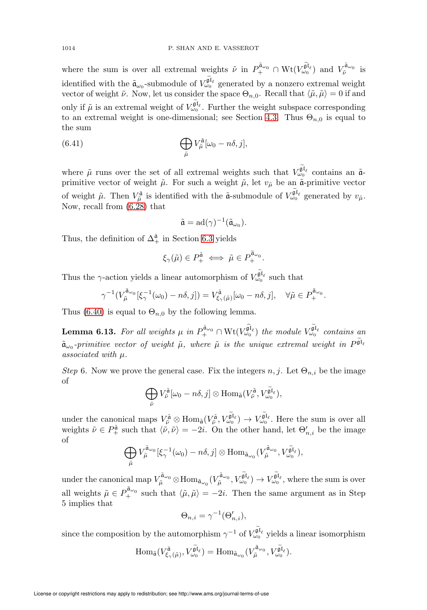where the sum is over all extremal weights  $\tilde{\nu}$  in  $P_{+}^{\tilde{a}_{\omega_0}} \cap \text{Wt}(V_{\omega_0}^{\tilde{\mathfrak{gl}}_{\ell}})$  and  $V_{\tilde{\nu}}^{\tilde{a}_{\omega_0}}$  is identified with the  $\tilde{a}_{\omega_0}$ -submodule of  $V_{\omega_0}^{\tilde{\mathfrak{gl}}_\ell}$  generated by a nonzero extremal weight vector of weight  $\tilde{\nu}$ . Now, let us consider the space  $\Theta_{n,0}$ . Recall that  $\langle \tilde{\mu}, \tilde{\mu} \rangle = 0$  if and only if  $\tilde{\mu}$  is an extremal weight of  $V_{\omega_0}^{\tilde{\mathfrak{gl}}_\ell}$ . Further the weight subspace corresponding to an extremal weight is one-dimensional; see Section [4.3.](#page-18-2) Thus  $\Theta_{n,0}$  is equal to the sum

(6.41) 
$$
\bigoplus_{\tilde{\mu}} V_{\tilde{\mu}}^{\tilde{\mathfrak{a}}}[\omega_0 - n\delta, j],
$$

where  $\tilde{\mu}$  runs over the set of all extremal weights such that  $V_{\omega_0}^{\tilde{\mathfrak{gl}}_\ell}$  contains an  $\tilde{\mathfrak{a}}$ primitive vector of weight  $\tilde{\mu}$ . For such a weight  $\tilde{\mu}$ , let  $v_{\tilde{\mu}}$  be an  $\tilde{\mathfrak{a}}$ -primitive vector of weight  $\tilde{\mu}$ . Then  $V_{\tilde{\mu}}^{\tilde{\mathfrak{a}}}$  is identified with the  $\tilde{\mathfrak{a}}$ -submodule of  $V_{\omega_0}^{\tilde{\mathfrak{gl}}_\ell}$  generated by  $v_{\tilde{\mu}}$ . Now, recall from [\(6.28\)](#page-52-4) that

$$
\tilde{\mathfrak{a}}=\mathrm{ad}(\gamma)^{-1}(\tilde{\mathfrak{a}}_{\omega_0}).
$$

Thus, the definition of  $\Delta_+^{\hat{a}}$  in Section [6.3](#page-49-1) yields

$$
\xi_{\gamma}(\tilde{\mu}) \in P^{\tilde{\mathfrak{a}}}_{+} \iff \tilde{\mu} \in P^{\tilde{\mathfrak{a}}_{\omega_{0}}}_{+}.
$$

Thus the  $\gamma$ -action yields a linear automorphism of  $V_{\omega_0}^{\tilde{\mathfrak{gl}}_\ell}$  such that

$$
\gamma^{-1}(V_{\tilde{\mu}}^{\tilde{a}_{\omega_0}}[\xi_{\gamma}^{-1}(\omega_0)-n\delta,j])=V_{\xi_{\gamma}(\tilde{\mu})}^{\tilde{a}}[\omega_0-n\delta,j], \quad \forall \tilde{\mu}\in P_{+}^{\tilde{a}_{\omega_0}}.
$$

Thus [\(6.40\)](#page-54-3) is equal to  $\Theta_{n,0}$  by the following lemma.

<span id="page-55-0"></span>**Lemma 6.13.** For all weights  $\mu$  in  $P_{+}^{\hat{\mathbf{a}}_{\omega_0}} \cap \text{Wt}(V_{\omega_0}^{\hat{\mathbf{g}} \mathbf{f}_{\ell}})$  the module  $V_{\omega_0}^{\tilde{\mathbf{g}} \mathbf{f}_{\ell}}$  contains an  $\tilde{\mathfrak{a}}_{\omega_0}$ -primitive vector of weight  $\tilde{\mu}$ , where  $\tilde{\mu}$  is the unique extremal weight in  $P^{\tilde{\mathfrak{gl}}_\ell}$ associated with μ.

Step 6. Now we prove the general case. Fix the integers  $n, j$ . Let  $\Theta_{n,i}$  be the image of

$$
\bigoplus_{\tilde{\nu}} V_{\tilde{\nu}}^{\tilde{\mathfrak{a}}}[\omega_0 - n\delta, j] \otimes \text{Hom}_{\tilde{\mathfrak{a}}}(V_{\tilde{\nu}}^{\tilde{\mathfrak{a}}}, V_{\omega_0}^{\tilde{\mathfrak{gl}}_\ell}),
$$

under the canonical maps  $V_{\tilde{\nu}}^{\tilde{\mathfrak{a}}} \otimes \text{Hom}_{\tilde{\mathfrak{a}}}(V_{\tilde{\nu}}^{\tilde{\mathfrak{a}}}, V_{\omega_0}^{\tilde{\mathfrak{gl}}_\ell}) \to V_{\omega_0}^{\tilde{\mathfrak{gl}}_\ell}$ . Here the sum is over all weights  $\tilde{\nu} \in P^{\tilde{\mathfrak{a}}}_{+}$  such that  $\langle \tilde{\nu}, \tilde{\nu} \rangle = -2i$ . On the other hand, let  $\Theta'_{n,i}$  be the image of

$$
\bigoplus_{\tilde{\mu}} V_{\tilde{\mu}}^{\tilde{\mathfrak{a}}_{\omega_0}}[\xi_{\gamma}^{-1}(\omega_0)-n\delta,j] \otimes \text{Hom}_{\tilde{\mathfrak{a}}_{\omega_0}}(V_{\tilde{\mu}}^{\tilde{\mathfrak{a}}_{\omega_0}},V_{\omega_0}^{\tilde{\mathfrak{gl}}_\ell}),
$$

under the canonical map  $V_{\tilde{\mu}}^{\tilde{\mathfrak{a}}_{\omega_0}} \otimes \text{Hom}_{\tilde{\mathfrak{a}}_{\omega_0}}(V_{\tilde{\mu}}^{\tilde{\mathfrak{a}}_{\omega_0}}, V_{\omega_0}^{\tilde{\mathfrak{gl}}_\ell}) \to V_{\omega_0}^{\tilde{\mathfrak{gl}}_\ell}$ , where the sum is over all weights  $\tilde{\mu} \in P_+^{\tilde{a}_{\omega_0}}$  such that  $\langle \tilde{\mu}, \tilde{\mu} \rangle = -2i$ . Then the same argument as in Step 5 implies that

$$
\Theta_{n,i} = \gamma^{-1}(\Theta'_{n,i}),
$$

since the composition by the automorphism  $\gamma^{-1}$  of  $V_{\omega_0}^{\tilde{\mathfrak{gl}}_\ell}$  yields a linear isomorphism

$$
\mathrm{Hom}_{\tilde{\mathfrak{a}}}(V_{\xi_{\gamma}(\tilde{\mu})}^{\tilde{\mathfrak{a}}},V_{\omega_{0}}^{\tilde{\mathfrak{gl}}_{\ell}})=\mathrm{Hom}_{\tilde{\mathfrak{a}}_{\omega_{0}}}(V_{\tilde{\mu}}^{\tilde{\mathfrak{a}}_{\omega_{0}}},V_{\omega_{0}}^{\tilde{\mathfrak{gl}}_{\ell}}).
$$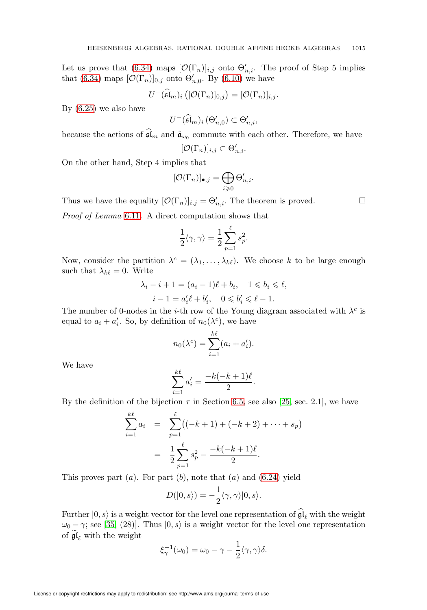Let us prove that [\(6.34\)](#page-53-2) maps  $[\mathcal{O}(\Gamma_n)]_{i,j}$  onto  $\Theta'_{n,i}$ . The proof of Step 5 implies that [\(6.34\)](#page-53-2) maps  $[\mathcal{O}(\Gamma_n)]_{0,j}$  onto  $\Theta'_{n,0}$ . By [\(6.10\)](#page-48-2) we have

$$
U^-(\widehat{\mathfrak{sl}}_m)_i\left([\mathcal{O}(\Gamma_n)]_{0,j}\right)=[\mathcal{O}(\Gamma_n)]_{i,j}.
$$

By [\(6.25\)](#page-52-2) we also have

$$
U^{-}(\widehat{\mathfrak{sl}}_m)_i \left(\Theta'_{n,0}\right) \subset \Theta'_{n,i},
$$

because the actions of  $\mathfrak{sl}_m$  and  $\hat{\mathfrak{a}}_{\omega_0}$  commute with each other. Therefore, we have ′

$$
[\mathcal{O}(\Gamma_n)]_{i,j} \subset \Theta'_{n,i}.
$$

On the other hand, Step 4 implies that

$$
[\mathcal{O}(\Gamma_n)]_{\bullet,j} = \bigoplus_{i \geq 0} \Theta'_{n,i}.
$$

Thus we have the equality  $[\mathcal{O}(\Gamma_n)]_{i,j} = \Theta'_{n,i}$ . The theorem is proved.

Proof of Lemma [6.11](#page-53-3). A direct computation shows that

$$
\frac{1}{2}\langle \gamma,\gamma\rangle=\frac{1}{2}\sum_{p=1}^\ell s_p^2.
$$

Now, consider the partition  $\lambda^c = (\lambda_1, \ldots, \lambda_{k\ell})$ . We choose k to be large enough such that  $\lambda_{k\ell} = 0$ . Write

$$
\lambda_i - i + 1 = (a_i - 1)\ell + b_i, \quad 1 \leq b_i \leq \ell, \ni - 1 = a'_i \ell + b'_i, \quad 0 \leq b'_i \leq \ell - 1.
$$

The number of 0-nodes in the *i*-th row of the Young diagram associated with  $\lambda^c$  is equal to  $a_i + a'_i$ . So, by definition of  $n_0(\lambda^c)$ , we have

$$
n_0(\lambda^c) = \sum_{i=1}^{k\ell} (a_i + a'_i).
$$

We have

$$
\sum_{i=1}^{k\ell} a'_i = \frac{-k(-k+1)\ell}{2}
$$

.

By the definition of the bijection  $\tau$  in Section [6.5,](#page-51-4) see also [\[25,](#page-72-4) sec. 2.1], we have

$$
\sum_{i=1}^{k\ell} a_i = \sum_{p=1}^{\ell} ((-k+1) + (-k+2) + \dots + s_p)
$$
  
= 
$$
\frac{1}{2} \sum_{p=1}^{\ell} s_p^2 - \frac{-k(-k+1)\ell}{2}.
$$

This proves part  $(a)$ . For part  $(b)$ , note that  $(a)$  and  $(6.24)$  yield

$$
D(|0,s\rangle) = -\frac{1}{2}\langle \gamma, \gamma \rangle |0, s\rangle.
$$

Further  $|0, s\rangle$  is a weight vector for the level one representation of  $\mathfrak{gl}_{\ell}$  with the weight  $\omega_0 - \gamma$ ; see [\[35,](#page-72-2) (28)]. Thus  $(0, s)$  is a weight vector for the level one representation of  $\mathfrak{gl}_{\ell}$  with the weight

$$
\xi_{\gamma}^{-1}(\omega_0) = \omega_0 - \gamma - \frac{1}{2} \langle \gamma, \gamma \rangle \delta.
$$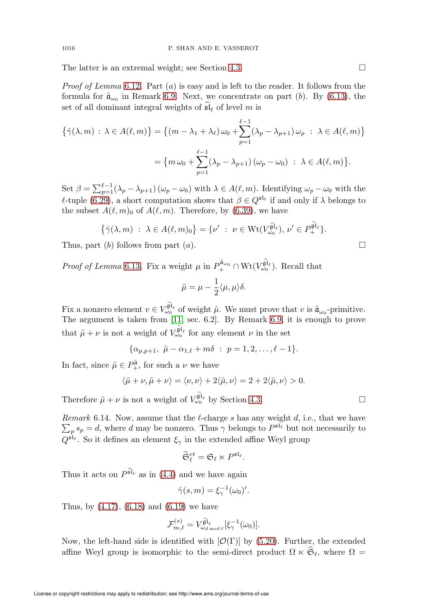The latter is an extremal weight; see Section [4.3.](#page-18-2)  $\Box$ 

*Proof of Lemma* [6.12](#page-54-0). Part  $(a)$  is easy and is left to the reader. It follows from the formula for  $\tilde{\mathfrak{a}}_{\omega_0}$  in Remark [6.9.](#page-50-3) Next, we concentrate on part (b). By [\(6.13\)](#page-50-4), the set of all dominant integral weights of  $\mathfrak{sl}_{\ell}$  of level m is

$$
\{\hat{\gamma}(\lambda, m) : \lambda \in A(\ell, m)\} = \{(m - \lambda_1 + \lambda_\ell) \omega_0 + \sum_{p=1}^{\ell-1} (\lambda_p - \lambda_{p+1}) \omega_p : \lambda \in A(\ell, m)\}
$$

$$
= \{m \omega_0 + \sum_{p=1}^{\ell-1} (\lambda_p - \lambda_{p+1}) (\omega_p - \omega_0) : \lambda \in A(\ell, m)\}.
$$

Set  $\beta = \sum_{p=1}^{\ell-1} (\lambda_p - \lambda_{p+1}) (\omega_p - \omega_0)$  with  $\lambda \in A(\ell, m)$ . Identifying  $\omega_p - \omega_0$  with the  $ℓ$ -tuple [\(6.29\)](#page-52-5), a short computation shows that  $β ∈ Q<sup>⁡{ℓ}</sup>$  if and only if  $λ$  belongs to the subset  $A(\ell,m)_0$  of  $A(\ell,m)$ . Therefore, by [\(6.39\)](#page-54-4), we have

$$
\left\{\hat{\gamma}(\lambda,m)\;:\;\lambda\in A(\ell,m)_0\right\}=\{\nu'\;:\;\nu\in \mathrm{Wt}(V_{\omega_0}^{\widehat{\mathfrak{gl}}_\ell}),\,\nu'\in P^{\widehat{\mathfrak{gl}}_\ell}_+\}.
$$

Thus, part (b) follows from part (a).  $\square$ 

*Proof of Lemma* [6.13](#page-55-0). Fix a weight  $\mu$  in  $P_{+}^{\hat{\mathfrak{a}}_{\omega_0}} \cap \text{Wt}(V_{\omega_0}^{\hat{\mathfrak{gl}}_\ell})$ . Recall that

$$
\tilde{\mu} = \mu - \frac{1}{2} \langle \mu, \mu \rangle \delta.
$$

Fix a nonzero element  $v \in V_{\omega_0}^{\widetilde{\mathfrak{gl}}_\ell}$  of weight  $\tilde{\mu}$ . We must prove that v is  $\tilde{\mathfrak{a}}_{\omega_0}$ -primitive. The argument is taken from [\[11,](#page-71-1) sec. 6.2]. By Remark [6.9,](#page-50-3) it is enough to prove that  $\tilde{\mu} + \nu$  is not a weight of  $V_{\omega_0}^{\tilde{\mathfrak{gl}}_\ell}$  for any element  $\nu$  in the set

$$
\{\alpha_{p,p+1}, \ \tilde{\mu} - \alpha_{1,\ell} + m\delta \ : \ p = 1, 2, \dots, \ell - 1\}.
$$

In fact, since  $\tilde{\mu} \in P^{\tilde{\mathfrak{a}}}_{+}$ , for such a  $\nu$  we have

$$
\langle \tilde{\mu} + \nu, \tilde{\mu} + \nu \rangle = \langle \nu, \nu \rangle + 2 \langle \tilde{\mu}, \nu \rangle = 2 + 2 \langle \tilde{\mu}, \nu \rangle > 0.
$$

Therefore  $\tilde{\mu} + \nu$  is not a weight of  $V_{\omega_0}^{\tilde{\mathfrak{gl}}_\ell}$  by Section [4.3.](#page-18-2)

<span id="page-57-0"></span>*Remark* 6.14. Now, assume that the  $\ell$ -charge s has any weight d, i.e., that we have  $\sum_{p} s_p = d$ , where d may be nonzero. Thus  $\gamma$  belongs to  $P^{\mathfrak{sl}_{\ell}}$  but not necessarily to  $Q^{\mathfrak{sl}_{\ell}}$ . So it defines an element  $\xi_{\gamma}$  in the extended affine Weyl group

$$
\widehat{\mathfrak{S}}_{\ell}^{et} = \mathfrak{S}_{\ell} \ltimes P^{\mathfrak{sl}_{\ell}}
$$

.

Thus it acts on  $P^{\widehat{\mathfrak{sl}}_\ell}$  as in [\(4.4\)](#page-19-0) and we have again

$$
\hat{\gamma}(s,m) = \xi_{\gamma}^{-1}(\omega_0)'
$$

Thus, by [\(4.17\)](#page-23-1), [\(6.18\)](#page-51-3) and [\(6.19\)](#page-51-0) we have

$$
\mathcal{F}_{m,\ell}^{(s)}=V_{\omega_{d \operatorname{mod} \ell}}^{\widehat{\mathfrak{gl}}_{\ell}}[\xi_{\gamma}^{-1}(\omega_0)].
$$

Now, the left-hand side is identified with  $[\mathcal{O}(\Gamma)]$  by [\(5.20\)](#page-31-0). Further, the extended affine Weyl group is isomorphic to the semi-direct product  $\Omega \ltimes \mathfrak{S}_{\ell}$ , where  $\Omega =$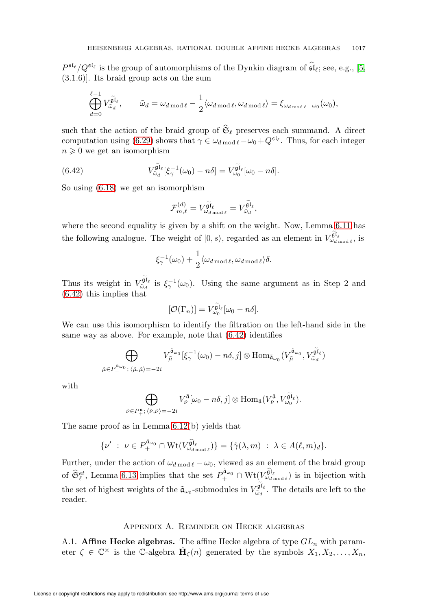$P^{\mathfrak{sl}_{\ell}}/Q^{\mathfrak{sl}_{\ell}}$  is the group of automorphisms of the Dynkin diagram of  $\mathfrak{sl}_{\ell}$ ; see, e.g., [\[5,](#page-71-2) (3.1.6)]. Its braid group acts on the sum

$$
\bigoplus_{d=0}^{\ell-1} V_{\tilde{\omega}_d}^{\tilde{\mathfrak{gl}}_\ell}, \qquad \tilde{\omega}_d = \omega_{d \operatorname{mod} \ell} - \frac{1}{2} \langle \omega_{d \operatorname{mod} \ell}, \omega_{d \operatorname{mod} \ell} \rangle = \xi_{\omega_{d \operatorname{mod} \ell} - \omega_0}(\omega_0),
$$

such that the action of the braid group of  $\mathfrak{S}_{\ell}$  preserves each summand. A direct computation using [\(6.29\)](#page-52-5) shows that  $\gamma \in \omega_{d \mod \ell} - \omega_0 + Q^{\mathfrak{sl}_{\ell}}$ . Thus, for each integer  $n \geqslant 0$  we get an isomorphism

<span id="page-58-1"></span>(6.42) 
$$
V_{\tilde{\omega}_d}^{\tilde{\mathfrak{gl}}_\ell}[\xi_\gamma^{-1}(\omega_0)-n\delta]=V_{\omega_0}^{\tilde{\mathfrak{gl}}_\ell}[\omega_0-n\delta].
$$

So using [\(6.18\)](#page-51-3) we get an isomorphism

$$
\mathcal{F}_{m,\ell}^{(d)} = V_{\omega_{d \bmod \ell}}^{\widetilde{\mathfrak{gl}}_{\ell}} = V_{\widetilde{\omega}_{d}}^{\widetilde{\mathfrak{gl}}_{\ell}},
$$

where the second equality is given by a shift on the weight. Now, Lemma [6.11](#page-53-3) has the following analogue. The weight of  $(0, s)$ , regarded as an element in  $V_{\omega_{d \text{ mod } \ell}}^{\tilde{\mathfrak{gl}}_{\ell}}$ , is

$$
\xi_{\gamma}^{-1}(\omega_0) + \frac{1}{2} \langle \omega_{d \operatorname{mod} \ell}, \omega_{d \operatorname{mod} \ell} \rangle \delta.
$$

Thus its weight in  $V_{\tilde{\omega}_d}^{\tilde{\mathfrak{gl}}_\ell}$  is  $\xi_{\gamma}^{-1}(\omega_0)$ . Using the same argument as in Step 2 and [\(6.42\)](#page-58-1) this implies that

$$
[\mathcal{O}(\Gamma_n)] = V_{\omega_0}^{\widetilde{\mathfrak{gl}}_\ell}[\omega_0 - n\delta].
$$

We can use this isomorphism to identify the filtration on the left-hand side in the same way as above. For example, note that [\(6.42\)](#page-58-1) identifies

$$
\bigoplus_{\tilde{\mu}\in P^{\tilde{\mathfrak{a}}_{\omega_0}}_+;\langle\tilde{\mu},\tilde{\mu}\rangle=-2i} V_{\tilde{\mu}}^{\tilde{\mathfrak{a}}_{\omega_0}}[\xi_{\gamma}^{-1}(\omega_0)-n\delta,j]\otimes \text{Hom}_{\tilde{\mathfrak{a}}_{\omega_0}}(V_{\tilde{\mu}}^{\tilde{\mathfrak{a}}_{\omega_0}},V_{\tilde{\omega}_d}^{\tilde{\mathfrak{gl}}_\ell})
$$

with

$$
\bigoplus_{\tilde{\nu}\in P^{\tilde{\mathfrak{a}}}_{+};\ \langle\tilde{\nu},\tilde{\nu}\rangle=-2i} V_{\tilde{\nu}}^{\tilde{\mathfrak{a}}}[\omega_{0}-n\delta,j]\otimes \text{Hom}_{\tilde{\mathfrak{a}}}(V_{\tilde{\nu}}^{\tilde{\mathfrak{a}}},V_{\omega_{0}}^{\tilde{\mathfrak{gl}}_{\ell}}).
$$

The same proof as in Lemma [6.12\(](#page-54-0)b) yields that

$$
\{\nu' \ : \ \nu \in P_+^{\hat{\mathfrak{a}}_{\omega_0}} \cap \mathrm{Wt}(V_{\omega_{d \operatorname{mod }\ell}}^{\hat{\mathfrak{gl}}_\ell})\} = \{\hat{\gamma}(\lambda, m) \ : \ \lambda \in A(\ell, m)_d\}.
$$

Further, under the action of  $\omega_{d \mod l} - \omega_0$ , viewed as an element of the braid group of  $\hat{\mathfrak{S}}_{\ell}^{et}$ , Lemma [6.13](#page-55-0) implies that the set  $P_{+}^{\hat{\mathfrak{a}}_{\omega_0}} \cap \mathrm{Wt}(\mathcal{V}_{\omega_{d \mod \ell}}^{\hat{\mathfrak{gl}}_{\ell}})$  is in bijection with the set of highest weights of the  $\tilde{a}_{\omega_0}$ -submodules in  $V_{\tilde{\omega}_d}^{\tilde{\mathfrak{gl}}_\ell}$ . The details are left to the reader.

## Appendix A. Reminder on Hecke algebras

<span id="page-58-0"></span>A.1. **Affine Hecke algebras.** The affine Hecke algebra of type  $GL_n$  with parameter  $\zeta \in \mathbb{C}^\times$  is the C-algebra  $\hat{\mathbf{H}}_{\zeta}(n)$  generated by the symbols  $X_1, X_2, \ldots, X_n$ ,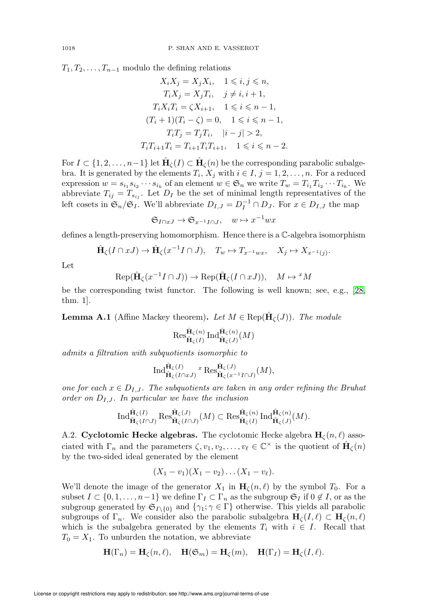$T_1, T_2, \ldots, T_{n-1}$  modulo the defining relations

$$
X_i X_j = X_j X_i, \quad 1 \leq i, j \leq n,
$$
  
\n
$$
T_i X_j = X_j T_i, \quad j \neq i, i + 1,
$$
  
\n
$$
T_i X_i T_i = \zeta X_{i+1}, \quad 1 \leq i \leq n - 1,
$$
  
\n
$$
(T_i + 1)(T_i - \zeta) = 0, \quad 1 \leq i \leq n - 1,
$$
  
\n
$$
T_i T_j = T_j T_i, \quad |i - j| > 2,
$$
  
\n
$$
T_i T_{i+1} T_i = T_{i+1} T_i T_{i+1}, \quad 1 \leq i \leq n - 2.
$$

For  $I \subset \{1, 2, \ldots, n-1\}$  let  $\hat{H}_{\zeta}(I) \subset \hat{H}_{\zeta}(n)$  be the corresponding parabolic subalgebra. It is generated by the elements  $T_i$ ,  $X_j$  with  $i \in I$ ,  $j = 1, 2, \ldots, n$ . For a reduced expression  $w = s_{i_1} s_{i_2} \cdots s_{i_k}$  of an element  $w \in \mathfrak{S}_n$  we write  $T_w = T_{i_1} T_{i_2} \cdots T_{i_k}$ . We abbreviate  $T_{ij} = T_{s_{ij}}$ . Let  $D_I$  be the set of minimal length representatives of the left cosets in  $\mathfrak{S}_n/\mathfrak{S}_I$ . We'll abbreviate  $D_{I,J} = D_I^{-1} \cap D_J$ . For  $x \in D_{I,J}$  the map

$$
\mathfrak{S}_{I\cap xJ}\to \mathfrak{S}_{x^{-1}I\cap J},\quad w\mapsto x^{-1}wx
$$

defines a length-preserving homomorphism. Hence there is a C-algebra isomorphism

$$
\hat{\mathbf{H}}_{\zeta}(I \cap xJ) \to \hat{\mathbf{H}}_{\zeta}(x^{-1}I \cap J), \quad T_w \mapsto T_{x^{-1}wx}, \quad X_j \mapsto X_{x^{-1}(j)}.
$$

Let

$$
\text{Rep}(\hat{\mathbf{H}}_{\zeta}(x^{-1}I \cap J)) \to \text{Rep}(\hat{\mathbf{H}}_{\zeta}(I \cap xJ)), \quad M \mapsto {}^{x}M
$$

be the corresponding twist functor. The following is well known; see, e.g., [\[28,](#page-72-5) thm. 1].

**Lemma A.1** (Affine Mackey theorem). Let  $M \in \text{Rep}(\hat{\mathbf{H}}_{\zeta}(J))$ . The module

$$
\operatorname{Res}_{\hat{\mathbf{H}}_{\zeta}(I)}^{\hat{\mathbf{H}}_{\zeta}(n)}\operatorname{Ind}_{\hat{\mathbf{H}}_{\zeta}(J)}^{\hat{\mathbf{H}}_{\zeta}(n)}(M)
$$

admits a filtration with subquotients isomorphic to

$$
\operatorname{Ind}_{\hat{\mathbf{H}}_{\zeta}(I\cap xJ)}^{\hat{\mathbf{H}}_{\zeta}(I)} \circ \operatorname{Res}_{\hat{\mathbf{H}}_{\zeta}(x^{-1}I\cap J)}^{\hat{\mathbf{H}}_{\zeta}(J)}(M),
$$

one for each  $x \in D_{I,J}$ . The subquotients are taken in any order refining the Bruhat order on  $D_{I,J}$ . In particular we have the inclusion

$$
\operatorname{Ind}_{\hat{\mathbf{H}}_{\zeta}(I\cap J)}^{\hat{\mathbf{H}}_{\zeta}(I)}\operatorname{Res}_{\hat{\mathbf{H}}_{\zeta}(I\cap J)}^{\hat{\mathbf{H}}_{\zeta}(J)}(M)\subset \operatorname{Res}_{\hat{\mathbf{H}}_{\zeta}(I)}^{\hat{\mathbf{H}}_{\zeta}(n)}\operatorname{Ind}_{\hat{\mathbf{H}}_{\zeta}(J)}^{\hat{\mathbf{H}}_{\zeta}(n)}(M).
$$

A.2. Cyclotomic Hecke algebras. The cyclotomic Hecke algebra  $H_c(n, \ell)$  associated with  $\Gamma_n$  and the parameters  $\zeta, v_1, v_2, \ldots, v_\ell \in \mathbb{C}^\times$  is the quotient of  $\hat{\mathbf{H}}_{\zeta}(n)$ by the two-sided ideal generated by the element

$$
(X_1-v_1)(X_1-v_2)\dots(X_1-v_\ell).
$$

We'll denote the image of the generator  $X_1$  in  $H_c(n, \ell)$  by the symbol  $T_0$ . For a subset  $I \subset \{0, 1, \ldots, n-1\}$  we define  $\Gamma_I \subset \Gamma_n$  as the subgroup  $\mathfrak{S}_I$  if  $0 \notin I$ , or as the subgroup generated by  $\mathfrak{S}_{I\setminus\{0\}}$  and  $\{\gamma_1; \gamma \in \Gamma\}$  otherwise. This yields all parabolic subgroups of  $\Gamma_n$ . We consider also the parabolic subalgebra  $\mathbf{H}_c(I,\ell) \subset \mathbf{H}_c(n,\ell)$ which is the subalgebra generated by the elements  $T_i$  with  $i \in I$ . Recall that  $T_0 = X_1$ . To unburden the notation, we abbreviate

$$
\mathbf{H}(\Gamma_n) = \mathbf{H}_{\zeta}(n,\ell), \quad \mathbf{H}(\mathfrak{S}_m) = \mathbf{H}_{\zeta}(m), \quad \mathbf{H}(\Gamma_I) = \mathbf{H}_{\zeta}(I,\ell).
$$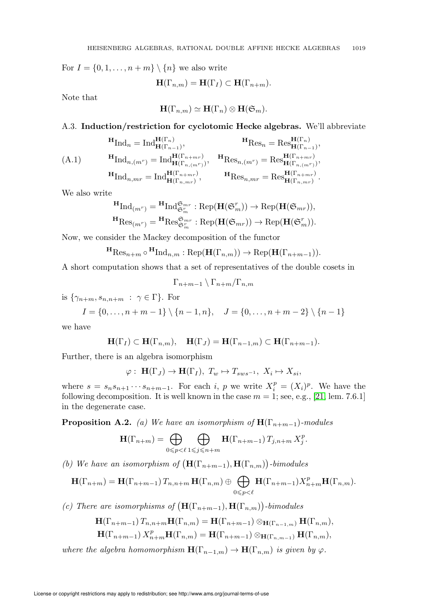For  $I = \{0, 1, \ldots, n+m\} \setminus \{n\}$  we also write

$$
\mathbf{H}(\Gamma_{n,m}) = \mathbf{H}(\Gamma_I) \subset \mathbf{H}(\Gamma_{n+m}).
$$

Note that

$$
\mathbf{H}(\Gamma_{n,m}) \simeq \mathbf{H}(\Gamma_n) \otimes \mathbf{H}(\mathfrak{S}_m).
$$

A.3. Induction/restriction for cyclotomic Hecke algebras. We'll abbreviate

$$
\begin{aligned}\n\mathbf{H}_{\text{Ind}_{n}} &= \text{Ind}_{\mathbf{H}(\Gamma_{n-1})}^{\mathbf{H}(\Gamma_{n})}, & \mathbf{H}_{\text{Res}_{n}} &= \text{Res}_{\mathbf{H}(\Gamma_{n-1})}^{\mathbf{H}(\Gamma_{n})}, \\
\text{(A.1)} & \mathbf{H}_{\text{Ind}_{n,(m^{r})}} &= \text{Ind}_{\mathbf{H}(\Gamma_{n,(m^{r})})}^{\mathbf{H}(\Gamma_{n+m^{r})}}, & \mathbf{H}_{\text{Res}_{n,(m^{r})}} &= \text{Res}_{\mathbf{H}(\Gamma_{n,(m^{r})})}^{\mathbf{H}(\Gamma_{n+m^{r})}}, \\
\mathbf{H}_{\text{Ind}_{n,m^{r}}} &= \text{Ind}_{\mathbf{H}(\Gamma_{n,m^{r})}}^{\mathbf{H}(\Gamma_{n+m^{r})}}, & \mathbf{H}_{\text{Res}_{n,m^{r}}} &= \text{Res}_{\mathbf{H}(\Gamma_{n,m^{r})}}^{\mathbf{H}(\Gamma_{n+m^{r})}}.\n\end{aligned}
$$

We also write

$$
\mathbf{H}_{\mathrm{Ind}_{(m^r)}} = \mathbf{H}_{\mathrm{Ind}_{\mathfrak{S}_m^r}} \mathbb{E}_{\mathrm{Rep}}(\mathbf{H}(\mathfrak{S}_m^r)) \to \mathrm{Rep}(\mathbf{H}(\mathfrak{S}_{mr})),
$$
  

$$
\mathbf{H}_{\mathrm{Res}_{(m^r)}} = \mathbf{H}_{\mathrm{Res}_{\mathfrak{S}_m^r}} \mathbb{E}_{\mathrm{Rep}}(\mathbf{H}(\mathfrak{S}_{mr})) \to \mathrm{Rep}(\mathbf{H}(\mathfrak{S}_m^r)).
$$

Now, we consider the Mackey decomposition of the functor

$$
{}^{\mathbf{H}}\mathrm{Res}_{n+m} \circ {}^{\mathbf{H}}\mathrm{Ind}_{n,m} : \mathrm{Rep}(\mathbf{H}(\Gamma_{n,m})) \to \mathrm{Rep}(\mathbf{H}(\Gamma_{n+m-1})).
$$

A short computation shows that a set of representatives of the double cosets in

$$
\Gamma_{n+m-1} \setminus \Gamma_{n+m} / \Gamma_{n,m}
$$

is  $\{\gamma_{n+m}, s_{n,n+m} : \gamma \in \Gamma\}$ . For

$$
I = \{0, \ldots, n + m - 1\} \setminus \{n - 1, n\}, \quad J = \{0, \ldots, n + m - 2\} \setminus \{n - 1\}
$$

we have

$$
\mathbf{H}(\Gamma_I) \subset \mathbf{H}(\Gamma_{n,m}), \quad \mathbf{H}(\Gamma_J) = \mathbf{H}(\Gamma_{n-1,m}) \subset \mathbf{H}(\Gamma_{n+m-1}).
$$

Further, there is an algebra isomorphism

$$
\varphi: \ \mathbf{H}(\Gamma_J) \to \mathbf{H}(\Gamma_I), \ T_w \mapsto T_{sws^{-1}}, \ X_i \mapsto X_{si},
$$

where  $s = s_n s_{n+1} \cdots s_{n+m-1}$ . For each i, p we write  $X_i^p = (X_i)^p$ . We have the following decomposition. It is well known in the case  $m = 1$ ; see, e.g., [\[21,](#page-72-6) lem. 7.6.1] in the degenerate case.

**Proposition A.2.** (a) We have an isomorphism of  $\mathbf{H}(\Gamma_{n+m-1})$ -modules

$$
\mathbf{H}(\Gamma_{n+m}) = \bigoplus_{0 \leq p < \ell} \bigoplus_{1 \leq j \leq n+m} \mathbf{H}(\Gamma_{n+m-1}) \, T_{j,n+m} \, X_j^p.
$$

(b) We have an isomorphism of  $(\mathbf{H}(\Gamma_{n+m-1}), \mathbf{H}(\Gamma_{n,m}))$ -bimodules

$$
\mathbf{H}(\Gamma_{n+m}) = \mathbf{H}(\Gamma_{n+m-1}) T_{n,n+m} \mathbf{H}(\Gamma_{n,m}) \oplus \bigoplus_{0 \leq p < \ell} \mathbf{H}(\Gamma_{n+m-1}) X_{n+m}^p \mathbf{H}(\Gamma_{n,m}).
$$

(c) There are isomorphisms of  $(\mathbf{H}(\Gamma_{n+m-1}), \mathbf{H}(\Gamma_{n,m}))$ -bimodules

$$
\mathbf{H}(\Gamma_{n+m-1}) T_{n,n+m} \mathbf{H}(\Gamma_{n,m}) = \mathbf{H}(\Gamma_{n+m-1}) \otimes_{\mathbf{H}(\Gamma_{n-1,m})} \mathbf{H}(\Gamma_{n,m}),
$$
  
\n
$$
\mathbf{H}(\Gamma_{n+m-1}) X_{n+m}^p \mathbf{H}(\Gamma_{n,m}) = \mathbf{H}(\Gamma_{n+m-1}) \otimes_{\mathbf{H}(\Gamma_{n,m-1})} \mathbf{H}(\Gamma_{n,m}),
$$

where the algebra homomorphism  $\mathbf{H}(\Gamma_{n-1,m}) \to \mathbf{H}(\Gamma_{n,m})$  is given by  $\varphi$ .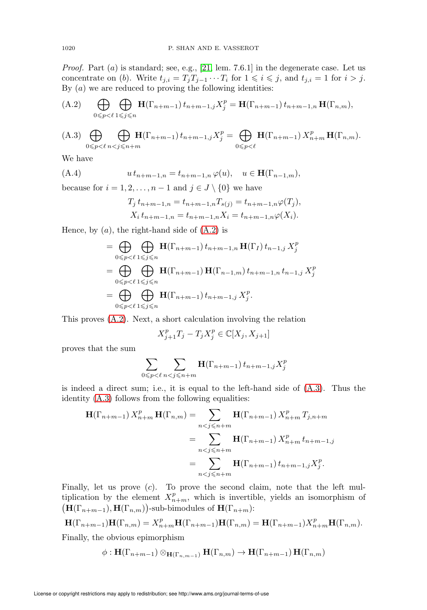*Proof.* Part  $(a)$  is standard; see, e.g., [\[21,](#page-72-6) lem. 7.6.1] in the degenerate case. Let us concentrate on (b). Write  $t_{j,i} = T_j T_{j-1} \cdots T_i$  for  $1 \leq i \leq j$ , and  $t_{j,i} = 1$  for  $i > j$ . By  $(a)$  we are reduced to proving the following identities:

<span id="page-61-0"></span>(A.2) 
$$
\bigoplus_{0 \leq p < \ell} \bigoplus_{1 \leq j \leq n} \mathbf{H}(\Gamma_{n+m-1}) t_{n+m-1,j} X_j^p = \mathbf{H}(\Gamma_{n+m-1}) t_{n+m-1,n} \mathbf{H}(\Gamma_{n,m}),
$$

<span id="page-61-1"></span>(A.3) 
$$
\bigoplus_{0 \leq p < \ell} \bigoplus_{n < j \leq n+m} \mathbf{H}(\Gamma_{n+m-1}) t_{n+m-1,j} X_j^p = \bigoplus_{0 \leq p < \ell} \mathbf{H}(\Gamma_{n+m-1}) X_{n+m}^p \mathbf{H}(\Gamma_{n,m}).
$$

We have

<span id="page-61-2"></span>(A.4) 
$$
u t_{n+m-1,n} = t_{n+m-1,n} \varphi(u), \quad u \in \mathbf{H}(\Gamma_{n-1,m}),
$$

because for  $i = 1, 2, \ldots, n - 1$  and  $j \in J \setminus \{0\}$  we have

$$
T_j t_{n+m-1,n} = t_{n+m-1,n} T_{s(j)} = t_{n+m-1,n} \varphi(T_j),
$$
  
\n
$$
X_i t_{n+m-1,n} = t_{n+m-1,n} X_i = t_{n+m-1,n} \varphi(X_i).
$$

Hence, by  $(a)$ , the right-hand side of  $(A.2)$  is

$$
= \bigoplus_{0 \leq p < \ell} \bigoplus_{1 \leq j \leq n} \mathbf{H}(\Gamma_{n+m-1}) t_{n+m-1,n} \mathbf{H}(\Gamma_I) t_{n-1,j} X_j^p
$$
\n
$$
= \bigoplus_{0 \leq p < \ell} \bigoplus_{1 \leq j \leq n} \mathbf{H}(\Gamma_{n+m-1}) \mathbf{H}(\Gamma_{n-1,m}) t_{n+m-1,n} t_{n-1,j} X_j^p
$$
\n
$$
= \bigoplus_{0 \leq p < \ell} \bigoplus_{1 \leq j \leq n} \mathbf{H}(\Gamma_{n+m-1}) t_{n+m-1,j} X_j^p.
$$

This proves [\(A.2\)](#page-61-0). Next, a short calculation involving the relation

$$
X_{j+1}^pT_j-T_jX_j^p\in\mathbb{C}[X_j,X_{j+1}]
$$

proves that the sum

$$
\sum_{0 \leq p < \ell} \sum_{n < j \leq n+m} \mathbf{H}(\Gamma_{n+m-1}) \, t_{n+m-1,j} X_j^p
$$

is indeed a direct sum; i.e., it is equal to the left-hand side of [\(A.3\)](#page-61-1). Thus the identity [\(A.3\)](#page-61-1) follows from the following equalities:

$$
\mathbf{H}(\Gamma_{n+m-1}) X_{n+m}^p \mathbf{H}(\Gamma_{n,m}) = \sum_{n < j \le n+m} \mathbf{H}(\Gamma_{n+m-1}) X_{n+m}^p T_{j,n+m}
$$
\n
$$
= \sum_{n < j \le n+m} \mathbf{H}(\Gamma_{n+m-1}) X_{n+m}^p t_{n+m-1,j}
$$
\n
$$
= \sum_{n < j \le n+m} \mathbf{H}(\Gamma_{n+m-1}) t_{n+m-1,j} X_j^p.
$$

Finally, let us prove  $(c)$ . To prove the second claim, note that the left multiplication by the element  $X_{n+m}^p$ , which is invertible, yields an isomorphism of  $(\mathbf{H}(\Gamma_{n+m-1}), \mathbf{H}(\Gamma_{n,m}))$ -sub-bimodules of  $\mathbf{H}(\Gamma_{n+m})$ :

$$
\mathbf{H}(\Gamma_{n+m-1})\mathbf{H}(\Gamma_{n,m}) = X_{n+m}^p \mathbf{H}(\Gamma_{n+m-1})\mathbf{H}(\Gamma_{n,m}) = \mathbf{H}(\Gamma_{n+m-1})X_{n+m}^p \mathbf{H}(\Gamma_{n,m}).
$$

Finally, the obvious epimorphism

 $\phi : \mathbf{H}(\Gamma_{n+m-1}) \otimes_{\mathbf{H}(\Gamma_{n,m-1})} \mathbf{H}(\Gamma_{n,m}) \to \mathbf{H}(\Gamma_{n+m-1}) \mathbf{H}(\Gamma_{n,m})$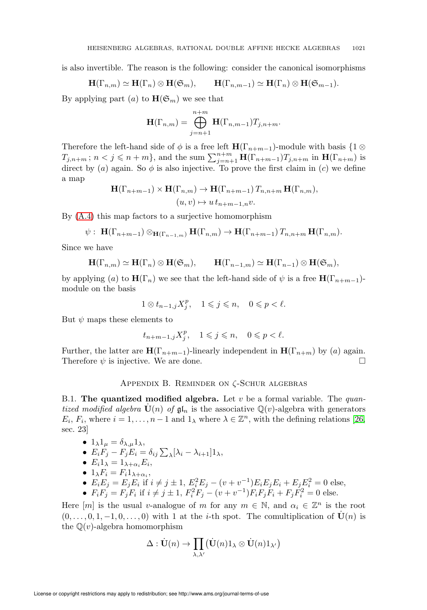is also invertible. The reason is the following: consider the canonical isomorphisms

$$
\mathbf{H}(\Gamma_{n,m}) \simeq \mathbf{H}(\Gamma_n) \otimes \mathbf{H}(\mathfrak{S}_m), \qquad \mathbf{H}(\Gamma_{n,m-1}) \simeq \mathbf{H}(\Gamma_n) \otimes \mathbf{H}(\mathfrak{S}_{m-1}).
$$

By applying part (a) to  $\mathbf{H}(\mathfrak{S}_m)$  we see that

$$
\mathbf{H}(\Gamma_{n,m}) = \bigoplus_{j=n+1}^{n+m} \mathbf{H}(\Gamma_{n,m-1}) T_{j,n+m}.
$$

Therefore the left-hand side of  $\phi$  is a free left  $\mathbf{H}(\Gamma_{n+m-1})$ -module with basis {1 ⊗  $T_{j,n+m}$ ;  $n < j \leqslant n+m$ , and the sum  $\sum_{j=n+1}^{n+m} \mathbf{H}(\Gamma_{n+m-1}) T_{j,n+m}$  in  $\mathbf{H}(\Gamma_{n+m})$  is direct by (a) again. So  $\phi$  is also injective. To prove the first claim in (c) we define a map

$$
\mathbf{H}(\Gamma_{n+m-1}) \times \mathbf{H}(\Gamma_{n,m}) \to \mathbf{H}(\Gamma_{n+m-1}) T_{n,n+m} \mathbf{H}(\Gamma_{n,m}),
$$
  
(*u*, *v*)  $\mapsto u t_{n+m-1,n} v$ .

By [\(A.4\)](#page-61-2) this map factors to a surjective homomorphism

$$
\psi: \ \mathbf{H}(\Gamma_{n+m-1}) \otimes_{\mathbf{H}(\Gamma_{n-1,m})} \mathbf{H}(\Gamma_{n,m}) \to \mathbf{H}(\Gamma_{n+m-1}) \, T_{n,n+m} \, \mathbf{H}(\Gamma_{n,m}).
$$

Since we have

$$
\mathbf{H}(\Gamma_{n,m}) \simeq \mathbf{H}(\Gamma_n) \otimes \mathbf{H}(\mathfrak{S}_m), \qquad \mathbf{H}(\Gamma_{n-1,m}) \simeq \mathbf{H}(\Gamma_{n-1}) \otimes \mathbf{H}(\mathfrak{S}_m),
$$

by applying (a) to  $\mathbf{H}(\Gamma_n)$  we see that the left-hand side of  $\psi$  is a free  $\mathbf{H}(\Gamma_{n+m-1})$ module on the basis

$$
1\otimes t_{n-1,j}X_j^p,\quad 1\leqslant j\leqslant n,\quad 0\leqslant p<\ell.
$$

But  $\psi$  maps these elements to

$$
t_{n+m-1,j}X_j^p, \quad 1\leqslant j\leqslant n, \quad 0\leqslant p<\ell.
$$

Further, the latter are  $\mathbf{H}(\Gamma_{n+m-1})$ -linearly independent in  $\mathbf{H}(\Gamma_{n+m})$  by (a) again. Therefore  $\psi$  is injective. We are done.

## Appendix B. Reminder on ζ-Schur algebras

B.1. The quantized modified algebra. Let  $v$  be a formal variable. The quantized modified algebra  $\mathbf{U}(n)$  of  $\mathfrak{gl}_n$  is the associative  $\mathbb{Q}(v)$ -algebra with generators  $E_i, F_i$ , where  $i = 1, ..., n-1$  and  $1_\lambda$  where  $\lambda \in \mathbb{Z}^n$ , with the defining relations [\[26,](#page-72-7) sec. 23]

• 
$$
1_{\lambda}1_{\mu} = \delta_{\lambda,\mu}1_{\lambda},
$$

• 
$$
E_i \overline{F}_j - F_j \overline{E}_i = \delta_{ij} \sum_{\lambda} [\lambda_i - \lambda_{i+1}] 1_{\lambda},
$$

• 
$$
E_i 1_{\lambda} = 1_{\lambda + \alpha_i} E_i
$$
,

• 
$$
1_{\lambda} F_i = F_i 1_{\lambda + \alpha_i}
$$
,

• 
$$
E_i E_j = E_j E_i
$$
 if  $i \neq j \pm 1$ ,  $E_i^2 E_j - (v + v^{-1}) E_i E_j E_i + E_j E_i^2 = 0$  else,

• 
$$
F_i F_j = F_j F_i
$$
 if  $i \neq j \pm 1$ ,  $F_i^2 F_j - (v + v^{-1}) F_i F_j F_i + F_j F_i^2 = 0$  else.

Here  $[m]$  is the usual v-analogue of m for any  $m \in \mathbb{N}$ , and  $\alpha_i \in \mathbb{Z}^n$  is the root  $(0,\ldots,0,1,-1,0,\ldots,0)$  with 1 at the *i*-th spot. The comultiplication of  $\mathbf{U}(n)$  is the  $\mathbb{Q}(v)$ -algebra homomorphism

$$
\Delta: \dot{{\bf U}}(n) \rightarrow \prod_{\lambda, \lambda'} \bigl( \dot{{\bf U}}(n) 1_\lambda \otimes \dot{{\bf U}}(n) 1_{\lambda'} \bigr)
$$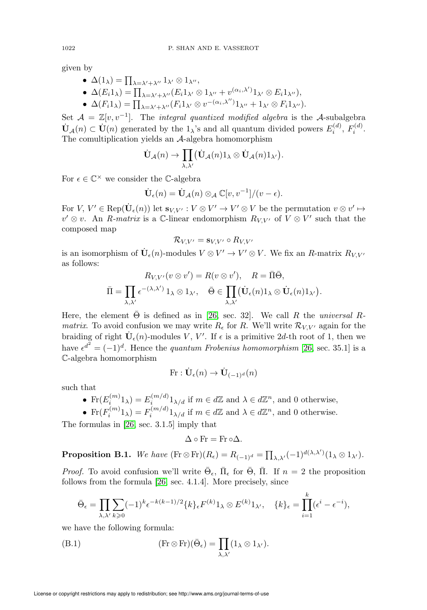given by

- $\Delta(1_\lambda) = \prod_{\lambda = \lambda' + \lambda''} 1_{\lambda'} \otimes 1_{\lambda''},$
- $\Delta(E_i 1_\lambda) = \prod_{\lambda = \lambda' + \lambda''} (E_i 1_{\lambda'} \otimes 1_{\lambda''} + v^{(\alpha_i, \lambda')} 1_{\lambda'} \otimes E_i 1_{\lambda''}),$
- $\Delta(F_i 1_\lambda) = \prod_{\lambda = \lambda' + \lambda''} (F_i 1_{\lambda'} \otimes v^{-(\alpha_i, \lambda'') } 1_{\lambda''} + 1_{\lambda'} \otimes F_i 1_{\lambda''}).$

Set  $A = \mathbb{Z}[v, v^{-1}]$ . The *integral quantized modified algebra* is the A-subalgebra  $\dot{\mathbf{U}}_{\mathcal{A}}(n) \subset \dot{\mathbf{U}}(n)$  generated by the  $1_{\lambda}$ 's and all quantum divided powers  $E_i^{(d)}$ ,  $F_i^{(d)}$ . The comultiplication yields an A-algebra homomorphism

$$
\dot{{\bf U}}_{\mathcal{A}}(n) \rightarrow \prod_{\lambda,\lambda'} \bigl( \dot{{\bf U}}_{\mathcal{A}}(n) 1_{\lambda} \otimes \dot{{\bf U}}_{\mathcal{A}}(n) 1_{\lambda'} \bigr).
$$

For  $\epsilon \in \mathbb{C}^{\times}$  we consider the C-algebra

$$
\dot{\mathbf{U}}_{\epsilon}(n) = \dot{\mathbf{U}}_{\mathcal{A}}(n) \otimes_{\mathcal{A}} \mathbb{C}[v, v^{-1}]/(v - \epsilon).
$$

For  $V, V' \in \text{Rep}(\dot{\mathbf{U}}_{\epsilon}(n))$  let  $\mathbf{s}_{V,V'} : V \otimes V' \to V' \otimes V$  be the permutation  $v \otimes v' \mapsto$  $v' \otimes v$ . An R-matrix is a C-linear endomorphism  $R_{V,V'}$  of  $V \otimes V'$  such that the composed map

$$
\mathcal{R}_{V,V'} = \mathbf{s}_{V,V'} \circ R_{V,V'}
$$

is an isomorphism of  $\dot{\mathbf{U}}_{\epsilon}(n)$ -modules  $V \otimes V' \to V' \otimes V$ . We fix an R-matrix  $R_{V,V'}$ as follows:

$$
R_{V,V'}(v \otimes v') = R(v \otimes v'), \quad R = \overline{\Pi} \overline{\Theta},
$$
  

$$
\overline{\Pi} = \prod_{\lambda,\lambda'} \epsilon^{-(\lambda,\lambda')} 1_{\lambda} \otimes 1_{\lambda'}, \quad \overline{\Theta} \in \prod_{\lambda,\lambda'} (\dot{\mathbf{U}}_{\epsilon}(n) 1_{\lambda} \otimes \dot{\mathbf{U}}_{\epsilon}(n) 1_{\lambda'}).
$$

Here, the element  $\Theta$  is defined as in [\[26,](#page-72-7) sec. 32]. We call R the universal R*matrix*. To avoid confusion we may write  $R_{\epsilon}$  for R. We'll write  $\mathcal{R}_{V,V'}$  again for the braiding of right  $\dot{\mathbf{U}}_{\epsilon}(n)$ -modules V, V'. If  $\epsilon$  is a primitive 2d-th root of 1, then we have  $\epsilon^{d^2} = (-1)^d$ . Hence the *quantum Frobenius homomorphism* [\[26,](#page-72-7) sec. 35.1] is a C-algebra homomorphism

$$
\text{Fr}: \dot{\mathbf{U}}_{\epsilon}(n) \rightarrow \dot{\mathbf{U}}_{(-1)^d}(n)
$$

such that

- Fr $(E_i^{(m)}1_\lambda) = E_i^{(m/d)}1_{\lambda/d}$  if  $m \in d\mathbb{Z}$  and  $\lambda \in d\mathbb{Z}^n$ , and 0 otherwise,
- $\text{Fr}(F_i^{(m)}1_\lambda) = F_i^{(m/d)}1_{\lambda/d}$  if  $m \in d\mathbb{Z}$  and  $\lambda \in d\mathbb{Z}^n$ , and 0 otherwise.

The formulas in [\[26,](#page-72-7) sec. 3.1.5] imply that

$$
\Delta \circ \mathrm{Fr} = \mathrm{Fr} \circ \Delta.
$$

<span id="page-63-1"></span>**Proposition B.1.** We have  $(\text{Fr} \otimes \text{Fr})(R_{\epsilon}) = R_{(-1)^d} = \prod_{\lambda,\lambda'} (-1)^{d(\lambda,\lambda')} (1_{\lambda} \otimes 1_{\lambda'}).$ 

*Proof.* To avoid confusion we'll write  $\bar{\Theta}_{\epsilon}$ ,  $\bar{\Pi}_{\epsilon}$  for  $\bar{\Theta}$ ,  $\bar{\Pi}$ . If  $n = 2$  the proposition follows from the formula [\[26,](#page-72-7) sec. 4.1.4]. More precisely, since

$$
\bar{\Theta}_{\epsilon} = \prod_{\lambda,\lambda'} \sum_{k\geqslant 0} (-1)^k \epsilon^{-k(k-1)/2} \{k\}_{\epsilon} F^{(k)} 1_{\lambda} \otimes E^{(k)} 1_{\lambda'}, \quad \{k\}_{\epsilon} = \prod_{i=1}^k (\epsilon^i - \epsilon^{-i}),
$$

we have the following formula:

<span id="page-63-0"></span>(B.1) 
$$
(\text{Fr} \otimes \text{Fr})(\bar{\Theta}_{\epsilon}) = \prod_{\lambda,\lambda'} (1_{\lambda} \otimes 1_{\lambda'}).
$$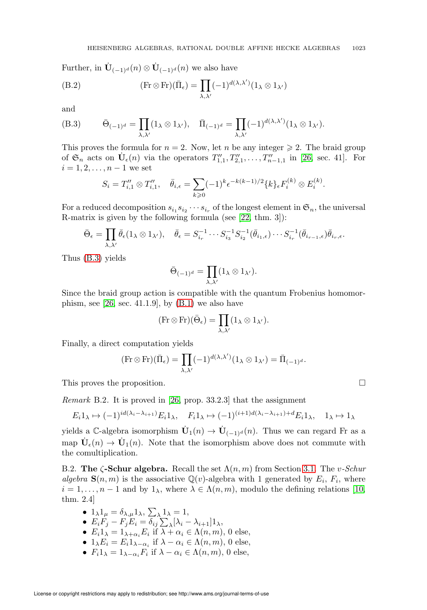Further, in  $\dot{\mathbf{U}}_{(-1)^d}(n) \otimes \dot{\mathbf{U}}_{(-1)^d}(n)$  we also have

(B.2) 
$$
(\text{Fr} \otimes \text{Fr})(\bar{\Pi}_{\epsilon}) = \prod_{\lambda,\lambda'} (-1)^{d(\lambda,\lambda')} (1_{\lambda} \otimes 1_{\lambda'})
$$

and

<span id="page-64-0"></span>(B.3) 
$$
\bar{\Theta}_{(-1)^d} = \prod_{\lambda,\lambda'} (1_\lambda \otimes 1_{\lambda'}), \quad \bar{\Pi}_{(-1)^d} = \prod_{\lambda,\lambda'} (-1)^{d(\lambda,\lambda')} (1_\lambda \otimes 1_{\lambda'}).
$$

This proves the formula for  $n = 2$ . Now, let n be any integer  $\geq 2$ . The braid group of  $\mathfrak{S}_n$  acts on  $\dot{\mathbf{U}}_{\epsilon}(n)$  via the operators  $T''_{1,1}, T''_{2,1}, \ldots, T''_{n-1,1}$  in [\[26,](#page-72-7) sec. 41]. For  $i = 1, 2, \ldots, n - 1$  we set

$$
S_i = T''_{i,1} \otimes T''_{i,1}, \quad \bar{\theta}_{i,\epsilon} = \sum_{k \geq 0} (-1)^k \epsilon^{-k(k-1)/2} \{k\}_{\epsilon} F_i^{(k)} \otimes E_i^{(k)}.
$$

For a reduced decomposition  $s_{i_1} s_{i_2} \cdots s_{i_r}$  of the longest element in  $\mathfrak{S}_n$ , the universal R-matrix is given by the following formula (see [\[22,](#page-72-8) thm. 3]):

$$
\bar{\Theta}_{\epsilon} = \prod_{\lambda,\lambda'} \bar{\theta}_{\epsilon} (1_{\lambda} \otimes 1_{\lambda'}), \quad \bar{\theta}_{\epsilon} = S_{i_r}^{-1} \cdots S_{i_3}^{-1} S_{i_2}^{-1} (\bar{\theta}_{i_1,\epsilon}) \cdots S_{i_r}^{-1} (\bar{\theta}_{i_{r-1},\epsilon}) \bar{\theta}_{i_r,\epsilon}.
$$

Thus [\(B.3\)](#page-64-0) yields

$$
\bar{\Theta}_{(-1)^d} = \prod_{\lambda,\lambda'} (1_\lambda \otimes 1_{\lambda'}).
$$

Since the braid group action is compatible with the quantum Frobenius homomorphism, see  $[26, \text{sec. } 41.1.9]$ , by  $(B.1)$  we also have

$$
(\operatorname{Fr} \otimes \operatorname{Fr})(\bar{\Theta}_\epsilon) = \prod_{\lambda,\lambda'} (1_\lambda \otimes 1_{\lambda'}).
$$

Finally, a direct computation yields

$$
(\mathrm{Fr} \otimes \mathrm{Fr})(\bar{\Pi}_{\epsilon}) = \prod_{\lambda,\lambda'} (-1)^{d(\lambda,\lambda')} (1_{\lambda} \otimes 1_{\lambda'}) = \bar{\Pi}_{(-1)^d}.
$$

This proves the proposition.

<span id="page-64-1"></span>Remark B.2. It is proved in [\[26,](#page-72-7) prop. 33.2.3] that the assignment

$$
E_i 1_\lambda \mapsto (-1)^{id(\lambda_i - \lambda_{i+1})} E_i 1_\lambda, \quad F_i 1_\lambda \mapsto (-1)^{(i+1)d(\lambda_i - \lambda_{i+1}) + d} E_i 1_\lambda, \quad 1_\lambda \mapsto 1_\lambda
$$

yields a C-algebra isomorphism  $\dot{\mathbf{U}}_1(n) \to \dot{\mathbf{U}}_{(-1)^d}(n)$ . Thus we can regard Fr as a map  $\dot{\mathbf{U}}_{\epsilon}(n) \rightarrow \dot{\mathbf{U}}_{1}(n)$ . Note that the isomorphism above does not commute with the comultiplication.

B.2. The  $\zeta$ -Schur algebra. Recall the set  $\Lambda(n, m)$  from Section [3.1.](#page-7-0) The v-Schur algebra  $\mathbf{S}(n,m)$  is the associative Q(v)-algebra with 1 generated by  $E_i$ ,  $F_i$ , where  $i = 1, \ldots, n-1$  and by  $1_{\lambda}$ , where  $\lambda \in \Lambda(n,m)$ , modulo the defining relations [\[10,](#page-71-3) thm. 2.4]

- $1_{\lambda}1_{\mu} = \delta_{\lambda,\mu}1_{\lambda}, \sum_{\lambda}1_{\lambda} = 1,$
- $E_i F_j F_j E_i = \overline{\delta_{ij}} \sum_{\lambda} [\lambda_i \lambda_{i+1}] 1_{\lambda},$
- $E_i 1_\lambda = 1_{\lambda + \alpha_i} E_i$  if  $\lambda + \alpha_i \in \Lambda(n, m)$ , 0 else,
- $1_{\lambda}E_i = E_i 1_{\lambda \alpha_i}$  if  $\lambda \alpha_i \in \Lambda(n, m)$ , 0 else,
- $F_i 1_\lambda = 1_{\lambda \alpha_i} F_i$  if  $\lambda \alpha_i \in \Lambda(n, m)$ , 0 else,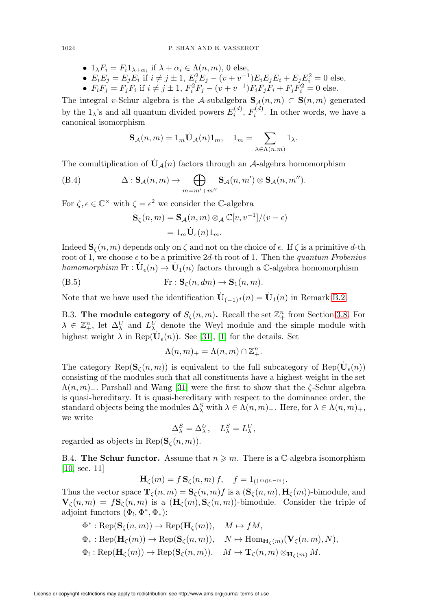- $1_\lambda F_i = F_i 1_{\lambda + \alpha_i}$  if  $\lambda + \alpha_i \in \Lambda(n, m)$ , 0 else,
- $E_i E_j = E_j E_i$  if  $i \neq j \pm 1$ ,  $E_i^2 E_j (v + v^{-1}) E_i E_j E_i + E_j E_i^2 = 0$  else,
- $F_i F_j = F_j F_i$  if  $i \neq j \pm 1$ ,  $F_i^2 F_j (v + v^{-1}) F_i F_j F_i + F_j F_i^2 = 0$  else.

The integral v-Schur algebra is the A-subalgebra  $\mathbf{S}_{\mathcal{A}}(n,m) \subset \mathbf{S}(n,m)$  generated by the  $1_\lambda$ 's and all quantum divided powers  $E_i^{(d)}$ ,  $F_i^{(d)}$ . In other words, we have a canonical isomorphism

$$
\mathbf{S}_{\mathcal{A}}(n,m) = 1_m \dot{\mathbf{U}}_{\mathcal{A}}(n) 1_m, \quad 1_m = \sum_{\lambda \in \Lambda(n,m)} 1_{\lambda}.
$$

The comultiplication of  $U_A(n)$  factors through an A-algebra homomorphism

<span id="page-65-0"></span>(B.4) 
$$
\Delta: \mathbf{S}_{\mathcal{A}}(n,m) \to \bigoplus_{m=m'+m''} \mathbf{S}_{\mathcal{A}}(n,m') \otimes \mathbf{S}_{\mathcal{A}}(n,m'').
$$

For  $\zeta, \epsilon \in \mathbb{C}^\times$  with  $\zeta = \epsilon^2$  we consider the C-algebra

$$
\mathbf{S}_{\zeta}(n,m) = \mathbf{S}_{\mathcal{A}}(n,m) \otimes_{\mathcal{A}} \mathbb{C}[v, v^{-1}]/(v - \epsilon)
$$
  
=  $1_m \dot{\mathbf{U}}_{\epsilon}(n) 1_m.$ 

Indeed  $\mathbf{S}_{\zeta}(n,m)$  depends only on  $\zeta$  and not on the choice of  $\epsilon$ . If  $\zeta$  is a primitive d-th root of 1, we choose  $\epsilon$  to be a primitive 2d-th root of 1. Then the quantum Frobenius homomorphism  $\text{Fr}: \dot{\mathbf{U}}_{\epsilon}(n) \to \dot{\mathbf{U}}_{1}(n)$  factors through a C-algebra homomorphism

<span id="page-65-1"></span>(B.5) 
$$
\text{Fr}: \mathbf{S}_{\zeta}(n, dm) \to \mathbf{S}_{1}(n, m).
$$

Note that we have used the identification  $\dot{\mathbf{U}}_{(-1)^d}(n) = \dot{\mathbf{U}}_1(n)$  in Remark [B.2.](#page-64-1)

B.3. The module category of  $S_{\zeta}(n,m)$ . Recall the set  $\mathbb{Z}_+^n$  from Section [3.8.](#page-10-1) For  $\lambda \in \mathbb{Z}_{+}^{n}$ , let  $\Delta_{\lambda}^{U}$  and  $L_{\lambda}^{U}$  denote the Weyl module and the simple module with highest weight  $\lambda$  in Rep( $\dot{\mathbf{U}}_{\epsilon}(n)$ ). See [\[31\]](#page-72-9), [\[1\]](#page-71-4) for the details. Set

$$
\Lambda(n,m)_+ = \Lambda(n,m) \cap \mathbb{Z}_+^n.
$$

The category Rep( $\mathbf{S}_{\zeta}(n,m)$ ) is equivalent to the full subcategory of Rep( $\dot{\mathbf{U}}_{\epsilon}(n)$ ) consisting of the modules such that all constituents have a highest weight in the set  $\Lambda(n,m)$ . Parshall and Wang [\[31\]](#page-72-9) were the first to show that the  $\zeta$ -Schur algebra is quasi-hereditary. It is quasi-hereditary with respect to the dominance order, the standard objects being the modules  $\Delta_\lambda^S$  with  $\lambda \in \Lambda(n,m)_+$ . Here, for  $\lambda \in \Lambda(n,m)_+$ , we write

$$
\Delta^S_\lambda = \Delta^U_\lambda, \quad L^S_\lambda = L^U_\lambda,
$$

regarded as objects in Rep $(\mathbf{S}_{\zeta}(n,m)).$ 

B.4. The Schur functor. Assume that  $n \geqslant m$ . There is a C-algebra isomorphism [\[10,](#page-71-3) sec. 11]

$$
\mathbf{H}_{\zeta}(m) = f \mathbf{S}_{\zeta}(n, m) f, \quad f = 1_{(1^m 0^{n-m})}.
$$

Thus the vector space  $\mathbf{T}_{\zeta}(n,m) = \mathbf{S}_{\zeta}(n,m) f$  is a  $(\mathbf{S}_{\zeta}(n,m), \mathbf{H}_{\zeta}(m))$ -bimodule, and  ${\bf V}_\zeta(n,m) = f{\bf S}_\zeta(n,m)$  is a  $({\bf H}_\zeta(m),{\bf S}_\zeta(n,m))$ -bimodule. Consider the triple of adjoint functors  $(\Phi_!, \Phi^*, \Phi_*):$ 

$$
\Phi^* : \operatorname{Rep}(\mathbf{S}_{\zeta}(n,m)) \to \operatorname{Rep}(\mathbf{H}_{\zeta}(m)), \quad M \mapsto fM,
$$
  

$$
\Phi_* : \operatorname{Rep}(\mathbf{H}_{\zeta}(m)) \to \operatorname{Rep}(\mathbf{S}_{\zeta}(n,m)), \quad N \mapsto \operatorname{Hom}_{\mathbf{H}_{\zeta}(m)}(\mathbf{V}_{\zeta}(n,m), N),
$$
  

$$
\Phi_!: \operatorname{Rep}(\mathbf{H}_{\zeta}(m)) \to \operatorname{Rep}(\mathbf{S}_{\zeta}(n,m)), \quad M \mapsto \mathbf{T}_{\zeta}(n,m) \otimes_{\mathbf{H}_{\zeta}(m)} M.
$$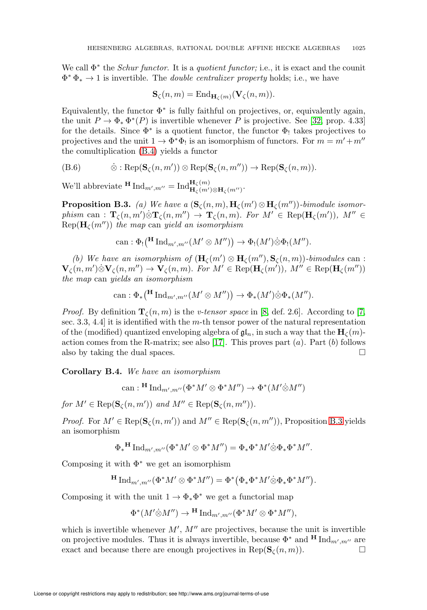We call  $\Phi^*$  the *Schur functor*. It is a *quotient functor*; i.e., it is exact and the counit  $\Phi^* \Phi_* \to 1$  is invertible. The *double centralizer property* holds; i.e., we have

$$
\mathbf{S}_{\zeta}(n,m) = \mathrm{End}_{\mathbf{H}_{\zeta}(m)}(\mathbf{V}_{\zeta}(n,m)).
$$

Equivalently, the functor  $\Phi^*$  is fully faithful on projectives, or, equivalently again, the unit  $P \to \Phi_* \Phi^*(P)$  is invertible whenever P is projective. See [\[32,](#page-72-10) prop. 4.33] for the details. Since  $\Phi^*$  is a quotient functor, the functor  $\Phi_!$  takes projectives to projectives and the unit  $1 \to \Phi^* \Phi_!$  is an isomorphism of functors. For  $m = m' + m''$ the comultiplication [\(B.4\)](#page-65-0) yields a functor

(B.6) 
$$
\dot{\otimes} : \operatorname{Rep}(\mathbf{S}_{\zeta}(n,m')) \otimes \operatorname{Rep}(\mathbf{S}_{\zeta}(n,m'')) \to \operatorname{Rep}(\mathbf{S}_{\zeta}(n,m)).
$$

We'll abbreviate  $\text{H Ind}_{m',m''} = \text{Ind}_{\mathbf{H}_{\zeta}(m') \otimes \mathbf{H}_{\zeta}(m'')}^{\mathbf{H}_{\zeta}(m)}$ .

<span id="page-66-0"></span>**Proposition B.3.** (a) We have a  $(\mathbf{S}_{\zeta}(n,m), \mathbf{H}_{\zeta}(m') \otimes \mathbf{H}_{\zeta}(m''))$ -bimodule isomorphism can :  $\mathbf{T}_{\zeta}(n,m')\otimes \mathbf{T}_{\zeta}(n,m'') \to \mathbf{T}_{\zeta}(n,m)$ . For  $M' \in \text{Rep}(\mathbf{H}_{\zeta}(m'))$ ,  $M'' \in$  $\text{Rep}(\mathbf{H}_{\ell}(m''))$  the map can yield an isomorphism

can: 
$$
\Phi_!(\mathbf{H} \operatorname{Ind}_{m',m''}(M' \otimes M'')) \to \Phi_!(M') \otimes \Phi_!(M'').
$$

(b) We have an isomorphism of  $(\mathbf{H}_{\zeta}(m') \otimes \mathbf{H}_{\zeta}(m''), \mathbf{S}_{\zeta}(n,m))$ -bimodules can :  $\mathbf{V}_{\zeta}(n,m')\otimes\mathbf{V}_{\zeta}(n,m'')\to\mathbf{V}_{\zeta}(n,m)$ . For  $M'\in\operatorname{Rep}(\mathbf{H}_{\zeta}(m'))$ ,  $M''\in\operatorname{Rep}(\mathbf{H}_{\zeta}(m''))$ the map can yields an isomorphism

can: 
$$
\Phi_*(\mathbf{H} \operatorname{Ind}_{m',m''}(M' \otimes M'')) \to \Phi_*(M') \otimes \Phi_*(M'').
$$

*Proof.* By definition  $\mathbf{T}_{\zeta}(n,m)$  is the *v*-tensor space in [\[8,](#page-71-5) def. 2.6]. According to [\[7,](#page-71-6) sec. 3.3, 4.4 it is identified with the m-th tensor power of the natural representation of the (modified) quantized enveloping algebra of  $\mathfrak{gl}_n$ , in such a way that the  $\mathbf{H}_c(m)$ -action comes from the R-matrix; see also [\[17\]](#page-72-11). This proves part  $(a)$ . Part  $(b)$  follows also by taking the dual spaces.  $\Box$ 

<span id="page-66-1"></span>Corollary B.4. We have an isomorphism

can: 
$$
H \operatorname{Ind}_{m',m''}(\Phi^*M' \otimes \Phi^*M'') \to \Phi^*(M' \otimes M'')
$$

for  $M' \in \text{Rep}(\mathbf{S}_{\zeta}(n,m'))$  and  $M'' \in \text{Rep}(\mathbf{S}_{\zeta}(n,m'')).$ 

*Proof.* For  $M' \in \text{Rep}(\mathbf{S}_{\zeta}(n,m'))$  and  $M'' \in \text{Rep}(\mathbf{S}_{\zeta}(n,m''))$ , Proposition [B.3](#page-66-0) yields an isomorphism

$$
\Phi_*{}^{\mathbf{H}}\mathop{\mathrm{Ind}}\nolimits_{m',m''}(\Phi^*M'\otimes \Phi^*M'')=\Phi_*\Phi^*M'\dot{\otimes}\Phi_*\Phi^*M''.
$$

Composing it with  $\Phi^*$  we get an isomorphism

$$
\mathbf{H} \operatorname{Ind}_{m',m''}(\Phi^*M' \otimes \Phi^*M'') = \Phi^*(\Phi_*\Phi^*M'\dot{\otimes}\Phi_*\Phi^*M'').
$$

Composing it with the unit  $1 \to \Phi_* \Phi^*$  we get a functorial map

$$
\Phi^*(M'\hat{\otimes}M'')\to^{\mathbf{H}}\mathrm{Ind}_{m',m''}(\Phi^*M'\otimes \Phi^*M''),
$$

which is invertible whenever  $M'$ ,  $M''$  are projectives, because the unit is invertible on projective modules. Thus it is always invertible, because  $\Phi^*$  and  $\text{H Ind}_{m',m''}$  are exact and because there are enough projectives in  $\text{Rep}(\mathbf{S}_{\zeta}(n,m)).$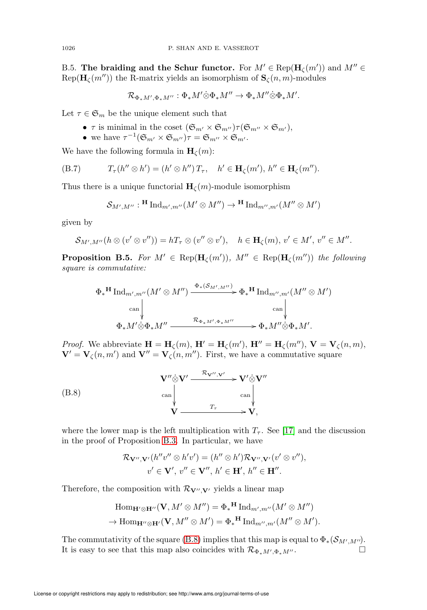B.5. The braiding and the Schur functor. For  $M' \in \text{Rep}(\mathbf{H}_{\zeta}(m'))$  and  $M'' \in$ Rep( $\mathbf{H}_{\zeta}(m'')$ ) the R-matrix yields an isomorphism of  $\mathbf{S}_{\zeta}(n,m)$ -modules

$$
\mathcal{R}_{\Phi_*M',\Phi_*M''}:\Phi_*M'\dot{\otimes}\Phi_*M''\to\Phi_*M''\dot{\otimes}\Phi_*M'.
$$

Let  $\tau \in \mathfrak{S}_m$  be the unique element such that

- $\tau$  is minimal in the coset  $(\mathfrak{S}_{m'} \times \mathfrak{S}_{m''}) \tau(\mathfrak{S}_{m''} \times \mathfrak{S}_{m'}),$
- we have  $\tau^{-1}(\mathfrak{S}_{m'} \times \mathfrak{S}_{m''})\tau = \mathfrak{S}_{m''} \times \mathfrak{S}_{m'}$ .

We have the following formula in  $H_c(m)$ :

(B.7) 
$$
T_{\tau}(h'' \otimes h') = (h' \otimes h'')T_{\tau}, \quad h' \in \mathbf{H}_{\zeta}(m'), h'' \in \mathbf{H}_{\zeta}(m'').
$$

Thus there is a unique functorial  $H_{\zeta}(m)$ -module isomorphism

$$
\mathcal{S}_{M',M''}: \text{H Ind}_{m',m''}(M'\otimes M'') \to \text{H Ind}_{m'',m'}(M''\otimes M')
$$

given by

$$
\mathcal{S}_{M',M''}(h\otimes (v'\otimes v''))=hT_{\tau}\otimes (v''\otimes v'),\quad h\in \mathbf{H}_{\zeta}(m),\,v'\in M',\,v''\in M''.
$$

**Proposition B.5.** For  $M' \in \text{Rep}(\mathbf{H}_{\zeta}(m'))$ ,  $M'' \in \text{Rep}(\mathbf{H}_{\zeta}(m''))$  the following square is commutative:

$$
\Phi_*^{\mathbf{H}} \operatorname{Ind}_{m',m''}(M' \otimes M'') \xrightarrow{\Phi_*(\mathcal{S}_{M',M''})} \Phi_*^{\mathbf{H}} \operatorname{Ind}_{m'',m'}(M'' \otimes M') \longrightarrow \text{can} \longrightarrow \text{can} \longrightarrow \text{can} \longrightarrow \text{can} \longrightarrow \text{can} \longrightarrow \text{can} \longrightarrow \text{can} \longrightarrow \text{can} \longrightarrow \text{can} \longrightarrow \text{can} \longrightarrow \text{can} \longrightarrow \text{can} \longrightarrow \text{can} \longrightarrow \text{can} \longrightarrow \text{can} \longrightarrow \text{can} \longrightarrow \text{can} \longrightarrow \text{can} \longrightarrow \text{can} \longrightarrow \text{can} \longrightarrow \text{can} \longrightarrow \text{can} \longrightarrow \text{can} \longrightarrow \text{can} \longrightarrow \text{can} \longrightarrow \text{can} \longrightarrow \text{can} \longrightarrow \text{can} \longrightarrow \text{can} \longrightarrow \text{can} \longrightarrow \text{can} \longrightarrow \text{can} \longrightarrow \text{can} \longrightarrow \text{can} \longrightarrow \text{can} \longrightarrow \text{can} \longrightarrow \text{can} \longrightarrow \text{can} \longrightarrow \text{can} \longrightarrow \text{can} \longrightarrow \text{can} \longrightarrow \text{can} \longrightarrow \text{can} \longrightarrow \text{can} \longrightarrow \text{can} \longrightarrow \text{can} \longrightarrow \text{can} \longrightarrow \text{can} \longrightarrow \text{can} \longrightarrow \text{can} \longrightarrow \text{can} \longrightarrow \text{can} \longrightarrow \text{can} \longrightarrow \text{can} \longrightarrow \text{can} \longrightarrow \text{can} \longrightarrow \text{can} \longrightarrow \text{can} \longrightarrow \text{can} \longrightarrow \text{can} \longrightarrow \text{can} \longrightarrow \text{can} \longrightarrow \text{can} \longrightarrow \text{can} \longrightarrow \text{can} \longrightarrow \text{can} \longrightarrow \text{can} \longrightarrow \text{can} \longrightarrow \text{can} \longrightarrow \text{can} \longrightarrow \text{can} \longrightarrow \text{can} \longrightarrow \text{can} \longrightarrow \text{can} \longrightarrow \text{can} \longrightarrow \text{can} \longrightarrow \text{can} \longrightarrow \text{can} \longrightarrow \text{can} \longrightarrow \text{can} \longrightarrow \text{can} \longrightarrow \text{can} \longrightarrow \text{can} \longrightarrow \text{can} \longrightarrow \text{can} \longrightarrow \text{can} \longrightarrow \text{can} \longrightarrow \text{can} \longrightarrow \text{can} \longrightarrow \text{can} \longrightarrow \text{can} \longrightarrow \text{can} \longrightarrow \text{can} \longrightarrow \text{can} \longrightarrow \text{can} \longrightarrow \text{can} \longrightarrow \text{can} \longrightarrow \text{
$$

*Proof.* We abbreviate  $\mathbf{H} = \mathbf{H}_{\zeta}(m)$ ,  $\mathbf{H}' = \mathbf{H}_{\zeta}(m')$ ,  $\mathbf{H}'' = \mathbf{H}_{\zeta}(m'')$ ,  $\mathbf{V} = \mathbf{V}_{\zeta}(n, m)$ ,  $\mathbf{V}' = \mathbf{V}_{\zeta}(n,m')$  and  $\mathbf{V}'' = \mathbf{V}_{\zeta}(n,m')$ . First, we have a commutative square

<span id="page-67-0"></span>
$$
\mathbf{V}^{\prime\prime} \diamondsuit \mathbf{V}^{\prime} \xrightarrow{\mathcal{R}_{\mathbf{V}^{\prime\prime},\mathbf{V}^{\prime}}} \mathbf{V}^{\prime} \diamondsuit \mathbf{V}^{\prime\prime} \n
$$
\begin{array}{c}\n\text{can} \\
\downarrow \\
\mathbf{V} \xrightarrow{\mathcal{T}_{\tau}} \mathbf{V},\n\end{array}
$$
$$

where the lower map is the left multiplication with  $T<sub>\tau</sub>$ . See [\[17\]](#page-72-11) and the discussion in the proof of Proposition [B.3.](#page-66-0) In particular, we have

$$
\mathcal{R}_{\mathbf{V}''',\mathbf{V}'}(h''v'' \otimes h'v') = (h'' \otimes h')\mathcal{R}_{\mathbf{V}''',\mathbf{V}'}(v' \otimes v''),
$$
  

$$
v' \in \mathbf{V}', v'' \in \mathbf{V}'', h' \in \mathbf{H}', h'' \in \mathbf{H}''.
$$

Therefore, the composition with  $\mathcal{R}_{\mathbf{V}'',\mathbf{V}'}$  yields a linear map

$$
\operatorname{Hom}_{\mathbf{H}' \otimes \mathbf{H}''}(\mathbf{V}, M' \otimes M'') = \Phi_*^{\mathbf{H}} \operatorname{Ind}_{m',m''}(M' \otimes M'')
$$
  
\n
$$
\to \operatorname{Hom}_{\mathbf{H}'' \otimes \mathbf{H}'}(\mathbf{V}, M'' \otimes M') = \Phi_*^{\mathbf{H}} \operatorname{Ind}_{m'',m'}(M'' \otimes M').
$$

The commutativity of the square [\(B.8\)](#page-67-0) implies that this map is equal to  $\Phi_*(\mathcal{S}_{M',M''}).$ It is easy to see that this map also coincides with  $\mathcal{R}_{\Phi_*M',\Phi_*M''}.$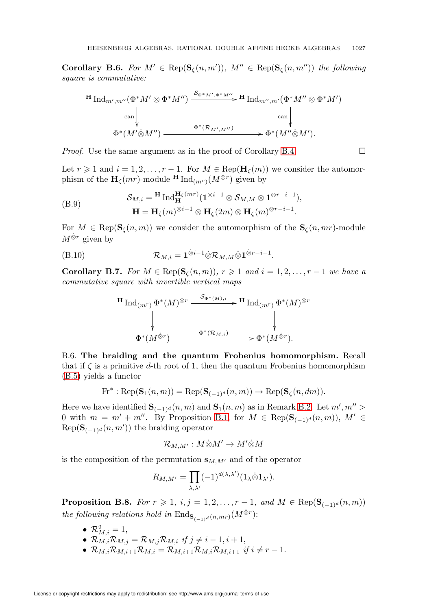**Corollary B.6.** For  $M' \in \text{Rep}(\mathbf{S}_{\zeta}(n,m'))$ ,  $M'' \in \text{Rep}(\mathbf{S}_{\zeta}(n,m''))$  the following square is commutative:

$$
\begin{array}{c}\n\text{H} \operatorname{Ind}_{m',m''}(\Phi^* M' \otimes \Phi^* M'') \xrightarrow{\mathcal{S}_{\Phi^* M',\Phi^* M''}} \text{H} \operatorname{Ind}_{m'',m'}(\Phi^* M'' \otimes \Phi^* M') \\
\downarrow^{\text{can}} & \downarrow^{\text{can}} & \downarrow^{\text{can}} \\
\Phi^*(M' \otimes M'') \xrightarrow{\Phi^*(\mathcal{R}_{M',M''})} & \Phi^*(M'' \otimes M').\n\end{array}
$$

*Proof.* Use the same argument as in the proof of Corollary [B.4.](#page-66-1)  $\Box$ 

Let  $r \geq 1$  and  $i = 1, 2, \ldots, r - 1$ . For  $M \in \text{Rep}(\mathbf{H}_{\zeta}(m))$  we consider the automorphism of the  $\mathbf{H}_{\zeta}(mr)$ -module  $\mathbf{H} \text{Ind}_{(m^r)}(M^{\otimes r})$  given by

(B.9) 
$$
\mathcal{S}_{M,i} = {}^{\mathbf{H}} \text{Ind}_{\mathbf{H}}^{\mathbf{H}_{\zeta}(mr)} (\mathbf{1}^{\otimes i-1} \otimes \mathcal{S}_{M,M} \otimes \mathbf{1}^{\otimes r-i-1}),
$$

$$
\mathbf{H} = \mathbf{H}_{\zeta}(m)^{\otimes i-1} \otimes \mathbf{H}_{\zeta}(2m) \otimes \mathbf{H}_{\zeta}(m)^{\otimes r-i-1}.
$$

For  $M \in \text{Rep}(\mathbf{S}_{\zeta}(n,m))$  we consider the automorphism of the  $\mathbf{S}_{\zeta}(n, mr)$ -module  $M^{\otimes r}$  given by

(B.10) 
$$
\mathcal{R}_{M,i} = \mathbf{1}^{\dot{\otimes}i-1} \dot{\otimes} \mathcal{R}_{M,M} \dot{\otimes} \mathbf{1}^{\dot{\otimes}r-i-1}.
$$

**Corollary B.7.** For  $M \in \text{Rep}(\mathbf{S}_{\zeta}(n,m))$ ,  $r \geq 1$  and  $i = 1, 2, ..., r - 1$  we have a commutative square with invertible vertical maps

$$
\begin{array}{ccc}\n\textbf{H} \operatorname{Ind}_{(m^r)} \Phi^*(M)^{\otimes r} & \xrightarrow{\mathcal{S}_{\Phi^*(M), i}} \textbf{H} \operatorname{Ind}_{(m^r)} \Phi^*(M)^{\otimes r} \\
\downarrow & & \downarrow \downarrow \\
\Phi^*(M^{\otimes r}) & \xrightarrow{\Phi^*(\mathcal{R}_{M,i})} \Phi^*(M^{\otimes r}).\n\end{array}
$$

B.6. The braiding and the quantum Frobenius homomorphism. Recall that if  $\zeta$  is a primitive d-th root of 1, then the quantum Frobenius homomorphism [\(B.5\)](#page-65-1) yields a functor

$$
\text{Fr}^* : \text{Rep}(\mathbf{S}_1(n,m)) = \text{Rep}(\mathbf{S}_{(-1)^d}(n,m)) \to \text{Rep}(\mathbf{S}_{\zeta}(n,dm)).
$$

Here we have identified  $\mathbf{S}_{(-1)^d}(n,m)$  and  $\mathbf{S}_1(n,m)$  as in Remark [B.2.](#page-64-1) Let  $m', m'' >$ 0 with  $m = m' + m''$ . By Proposition [B.1,](#page-63-1) for  $M \in \text{Rep}(\mathbf{S}_{(-1)^d}(n,m))$ ,  $M' \in$  $\text{Rep}(\mathbf{S}_{(-1)^d}(n, m'))$  the braiding operator

$$
\mathcal{R}_{M,M'}:M\dot{\otimes}M'\to M'\dot{\otimes}M
$$

is the composition of the permutation  $s_{M,M'}$  and of the operator

$$
R_{M,M'} = \prod_{\lambda,\lambda'} (-1)^{d(\lambda,\lambda')} (1_\lambda \dot{\otimes} 1_{\lambda'}).
$$

**Proposition B.8.** For  $r \ge 1$ ,  $i, j = 1, 2, ..., r - 1$ , and  $M \in \text{Rep}(\mathbf{S}_{(-1)^d}(n,m))$ the following relations hold in  $\text{End}_{\mathbf{S}_{(-1)^d}(n,mr)}(M^{\otimes r})$ :

- $\mathcal{R}^2_{M,i} = 1$ ,
- $\mathcal{R}_{M,i}\mathcal{R}_{M,j} = \mathcal{R}_{M,j}\mathcal{R}_{M,i}$  if  $j \neq i 1, i + 1$ ,
- $\mathcal{R}_{M,i}\mathcal{R}_{M,i+1}\mathcal{R}_{M,i} = \mathcal{R}_{M,i+1}\mathcal{R}_{M,i}\mathcal{R}_{M,i+1}$  if  $i \neq r-1$ .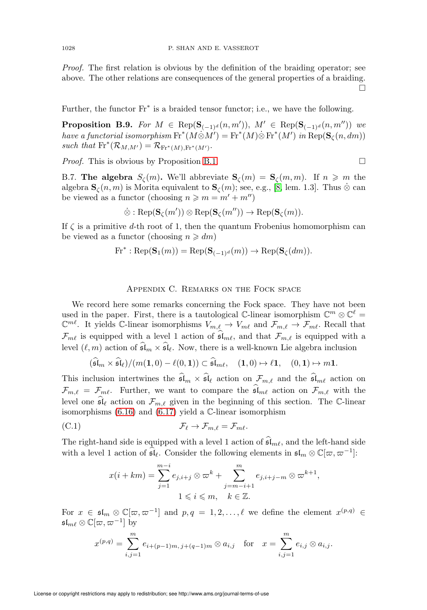Proof. The first relation is obvious by the definition of the braiding operator; see above. The other relations are consequences of the general properties of a braiding.  $\Box$ 

Further, the functor  $Fr^*$  is a braided tensor functor; i.e., we have the following.

**Proposition B.9.** For  $M \in \text{Rep}(\mathbf{S}_{(-1)^d}(n,m'))$ ,  $M' \in \text{Rep}(\mathbf{S}_{(-1)^d}(n,m''))$  we have a functorial isomorphism  $\mathrm{Fr}^*(M \otimes M') = \mathrm{Fr}^*(M) \otimes \mathrm{Fr}^*(M')$  in  $\mathrm{Rep}(\mathbf{S}_\zeta(n,dm))$ such that  $\mathrm{Fr}^*(\mathcal{R}_{M,M'}) = \mathcal{R}_{\mathrm{Fr}^*(M),\mathrm{Fr}^*(M')}$ .

*Proof.* This is obvious by Proposition [B.1.](#page-63-1)  $\Box$ 

B.7. The algebra  $S_{\zeta}(m)$ . We'll abbreviate  $S_{\zeta}(m) = S_{\zeta}(m, m)$ . If  $n \geq m$  the algebra  $\mathbf{S}_{\zeta}(n,m)$  is Morita equivalent to  $\mathbf{S}_{\zeta}(m)$ ; see, e.g., [\[8,](#page-71-5) lem. 1.3]. Thus  $\dot{\otimes}$  can be viewed as a functor (choosing  $n \geq m = m' + m''$ )

$$
\dot{\otimes}: \mathrm{Rep}(\mathbf{S}_{\zeta}(m')) \otimes \mathrm{Rep}(\mathbf{S}_{\zeta}(m'')) \to \mathrm{Rep}(\mathbf{S}_{\zeta}(m)).
$$

If  $\zeta$  is a primitive d-th root of 1, then the quantum Frobenius homomorphism can be viewed as a functor (choosing  $n \geq dm$ )

$$
\text{Fr}^* : \text{Rep}(\mathbf{S}_1(m)) = \text{Rep}(\mathbf{S}_{(-1)^d}(m)) \to \text{Rep}(\mathbf{S}_{\zeta}(dm)).
$$

## Appendix C. Remarks on the Fock space

We record here some remarks concerning the Fock space. They have not been used in the paper. First, there is a tautological  $\mathbb{C}\text{-linear isomorphism } \mathbb{C}^m \otimes \mathbb{C}^\ell =$  $\mathbb{C}^{m\ell}$ . It yields C-linear isomorphisms  $V_{m,\ell} \to V_{m\ell}$  and  $\mathcal{F}_{m,\ell} \to \mathcal{F}_{m\ell}$ . Recall that  $\mathcal{F}_{m\ell}$  is equipped with a level 1 action of  $\mathfrak{sl}_{m\ell}$ , and that  $\mathcal{F}_{m,\ell}$  is equipped with a level  $(\ell, m)$  action of  $\mathfrak{sl}_m \times \mathfrak{sl}_\ell$ . Now, there is a well-known Lie algebra inclusion

$$
(\widehat{\mathfrak{sl}}_m \times \widehat{\mathfrak{sl}}_\ell)/(m(1,0)-\ell(0,1)) \subset \widehat{\mathfrak{sl}}_{m\ell}, \quad (1,0) \mapsto \ell 1, \quad (0,1) \mapsto m 1.
$$

This inclusion intertwines the  $\mathfrak{sl}_m \times \mathfrak{sl}_\ell$  action on  $\mathcal{F}_{m,\ell}$  and the  $\mathfrak{sl}_{m\ell}$  action on  $\mathcal{F}_{m,\ell} = \mathcal{F}_{m\ell}$ . Further, we want to compare the  $\mathfrak{sl}_{m\ell}$  action on  $\mathcal{F}_{m,\ell}$  with the level one  $\mathfrak{sl}_{\ell}$  action on  $\mathcal{F}_{m,\ell}$  given in the beginning of this section. The C-linear isomorphisms [\(6.16\)](#page-51-6) and [\(6.17\)](#page-51-1) yield a C-linear isomorphism

<span id="page-69-0"></span>(C.1) 
$$
\mathcal{F}_{\ell} \to \mathcal{F}_{m,\ell} = \mathcal{F}_{m\ell}.
$$

The right-hand side is equipped with a level 1 action of  $\mathfrak{sl}_{m\ell}$ , and the left-hand side with a level 1 action of  $\widehat{\mathfrak{sl}}_{\ell}$ . Consider the following elements in  $\mathfrak{sl}_m \otimes \mathbb{C}[\varpi, \varpi^{-1}]$ :

$$
x(i+km) = \sum_{j=1}^{m-i} e_{j,i+j} \otimes \varpi^k + \sum_{j=m-i+1}^{m} e_{j,i+j-m} \otimes \varpi^{k+1},
$$
  

$$
1 \leq i \leq m, \quad k \in \mathbb{Z}.
$$

For  $x \in \mathfrak{sl}_m \otimes \mathbb{C}[\varpi, \varpi^{-1}]$  and  $p, q = 1, 2, \ldots, \ell$  we define the element  $x^{(p,q)} \in$  $\mathfrak{sl}_{m \ell} \otimes \mathbb{C}[\varpi, \varpi^{-1}]$  by

$$
x^{(p,q)} = \sum_{i,j=1}^{m} e_{i+(p-1)m, j+(q-1)m} \otimes a_{i,j} \text{ for } x = \sum_{i,j=1}^{m} e_{i,j} \otimes a_{i,j}.
$$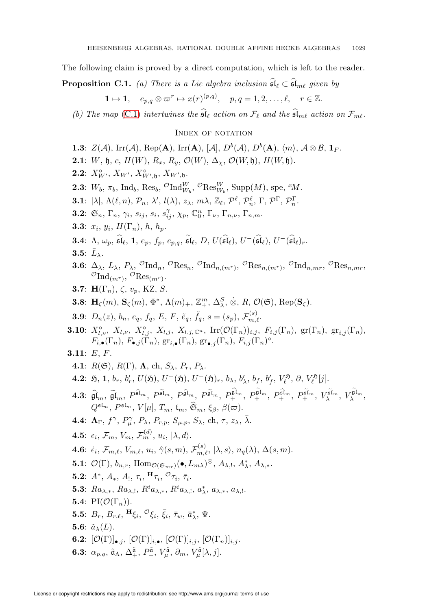The following claim is proved by a direct computation, which is left to the reader.

**Proposition C.1.** (a) There is a Lie algebra inclusion  $\mathfrak{sl}_{\ell} \subset \mathfrak{sl}_{m\ell}$  given by

$$
1 \mapsto 1, \quad e_{p,q} \otimes \varpi^r \mapsto x(r)^{(p,q)}, \quad p,q = 1,2,\ldots,\ell, \quad r \in \mathbb{Z}.
$$

(b) The map [\(C.1\)](#page-69-0) intertwines the  $\mathfrak{sl}_\ell$  action on  $\mathcal{F}_\ell$  and the  $\mathfrak{sl}_{m\ell}$  action on  $\mathcal{F}_{m\ell}$ .

#### INDEX OF NOTATION

**1.3**:  $Z(\mathcal{A})$ , Irr( $\mathcal{A}$ ), Rep( $\mathbf{A}$ ), Irr( $\mathbf{A}$ ),  $[D^b(\mathcal{A}), D^b(\mathbf{A}), \langle m \rangle$ ,  $\mathcal{A} \otimes \mathcal{B}$ ,  $\mathbf{1}_F$ . **2.1**: W, h, c,  $H(W)$ ,  $R_x$ ,  $R_y$ ,  $\mathcal{O}(W)$ ,  $\Delta_\chi$ ,  $\mathcal{O}(W, \mathfrak{h})$ ,  $H(W, \mathfrak{h})$ . **2.2**:  $X_{W'}^{\circ}$ ,  $X_{W'}^{\circ}$ ,  $X_{W',\mathfrak{h}}^{\circ}$ ,  $X_{W',\mathfrak{h}}$ . **2.3**:  $W_b$ ,  $\pi_b$ , Ind<sub>b</sub>, Res<sub>b</sub>, <sup>O</sup>Ind<sub> $W_b$ </sub>, <sup>O</sup>Res<sub> $W_b$ </sub>, Supp $(M)$ , spe, <sup>x</sup>M. **3.1**:  $|\lambda|, \Lambda(\ell,n), \mathcal{P}_n, \lambda', l(\lambda), z_\lambda, m\lambda, \mathbb{Z}_{\ell}, \mathcal{P}^{\ell}, \mathcal{P}^{\ell}_n, \Gamma, \mathcal{P}^{\Gamma}, \mathcal{P}^{\Gamma}_n$ . 3.2:  $\mathfrak{S}_n$ ,  $\Gamma_n$ ,  $\gamma_i$ ,  $s_{ij}$ ,  $s_i$ ,  $s_{ij}^{\gamma}$ ,  $\chi_p$ ,  $\mathbb{C}_0^n$ ,  $\Gamma_{\nu}$ ,  $\Gamma_{n,\nu}$ ,  $\Gamma_{n,m}$ . **3.3**:  $x_i, y_i, H(\Gamma_n), h, h_p$ . **3.4**:  $\Lambda$ ,  $\omega_p$ ,  $\widehat{\mathfrak{sl}}_{\ell}$ , **1**,  $e_p$ ,  $f_p$ ,  $e_{p,q}$ ,  $\widehat{\mathfrak{sl}}_{\ell}$ ,  $D$ ,  $U(\widehat{\mathfrak{sl}}_{\ell})$ ,  $U^-(\widehat{\mathfrak{sl}}_{\ell})$ ,  $U^-(\widehat{\mathfrak{sl}}_{\ell})_r$ . 3.5:  $\bar{L}_{\lambda}$ . 3.6:  $\Delta_{\lambda}$ ,  $L_{\lambda}$ ,  $P_{\lambda}$ ,  ${}^{\mathcal{O}}\mathrm{Ind}_n$ ,  ${}^{\mathcal{O}}\mathrm{Res}_n$ ,  ${}^{\mathcal{O}}\mathrm{Ind}_{n,(m^r)},$   ${}^{\mathcal{O}}\mathrm{Res}_{n,(m^r)},$   ${}^{\mathcal{O}}\mathrm{Ind}_{n,mr},$   ${}^{\mathcal{O}}\mathrm{Res}_{n,mr},$  $^{\mathcal{O}}\mathrm{Ind}_{(m^{r})},$   $^{\mathcal{O}}\mathrm{Res}_{(m^{r})}.$ 3.7:  $H(\Gamma_n)$ ,  $\zeta$ ,  $v_n$ , KZ, S. **3.8**:  $\mathbf{H}_{\zeta}(m)$ ,  $\mathbf{S}_{\zeta}(m)$ ,  $\Phi^*$ ,  $\Lambda(m)_{+}$ ,  $\mathbb{Z}_{+}^{m}$ ,  $\Delta_{\lambda}^{S}$ ,  $\dot{\otimes}$ ,  $R$ ,  $\mathcal{O}(\mathfrak{S})$ , Rep( $\mathbf{S}_{\zeta}$ ). **3.9**:  $D_n(z)$ ,  $b_n$ ,  $e_q$ ,  $f_q$ ,  $E$ ,  $F$ ,  $\tilde{e}_q$ ,  $\tilde{f}_q$ ,  $s = (s_p)$ ,  $\mathcal{F}_{m,\ell}^{(s)}$ . **3.10**:  $X^{\circ}_{l,\nu}$ ,  $X_{l,\nu}$ ,  $X^{\circ}_{l,j}$ ,  $X_{l,j}$ ,  $X_{l,j}$ ,  $\mathbb{C}^n$ ,  $\text{Irr}(\mathcal{O}(\Gamma_n))_{i,j}$ ,  $F_{i,j}(\Gamma_n)$ ,  $\text{gr}(\Gamma_n)$ ,  $\text{gr}_{i,j}(\Gamma_n)$ ,  $F_{i,\bullet}(\Gamma_n), F_{\bullet,j}(\tilde{\Gamma}_n), \, \operatorname{gr}_{i,\bullet}(\Gamma_n), \, \operatorname{gr}_{\bullet,j}(\Gamma_n), F_{i,j}(\Gamma_n)^\circ.$ 3.11: E, F. 4.1:  $R(\mathfrak{S}), R(\Gamma), \Lambda$ , ch,  $S_{\lambda}, P_{r}, P_{\lambda}$ .  $\bm{4.2:} \; \tilde{\bm{\mathfrak{H}}}, \, \bm{1}, \, b_r, \, b_r', \, U(\mathfrak{H}), \, U^-(\mathfrak{H}), \, U^-(\mathfrak{H})_r, \, b_\lambda, \, b_f', \, b_f', \, b_f', \, V_\ell^\mathfrak{H}, \, \partial, \, V_\ell^\mathfrak{H}[j].$  $\mathbf{4.3:}\ \widehat{\mathfrak{gl}}_m,\ \widetilde{\mathfrak{gl}}_m,\ P^{\widehat{\mathfrak{sl}}_m},\ P^{\widehat{\mathfrak{gl}}_m},\ P^{\widehat{\mathfrak{gl}}_m},\ P^{\widehat{\mathfrak{gl}}_m},\ P^{\widehat{\mathfrak{gl}}_m},\ P^{\widehat{\mathfrak{gl}}_m}_+, \ P^{\widehat{\mathfrak{gl}}_m}_+, \ P^{\widehat{\mathfrak{sl}}_m}_+, \ P^{\widehat{\mathfrak{sl}}_m}_+, \ P^{\widehat{\mathfrak{sl}}_m}_+, \ P^{\widehat{\mathfrak{sl}}_m}_+, \ V^$  $Q^{\mathfrak{sl}_m}, P^{\mathfrak{sl}_m}, V[\mu], T_m, \mathfrak{t}_m, \mathfrak{S}_m, \xi_\beta, \beta(\varpi).$ **4.4:**  $\mathbf{\Lambda}_{\Gamma}$ ,  $f^{\gamma}$ ,  $P_{\mu}^{\gamma}$ ,  $P_{\lambda}$ ,  $P_{r,p}$ ,  $S_{\mu,p}$ ,  $S_{\lambda}$ , ch,  $\tau$ ,  $z_{\lambda}$ ,  $\bar{\lambda}$ .  $\textbf{4.5:} \ \ \epsilon_i, \ \mathcal{F}_m, \ V_m, \ \mathcal{F}_m^{(d)}, \ u_i, \ |\lambda, d \rangle.$  $\textbf{4.6:}~~\dot{\epsilon}_i, \, \mathcal{F}_{m,\ell}, \, V_{m,\ell}, \, u_i, \, \hat{\gamma}(s,m), \, \mathcal{F}^{(s)}_{m,\ell}, \, |\lambda, s \rangle, \, n_q(\lambda), \, \Delta(s,m).$ **5.1**:  $\mathcal{O}(\Gamma)$ ,  $b_{n,r}$ , Hom<sub> $\mathcal{O}(\mathfrak{S}_{mr})$ ( $\bullet$ ,  $L_{m\lambda}$ )<sup> $\circledast$ </sup>,  $A_{\lambda,,!}$ ,  $A_{\lambda}^{*}$ ,  $A_{\lambda,*}$ .</sub> 5.2:  $A^*$ ,  $A_*$ ,  $A_!$ ,  $\tau_i$ ,  $\mathbf{H}_{\tau_i}$ ,  $\mathcal{O}_{\tau_i}$ ,  $\bar{\tau}_i$ . 5.3:  $Ra_{\lambda,*}, Ra_{\lambda,!}, R^i a_{\lambda,*}, R^i a_{\lambda,!}, a^*_{\lambda}, a_{\lambda,*}, a_{\lambda,!}.$ 5.4:  $\text{PI}(\mathcal{O}(\Gamma_n)).$ 5.5:  $B_r$ ,  $B_{r,\ell}$ ,  $^{H}\xi_i$ ,  $^{O}\xi_i$ ,  $\bar{\xi}_i$ ,  $\bar{\tau}_w$ ,  $\bar{a}^*_{\lambda}$ ,  $\Psi$ . 5.6:  $\tilde{a}_{\lambda}(L)$ . **6.2:**  $[\mathcal{O}(\Gamma)]_{\bullet,i}, [\mathcal{O}(\Gamma)]_{i,\bullet}, [\mathcal{O}(\Gamma)]_{i,i}, [\mathcal{O}(\Gamma_n)]_{i,i}.$ **6.3**:  $\alpha_{p,q}, \, \tilde{\mathfrak{a}}_\Lambda, \, \Delta_+^{\tilde{\mathfrak{a}}}, \, P_+^{\tilde{\mathfrak{a}}}, \, V_\mu^{\tilde{\mathfrak{a}}}, \, \partial_m, \, V_\mu^{\tilde{\mathfrak{a}}}[\lambda,j].$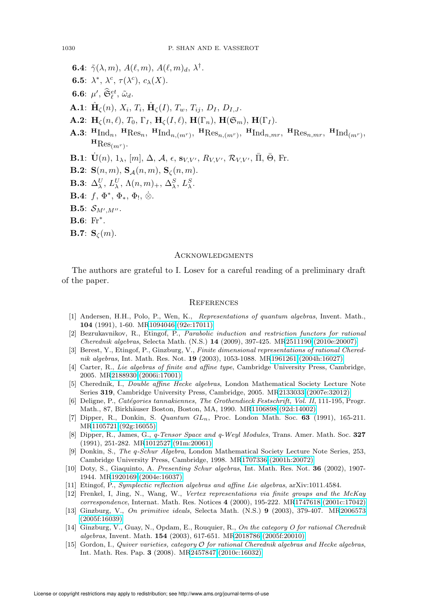- **6.4**:  $\tilde{\gamma}(\lambda,m)$ ,  $A(\ell,m)$ ,  $A(\ell,m)_d$ ,  $\lambda^{\dagger}$ .
- **6.5**:  $\lambda^*, \lambda^c, \tau(\lambda^c), c_\lambda(X)$ .
- **6.6**:  $\mu'$ ,  $\widetilde{\mathfrak{S}}_{\ell}^{et}$ ,  $\tilde{\omega}_d$ .
- $\mathbf{A.1:} \,\, \hat{\mathbf{H}}_{\zeta}(n), \, X_i, \, T_i, \, \hat{\mathbf{H}}_{\zeta}(I), \, T_w, \, T_{ij}, \, D_I, \, D_{I,J}.$
- **A.2:**  $H_{\zeta}(n,\ell), T_0, \Gamma_I, H_{\zeta}(I,\ell), H(\Gamma_n), H(\mathfrak{S}_m), H(\Gamma_I).$
- A.3:  $^{\mathbf{H}}\text{Ind}_{n}$ ,  $^{\mathbf{H}}\text{Res}_{n}$ ,  $^{\mathbf{H}}\text{Ind}_{n,(m^{r})}$ ,  $^{\mathbf{H}}\text{Res}_{n,(m^{r})}$ ,  $^{\mathbf{H}}\text{Ind}_{n,m^{r}}$ ,  $^{\mathbf{H}}\text{Res}_{n,m^{r}}$ ,  $^{\mathbf{H}}\text{Ind}_{(m^{r})}$ ,  ${}^{\text{H}}\text{Res}_{(m^r)}$ .
- **B.1**:  $\dot{\mathbf{U}}(n), 1_\lambda, [m], \Delta, \mathcal{A}, \epsilon, \mathbf{s}_{V,V'}, R_{V,V'}, \mathcal{R}_{V,V'}, \bar{\Pi}, \bar{\Theta}, \text{Fr.}$
- **B.2:**  $S(n, m)$ ,  $S_A(n, m)$ ,  $S_C(n, m)$ .
- **B.3**:  $\Delta_{\lambda}^{U}, L_{\lambda}^{U}, \Lambda(n,m)_{+}, \Delta_{\lambda}^{S}, L_{\lambda}^{S}.$
- **B.4**:  $f, \Phi^*, \Phi_*, \Phi_!, \dot{\otimes}.$
- $\mathbf{B.5}\text{: }\ }\mathcal{S}_{M^{\prime},M^{\prime\prime}}.$
- **B.6**:  $Fr^*$ .
- **B.7:**  $S_{\zeta}(m)$ .

#### **ACKNOWLEDGMENTS**

The authors are grateful to I. Losev for a careful reading of a preliminary draft of the paper.

#### **REFERENCES**

- <span id="page-71-4"></span>[1] Andersen, H.H., Polo, P., Wen, K., Representations of quantum algebras, Invent. Math., 104 (1991), 1-60. M[R1094046 \(92e:17011\)](http://www.ams.org/mathscinet-getitem?mr=1094046)
- [2] Bezrukavnikov, R., Etingof, P., Parabolic induction and restriction functors for rational Cherednik algebras, Selecta Math. (N.S.) 14 (2009), 397-425. M[R2511190 \(2010e:20007\)](http://www.ams.org/mathscinet-getitem?mr=2511190)
- <span id="page-71-0"></span>[3] Berest, Y., Etingof, P., Ginzburg, V., Finite dimensional representations of rational Cherednik algebras, Int. Math. Res. Not. 19 (2003), 1053-1088. M[R1961261 \(2004h:16027\)](http://www.ams.org/mathscinet-getitem?mr=1961261)
- [4] Carter, R., Lie algebras of finite and affine type, Cambridge University Press, Cambridge, 2005. M[R2188930 \(2006i:17001\)](http://www.ams.org/mathscinet-getitem?mr=2188930)
- <span id="page-71-2"></span>[5] Cherednik, I., Double affine Hecke algebras, London Mathematical Society Lecture Note Series 319, Cambridge University Press, Cambridge, 2005. M[R2133033 \(2007e:32012\)](http://www.ams.org/mathscinet-getitem?mr=2133033)
- [6] Deligne, P., Catégories tannakiennes, The Grothendieck Festschrift, Vol. II, 111-195, Progr. Math., 87, Birkhäuser Boston, Boston, MA, 1990. M[R1106898 \(92d:14002\)](http://www.ams.org/mathscinet-getitem?mr=1106898)
- <span id="page-71-6"></span>[7] Dipper, R., Donkin, S. Quantum  $GL_n$ , Proc. London Math. Soc. 63 (1991), 165-211. M[R1105721 \(92g:16055\)](http://www.ams.org/mathscinet-getitem?mr=1105721)
- <span id="page-71-5"></span>[8] Dipper, R., James, G., q-Tensor Space and q-Weyl Modules, Trans. Amer. Math. Soc. 327 (1991), 251-282. M[R1012527 \(91m:20061\)](http://www.ams.org/mathscinet-getitem?mr=1012527)
- [9] Donkin, S., The q-Schur Algebra, London Mathematical Society Lecture Note Series, 253, Cambridge University Press, Cambridge, 1998. M[R1707336 \(2001h:20072\)](http://www.ams.org/mathscinet-getitem?mr=1707336)
- <span id="page-71-3"></span>[10] Doty, S., Giaquinto, A. Presenting Schur algebras, Int. Math. Res. Not. 36 (2002), 1907- 1944. M[R1920169 \(2004e:16037\)](http://www.ams.org/mathscinet-getitem?mr=1920169)
- <span id="page-71-1"></span>[11] Etingof, P., Symplectic reflection algebras and affine Lie algebras, arXiv:1011.4584.
- [12] Frenkel, I, Jing, N., Wang, W., Vertex representations via finite groups and the McKay correspondence, Internat. Math. Res. Notices 4 (2000), 195-222. M[R1747618 \(2001c:17042\)](http://www.ams.org/mathscinet-getitem?mr=1747618)
- [13] Ginzburg, V., On primitive ideals, Selecta Math. (N.S.) 9 (2003), 379-407. M[R2006573](http://www.ams.org/mathscinet-getitem?mr=2006573) [\(2005f:16039\)](http://www.ams.org/mathscinet-getitem?mr=2006573)
- [14] Ginzburg, V., Guay, N., Opdam, E., Rouquier, R., On the category O for rational Cherednik algebras, Invent. Math. 154 (2003), 617-651. M[R2018786 \(2005f:20010\)](http://www.ams.org/mathscinet-getitem?mr=2018786)
- [15] Gordon, I., Quiver varieties, category O for rational Cherednik algebras and Hecke algebras, Int. Math. Res. Pap. 3 (2008). M[R2457847 \(2010c:16032\)](http://www.ams.org/mathscinet-getitem?mr=2457847)